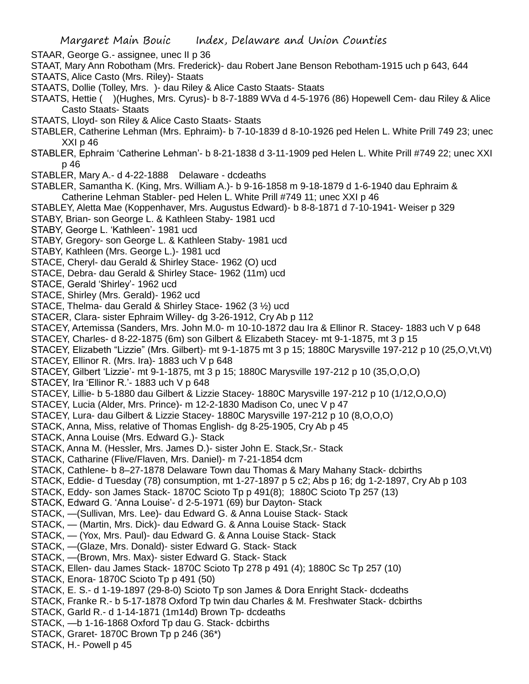- STAAR, George G.- assignee, unec II p 36
- STAAT, Mary Ann Robotham (Mrs. Frederick)- dau Robert Jane Benson Rebotham-1915 uch p 643, 644
- STAATS, Alice Casto (Mrs. Riley)- Staats
- STAATS, Dollie (Tolley, Mrs. )- dau Riley & Alice Casto Staats- Staats
- STAATS, Hettie ( )(Hughes, Mrs. Cyrus)- b 8-7-1889 WVa d 4-5-1976 (86) Hopewell Cem- dau Riley & Alice Casto Staats- Staats
- STAATS, Lloyd- son Riley & Alice Casto Staats- Staats
- STABLER, Catherine Lehman (Mrs. Ephraim)- b 7-10-1839 d 8-10-1926 ped Helen L. White Prill 749 23; unec XXI p 46
- STABLER, Ephraim 'Catherine Lehman'- b 8-21-1838 d 3-11-1909 ped Helen L. White Prill #749 22; unec XXI p 46
- STABLER, Mary A.- d 4-22-1888 Delaware dcdeaths
- STABLER, Samantha K. (King, Mrs. William A.)- b 9-16-1858 m 9-18-1879 d 1-6-1940 dau Ephraim & Catherine Lehman Stabler- ped Helen L. White Prill #749 11; unec XXI p 46
- STABLEY, Aletta Mae (Koppenhaver, Mrs. Augustus Edward)- b 8-8-1871 d 7-10-1941- Weiser p 329
- STABY, Brian- son George L. & Kathleen Staby- 1981 ucd
- STABY, George L. 'Kathleen'- 1981 ucd
- STABY, Gregory- son George L. & Kathleen Staby- 1981 ucd
- STABY, Kathleen (Mrs. George L.)- 1981 ucd
- STACE, Cheryl- dau Gerald & Shirley Stace- 1962 (O) ucd
- STACE, Debra- dau Gerald & Shirley Stace- 1962 (11m) ucd
- STACE, Gerald 'Shirley'- 1962 ucd
- STACE, Shirley (Mrs. Gerald)- 1962 ucd
- STACE, Thelma- dau Gerald & Shirley Stace- 1962 (3 ½) ucd
- STACER, Clara- sister Ephraim Willey- dg 3-26-1912, Cry Ab p 112
- STACEY, Artemissa (Sanders, Mrs. John M.0- m 10-10-1872 dau Ira & Ellinor R. Stacey- 1883 uch V p 648
- STACEY, Charles- d 8-22-1875 (6m) son Gilbert & Elizabeth Stacey- mt 9-1-1875, mt 3 p 15
- STACEY, Elizabeth "Lizzie" (Mrs. Gilbert)- mt 9-1-1875 mt 3 p 15; 1880C Marysville 197-212 p 10 (25,O,Vt,Vt)
- STACEY, Ellinor R. (Mrs. Ira)- 1883 uch V p 648
- STACEY, Gilbert 'Lizzie'- mt 9-1-1875, mt 3 p 15; 1880C Marysville 197-212 p 10 (35,O,O,O)
- STACEY, Ira 'Ellinor R.'- 1883 uch V p 648
- STACEY, Lillie- b 5-1880 dau Gilbert & Lizzie Stacey- 1880C Marysville 197-212 p 10 (1/12,O,O,O)
- STACEY, Lucia (Alder, Mrs. Prince)- m 12-2-1830 Madison Co, unec V p 47
- STACEY, Lura- dau Gilbert & Lizzie Stacey- 1880C Marysville 197-212 p 10 (8,O,O,O)
- STACK, Anna, Miss, relative of Thomas English- dg 8-25-1905, Cry Ab p 45
- STACK, Anna Louise (Mrs. Edward G.)- Stack
- STACK, Anna M. (Hessler, Mrs. James D.)- sister John E. Stack,Sr.- Stack
- STACK, Catharine (Flive/Flaven, Mrs. Daniel)- m 7-21-1854 dcm
- STACK, Cathlene- b 8–27-1878 Delaware Town dau Thomas & Mary Mahany Stack- dcbirths
- STACK, Eddie- d Tuesday (78) consumption, mt 1-27-1897 p 5 c2; Abs p 16; dg 1-2-1897, Cry Ab p 103
- STACK, Eddy- son James Stack- 1870C Scioto Tp p 491(8); 1880C Scioto Tp 257 (13)
- STACK, Edward G. 'Anna Louise'- d 2-5-1971 (69) bur Dayton- Stack
- STACK, —(Sullivan, Mrs. Lee)- dau Edward G. & Anna Louise Stack- Stack
- STACK, (Martin, Mrs. Dick)- dau Edward G. & Anna Louise Stack- Stack
- STACK, (Yox, Mrs. Paul)- dau Edward G. & Anna Louise Stack- Stack
- STACK, —(Glaze, Mrs. Donald)- sister Edward G. Stack- Stack
- STACK, —(Brown, Mrs. Max)- sister Edward G. Stack- Stack
- STACK, Ellen- dau James Stack- 1870C Scioto Tp 278 p 491 (4); 1880C Sc Tp 257 (10)
- STACK, Enora- 1870C Scioto Tp p 491 (50)
- STACK, E. S.- d 1-19-1897 (29-8-0) Scioto Tp son James & Dora Enright Stack- dcdeaths
- STACK, Franke R.- b 5-17-1878 Oxford Tp twin dau Charles & M. Freshwater Stack- dcbirths
- STACK, Garld R.- d 1-14-1871 (1m14d) Brown Tp- dcdeaths
- STACK, —b 1-16-1868 Oxford Tp dau G. Stack- dcbirths
- STACK, Graret- 1870C Brown Tp p 246 (36\*)
- STACK, H.- Powell p 45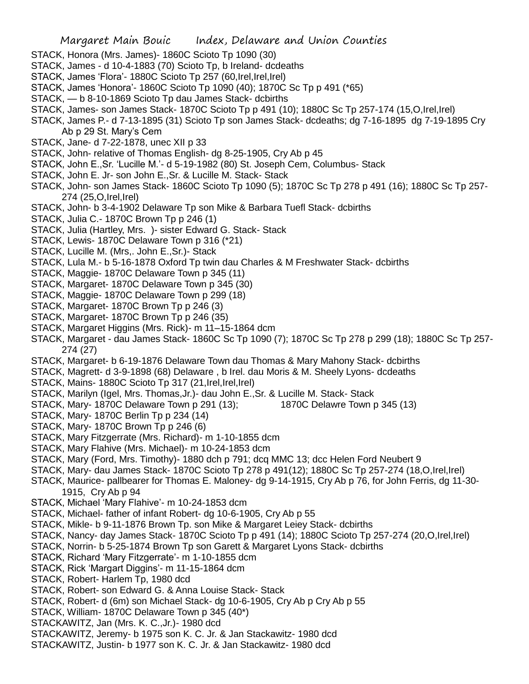- STACK, Honora (Mrs. James)- 1860C Scioto Tp 1090 (30)
- STACK, James d 10-4-1883 (70) Scioto Tp, b Ireland- dcdeaths
- STACK, James 'Flora'- 1880C Scioto Tp 257 (60,Irel,Irel,Irel)
- STACK, James 'Honora'- 1860C Scioto Tp 1090 (40); 1870C Sc Tp p 491 (\*65)
- STACK, b 8-10-1869 Scioto Tp dau James Stack- dcbirths
- STACK, James- son James Stack- 1870C Scioto Tp p 491 (10); 1880C Sc Tp 257-174 (15,O,Irel,Irel)
- STACK, James P.- d 7-13-1895 (31) Scioto Tp son James Stack- dcdeaths; dg 7-16-1895 dg 7-19-1895 Cry Ab p 29 St. Mary's Cem
- STACK, Jane- d 7-22-1878, unec XII p 33
- STACK, John- relative of Thomas English- dg 8-25-1905, Cry Ab p 45
- STACK, John E.,Sr. 'Lucille M.'- d 5-19-1982 (80) St. Joseph Cem, Columbus- Stack
- STACK, John E. Jr- son John E.,Sr. & Lucille M. Stack- Stack
- STACK, John- son James Stack- 1860C Scioto Tp 1090 (5); 1870C Sc Tp 278 p 491 (16); 1880C Sc Tp 257- 274 (25,O,Irel,Irel)
- STACK, John- b 3-4-1902 Delaware Tp son Mike & Barbara Tuefl Stack- dcbirths
- STACK, Julia C.- 1870C Brown Tp p 246 (1)
- STACK, Julia (Hartley, Mrs. )- sister Edward G. Stack- Stack
- STACK, Lewis- 1870C Delaware Town p 316 (\*21)
- STACK, Lucille M. (Mrs,. John E.,Sr.)- Stack
- STACK, Lula M.- b 5-16-1878 Oxford Tp twin dau Charles & M Freshwater Stack- dcbirths
- STACK, Maggie- 1870C Delaware Town p 345 (11)
- STACK, Margaret- 1870C Delaware Town p 345 (30)
- STACK, Maggie- 1870C Delaware Town p 299 (18)
- STACK, Margaret- 1870C Brown Tp p 246 (3)
- STACK, Margaret- 1870C Brown Tp p 246 (35)
- STACK, Margaret Higgins (Mrs. Rick)- m 11–15-1864 dcm
- STACK, Margaret dau James Stack- 1860C Sc Tp 1090 (7); 1870C Sc Tp 278 p 299 (18); 1880C Sc Tp 257- 274 (27)
- STACK, Margaret- b 6-19-1876 Delaware Town dau Thomas & Mary Mahony Stack- dcbirths
- STACK, Magrett- d 3-9-1898 (68) Delaware , b Irel. dau Moris & M. Sheely Lyons- dcdeaths
- STACK, Mains- 1880C Scioto Tp 317 (21, Irel, Irel, Irel)
- STACK, Marilyn (Igel, Mrs. Thomas,Jr.)- dau John E.,Sr. & Lucille M. Stack- Stack
- STACK, Mary- 1870C Delaware Town p 291 (13); 1870C Delawre Town p 345 (13)
- STACK, Mary- 1870C Berlin Tp p 234 (14)
- STACK, Mary- 1870C Brown Tp p 246 (6)
- STACK, Mary Fitzgerrate (Mrs. Richard)- m 1-10-1855 dcm
- STACK, Mary Flahive (Mrs. Michael)- m 10-24-1853 dcm
- STACK, Mary (Ford, Mrs. Timothy)- 1880 dch p 791; dcq MMC 13; dcc Helen Ford Neubert 9
- STACK, Mary- dau James Stack- 1870C Scioto Tp 278 p 491(12); 1880C Sc Tp 257-274 (18,O,Irel,Irel)
- STACK, Maurice- pallbearer for Thomas E. Maloney- dg 9-14-1915, Cry Ab p 76, for John Ferris, dg 11-30- 1915, Cry Ab p 94
- STACK, Michael 'Mary Flahive'- m 10-24-1853 dcm
- STACK, Michael- father of infant Robert- dg 10-6-1905, Cry Ab p 55
- STACK, Mikle- b 9-11-1876 Brown Tp. son Mike & Margaret Leiey Stack- dcbirths
- STACK, Nancy- day James Stack- 1870C Scioto Tp p 491 (14); 1880C Scioto Tp 257-274 (20,O,Irel,Irel)
- STACK, Norrin- b 5-25-1874 Brown Tp son Garett & Margaret Lyons Stack- dcbirths
- STACK, Richard 'Mary Fitzgerrate'- m 1-10-1855 dcm
- STACK, Rick 'Margart Diggins'- m 11-15-1864 dcm
- STACK, Robert- Harlem Tp, 1980 dcd
- STACK, Robert- son Edward G. & Anna Louise Stack- Stack
- STACK, Robert- d (6m) son Michael Stack- dg 10-6-1905, Cry Ab p Cry Ab p 55
- STACK, William- 1870C Delaware Town p 345 (40\*)
- STACKAWITZ, Jan (Mrs. K. C.,Jr.)- 1980 dcd
- STACKAWITZ, Jeremy- b 1975 son K. C. Jr. & Jan Stackawitz- 1980 dcd
- STACKAWITZ, Justin- b 1977 son K. C. Jr. & Jan Stackawitz- 1980 dcd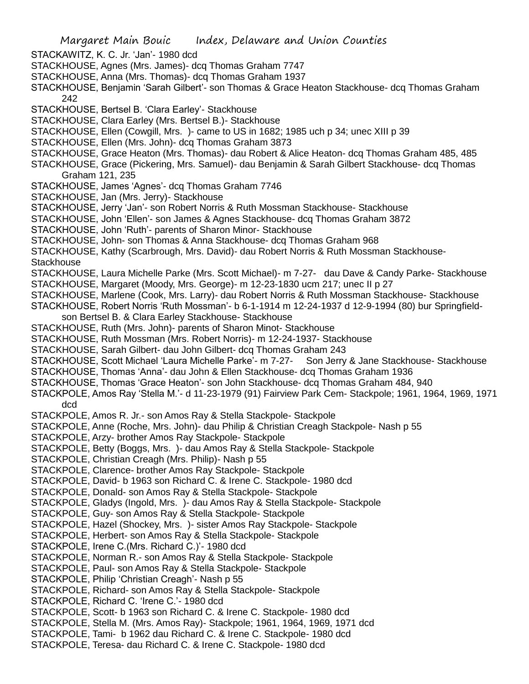Margaret Main Bouic Index, Delaware and Union Counties STACKAWITZ, K. C. Jr. 'Jan'- 1980 dcd STACKHOUSE, Agnes (Mrs. James)- dcq Thomas Graham 7747 STACKHOUSE, Anna (Mrs. Thomas)- dcq Thomas Graham 1937 STACKHOUSE, Benjamin 'Sarah Gilbert'- son Thomas & Grace Heaton Stackhouse- dcq Thomas Graham 242 STACKHOUSE, Bertsel B. 'Clara Earley'- Stackhouse STACKHOUSE, Clara Earley (Mrs. Bertsel B.)- Stackhouse STACKHOUSE, Ellen (Cowgill, Mrs. )- came to US in 1682; 1985 uch p 34; unec XIII p 39 STACKHOUSE, Ellen (Mrs. John)- dcq Thomas Graham 3873 STACKHOUSE, Grace Heaton (Mrs. Thomas)- dau Robert & Alice Heaton- dcq Thomas Graham 485, 485 STACKHOUSE, Grace (Pickering, Mrs. Samuel)- dau Benjamin & Sarah Gilbert Stackhouse- dcq Thomas Graham 121, 235 STACKHOUSE, James 'Agnes'- dcq Thomas Graham 7746 STACKHOUSE, Jan (Mrs. Jerry)- Stackhouse STACKHOUSE, Jerry 'Jan'- son Robert Norris & Ruth Mossman Stackhouse- Stackhouse STACKHOUSE, John 'Ellen'- son James & Agnes Stackhouse- dcq Thomas Graham 3872 STACKHOUSE, John 'Ruth'- parents of Sharon Minor- Stackhouse STACKHOUSE, John- son Thomas & Anna Stackhouse- dcq Thomas Graham 968 STACKHOUSE, Kathy (Scarbrough, Mrs. David)- dau Robert Norris & Ruth Mossman Stackhouse-**Stackhouse** STACKHOUSE, Laura Michelle Parke (Mrs. Scott Michael)- m 7-27- dau Dave & Candy Parke- Stackhouse STACKHOUSE, Margaret (Moody, Mrs. George)- m 12-23-1830 ucm 217; unec II p 27 STACKHOUSE, Marlene (Cook, Mrs. Larry)- dau Robert Norris & Ruth Mossman Stackhouse- Stackhouse STACKHOUSE, Robert Norris 'Ruth Mossman'- b 6-1-1914 m 12-24-1937 d 12-9-1994 (80) bur Springfieldson Bertsel B. & Clara Earley Stackhouse- Stackhouse STACKHOUSE, Ruth (Mrs. John)- parents of Sharon Minot- Stackhouse STACKHOUSE, Ruth Mossman (Mrs. Robert Norris)- m 12-24-1937- Stackhouse STACKHOUSE, Sarah Gilbert- dau John Gilbert- dcq Thomas Graham 243 STACKHOUSE, Scott Michael 'Laura Michelle Parke'- m 7-27- Son Jerry & Jane Stackhouse- Stackhouse STACKHOUSE, Thomas 'Anna'- dau John & Ellen Stackhouse- dcq Thomas Graham 1936 STACKHOUSE, Thomas 'Grace Heaton'- son John Stackhouse- dcq Thomas Graham 484, 940 STACKPOLE, Amos Ray 'Stella M.'- d 11-23-1979 (91) Fairview Park Cem- Stackpole; 1961, 1964, 1969, 1971 dcd STACKPOLE, Amos R. Jr.- son Amos Ray & Stella Stackpole- Stackpole STACKPOLE, Anne (Roche, Mrs. John)- dau Philip & Christian Creagh Stackpole- Nash p 55 STACKPOLE, Arzy- brother Amos Ray Stackpole- Stackpole STACKPOLE, Betty (Boggs, Mrs. )- dau Amos Ray & Stella Stackpole- Stackpole STACKPOLE, Christian Creagh (Mrs. Philip)- Nash p 55 STACKPOLE, Clarence- brother Amos Ray Stackpole- Stackpole STACKPOLE, David- b 1963 son Richard C. & Irene C. Stackpole- 1980 dcd STACKPOLE, Donald- son Amos Ray & Stella Stackpole- Stackpole STACKPOLE, Gladys (Ingold, Mrs. )- dau Amos Ray & Stella Stackpole- Stackpole STACKPOLE, Guy- son Amos Ray & Stella Stackpole- Stackpole STACKPOLE, Hazel (Shockey, Mrs. )- sister Amos Ray Stackpole- Stackpole STACKPOLE, Herbert- son Amos Ray & Stella Stackpole- Stackpole STACKPOLE, Irene C.(Mrs. Richard C.)'- 1980 dcd STACKPOLE, Norman R.- son Amos Ray & Stella Stackpole- Stackpole STACKPOLE, Paul- son Amos Ray & Stella Stackpole- Stackpole STACKPOLE, Philip 'Christian Creagh'- Nash p 55 STACKPOLE, Richard- son Amos Ray & Stella Stackpole- Stackpole STACKPOLE, Richard C. 'Irene C.'- 1980 dcd STACKPOLE, Scott- b 1963 son Richard C. & Irene C. Stackpole- 1980 dcd STACKPOLE, Stella M. (Mrs. Amos Ray)- Stackpole; 1961, 1964, 1969, 1971 dcd STACKPOLE, Tami- b 1962 dau Richard C. & Irene C. Stackpole- 1980 dcd STACKPOLE, Teresa- dau Richard C. & Irene C. Stackpole- 1980 dcd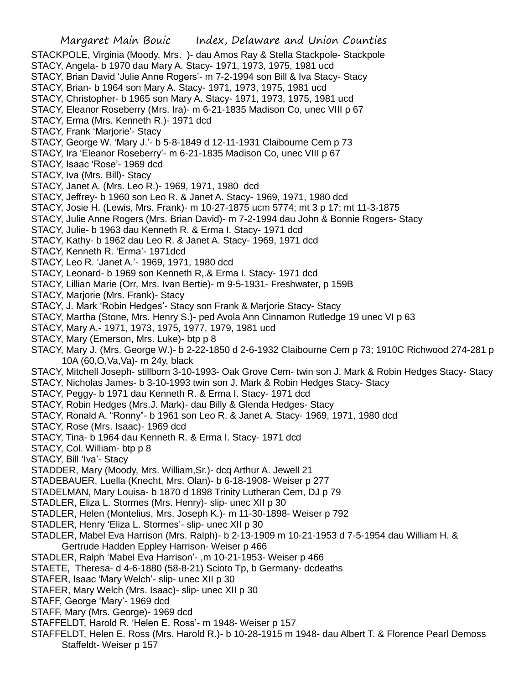Margaret Main Bouic Index, Delaware and Union Counties STACKPOLE, Virginia (Moody, Mrs. )- dau Amos Ray & Stella Stackpole- Stackpole STACY, Angela- b 1970 dau Mary A. Stacy- 1971, 1973, 1975, 1981 ucd STACY, Brian David 'Julie Anne Rogers'- m 7-2-1994 son Bill & Iva Stacy- Stacy STACY, Brian- b 1964 son Mary A. Stacy- 1971, 1973, 1975, 1981 ucd STACY, Christopher- b 1965 son Mary A. Stacy- 1971, 1973, 1975, 1981 ucd STACY, Eleanor Roseberry (Mrs. Ira)- m 6-21-1835 Madison Co, unec VIII p 67 STACY, Erma (Mrs. Kenneth R.)- 1971 dcd STACY, Frank 'Marjorie'- Stacy STACY, George W. 'Mary J.'- b 5-8-1849 d 12-11-1931 Claibourne Cem p 73 STACY, Ira 'Eleanor Roseberry'- m 6-21-1835 Madison Co, unec VIII p 67 STACY, Isaac 'Rose'- 1969 dcd STACY, Iva (Mrs. Bill)- Stacy STACY, Janet A. (Mrs. Leo R.)- 1969, 1971, 1980 dcd STACY, Jeffrey- b 1960 son Leo R. & Janet A. Stacy- 1969, 1971, 1980 dcd STACY, Josie H. (Lewis, Mrs. Frank)- m 10-27-1875 ucm 5774; mt 3 p 17; mt 11-3-1875 STACY, Julie Anne Rogers (Mrs. Brian David)- m 7-2-1994 dau John & Bonnie Rogers- Stacy STACY, Julie- b 1963 dau Kenneth R. & Erma I. Stacy- 1971 dcd STACY, Kathy- b 1962 dau Leo R. & Janet A. Stacy- 1969, 1971 dcd STACY, Kenneth R. 'Erma'- 1971dcd STACY, Leo R. 'Janet A.'- 1969, 1971, 1980 dcd STACY, Leonard- b 1969 son Kenneth R,.& Erma I. Stacy- 1971 dcd STACY, Lillian Marie (Orr, Mrs. Ivan Bertie)- m 9-5-1931- Freshwater, p 159B STACY, Marjorie (Mrs. Frank)- Stacy STACY, J. Mark 'Robin Hedges'- Stacy son Frank & Marjorie Stacy- Stacy STACY, Martha (Stone, Mrs. Henry S.)- ped Avola Ann Cinnamon Rutledge 19 unec VI p 63 STACY, Mary A.- 1971, 1973, 1975, 1977, 1979, 1981 ucd STACY, Mary (Emerson, Mrs. Luke)- btp p 8 STACY, Mary J. (Mrs. George W.)- b 2-22-1850 d 2-6-1932 Claibourne Cem p 73; 1910C Richwood 274-281 p 10A (60,O,Va,Va)- m 24y, black STACY, Mitchell Joseph- stillborn 3-10-1993- Oak Grove Cem- twin son J. Mark & Robin Hedges Stacy- Stacy STACY, Nicholas James- b 3-10-1993 twin son J. Mark & Robin Hedges Stacy- Stacy STACY, Peggy- b 1971 dau Kenneth R. & Erma I. Stacy- 1971 dcd STACY, Robin Hedges (Mrs.J. Mark)- dau Billy & Glenda Hedges- Stacy STACY, Ronald A. "Ronny"- b 1961 son Leo R. & Janet A. Stacy- 1969, 1971, 1980 dcd STACY, Rose (Mrs. Isaac)- 1969 dcd STACY, Tina- b 1964 dau Kenneth R. & Erma I. Stacy- 1971 dcd STACY, Col. William- btp p 8 STACY, Bill 'Iva'- Stacy STADDER, Mary (Moody, Mrs. William,Sr.)- dcq Arthur A. Jewell 21 STADEBAUER, Luella (Knecht, Mrs. Olan)- b 6-18-1908- Weiser p 277 STADELMAN, Mary Louisa- b 1870 d 1898 Trinity Lutheran Cem, DJ p 79 STADLER, Eliza L. Stormes (Mrs. Henry)- slip- unec XII p 30 STADLER, Helen (Montelius, Mrs. Joseph K.)- m 11-30-1898- Weiser p 792 STADLER, Henry 'Eliza L. Stormes'- slip- unec XII p 30 STADLER, Mabel Eva Harrison (Mrs. Ralph)- b 2-13-1909 m 10-21-1953 d 7-5-1954 dau William H. & Gertrude Hadden Eppley Harrison- Weiser p 466 STADLER, Ralph 'Mabel Eva Harrison'- ,m 10-21-1953- Weiser p 466 STAETE, Theresa- d 4-6-1880 (58-8-21) Scioto Tp, b Germany- dcdeaths STAFER, Isaac 'Mary Welch'- slip- unec XII p 30 STAFER, Mary Welch (Mrs. Isaac)- slip- unec XII p 30 STAFF, George 'Mary'- 1969 dcd STAFF, Mary (Mrs. George)- 1969 dcd STAFFELDT, Harold R. 'Helen E. Ross'- m 1948- Weiser p 157

STAFFELDT, Helen E. Ross (Mrs. Harold R.)- b 10-28-1915 m 1948- dau Albert T. & Florence Pearl Demoss Staffeldt- Weiser p 157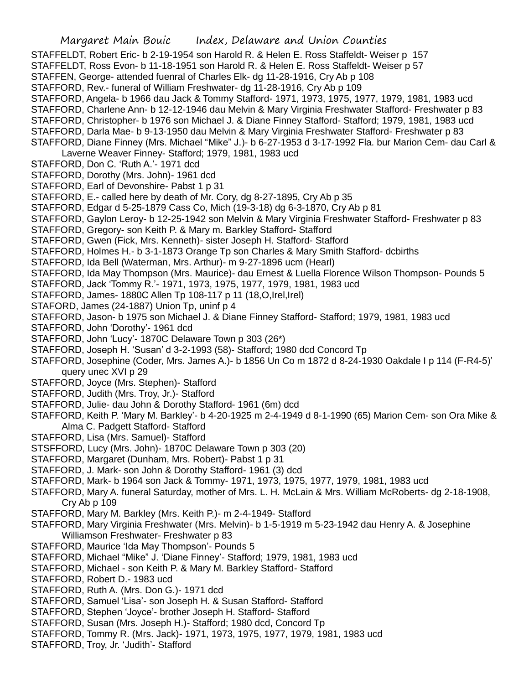STAFFELDT, Robert Eric- b 2-19-1954 son Harold R. & Helen E. Ross Staffeldt- Weiser p 157

- STAFFELDT, Ross Evon- b 11-18-1951 son Harold R. & Helen E. Ross Staffeldt- Weiser p 57
- STAFFEN, George- attended fuenral of Charles Elk- dg 11-28-1916, Cry Ab p 108
- STAFFORD, Rev.- funeral of William Freshwater- dg 11-28-1916, Cry Ab p 109
- STAFFORD, Angela- b 1966 dau Jack & Tommy Stafford- 1971, 1973, 1975, 1977, 1979, 1981, 1983 ucd
- STAFFORD, Charlene Ann- b 12-12-1946 dau Melvin & Mary Virginia Freshwater Stafford- Freshwater p 83
- STAFFORD, Christopher- b 1976 son Michael J. & Diane Finney Stafford- Stafford; 1979, 1981, 1983 ucd
- STAFFORD, Darla Mae- b 9-13-1950 dau Melvin & Mary Virginia Freshwater Stafford- Freshwater p 83
- STAFFORD, Diane Finney (Mrs. Michael "Mike" J.)- b 6-27-1953 d 3-17-1992 Fla. bur Marion Cem- dau Carl & Laverne Weaver Finney- Stafford; 1979, 1981, 1983 ucd
- STAFFORD, Don C. 'Ruth A.'- 1971 dcd
- STAFFORD, Dorothy (Mrs. John)- 1961 dcd
- STAFFORD, Earl of Devonshire- Pabst 1 p 31
- STAFFORD, E.- called here by death of Mr. Cory, dg 8-27-1895, Cry Ab p 35
- STAFFORD, Edgar d 5-25-1879 Cass Co, Mich (19-3-18) dg 6-3-1870, Cry Ab p 81
- STAFFORD, Gaylon Leroy- b 12-25-1942 son Melvin & Mary Virginia Freshwater Stafford- Freshwater p 83
- STAFFORD, Gregory- son Keith P. & Mary m. Barkley Stafford- Stafford
- STAFFORD, Gwen (Fick, Mrs. Kenneth)- sister Joseph H. Stafford- Stafford
- STAFFORD, Holmes H.- b 3-1-1873 Orange Tp son Charles & Mary Smith Stafford- dcbirths
- STAFFORD, Ida Bell (Waterman, Mrs. Arthur)- m 9-27-1896 ucm (Hearl)
- STAFFORD, Ida May Thompson (Mrs. Maurice)- dau Ernest & Luella Florence Wilson Thompson- Pounds 5
- STAFFORD, Jack 'Tommy R.'- 1971, 1973, 1975, 1977, 1979, 1981, 1983 ucd
- STAFFORD, James- 1880C Allen Tp 108-117 p 11 (18,O,Irel,Irel)
- STAFORD, James (24-1887) Union Tp, uninf p 4
- STAFFORD, Jason- b 1975 son Michael J. & Diane Finney Stafford- Stafford; 1979, 1981, 1983 ucd
- STAFFORD, John 'Dorothy'- 1961 dcd
- STAFFORD, John 'Lucy'- 1870C Delaware Town p 303 (26\*)
- STAFFORD, Joseph H. 'Susan' d 3-2-1993 (58)- Stafford; 1980 dcd Concord Tp
- STAFFORD, Josephine (Coder, Mrs. James A.)- b 1856 Un Co m 1872 d 8-24-1930 Oakdale I p 114 (F-R4-5)' query unec XVI p 29
- STAFFORD, Joyce (Mrs. Stephen)- Stafford
- STAFFORD, Judith (Mrs. Troy, Jr.)- Stafford
- STAFFORD, Julie- dau John & Dorothy Stafford- 1961 (6m) dcd
- STAFFORD, Keith P. 'Mary M. Barkley'- b 4-20-1925 m 2-4-1949 d 8-1-1990 (65) Marion Cem- son Ora Mike & Alma C. Padgett Stafford- Stafford
- STAFFORD, Lisa (Mrs. Samuel)- Stafford
- STSFFORD, Lucy (Mrs. John)- 1870C Delaware Town p 303 (20)
- STAFFORD, Margaret (Dunham, Mrs. Robert)- Pabst 1 p 31
- STAFFORD, J. Mark- son John & Dorothy Stafford- 1961 (3) dcd
- STAFFORD, Mark- b 1964 son Jack & Tommy- 1971, 1973, 1975, 1977, 1979, 1981, 1983 ucd
- STAFFORD, Mary A. funeral Saturday, mother of Mrs. L. H. McLain & Mrs. William McRoberts- dg 2-18-1908, Cry Ab p 109
- STAFFORD, Mary M. Barkley (Mrs. Keith P.)- m 2-4-1949- Stafford
- STAFFORD, Mary Virginia Freshwater (Mrs. Melvin)- b 1-5-1919 m 5-23-1942 dau Henry A. & Josephine Williamson Freshwater- Freshwater p 83
- STAFFORD, Maurice 'Ida May Thompson'- Pounds 5
- STAFFORD, Michael "Mike" J. 'Diane Finney'- Stafford; 1979, 1981, 1983 ucd
- STAFFORD, Michael son Keith P. & Mary M. Barkley Stafford- Stafford
- STAFFORD, Robert D.- 1983 ucd
- STAFFORD, Ruth A. (Mrs. Don G.)- 1971 dcd
- STAFFORD, Samuel 'Lisa'- son Joseph H. & Susan Stafford- Stafford
- STAFFORD, Stephen 'Joyce'- brother Joseph H. Stafford- Stafford
- STAFFORD, Susan (Mrs. Joseph H.)- Stafford; 1980 dcd, Concord Tp
- STAFFORD, Tommy R. (Mrs. Jack)- 1971, 1973, 1975, 1977, 1979, 1981, 1983 ucd
- STAFFORD, Troy, Jr. 'Judith'- Stafford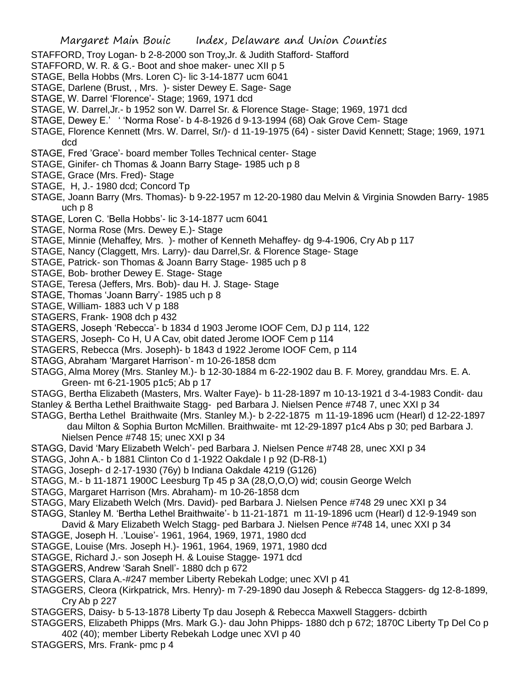- STAFFORD, Troy Logan- b 2-8-2000 son Troy,Jr. & Judith Stafford- Stafford
- STAFFORD, W. R. & G.- Boot and shoe maker- unec XII p 5
- STAGE, Bella Hobbs (Mrs. Loren C)- lic 3-14-1877 ucm 6041
- STAGE, Darlene (Brust, , Mrs. )- sister Dewey E. Sage- Sage
- STAGE, W. Darrel 'Florence'- Stage; 1969, 1971 dcd
- STAGE, W. Darrel,Jr.- b 1952 son W. Darrel Sr. & Florence Stage- Stage; 1969, 1971 dcd
- STAGE, Dewey E.' ' 'Norma Rose'- b 4-8-1926 d 9-13-1994 (68) Oak Grove Cem- Stage
- STAGE, Florence Kennett (Mrs. W. Darrel, Sr/)- d 11-19-1975 (64) sister David Kennett; Stage; 1969, 1971 dcd
- STAGE, Fred 'Grace'- board member Tolles Technical center- Stage
- STAGE, Ginifer- ch Thomas & Joann Barry Stage- 1985 uch p 8
- STAGE, Grace (Mrs. Fred)- Stage
- STAGE, H, J.- 1980 dcd; Concord Tp
- STAGE, Joann Barry (Mrs. Thomas)- b 9-22-1957 m 12-20-1980 dau Melvin & Virginia Snowden Barry- 1985 uch p 8
- STAGE, Loren C. 'Bella Hobbs'- lic 3-14-1877 ucm 6041
- STAGE, Norma Rose (Mrs. Dewey E.)- Stage
- STAGE, Minnie (Mehaffey, Mrs. )- mother of Kenneth Mehaffey- dg 9-4-1906, Cry Ab p 117
- STAGE, Nancy (Claggett, Mrs. Larry)- dau Darrel,Sr. & Florence Stage- Stage
- STAGE, Patrick- son Thomas & Joann Barry Stage- 1985 uch p 8
- STAGE, Bob- brother Dewey E. Stage- Stage
- STAGE, Teresa (Jeffers, Mrs. Bob)- dau H. J. Stage- Stage
- STAGE, Thomas 'Joann Barry'- 1985 uch p 8
- STAGE, William- 1883 uch V p 188
- STAGERS, Frank- 1908 dch p 432
- STAGERS, Joseph 'Rebecca'- b 1834 d 1903 Jerome IOOF Cem, DJ p 114, 122
- STAGERS, Joseph- Co H, U A Cav, obit dated Jerome IOOF Cem p 114
- STAGERS, Rebecca (Mrs. Joseph)- b 1843 d 1922 Jerome IOOF Cem, p 114
- STAGG, Abraham 'Margaret Harrison'- m 10-26-1858 dcm
- STAGG, Alma Morey (Mrs. Stanley M.)- b 12-30-1884 m 6-22-1902 dau B. F. Morey, granddau Mrs. E. A. Green- mt 6-21-1905 p1c5; Ab p 17
- STAGG, Bertha Elizabeth (Masters, Mrs. Walter Faye)- b 11-28-1897 m 10-13-1921 d 3-4-1983 Condit- dau Stanley & Bertha Lethel Braithwaite Stagg- ped Barbara J. Nielsen Pence #748 7, unec XXI p 34
- STAGG, Bertha Lethel Braithwaite (Mrs. Stanley M.)- b 2-22-1875 m 11-19-1896 ucm (Hearl) d 12-22-1897 dau Milton & Sophia Burton McMillen. Braithwaite- mt 12-29-1897 p1c4 Abs p 30; ped Barbara J.
	- Nielsen Pence #748 15; unec XXI p 34
- STAGG, David 'Mary Elizabeth Welch'- ped Barbara J. Nielsen Pence #748 28, unec XXI p 34
- STAGG, John A.- b 1881 Clinton Co d 1-1922 Oakdale I p 92 (D-R8-1)
- STAGG, Joseph- d 2-17-1930 (76y) b Indiana Oakdale 4219 (G126)
- STAGG, M.- b 11-1871 1900C Leesburg Tp 45 p 3A (28,O,O,O) wid; cousin George Welch
- STAGG, Margaret Harrison (Mrs. Abraham)- m 10-26-1858 dcm
- STAGG, Mary Elizabeth Welch (Mrs. David)- ped Barbara J. Nielsen Pence #748 29 unec XXI p 34
- STAGG, Stanley M. 'Bertha Lethel Braithwaite'- b 11-21-1871 m 11-19-1896 ucm (Hearl) d 12-9-1949 son
- David & Mary Elizabeth Welch Stagg- ped Barbara J. Nielsen Pence #748 14, unec XXI p 34
- STAGGE, Joseph H. .'Louise'- 1961, 1964, 1969, 1971, 1980 dcd
- STAGGE, Louise (Mrs. Joseph H.)- 1961, 1964, 1969, 1971, 1980 dcd
- STAGGE, Richard J.- son Joseph H. & Louise Stagge- 1971 dcd
- STAGGERS, Andrew 'Sarah Snell'- 1880 dch p 672
- STAGGERS, Clara A.-#247 member Liberty Rebekah Lodge; unec XVI p 41
- STAGGERS, Cleora (Kirkpatrick, Mrs. Henry)- m 7-29-1890 dau Joseph & Rebecca Staggers- dg 12-8-1899, Cry Ab p 227
- STAGGERS, Daisy- b 5-13-1878 Liberty Tp dau Joseph & Rebecca Maxwell Staggers- dcbirth
- STAGGERS, Elizabeth Phipps (Mrs. Mark G.)- dau John Phipps- 1880 dch p 672; 1870C Liberty Tp Del Co p 402 (40); member Liberty Rebekah Lodge unec XVI p 40
- STAGGERS, Mrs. Frank- pmc p 4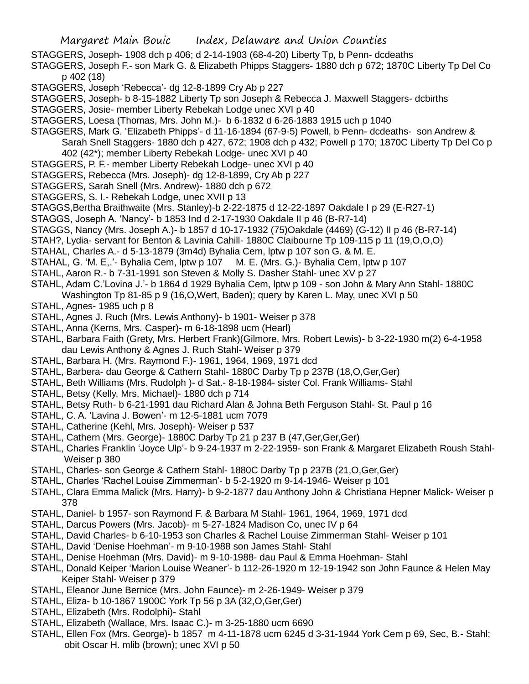- STAGGERS, Joseph- 1908 dch p 406; d 2-14-1903 (68-4-20) Liberty Tp, b Penn- dcdeaths
- STAGGERS, Joseph F.- son Mark G. & Elizabeth Phipps Staggers- 1880 dch p 672; 1870C Liberty Tp Del Co p 402 (18)
- STAGGERS, Joseph 'Rebecca'- dg 12-8-1899 Cry Ab p 227
- STAGGERS, Joseph- b 8-15-1882 Liberty Tp son Joseph & Rebecca J. Maxwell Staggers- dcbirths
- STAGGERS, Josie- member Liberty Rebekah Lodge unec XVI p 40
- STAGGERS, Loesa (Thomas, Mrs. John M.)- b 6-1832 d 6-26-1883 1915 uch p 1040
- STAGGERS, Mark G. 'Elizabeth Phipps'- d 11-16-1894 (67-9-5) Powell, b Penn- dcdeaths- son Andrew &
- Sarah Snell Staggers- 1880 dch p 427, 672; 1908 dch p 432; Powell p 170; 1870C Liberty Tp Del Co p 402 (42\*); member Liberty Rebekah Lodge- unec XVI p 40
- STAGGERS, P. F.- member Liberty Rebekah Lodge- unec XVI p 40
- STAGGERS, Rebecca (Mrs. Joseph)- dg 12-8-1899, Cry Ab p 227
- STAGGERS, Sarah Snell (Mrs. Andrew)- 1880 dch p 672
- STAGGERS, S. I.- Rebekah Lodge, unec XVII p 13
- STAGGS,Bertha Braithwaite (Mrs. Stanley)-b 2-22-1875 d 12-22-1897 Oakdale I p 29 (E-R27-1)
- STAGGS, Joseph A. 'Nancy'- b 1853 Ind d 2-17-1930 Oakdale II p 46 (B-R7-14)
- STAGGS, Nancy (Mrs. Joseph A.)- b 1857 d 10-17-1932 (75)Oakdale (4469) (G-12) II p 46 (B-R7-14)
- STAH?, Lydia- servant for Benton & Lavinia Cahill- 1880C Claibourne Tp 109-115 p 11 (19,O,O,O)
- STAHAL, Charles A.- d 5-13-1879 (3m4d) Byhalia Cem, lptw p 107 son G. & M. E.
- STAHAL, G. 'M. E,.'- Byhalia Cem, lptw p 107 M. E. (Mrs. G.)- Byhalia Cem, lptw p 107
- STAHL, Aaron R.- b 7-31-1991 son Steven & Molly S. Dasher Stahl- unec XV p 27
- STAHL, Adam C.'Lovina J.'- b 1864 d 1929 Byhalia Cem, lptw p 109 son John & Mary Ann Stahl- 1880C
- Washington Tp 81-85 p 9 (16,O,Wert, Baden); query by Karen L. May, unec XVI p 50
- STAHL, Agnes- 1985 uch p 8
- STAHL, Agnes J. Ruch (Mrs. Lewis Anthony)- b 1901- Weiser p 378
- STAHL, Anna (Kerns, Mrs. Casper)- m 6-18-1898 ucm (Hearl)
- STAHL, Barbara Faith (Grety, Mrs. Herbert Frank)(Gilmore, Mrs. Robert Lewis)- b 3-22-1930 m(2) 6-4-1958 dau Lewis Anthony & Agnes J. Ruch Stahl- Weiser p 379
- STAHL, Barbara H. (Mrs. Raymond F.)- 1961, 1964, 1969, 1971 dcd
- STAHL, Barbera- dau George & Cathern Stahl- 1880C Darby Tp p 237B (18,O,Ger,Ger)
- STAHL, Beth Williams (Mrs. Rudolph )- d Sat.- 8-18-1984- sister Col. Frank Williams- Stahl
- STAHL, Betsy (Kelly, Mrs. Michael)- 1880 dch p 714
- STAHL, Betsy Ruth- b 6-21-1991 dau Richard Alan & Johna Beth Ferguson Stahl- St. Paul p 16
- STAHL, C. A. 'Lavina J. Bowen'- m 12-5-1881 ucm 7079
- STAHL, Catherine (Kehl, Mrs. Joseph)- Weiser p 537
- STAHL, Cathern (Mrs. George)- 1880C Darby Tp 21 p 237 B (47, Ger, Ger, Ger)
- STAHL, Charles Franklin 'Joyce Ulp'- b 9-24-1937 m 2-22-1959- son Frank & Margaret Elizabeth Roush Stahl-Weiser p 380
- STAHL, Charles- son George & Cathern Stahl- 1880C Darby Tp p 237B (21,O,Ger,Ger)
- STAHL, Charles 'Rachel Louise Zimmerman'- b 5-2-1920 m 9-14-1946- Weiser p 101
- STAHL, Clara Emma Malick (Mrs. Harry)- b 9-2-1877 dau Anthony John & Christiana Hepner Malick- Weiser p 378
- STAHL, Daniel- b 1957- son Raymond F. & Barbara M Stahl- 1961, 1964, 1969, 1971 dcd
- STAHL, Darcus Powers (Mrs. Jacob)- m 5-27-1824 Madison Co, unec IV p 64
- STAHL, David Charles- b 6-10-1953 son Charles & Rachel Louise Zimmerman Stahl- Weiser p 101
- STAHL, David 'Denise Hoehman'- m 9-10-1988 son James Stahl- Stahl
- STAHL, Denise Hoehman (Mrs. David)- m 9-10-1988- dau Paul & Emma Hoehman- Stahl
- STAHL, Donald Keiper 'Marion Louise Weaner'- b 112-26-1920 m 12-19-1942 son John Faunce & Helen May Keiper Stahl- Weiser p 379
- STAHL, Eleanor June Bernice (Mrs. John Faunce)- m 2-26-1949- Weiser p 379
- STAHL, Eliza- b 10-1867 1900C York Tp 56 p 3A (32,O,Ger,Ger)
- STAHL, Elizabeth (Mrs. Rodolphi)- Stahl
- STAHL, Elizabeth (Wallace, Mrs. Isaac C.)- m 3-25-1880 ucm 6690
- STAHL, Ellen Fox (Mrs. George)- b 1857 m 4-11-1878 ucm 6245 d 3-31-1944 York Cem p 69, Sec, B.- Stahl; obit Oscar H. mlib (brown); unec XVI p 50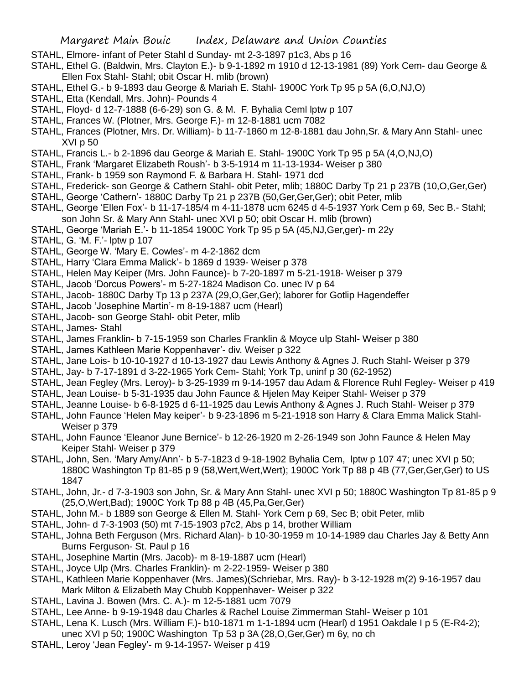- STAHL, Elmore- infant of Peter Stahl d Sunday- mt 2-3-1897 p1c3, Abs p 16
- STAHL, Ethel G. (Baldwin, Mrs. Clayton E.)- b 9-1-1892 m 1910 d 12-13-1981 (89) York Cem- dau George & Ellen Fox Stahl- Stahl; obit Oscar H. mlib (brown)
- STAHL, Ethel G.- b 9-1893 dau George & Mariah E. Stahl- 1900C York Tp 95 p 5A (6,O,NJ,O)
- STAHL, Etta (Kendall, Mrs. John)- Pounds 4
- STAHL, Floyd- d 12-7-1888 (6-6-29) son G. & M. F. Byhalia Ceml lptw p 107
- STAHL, Frances W. (Plotner, Mrs. George F.)- m 12-8-1881 ucm 7082
- STAHL, Frances (Plotner, Mrs. Dr. William)- b 11-7-1860 m 12-8-1881 dau John,Sr. & Mary Ann Stahl- unec XVI p 50
- STAHL, Francis L.- b 2-1896 dau George & Mariah E. Stahl- 1900C York Tp 95 p 5A (4,O,NJ,O)
- STAHL, Frank 'Margaret Elizabeth Roush'- b 3-5-1914 m 11-13-1934- Weiser p 380
- STAHL, Frank- b 1959 son Raymond F. & Barbara H. Stahl- 1971 dcd
- STAHL, Frederick- son George & Cathern Stahl- obit Peter, mlib; 1880C Darby Tp 21 p 237B (10,O,Ger,Ger)
- STAHL, George 'Cathern'- 1880C Darby Tp 21 p 237B (50,Ger,Ger,Ger); obit Peter, mlib
- STAHL, George 'Ellen Fox'- b 11-17-185/4 m 4-11-1878 ucm 6245 d 4-5-1937 York Cem p 69, Sec B.- Stahl; son John Sr. & Mary Ann Stahl- unec XVI p 50; obit Oscar H. mlib (brown)
- STAHL, George 'Mariah E.'- b 11-1854 1900C York Tp 95 p 5A (45,NJ,Ger,ger)- m 22y
- STAHL, G. 'M. F.'- lptw p 107
- STAHL, George W. 'Mary E. Cowles'- m 4-2-1862 dcm
- STAHL, Harry 'Clara Emma Malick'- b 1869 d 1939- Weiser p 378
- STAHL, Helen May Keiper (Mrs. John Faunce)- b 7-20-1897 m 5-21-1918- Weiser p 379
- STAHL, Jacob 'Dorcus Powers'- m 5-27-1824 Madison Co. unec IV p 64
- STAHL, Jacob- 1880C Darby Tp 13 p 237A (29,O,Ger,Ger); laborer for Gotlip Hagendeffer
- STAHL, Jacob 'Josephine Martin'- m 8-19-1887 ucm (Hearl)
- STAHL, Jacob- son George Stahl- obit Peter, mlib
- STAHL, James- Stahl
- STAHL, James Franklin- b 7-15-1959 son Charles Franklin & Moyce ulp Stahl- Weiser p 380
- STAHL, James Kathleen Marie Koppenhaver'- div. Weiser p 322
- STAHL, Jane Lois- b 10-10-1927 d 10-13-1927 dau Lewis Anthony & Agnes J. Ruch Stahl- Weiser p 379
- STAHL, Jay- b 7-17-1891 d 3-22-1965 York Cem- Stahl; York Tp, uninf p 30 (62-1952)
- STAHL, Jean Fegley (Mrs. Leroy)- b 3-25-1939 m 9-14-1957 dau Adam & Florence Ruhl Fegley- Weiser p 419
- STAHL, Jean Louise- b 5-31-1935 dau John Faunce & Hjelen May Keiper Stahl- Weiser p 379
- STAHL, Jeanne Louise- b 6-8-1925 d 6-11-1925 dau Lewis Anthony & Agnes J. Ruch Stahl- Weiser p 379
- STAHL, John Faunce 'Helen May keiper'- b 9-23-1896 m 5-21-1918 son Harry & Clara Emma Malick Stahl-Weiser p 379
- STAHL, John Faunce 'Eleanor June Bernice'- b 12-26-1920 m 2-26-1949 son John Faunce & Helen May Keiper Stahl- Weiser p 379
- STAHL, John, Sen. 'Mary Amy/Ann'- b 5-7-1823 d 9-18-1902 Byhalia Cem, lptw p 107 47; unec XVI p 50; 1880C Washington Tp 81-85 p 9 (58,Wert,Wert,Wert); 1900C York Tp 88 p 4B (77,Ger,Ger,Ger) to US 1847
- STAHL, John, Jr.- d 7-3-1903 son John, Sr. & Mary Ann Stahl- unec XVI p 50; 1880C Washington Tp 81-85 p 9 (25,O,Wert,Bad); 1900C York Tp 88 p 4B (45,Pa,Ger,Ger)
- STAHL, John M.- b 1889 son George & Ellen M. Stahl- York Cem p 69, Sec B; obit Peter, mlib
- STAHL, John- d 7-3-1903 (50) mt 7-15-1903 p7c2, Abs p 14, brother William
- STAHL, Johna Beth Ferguson (Mrs. Richard Alan)- b 10-30-1959 m 10-14-1989 dau Charles Jay & Betty Ann Burns Ferguson- St. Paul p 16
- STAHL, Josephine Martin (Mrs. Jacob)- m 8-19-1887 ucm (Hearl)
- STAHL, Joyce Ulp (Mrs. Charles Franklin)- m 2-22-1959- Weiser p 380
- STAHL, Kathleen Marie Koppenhaver (Mrs. James)(Schriebar, Mrs. Ray)- b 3-12-1928 m(2) 9-16-1957 dau Mark Milton & Elizabeth May Chubb Koppenhaver- Weiser p 322
- STAHL, Lavina J. Bowen (Mrs. C. A.)- m 12-5-1881 ucm 7079
- STAHL, Lee Anne- b 9-19-1948 dau Charles & Rachel Louise Zimmerman Stahl- Weiser p 101
- STAHL, Lena K. Lusch (Mrs. William F.)- b10-1871 m 1-1-1894 ucm (Hearl) d 1951 Oakdale I p 5 (E-R4-2);
- unec XVI p 50; 1900C Washington Tp 53 p 3A (28,O,Ger,Ger) m 6y, no ch
- STAHL, Leroy 'Jean Fegley'- m 9-14-1957- Weiser p 419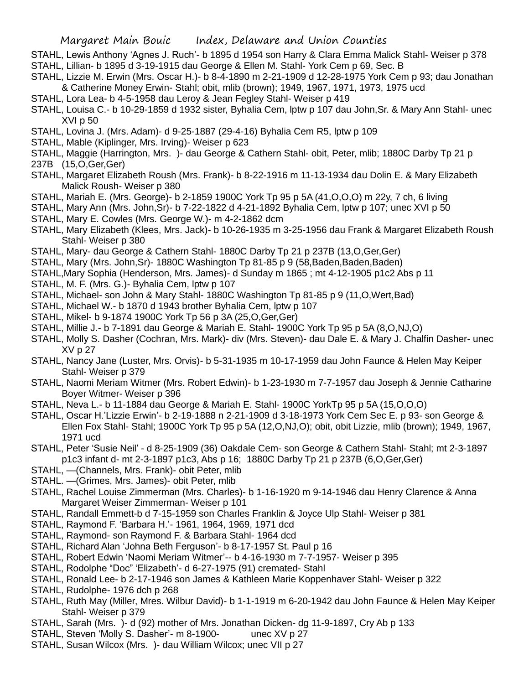STAHL, Lewis Anthony 'Agnes J. Ruch'- b 1895 d 1954 son Harry & Clara Emma Malick Stahl- Weiser p 378 STAHL, Lillian- b 1895 d 3-19-1915 dau George & Ellen M. Stahl- York Cem p 69, Sec. B

- STAHL, Lizzie M. Erwin (Mrs. Oscar H.)- b 8-4-1890 m 2-21-1909 d 12-28-1975 York Cem p 93; dau Jonathan & Catherine Money Erwin- Stahl; obit, mlib (brown); 1949, 1967, 1971, 1973, 1975 ucd
- STAHL, Lora Lea- b 4-5-1958 dau Leroy & Jean Fegley Stahl- Weiser p 419
- STAHL, Louisa C.- b 10-29-1859 d 1932 sister, Byhalia Cem, lptw p 107 dau John,Sr. & Mary Ann Stahl- unec  $XVI$  p 50
- STAHL, Lovina J. (Mrs. Adam)- d 9-25-1887 (29-4-16) Byhalia Cem R5, lptw p 109
- STAHL, Mable (Kiplinger, Mrs. Irving)- Weiser p 623
- STAHL, Maggie (Harrington, Mrs. )- dau George & Cathern Stahl- obit, Peter, mlib; 1880C Darby Tp 21 p
- 237B (15,O,Ger,Ger)
- STAHL, Margaret Elizabeth Roush (Mrs. Frank)- b 8-22-1916 m 11-13-1934 dau Dolin E. & Mary Elizabeth Malick Roush- Weiser p 380
- STAHL, Mariah E. (Mrs. George)- b 2-1859 1900C York Tp 95 p 5A (41,O,O,O) m 22y, 7 ch, 6 living
- STAHL, Mary Ann (Mrs. John,Sr)- b 7-22-1822 d 4-21-1892 Byhalia Cem, lptw p 107; unec XVI p 50
- STAHL, Mary E. Cowles (Mrs. George W.)- m 4-2-1862 dcm
- STAHL, Mary Elizabeth (Klees, Mrs. Jack)- b 10-26-1935 m 3-25-1956 dau Frank & Margaret Elizabeth Roush Stahl- Weiser p 380
- STAHL, Mary- dau George & Cathern Stahl- 1880C Darby Tp 21 p 237B (13,O,Ger,Ger)
- STAHL, Mary (Mrs. John,Sr)- 1880C Washington Tp 81-85 p 9 (58,Baden,Baden,Baden)
- STAHL,Mary Sophia (Henderson, Mrs. James)- d Sunday m 1865 ; mt 4-12-1905 p1c2 Abs p 11
- STAHL, M. F. (Mrs. G.)- Byhalia Cem, lptw p 107
- STAHL, Michael- son John & Mary Stahl- 1880C Washington Tp 81-85 p 9 (11,O,Wert,Bad)
- STAHL, Michael W.- b 1870 d 1943 brother Byhalia Cem, lptw p 107
- STAHL, Mikel- b 9-1874 1900C York Tp 56 p 3A (25,O,Ger,Ger)
- STAHL, Millie J.- b 7-1891 dau George & Mariah E. Stahl- 1900C York Tp 95 p 5A (8,O,NJ,O)
- STAHL, Molly S. Dasher (Cochran, Mrs. Mark)- div (Mrs. Steven)- dau Dale E. & Mary J. Chalfin Dasher- unec XV p 27
- STAHL, Nancy Jane (Luster, Mrs. Orvis)- b 5-31-1935 m 10-17-1959 dau John Faunce & Helen May Keiper Stahl- Weiser p 379
- STAHL, Naomi Meriam Witmer (Mrs. Robert Edwin)- b 1-23-1930 m 7-7-1957 dau Joseph & Jennie Catharine Boyer Witmer- Weiser p 396
- STAHL, Neva L.- b 11-1884 dau George & Mariah E. Stahl- 1900C YorkTp 95 p 5A (15,O,O,O)
- STAHL, Oscar H.'Lizzie Erwin'- b 2-19-1888 n 2-21-1909 d 3-18-1973 York Cem Sec E. p 93- son George & Ellen Fox Stahl- Stahl; 1900C York Tp 95 p 5A (12,O,NJ,O); obit, obit Lizzie, mlib (brown); 1949, 1967, 1971 ucd
- STAHL, Peter 'Susie Neil' d 8-25-1909 (36) Oakdale Cem- son George & Cathern Stahl- Stahl; mt 2-3-1897 p1c3 infant d- mt 2-3-1897 p1c3, Abs p 16; 1880C Darby Tp 21 p 237B (6,O,Ger,Ger)
- STAHL, —(Channels, Mrs. Frank)- obit Peter, mlib
- STAHL. —(Grimes, Mrs. James)- obit Peter, mlib
- STAHL, Rachel Louise Zimmerman (Mrs. Charles)- b 1-16-1920 m 9-14-1946 dau Henry Clarence & Anna Margaret Weiser Zimmerman- Weiser p 101
- STAHL, Randall Emmett-b d 7-15-1959 son Charles Franklin & Joyce Ulp Stahl- Weiser p 381
- STAHL, Raymond F. 'Barbara H.'- 1961, 1964, 1969, 1971 dcd
- STAHL, Raymond- son Raymond F. & Barbara Stahl- 1964 dcd
- STAHL, Richard Alan 'Johna Beth Ferguson'- b 8-17-1957 St. Paul p 16
- STAHL, Robert Edwin 'Naomi Meriam Witmer'-- b 4-16-1930 m 7-7-1957- Weiser p 395
- STAHL, Rodolphe "Doc" 'Elizabeth'- d 6-27-1975 (91) cremated- Stahl
- STAHL, Ronald Lee- b 2-17-1946 son James & Kathleen Marie Koppenhaver Stahl- Weiser p 322
- STAHL, Rudolphe- 1976 dch p 268
- STAHL, Ruth May (Miller, Mres. Wilbur David)- b 1-1-1919 m 6-20-1942 dau John Faunce & Helen May Keiper Stahl- Weiser p 379
- STAHL, Sarah (Mrs. )- d (92) mother of Mrs. Jonathan Dicken- dg 11-9-1897, Cry Ab p 133
- STAHL, Steven 'Molly S. Dasher'- m 8-1900- unec XV p 27
- STAHL, Susan Wilcox (Mrs. )- dau William Wilcox; unec VII p 27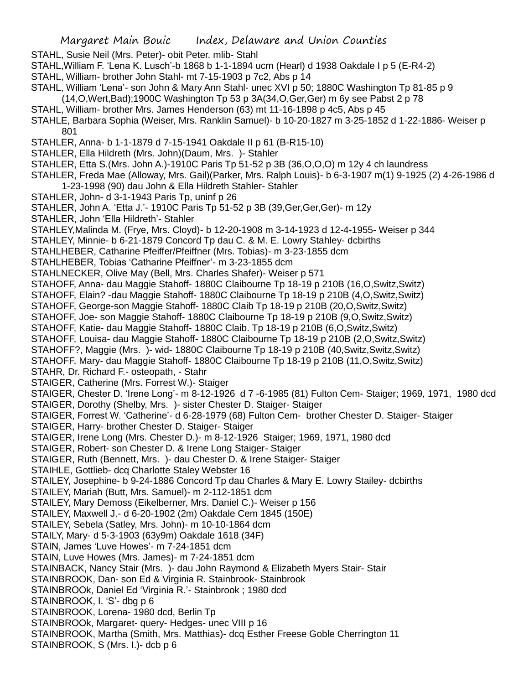STAHL, Susie Neil (Mrs. Peter)- obit Peter. mlib- Stahl

- STAHL,William F. 'Lena K. Lusch'-b 1868 b 1-1-1894 ucm (Hearl) d 1938 Oakdale I p 5 (E-R4-2)
- STAHL, William- brother John Stahl- mt 7-15-1903 p 7c2, Abs p 14
- STAHL, William 'Lena'- son John & Mary Ann Stahl- unec XVI p 50; 1880C Washington Tp 81-85 p 9 (14,O,Wert,Bad);1900C Washington Tp 53 p 3A(34,O,Ger,Ger) m 6y see Pabst 2 p 78
- STAHL, William- brother Mrs. James Henderson (63) mt 11-16-1898 p 4c5, Abs p 45
- STAHLE, Barbara Sophia (Weiser, Mrs. Ranklin Samuel)- b 10-20-1827 m 3-25-1852 d 1-22-1886- Weiser p 801
- STAHLER, Anna- b 1-1-1879 d 7-15-1941 Oakdale II p 61 (B-R15-10)
- STAHLER, Ella Hildreth (Mrs. John)(Daum, Mrs. )- Stahler
- STAHLER, Etta S.(Mrs. John A.)-1910C Paris Tp 51-52 p 3B (36,O,O,O) m 12y 4 ch laundress
- STAHLER, Freda Mae (Alloway, Mrs. Gail)(Parker, Mrs. Ralph Louis)- b 6-3-1907 m(1) 9-1925 (2) 4-26-1986 d 1-23-1998 (90) dau John & Ella Hildreth Stahler- Stahler
- STAHLER, John- d 3-1-1943 Paris Tp, uninf p 26
- STAHLER, John A. 'Etta J.'- 1910C Paris Tp 51-52 p 3B (39,Ger,Ger,Ger)- m 12y
- STAHLER, John 'Ella Hildreth'- Stahler
- STAHLEY,Malinda M. (Frye, Mrs. Cloyd)- b 12-20-1908 m 3-14-1923 d 12-4-1955- Weiser p 344
- STAHLEY, Minnie- b 6-21-1879 Concord Tp dau C. & M. E. Lowry Stahley- dcbirths
- STAHLHEBER, Catharine Pfeiffer/Pfeiffner (Mrs. Tobias)- m 3-23-1855 dcm
- STAHLHEBER, Tobias 'Catharine Pfeiffner'- m 3-23-1855 dcm
- STAHLNECKER, Olive May (Bell, Mrs. Charles Shafer)- Weiser p 571
- STAHOFF, Anna- dau Maggie Stahoff- 1880C Claibourne Tp 18-19 p 210B (16,O,Switz,Switz)
- STAHOFF, Elain? -dau Maggie Stahoff- 1880C Claibourne Tp 18-19 p 210B (4,O,Switz,Switz)
- STAHOFF, George-son Maggie Stahoff- 1880C Claib Tp 18-19 p 210B (20,O,Switz,Switz)
- STAHOFF, Joe- son Maggie Stahoff- 1880C Claibourne Tp 18-19 p 210B (9,O,Switz,Switz)
- STAHOFF, Katie- dau Maggie Stahoff- 1880C Claib. Tp 18-19 p 210B (6,O,Switz,Switz)
- STAHOFF, Louisa- dau Maggie Stahoff- 1880C Claibourne Tp 18-19 p 210B (2,O,Switz,Switz)
- STAHOFF?, Maggie (Mrs. )- wid- 1880C Claibourne Tp 18-19 p 210B (40,Switz,Switz,Switz)
- STAHOFF, Mary- dau Maggie Stahoff- 1880C Claibourne Tp 18-19 p 210B (11,O,Switz,Switz)
- STAHR, Dr. Richard F.- osteopath, Stahr
- STAIGER, Catherine (Mrs. Forrest W.)- Staiger
- STAIGER, Chester D. 'Irene Long'- m 8-12-1926 d 7 -6-1985 (81) Fulton Cem- Staiger; 1969, 1971, 1980 dcd
- STAIGER, Dorothy (Shelby, Mrs. )- sister Chester D. Staiger- Staiger
- STAIGER, Forrest W. 'Catherine'- d 6-28-1979 (68) Fulton Cem- brother Chester D. Staiger- Staiger
- STAIGER, Harry- brother Chester D. Staiger- Staiger
- STAIGER, Irene Long (Mrs. Chester D.)- m 8-12-1926 Staiger; 1969, 1971, 1980 dcd
- STAIGER, Robert- son Chester D. & Irene Long Staiger- Staiger
- STAIGER, Ruth (Bennett, Mrs. )- dau Chester D. & Irene Staiger- Staiger
- STAIHLE, Gottlieb- dcq Charlotte Staley Webster 16
- STAILEY, Josephine- b 9-24-1886 Concord Tp dau Charles & Mary E. Lowry Stailey- dcbirths
- STAILEY, Mariah (Butt, Mrs. Samuel)- m 2-112-1851 dcm
- STAILEY, Mary Demoss (Eikelberner, Mrs. Daniel C.)- Weiser p 156
- STAILEY, Maxwell J.- d 6-20-1902 (2m) Oakdale Cem 1845 (150E)
- STAILEY, Sebela (Satley, Mrs. John)- m 10-10-1864 dcm
- STAILY, Mary- d 5-3-1903 (63y9m) Oakdale 1618 (34F)
- STAIN, James 'Luve Howes'- m 7-24-1851 dcm
- STAIN, Luve Howes (Mrs. James)- m 7-24-1851 dcm
- STAINBACK, Nancy Stair (Mrs. )- dau John Raymond & Elizabeth Myers Stair- Stair
- STAINBROOK, Dan- son Ed & Virginia R. Stainbrook- Stainbrook
- STAINBROOk, Daniel Ed 'Virginia R.'- Stainbrook ; 1980 dcd
- STAINBROOK, I. 'S'- dbg p 6
- STAINBROOK, Lorena- 1980 dcd, Berlin Tp
- STAINBROOk, Margaret- query- Hedges- unec VIII p 16
- STAINBROOK, Martha (Smith, Mrs. Matthias)- dcq Esther Freese Goble Cherrington 11
- STAINBROOK, S (Mrs. I.)- dcb p 6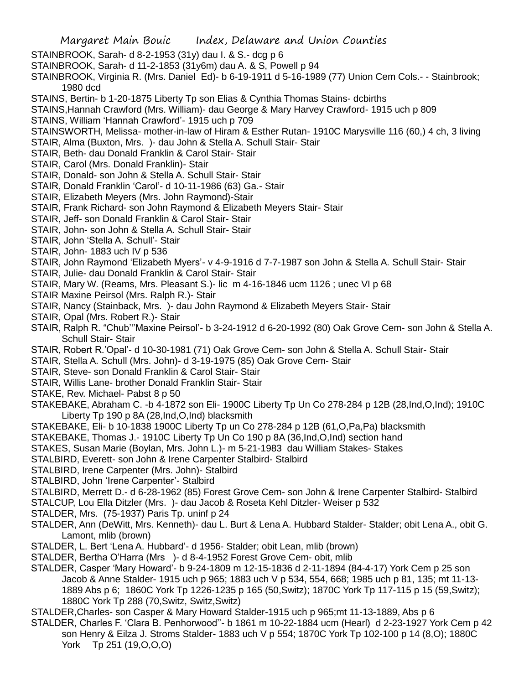STAINBROOK, Sarah- d 8-2-1953 (31y) dau I. & S.- dcg p 6

- STAINBROOK, Sarah- d 11-2-1853 (31y6m) dau A. & S, Powell p 94
- STAINBROOK, Virginia R. (Mrs. Daniel Ed)- b 6-19-1911 d 5-16-1989 (77) Union Cem Cols.- Stainbrook; 1980 dcd
- STAINS, Bertin- b 1-20-1875 Liberty Tp son Elias & Cynthia Thomas Stains- dcbirths
- STAINS,Hannah Crawford (Mrs. William)- dau George & Mary Harvey Crawford- 1915 uch p 809
- STAINS, William 'Hannah Crawford'- 1915 uch p 709
- STAINSWORTH, Melissa- mother-in-law of Hiram & Esther Rutan- 1910C Marysville 116 (60,) 4 ch, 3 living
- STAIR, Alma (Buxton, Mrs. )- dau John & Stella A. Schull Stair- Stair
- STAIR, Beth- dau Donald Franklin & Carol Stair- Stair
- STAIR, Carol (Mrs. Donald Franklin)- Stair
- STAIR, Donald- son John & Stella A. Schull Stair- Stair
- STAIR, Donald Franklin 'Carol'- d 10-11-1986 (63) Ga.- Stair
- STAIR, Elizabeth Meyers (Mrs. John Raymond)-Stair
- STAIR, Frank Richard- son John Raymond & Elizabeth Meyers Stair- Stair
- STAIR, Jeff- son Donald Franklin & Carol Stair- Stair
- STAIR, John- son John & Stella A. Schull Stair- Stair
- STAIR, John 'Stella A. Schull'- Stair
- STAIR, John- 1883 uch IV p 536
- STAIR, John Raymond 'Elizabeth Myers'- v 4-9-1916 d 7-7-1987 son John & Stella A. Schull Stair- Stair
- STAIR, Julie- dau Donald Franklin & Carol Stair- Stair
- STAIR, Mary W. (Reams, Mrs. Pleasant S.)- lic m 4-16-1846 ucm 1126 ; unec VI p 68
- STAIR Maxine Peirsol (Mrs. Ralph R.)- Stair
- STAIR, Nancy (Stainback, Mrs. )- dau John Raymond & Elizabeth Meyers Stair- Stair
- STAIR, Opal (Mrs. Robert R.)- Stair
- STAIR, Ralph R. "Chub'''Maxine Peirsol'- b 3-24-1912 d 6-20-1992 (80) Oak Grove Cem- son John & Stella A. Schull Stair- Stair
- STAIR, Robert R.'Opal'- d 10-30-1981 (71) Oak Grove Cem- son John & Stella A. Schull Stair- Stair
- STAIR, Stella A. Schull (Mrs. John)- d 3-19-1975 (85) Oak Grove Cem- Stair
- STAIR, Steve- son Donald Franklin & Carol Stair- Stair
- STAIR, Willis Lane- brother Donald Franklin Stair- Stair
- STAKE, Rev. Michael- Pabst 8 p 50
- STAKEBAKE, Abraham C. -b 4-1872 son Eli- 1900C Liberty Tp Un Co 278-284 p 12B (28,Ind,O,Ind); 1910C Liberty Tp 190 p 8A (28,Ind,O,Ind) blacksmith
- STAKEBAKE, Eli- b 10-1838 1900C Liberty Tp un Co 278-284 p 12B (61,O,Pa,Pa) blacksmith
- STAKEBAKE, Thomas J.- 1910C Liberty Tp Un Co 190 p 8A (36,Ind,O,Ind) section hand
- STAKES, Susan Marie (Boylan, Mrs. John L.)- m 5-21-1983 dau William Stakes- Stakes
- STALBIRD, Everett- son John & Irene Carpenter Stalbird- Stalbird
- STALBIRD, Irene Carpenter (Mrs. John)- Stalbird
- STALBIRD, John 'Irene Carpenter'- Stalbird
- STALBIRD, Merrett D.- d 6-28-1962 (85) Forest Grove Cem- son John & Irene Carpenter Stalbird- Stalbird
- STALCUP, Lou Ella Ditzler (Mrs. )- dau Jacob & Roseta Kehl Ditzler- Weiser p 532
- STALDER, Mrs. (75-1937) Paris Tp. uninf p 24
- STALDER, Ann (DeWitt, Mrs. Kenneth)- dau L. Burt & Lena A. Hubbard Stalder- Stalder; obit Lena A., obit G. Lamont, mlib (brown)
- STALDER, L. Bert 'Lena A. Hubbard'- d 1956- Stalder; obit Lean, mlib (brown)
- STALDER, Bertha O'Harra (Mrs )- d 8-4-1952 Forest Grove Cem- obit, mlib
- STALDER, Casper 'Mary Howard'- b 9-24-1809 m 12-15-1836 d 2-11-1894 (84-4-17) York Cem p 25 son Jacob & Anne Stalder- 1915 uch p 965; 1883 uch V p 534, 554, 668; 1985 uch p 81, 135; mt 11-13- 1889 Abs p 6; 1860C York Tp 1226-1235 p 165 (50,Switz); 1870C York Tp 117-115 p 15 (59,Switz); 1880C York Tp 288 (70,Switz, Switz,Switz)
- STALDER,Charles- son Casper & Mary Howard Stalder-1915 uch p 965;mt 11-13-1889, Abs p 6
- STALDER, Charles F. 'Clara B. Penhorwood''- b 1861 m 10-22-1884 ucm (Hearl) d 2-23-1927 York Cem p 42 son Henry & Eilza J. Stroms Stalder- 1883 uch V p 554; 1870C York Tp 102-100 p 14 (8,O); 1880C York Tp 251 (19,O,O,O)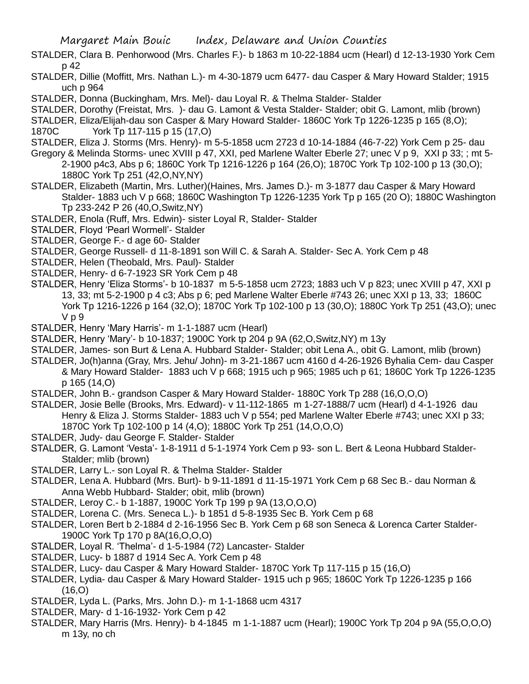- STALDER, Clara B. Penhorwood (Mrs. Charles F.)- b 1863 m 10-22-1884 ucm (Hearl) d 12-13-1930 York Cem p 42
- STALDER, Dillie (Moffitt, Mrs. Nathan L.)- m 4-30-1879 ucm 6477- dau Casper & Mary Howard Stalder; 1915 uch p 964
- STALDER, Donna (Buckingham, Mrs. Mel)- dau Loyal R. & Thelma Stalder- Stalder
- STALDER, Dorothy (Freistat, Mrs. )- dau G. Lamont & Vesta Stalder- Stalder; obit G. Lamont, mlib (brown)
- STALDER, Eliza/Elijah-dau son Casper & Mary Howard Stalder- 1860C York Tp 1226-1235 p 165 (8,O);
- 1870C York Tp 117-115 p 15 (17,O)
- STALDER, Eliza J. Storms (Mrs. Henry)- m 5-5-1858 ucm 2723 d 10-14-1884 (46-7-22) York Cem p 25- dau
- Gregory & Melinda Storms- unec XVIII p 47, XXI, ped Marlene Walter Eberle 27; unec V p 9, XXI p 33; ; mt 5- 2-1900 p4c3, Abs p 6; 1860C York Tp 1216-1226 p 164 (26,O); 1870C York Tp 102-100 p 13 (30,O);

1880C York Tp 251 (42,O,NY,NY)

- STALDER, Elizabeth (Martin, Mrs. Luther)(Haines, Mrs. James D.)- m 3-1877 dau Casper & Mary Howard Stalder- 1883 uch V p 668; 1860C Washington Tp 1226-1235 York Tp p 165 (20 O); 1880C Washington Tp 233-242 P 26 (40,O,Switz,NY)
- STALDER, Enola (Ruff, Mrs. Edwin)- sister Loyal R, Stalder- Stalder
- STALDER, Floyd 'Pearl Wormell'- Stalder
- STALDER, George F.- d age 60- Stalder
- STALDER, George Russell- d 11-8-1891 son Will C. & Sarah A. Stalder- Sec A. York Cem p 48
- STALDER, Helen (Theobald, Mrs. Paul)- Stalder
- STALDER, Henry- d 6-7-1923 SR York Cem p 48
- STALDER, Henry 'Eliza Storms'- b 10-1837 m 5-5-1858 ucm 2723; 1883 uch V p 823; unec XVIII p 47, XXI p 13, 33; mt 5-2-1900 p 4 c3; Abs p 6; ped Marlene Walter Eberle #743 26; unec XXI p 13, 33; 1860C York Tp 1216-1226 p 164 (32,O); 1870C York Tp 102-100 p 13 (30,O); 1880C York Tp 251 (43,O); unec V p 9
- STALDER, Henry 'Mary Harris'- m 1-1-1887 ucm (Hearl)
- STALDER, Henry 'Mary'- b 10-1837; 1900C York tp 204 p 9A (62,O,Switz,NY) m 13y
- STALDER, James- son Burt & Lena A. Hubbard Stalder- Stalder; obit Lena A., obit G. Lamont, mlib (brown)
- STALDER, Jo(h)anna (Gray, Mrs. Jehu/ John)- m 3-21-1867 ucm 4160 d 4-26-1926 Byhalia Cem- dau Casper & Mary Howard Stalder- 1883 uch V p 668; 1915 uch p 965; 1985 uch p 61; 1860C York Tp 1226-1235 p 165 (14,O)
- STALDER, John B.- grandson Casper & Mary Howard Stalder- 1880C York Tp 288 (16,O,O,O)
- STALDER, Josie Belle (Brooks, Mrs. Edward)- v 11-112-1865 m 1-27-1888/7 ucm (Hearl) d 4-1-1926 dau Henry & Eliza J. Storms Stalder- 1883 uch V p 554; ped Marlene Walter Eberle #743; unec XXI p 33; 1870C York Tp 102-100 p 14 (4,O); 1880C York Tp 251 (14,O,O,O)
- STALDER, Judy- dau George F. Stalder- Stalder
- STALDER, G. Lamont 'Vesta'- 1-8-1911 d 5-1-1974 York Cem p 93- son L. Bert & Leona Hubbard Stalder-Stalder; mlib (brown)
- STALDER, Larry L.- son Loyal R. & Thelma Stalder- Stalder
- STALDER, Lena A. Hubbard (Mrs. Burt)- b 9-11-1891 d 11-15-1971 York Cem p 68 Sec B.- dau Norman & Anna Webb Hubbard- Stalder; obit, mlib (brown)
- STALDER, Leroy C.- b 1-1887, 1900C York Tp 199 p 9A (13,O,O,O)
- STALDER, Lorena C. (Mrs. Seneca L.)- b 1851 d 5-8-1935 Sec B. York Cem p 68
- STALDER, Loren Bert b 2-1884 d 2-16-1956 Sec B. York Cem p 68 son Seneca & Lorenca Carter Stalder-1900C York Tp 170 p 8A(16,O,O,O)
- STALDER, Loyal R. 'Thelma'- d 1-5-1984 (72) Lancaster- Stalder
- STALDER, Lucy- b 1887 d 1914 Sec A. York Cem p 48
- STALDER, Lucy- dau Casper & Mary Howard Stalder- 1870C York Tp 117-115 p 15 (16,O)
- STALDER, Lydia- dau Casper & Mary Howard Stalder- 1915 uch p 965; 1860C York Tp 1226-1235 p 166  $(16.0)$
- STALDER, Lyda L. (Parks, Mrs. John D.)- m 1-1-1868 ucm 4317
- STALDER, Mary- d 1-16-1932- York Cem p 42
- STALDER, Mary Harris (Mrs. Henry)- b 4-1845 m 1-1-1887 ucm (Hearl); 1900C York Tp 204 p 9A (55,O,O,O) m 13y, no ch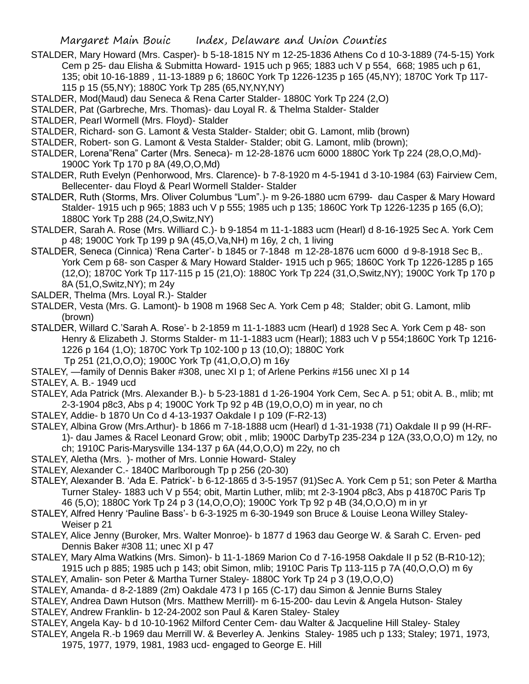- STALDER, Mary Howard (Mrs. Casper)- b 5-18-1815 NY m 12-25-1836 Athens Co d 10-3-1889 (74-5-15) York Cem p 25- dau Elisha & Submitta Howard- 1915 uch p 965; 1883 uch V p 554, 668; 1985 uch p 61, 135; obit 10-16-1889 , 11-13-1889 p 6; 1860C York Tp 1226-1235 p 165 (45,NY); 1870C York Tp 117- 115 p 15 (55,NY); 1880C York Tp 285 (65,NY,NY,NY)
- STALDER, Mod(Maud) dau Seneca & Rena Carter Stalder- 1880C York Tp 224 (2,O)
- STALDER, Pat (Garbreche, Mrs. Thomas)- dau Loyal R. & Thelma Stalder- Stalder
- STALDER, Pearl Wormell (Mrs. Floyd)- Stalder
- STALDER, Richard- son G. Lamont & Vesta Stalder- Stalder; obit G. Lamont, mlib (brown)
- STALDER, Robert- son G. Lamont & Vesta Stalder- Stalder; obit G. Lamont, mlib (brown);
- STALDER, Lorena"Rena" Carter (Mrs. Seneca)- m 12-28-1876 ucm 6000 1880C York Tp 224 (28,O,O,Md)- 1900C York Tp 170 p 8A (49,O,O,Md)
- STALDER, Ruth Evelyn (Penhorwood, Mrs. Clarence)- b 7-8-1920 m 4-5-1941 d 3-10-1984 (63) Fairview Cem, Bellecenter- dau Floyd & Pearl Wormell Stalder- Stalder
- STALDER, Ruth (Storms, Mrs. Oliver Columbus "Lum".)- m 9-26-1880 ucm 6799- dau Casper & Mary Howard Stalder- 1915 uch p 965; 1883 uch V p 555; 1985 uch p 135; 1860C York Tp 1226-1235 p 165 (6,O); 1880C York Tp 288 (24,O,Switz,NY)
- STALDER, Sarah A. Rose (Mrs. Williard C.)- b 9-1854 m 11-1-1883 ucm (Hearl) d 8-16-1925 Sec A. York Cem p 48; 1900C York Tp 199 p 9A (45,O,Va,NH) m 16y, 2 ch, 1 living
- STALDER, Seneca (Cinnica) 'Rena Carter'- b 1845 or 7-1848 m 12-28-1876 ucm 6000 d 9-8-1918 Sec B,. York Cem p 68- son Casper & Mary Howard Stalder- 1915 uch p 965; 1860C York Tp 1226-1285 p 165 (12,O); 1870C York Tp 117-115 p 15 (21,O): 1880C York Tp 224 (31,O,Switz,NY); 1900C York Tp 170 p 8A (51,O,Switz,NY); m 24y
- SALDER, Thelma (Mrs. Loyal R.)- Stalder
- STALDER, Vesta (Mrs. G. Lamont)- b 1908 m 1968 Sec A. York Cem p 48; Stalder; obit G. Lamont, mlib (brown)
- STALDER, Willard C.'Sarah A. Rose'- b 2-1859 m 11-1-1883 ucm (Hearl) d 1928 Sec A. York Cem p 48- son Henry & Elizabeth J. Storms Stalder- m 11-1-1883 ucm (Hearl); 1883 uch V p 554;1860C York Tp 1216- 1226 p 164 (1,O); 1870C York Tp 102-100 p 13 (10,O); 1880C York
	- Tp 251 (21,O,O,O); 1900C York Tp (41,O,O,O) m 16y
- STALEY, —family of Dennis Baker #308, unec XI p 1; of Arlene Perkins #156 unec XI p 14

STALEY, A. B.- 1949 ucd

- STALEY, Ada Patrick (Mrs. Alexander B.)- b 5-23-1881 d 1-26-1904 York Cem, Sec A. p 51; obit A. B., mlib; mt 2-3-1904 p8c3, Abs p 4; 1900C York Tp 92 p 4B (19,O,O,O) m in year, no ch
- STALEY, Addie- b 1870 Un Co d 4-13-1937 Oakdale I p 109 (F-R2-13)
- STALEY, Albina Grow (Mrs.Arthur)- b 1866 m 7-18-1888 ucm (Hearl) d 1-31-1938 (71) Oakdale II p 99 (H-RF-1)- dau James & Racel Leonard Grow; obit , mlib; 1900C DarbyTp 235-234 p 12A (33,O,O,O) m 12y, no ch; 1910C Paris-Marysville 134-137 p 6A (44,O,O,O) m 22y, no ch
- STALEY, Aletha (Mrs. )- mother of Mrs. Lonnie Howard- Staley
- STALEY, Alexander C.- 1840C Marlborough Tp p 256 (20-30)
- STALEY, Alexander B. 'Ada E. Patrick'- b 6-12-1865 d 3-5-1957 (91)Sec A. York Cem p 51; son Peter & Martha Turner Staley- 1883 uch V p 554; obit, Martin Luther, mlib; mt 2-3-1904 p8c3, Abs p 41870C Paris Tp 46 (5,O); 1880C York Tp 24 p 3 (14,O,O,O); 1900C York Tp 92 p 4B (34,O,O,O) m in yr
- STALEY, Alfred Henry 'Pauline Bass'- b 6-3-1925 m 6-30-1949 son Bruce & Louise Leona Willey Staley-Weiser p 21
- STALEY, Alice Jenny (Buroker, Mrs. Walter Monroe)- b 1877 d 1963 dau George W. & Sarah C. Erven- ped Dennis Baker #308 11; unec XI p 47
- STALEY, Mary Alma Watkins (Mrs. Simon)- b 11-1-1869 Marion Co d 7-16-1958 Oakdale II p 52 (B-R10-12); 1915 uch p 885; 1985 uch p 143; obit Simon, mlib; 1910C Paris Tp 113-115 p 7A (40,O,O,O) m 6y
- STALEY, Amalin- son Peter & Martha Turner Staley- 1880C York Tp 24 p 3 (19,O,O,O)
- STALEY, Amanda- d 8-2-1889 (2m) Oakdale 473 I p 165 (C-17) dau Simon & Jennie Burns Staley
- STALEY, Andrea Dawn Hutson (Mrs. Matthew Merrill)- m 6-15-200- dau Levin & Angela Hutson- Staley STALEY, Andrew Franklin- b 12-24-2002 son Paul & Karen Staley- Staley
- STALEY, Angela Kay- b d 10-10-1962 Milford Center Cem- dau Walter & Jacqueline Hill Staley- Staley
- STALEY, Angela R.-b 1969 dau Merrill W. & Beverley A. Jenkins Staley- 1985 uch p 133; Staley; 1971, 1973, 1975, 1977, 1979, 1981, 1983 ucd- engaged to George E. Hill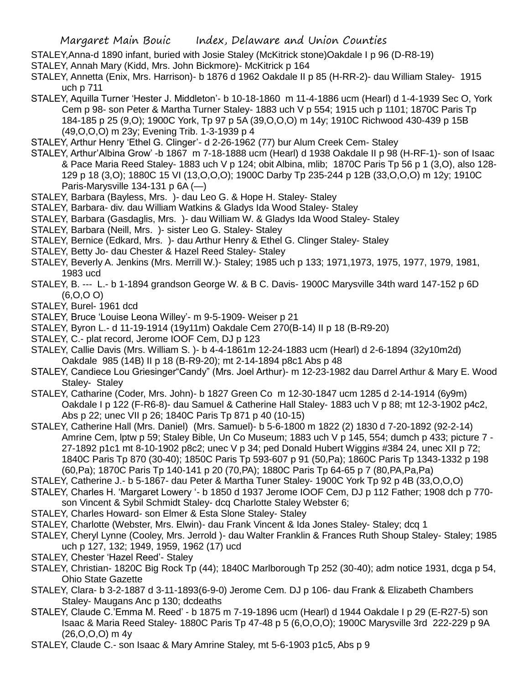- STALEY,Anna-d 1890 infant, buried with Josie Staley (McKitrick stone)Oakdale I p 96 (D-R8-19)
- STALEY, Annah Mary (Kidd, Mrs. John Bickmore)- McKitrick p 164
- STALEY, Annetta (Enix, Mrs. Harrison)- b 1876 d 1962 Oakdale II p 85 (H-RR-2)- dau William Staley- 1915 uch p 711
- STALEY, Aquilla Turner 'Hester J. Middleton'- b 10-18-1860 m 11-4-1886 ucm (Hearl) d 1-4-1939 Sec O, York Cem p 98- son Peter & Martha Turner Staley- 1883 uch V p 554; 1915 uch p 1101; 1870C Paris Tp 184-185 p 25 (9,O); 1900C York, Tp 97 p 5A (39,O,O,O) m 14y; 1910C Richwood 430-439 p 15B (49,O,O,O) m 23y; Evening Trib. 1-3-1939 p 4
- STALEY, Arthur Henry 'Ethel G. Clinger'- d 2-26-1962 (77) bur Alum Creek Cem- Staley
- STALEY, Arthur'Albina Grow' -b 1867 m 7-18-1888 ucm (Hearl) d 1938 Oakdale II p 98 (H-RF-1)- son of Isaac & Pace Maria Reed Staley- 1883 uch V p 124; obit Albina, mlib; 1870C Paris Tp 56 p 1 (3,O), also 128- 129 p 18 (3,O); 1880C 15 VI (13,O,O,O); 1900C Darby Tp 235-244 p 12B (33,O,O,O) m 12y; 1910C Paris-Marysville 134-131 p 6A (—)
- STALEY, Barbara (Bayless, Mrs. )- dau Leo G. & Hope H. Staley- Staley
- STALEY, Barbara- div. dau William Watkins & Gladys Ida Wood Staley- Staley
- STALEY, Barbara (Gasdaglis, Mrs. )- dau William W. & Gladys Ida Wood Staley- Staley
- STALEY, Barbara (Neill, Mrs. )- sister Leo G. Staley- Staley
- STALEY, Bernice (Edkard, Mrs. )- dau Arthur Henry & Ethel G. Clinger Staley- Staley
- STALEY, Betty Jo- dau Chester & Hazel Reed Staley- Staley
- STALEY, Beverly A. Jenkins (Mrs. Merrill W.)- Staley; 1985 uch p 133; 1971,1973, 1975, 1977, 1979, 1981, 1983 ucd
- STALEY, B. --- L.- b 1-1894 grandson George W. & B C. Davis- 1900C Marysville 34th ward 147-152 p 6D (6,O,O O)
- STALEY, Burel- 1961 dcd
- STALEY, Bruce 'Louise Leona Willey'- m 9-5-1909- Weiser p 21
- STALEY, Byron L.- d 11-19-1914 (19y11m) Oakdale Cem 270(B-14) II p 18 (B-R9-20)
- STALEY, C.- plat record, Jerome IOOF Cem, DJ p 123
- STALEY, Callie Davis (Mrs. William S. )- b 4-4-1861m 12-24-1883 ucm (Hearl) d 2-6-1894 (32y10m2d) Oakdale 985 (14B) II p 18 (B-R9-20); mt 2-14-1894 p8c1 Abs p 48
- STALEY, Candiece Lou Griesinger"Candy" (Mrs. Joel Arthur)- m 12-23-1982 dau Darrel Arthur & Mary E. Wood Staley- Staley
- STALEY, Catharine (Coder, Mrs. John)- b 1827 Green Co m 12-30-1847 ucm 1285 d 2-14-1914 (6y9m) Oakdale I p 122 (F-R6-8)- dau Samuel & Catherine Hall Staley- 1883 uch V p 88; mt 12-3-1902 p4c2, Abs p 22; unec VII p 26; 1840C Paris Tp 871 p 40 (10-15)
- STALEY, Catherine Hall (Mrs. Daniel) (Mrs. Samuel)- b 5-6-1800 m 1822 (2) 1830 d 7-20-1892 (92-2-14) Amrine Cem, lptw p 59; Staley Bible, Un Co Museum; 1883 uch V p 145, 554; dumch p 433; picture 7 -27-1892 p1c1 mt 8-10-1902 p8c2; unec V p 34; ped Donald Hubert Wiggins #384 24, unec XII p 72; 1840C Paris Tp 870 (30-40); 1850C Paris Tp 593-607 p 91 (50,Pa); 1860C Paris Tp 1343-1332 p 198 (60,Pa); 1870C Paris Tp 140-141 p 20 (70,PA); 1880C Paris Tp 64-65 p 7 (80,PA,Pa,Pa)
- STALEY, Catherine J.- b 5-1867- dau Peter & Martha Tuner Staley- 1900C York Tp 92 p 4B (33,O,O,O)
- STALEY, Charles H. 'Margaret Lowery '- b 1850 d 1937 Jerome IOOF Cem, DJ p 112 Father; 1908 dch p 770 son Vincent & Sybil Schmidt Staley- dcq Charlotte Staley Webster 6;
- STALEY, Charles Howard- son Elmer & Esta Slone Staley- Staley
- STALEY, Charlotte (Webster, Mrs. Elwin)- dau Frank Vincent & Ida Jones Staley- Staley; dcq 1
- STALEY, Cheryl Lynne (Cooley, Mrs. Jerrold )- dau Walter Franklin & Frances Ruth Shoup Staley- Staley; 1985 uch p 127, 132; 1949, 1959, 1962 (17) ucd
- STALEY, Chester 'Hazel Reed'- Staley
- STALEY, Christian- 1820C Big Rock Tp (44); 1840C Marlborough Tp 252 (30-40); adm notice 1931, dcga p 54, Ohio State Gazette
- STALEY, Clara- b 3-2-1887 d 3-11-1893(6-9-0) Jerome Cem. DJ p 106- dau Frank & Elizabeth Chambers Staley- Maugans Anc p 130; dcdeaths
- STALEY, Claude C.'Emma M. Reed' b 1875 m 7-19-1896 ucm (Hearl) d 1944 Oakdale I p 29 (E-R27-5) son Isaac & Maria Reed Staley- 1880C Paris Tp 47-48 p 5 (6,O,O,O); 1900C Marysville 3rd 222-229 p 9A (26,O,O,O) m 4y
- STALEY, Claude C.- son Isaac & Mary Amrine Staley, mt 5-6-1903 p1c5, Abs p 9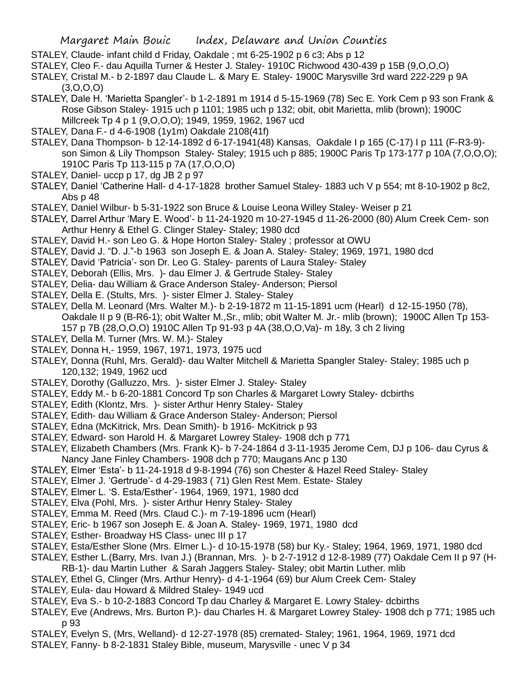- STALEY, Claude- infant child d Friday, Oakdale ; mt 6-25-1902 p 6 c3; Abs p 12
- STALEY, Cleo F.- dau Aquilla Turner & Hester J. Staley- 1910C Richwood 430-439 p 15B (9,O,O,O)

STALEY, Cristal M.- b 2-1897 dau Claude L. & Mary E. Staley- 1900C Marysville 3rd ward 222-229 p 9A  $(3,0,0,0)$ 

- STALEY, Dale H. 'Marietta Spangler'- b 1-2-1891 m 1914 d 5-15-1969 (78) Sec E. York Cem p 93 son Frank & Rose Gibson Staley- 1915 uch p 1101; 1985 uch p 132; obit, obit Marietta, mlib (brown); 1900C Millcreek Tp 4 p 1 (9,O,O,O); 1949, 1959, 1962, 1967 ucd
- STALEY, Dana F.- d 4-6-1908 (1y1m) Oakdale 2108(41f)
- STALEY, Dana Thompson- b 12-14-1892 d 6-17-1941(48) Kansas, Oakdale I p 165 (C-17) I p 111 (F-R3-9) son Simon & Lily Thompson Staley- Staley; 1915 uch p 885; 1900C Paris Tp 173-177 p 10A (7,O,O,O); 1910C Paris Tp 113-115 p 7A (17,O,O,O)
- STALEY, Daniel- uccp p 17, dg JB 2 p 97
- STALEY, Daniel 'Catherine Hall- d 4-17-1828 brother Samuel Staley- 1883 uch V p 554; mt 8-10-1902 p 8c2, Abs p 48
- STALEY, Daniel Wilbur- b 5-31-1922 son Bruce & Louise Leona Willey Staley- Weiser p 21
- STALEY, Darrel Arthur 'Mary E. Wood'- b 11-24-1920 m 10-27-1945 d 11-26-2000 (80) Alum Creek Cem- son Arthur Henry & Ethel G. Clinger Staley- Staley; 1980 dcd
- STALEY, David H.- son Leo G. & Hope Horton Staley- Staley ; professor at OWU
- STALEY, David J. "D. J."-b 1963 son Joseph E. & Joan A. Staley- Staley; 1969, 1971, 1980 dcd
- STALEY, David 'Patricia'- son Dr. Leo G. Staley- parents of Laura Staley- Staley
- STALEY, Deborah (Ellis, Mrs. )- dau Elmer J. & Gertrude Staley- Staley
- STALEY, Delia- dau William & Grace Anderson Staley- Anderson; Piersol
- STALEY, Della E. (Stults, Mrs. )- sister Elmer J. Staley- Staley
- STALEY, Della M. Leonard (Mrs. Walter M.)- b 2-19-1872 m 11-15-1891 ucm (Hearl) d 12-15-1950 (78), Oakdale II p 9 (B-R6-1); obit Walter M.,Sr., mlib; obit Walter M. Jr.- mlib (brown); 1900C Allen Tp 153- 157 p 7B (28,O,O,O) 1910C Allen Tp 91-93 p 4A (38,O,O,Va)- m 18y, 3 ch 2 living
- STALEY, Della M. Turner (Mrs. W. M.)- Staley
- STALEY, Donna H,- 1959, 1967, 1971, 1973, 1975 ucd
- STALEY, Donna (Ruhl, Mrs. Gerald)- dau Walter Mitchell & Marietta Spangler Staley- Staley; 1985 uch p 120,132; 1949, 1962 ucd
- STALEY, Dorothy (Galluzzo, Mrs. )- sister Elmer J. Staley- Staley
- STALEY, Eddy M.- b 6-20-1881 Concord Tp son Charles & Margaret Lowry Staley- dcbirths
- STALEY, Edith (Klontz, Mrs. )- sister Arthur Henry Staley- Staley
- STALEY, Edith- dau William & Grace Anderson Staley- Anderson; Piersol
- STALEY, Edna (McKitrick, Mrs. Dean Smith)- b 1916- McKitrick p 93
- STALEY, Edward- son Harold H. & Margaret Lowrey Staley- 1908 dch p 771
- STALEY, Elizabeth Chambers (Mrs. Frank K)- b 7-24-1864 d 3-11-1935 Jerome Cem, DJ p 106- dau Cyrus & Nancy Jane Finley Chambers- 1908 dch p 770; Maugans Anc p 130
- STALEY, Elmer 'Esta'- b 11-24-1918 d 9-8-1994 (76) son Chester & Hazel Reed Staley- Staley
- STALEY, Elmer J. 'Gertrude'- d 4-29-1983 ( 71) Glen Rest Mem. Estate- Staley
- STALEY, Elmer L. 'S. Esta/Esther'- 1964, 1969, 1971, 1980 dcd
- STALEY, Elva (Pohl, Mrs. )- sister Arthur Henry Staley- Staley
- STALEY, Emma M. Reed (Mrs. Claud C.)- m 7-19-1896 ucm (Hearl)
- STALEY, Eric- b 1967 son Joseph E. & Joan A. Staley- 1969, 1971, 1980 dcd
- STALEY, Esther- Broadway HS Class- unec III p 17
- STALEY, Esta/Esther Slone (Mrs. Elmer L.)- d 10-15-1978 (58) bur Ky.- Staley; 1964, 1969, 1971, 1980 dcd
- STALEY, Esther L.(Barry, Mrs. Ivan J.) (Brannan, Mrs. )- b 2-7-1912 d 12-8-1989 (77) Oakdale Cem II p 97 (H-RB-1)- dau Martin Luther & Sarah Jaggers Staley- Staley; obit Martin Luther. mlib
- STALEY, Ethel G, Clinger (Mrs. Arthur Henry)- d 4-1-1964 (69) bur Alum Creek Cem- Staley
- STALEY, Eula- dau Howard & Mildred Staley- 1949 ucd
- STALEY, Eva S.- b 10-2-1883 Concord Tp dau Charley & Margaret E. Lowry Staley- dcbirths
- STALEY, Eve (Andrews, Mrs. Burton P.)- dau Charles H. & Margaret Lowrey Staley- 1908 dch p 771; 1985 uch p 93
- STALEY, Evelyn S, (Mrs, Welland)- d 12-27-1978 (85) cremated- Staley; 1961, 1964, 1969, 1971 dcd
- STALEY, Fanny- b 8-2-1831 Staley Bible, museum, Marysville unec V p 34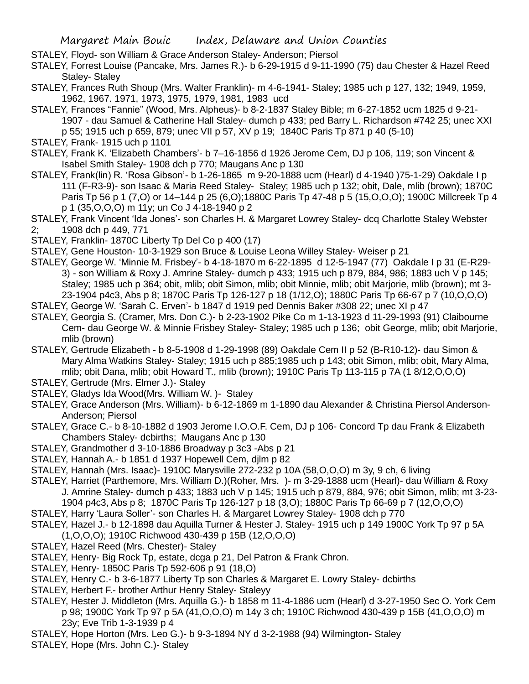STALEY, Floyd- son William & Grace Anderson Staley- Anderson; Piersol

STALEY, Forrest Louise (Pancake, Mrs. James R.)- b 6-29-1915 d 9-11-1990 (75) dau Chester & Hazel Reed Staley- Staley

- STALEY, Frances Ruth Shoup (Mrs. Walter Franklin)- m 4-6-1941- Staley; 1985 uch p 127, 132; 1949, 1959, 1962, 1967. 1971, 1973, 1975, 1979, 1981, 1983 ucd
- STALEY, Frances "Fannie" (Wood, Mrs. Alpheus)- b 8-2-1837 Staley Bible; m 6-27-1852 ucm 1825 d 9-21- 1907 - dau Samuel & Catherine Hall Staley- dumch p 433; ped Barry L. Richardson #742 25; unec XXI p 55; 1915 uch p 659, 879; unec VII p 57, XV p 19; 1840C Paris Tp 871 p 40 (5-10)
- STALEY, Frank- 1915 uch p 1101
- STALEY, Frank K. 'Elizabeth Chambers'- b 7–16-1856 d 1926 Jerome Cem, DJ p 106, 119; son Vincent & Isabel Smith Staley- 1908 dch p 770; Maugans Anc p 130
- STALEY, Frank(lin) R. 'Rosa Gibson'- b 1-26-1865 m 9-20-1888 ucm (Hearl) d 4-1940 )75-1-29) Oakdale I p 111 (F-R3-9)- son Isaac & Maria Reed Staley- Staley; 1985 uch p 132; obit, Dale, mlib (brown); 1870C Paris Tp 56 p 1 (7,O) or 14–144 p 25 (6,O);1880C Paris Tp 47-48 p 5 (15,O,O,O); 1900C Millcreek Tp 4 p 1 (35,O,O,O) m 11y; un Co J 4-18-1940 p 2
- STALEY, Frank Vincent 'Ida Jones'- son Charles H. & Margaret Lowrey Staley- dcq Charlotte Staley Webster 2; 1908 dch p 449, 771
- STALEY, Franklin- 1870C Liberty Tp Del Co p 400 (17)
- STALEY, Gene Houston- 10-3-1929 son Bruce & Louise Leona Willey Staley- Weiser p 21
- STALEY, George W. 'Minnie M. Frisbey'- b 4-18-1870 m 6-22-1895 d 12-5-1947 (77) Oakdale I p 31 (E-R29- 3) - son William & Roxy J. Amrine Staley- dumch p 433; 1915 uch p 879, 884, 986; 1883 uch V p 145; Staley; 1985 uch p 364; obit, mlib; obit Simon, mlib; obit Minnie, mlib; obit Marjorie, mlib (brown); mt 3- 23-1904 p4c3, Abs p 8; 1870C Paris Tp 126-127 p 18 (1/12,O); 1880C Paris Tp 66-67 p 7 (10,O,O,O)
- STALEY, George W. 'Sarah C. Erven'- b 1847 d 1919 ped Dennis Baker #308 22; unec XI p 47
- STALEY, Georgia S. (Cramer, Mrs. Don C.)- b 2-23-1902 Pike Co m 1-13-1923 d 11-29-1993 (91) Claibourne Cem- dau George W. & Minnie Frisbey Staley- Staley; 1985 uch p 136; obit George, mlib; obit Marjorie, mlib (brown)
- STALEY, Gertrude Elizabeth b 8-5-1908 d 1-29-1998 (89) Oakdale Cem II p 52 (B-R10-12)- dau Simon & Mary Alma Watkins Staley- Staley; 1915 uch p 885;1985 uch p 143; obit Simon, mlib; obit, Mary Alma, mlib; obit Dana, mlib; obit Howard T., mlib (brown); 1910C Paris Tp 113-115 p 7A (1 8/12,O,O,O)
- STALEY, Gertrude (Mrs. Elmer J.)- Staley
- STALEY, Gladys Ida Wood(Mrs. William W. )- Staley
- STALEY, Grace Anderson (Mrs. William)- b 6-12-1869 m 1-1890 dau Alexander & Christina Piersol Anderson-Anderson; Piersol
- STALEY, Grace C.- b 8-10-1882 d 1903 Jerome I.O.O.F. Cem, DJ p 106- Concord Tp dau Frank & Elizabeth Chambers Staley- dcbirths; Maugans Anc p 130
- STALEY, Grandmother d 3-10-1886 Broadway p 3c3 -Abs p 21
- STALEY, Hannah A.- b 1851 d 1937 Hopewell Cem, djlm p 82
- STALEY, Hannah (Mrs. Isaac)- 1910C Marysville 272-232 p 10A (58,O,O,O) m 3y, 9 ch, 6 living
- STALEY, Harriet (Parthemore, Mrs. William D.)(Roher, Mrs. )- m 3-29-1888 ucm (Hearl)- dau William & Roxy J. Amrine Staley- dumch p 433; 1883 uch V p 145; 1915 uch p 879, 884, 976; obit Simon, mlib; mt 3-23- 1904 p4c3, Abs p 8; 1870C Paris Tp 126-127 p 18 (3,O); 1880C Paris Tp 66-69 p 7 (12,O,O,O)
- STALEY, Harry 'Laura Soller'- son Charles H. & Margaret Lowrey Staley- 1908 dch p 770
- STALEY, Hazel J.- b 12-1898 dau Aquilla Turner & Hester J. Staley- 1915 uch p 149 1900C York Tp 97 p 5A
- (1,O,O,O); 1910C Richwood 430-439 p 15B (12,O,O,O)
- STALEY, Hazel Reed (Mrs. Chester)- Staley
- STALEY, Henry- Big Rock Tp, estate, dcga p 21, Del Patron & Frank Chron.
- STALEY, Henry- 1850C Paris Tp 592-606 p 91 (18,O)
- STALEY, Henry C.- b 3-6-1877 Liberty Tp son Charles & Margaret E. Lowry Staley- dcbirths
- STALEY, Herbert F.- brother Arthur Henry Staley- Staleyy
- STALEY, Hester J. Middleton (Mrs. Aquilla G.)- b 1858 m 11-4-1886 ucm (Hearl) d 3-27-1950 Sec O. York Cem p 98; 1900C York Tp 97 p 5A (41,O,O,O) m 14y 3 ch; 1910C Richwood 430-439 p 15B (41,O,O,O) m 23y; Eve Trib 1-3-1939 p 4
- STALEY, Hope Horton (Mrs. Leo G.)- b 9-3-1894 NY d 3-2-1988 (94) Wilmington- Staley
- STALEY, Hope (Mrs. John C.)- Staley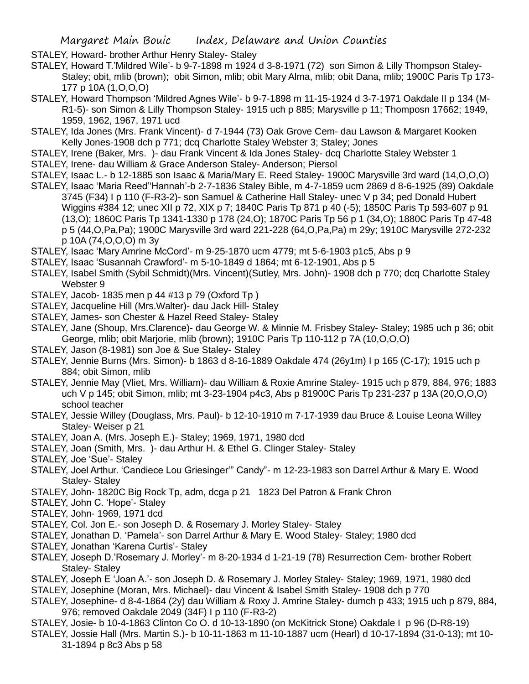STALEY, Howard- brother Arthur Henry Staley- Staley

STALEY, Howard T.'Mildred Wile'- b 9-7-1898 m 1924 d 3-8-1971 (72) son Simon & Lilly Thompson Staley-Staley; obit, mlib (brown); obit Simon, mlib; obit Mary Alma, mlib; obit Dana, mlib; 1900C Paris Tp 173- 177 p 10A (1,O,O,O)

STALEY, Howard Thompson 'Mildred Agnes Wile'- b 9-7-1898 m 11-15-1924 d 3-7-1971 Oakdale II p 134 (M-R1-5)- son Simon & Lilly Thompson Staley- 1915 uch p 885; Marysville p 11; Thomposn 17662; 1949, 1959, 1962, 1967, 1971 ucd

STALEY, Ida Jones (Mrs. Frank Vincent)- d 7-1944 (73) Oak Grove Cem- dau Lawson & Margaret Kooken Kelly Jones-1908 dch p 771; dcq Charlotte Staley Webster 3; Staley; Jones

- STALEY, Irene (Baker, Mrs. )- dau Frank Vincent & Ida Jones Staley- dcq Charlotte Staley Webster 1 STALEY, Irene- dau William & Grace Anderson Staley- Anderson; Piersol
- 
- STALEY, Isaac L.- b 12-1885 son Isaac & Maria/Mary E. Reed Staley- 1900C Marysville 3rd ward (14,O,O,O) STALEY, Isaac 'Maria Reed''Hannah'-b 2-7-1836 Staley Bible, m 4-7-1859 ucm 2869 d 8-6-1925 (89) Oakdale
	- 3745 (F34) I p 110 (F-R3-2)- son Samuel & Catherine Hall Staley- unec V p 34; ped Donald Hubert Wiggins #384 12; unec XII p 72, XIX p 7; 1840C Paris Tp 871 p 40 (-5); 1850C Paris Tp 593-607 p 91 (13,O); 1860C Paris Tp 1341-1330 p 178 (24,O); 1870C Paris Tp 56 p 1 (34,O); 1880C Paris Tp 47-48 p 5 (44,O,Pa,Pa); 1900C Marysville 3rd ward 221-228 (64,O,Pa,Pa) m 29y; 1910C Marysville 272-232 p 10A (74,O,O,O) m 3y
- STALEY, Isaac 'Mary Amrine McCord'- m 9-25-1870 ucm 4779; mt 5-6-1903 p1c5, Abs p 9
- STALEY, Isaac 'Susannah Crawford'- m 5-10-1849 d 1864; mt 6-12-1901, Abs p 5
- STALEY, Isabel Smith (Sybil Schmidt)(Mrs. Vincent)(Sutley, Mrs. John)- 1908 dch p 770; dcq Charlotte Staley Webster 9
- STALEY, Jacob- 1835 men p 44 #13 p 79 (Oxford Tp )
- STALEY, Jacqueline Hill (Mrs.Walter)- dau Jack Hill- Staley
- STALEY, James- son Chester & Hazel Reed Staley- Staley
- STALEY, Jane (Shoup, Mrs.Clarence)- dau George W. & Minnie M. Frisbey Staley- Staley; 1985 uch p 36; obit George, mlib; obit Marjorie, mlib (brown); 1910C Paris Tp 110-112 p 7A (10,O,O,O)
- STALEY, Jason (8-1981) son Joe & Sue Staley- Staley
- STALEY, Jennie Burns (Mrs. Simon)- b 1863 d 8-16-1889 Oakdale 474 (26y1m) I p 165 (C-17); 1915 uch p 884; obit Simon, mlib
- STALEY, Jennie May (Vliet, Mrs. William)- dau William & Roxie Amrine Staley- 1915 uch p 879, 884, 976; 1883 uch V p 145; obit Simon, mlib; mt 3-23-1904 p4c3, Abs p 81900C Paris Tp 231-237 p 13A (20,O,O,O) school teacher
- STALEY, Jessie Willey (Douglass, Mrs. Paul)- b 12-10-1910 m 7-17-1939 dau Bruce & Louise Leona Willey Staley- Weiser p 21
- STALEY, Joan A. (Mrs. Joseph E.)- Staley; 1969, 1971, 1980 dcd
- STALEY, Joan (Smith, Mrs. )- dau Arthur H. & Ethel G. Clinger Staley- Staley
- STALEY, Joe 'Sue'- Staley
- STALEY, Joel Arthur. 'Candiece Lou Griesinger'" Candy"- m 12-23-1983 son Darrel Arthur & Mary E. Wood Staley- Staley
- STALEY, John- 1820C Big Rock Tp, adm, dcga p 21 1823 Del Patron & Frank Chron
- STALEY, John C. 'Hope'- Staley
- STALEY, John- 1969, 1971 dcd
- STALEY, Col. Jon E.- son Joseph D. & Rosemary J. Morley Staley- Staley
- STALEY, Jonathan D. 'Pamela'- son Darrel Arthur & Mary E. Wood Staley- Staley; 1980 dcd
- STALEY, Jonathan 'Karena Curtis'- Staley
- STALEY, Joseph D.'Rosemary J. Morley'- m 8-20-1934 d 1-21-19 (78) Resurrection Cem- brother Robert Staley- Staley
- STALEY, Joseph E 'Joan A.'- son Joseph D. & Rosemary J. Morley Staley- Staley; 1969, 1971, 1980 dcd
- STALEY, Josephine (Moran, Mrs. Michael)- dau Vincent & Isabel Smith Staley- 1908 dch p 770
- STALEY, Josephine- d 8-4-1864 (2y) dau William & Roxy J. Amrine Staley- dumch p 433; 1915 uch p 879, 884, 976; removed Oakdale 2049 (34F) I p 110 (F-R3-2)
- STALEY, Josie- b 10-4-1863 Clinton Co O. d 10-13-1890 (on McKitrick Stone) Oakdale I p 96 (D-R8-19)
- STALEY, Jossie Hall (Mrs. Martin S.)- b 10-11-1863 m 11-10-1887 ucm (Hearl) d 10-17-1894 (31-0-13); mt 10- 31-1894 p 8c3 Abs p 58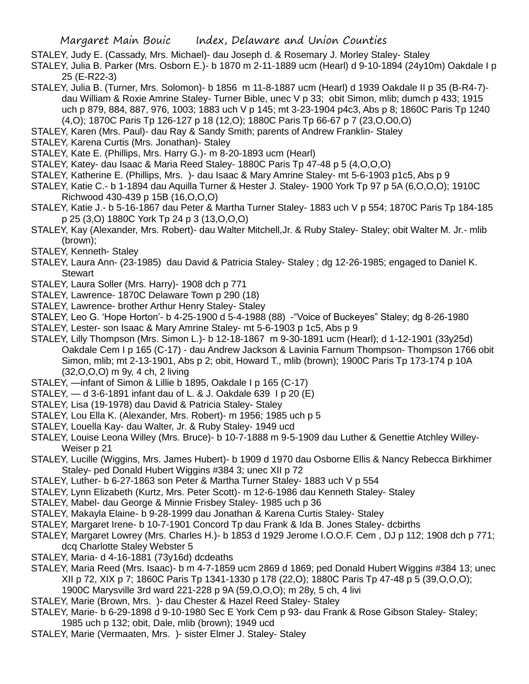- STALEY, Judy E. (Cassady, Mrs. Michael)- dau Joseph d. & Rosemary J. Morley Staley- Staley
- STALEY, Julia B. Parker (Mrs. Osborn E.)- b 1870 m 2-11-1889 ucm (Hearl) d 9-10-1894 (24y10m) Oakdale I p 25 (E-R22-3)
- STALEY, Julia B. (Turner, Mrs. Solomon)- b 1856 m 11-8-1887 ucm (Hearl) d 1939 Oakdale II p 35 (B-R4-7) dau William & Roxie Amrine Staley- Turner Bible, unec V p 33; obit Simon, mlib; dumch p 433; 1915 uch p 879, 884, 887, 976, 1003; 1883 uch V p 145; mt 3-23-1904 p4c3, Abs p 8; 1860C Paris Tp 1240 (4,O); 1870C Paris Tp 126-127 p 18 (12,O); 1880C Paris Tp 66-67 p 7 (23,O,O0,O)
- STALEY, Karen (Mrs. Paul)- dau Ray & Sandy Smith; parents of Andrew Franklin- Staley
- STALEY, Karena Curtis (Mrs. Jonathan)- Staley
- STALEY, Kate E. (Phillips, Mrs. Harry G.)- m 8-20-1893 ucm (Hearl)
- STALEY, Katey- dau Isaac & Maria Reed Staley- 1880C Paris Tp 47-48 p 5 (4,O,O,O)
- STALEY, Katherine E. (Phillips, Mrs. )- dau Isaac & Mary Amrine Staley- mt 5-6-1903 p1c5, Abs p 9
- STALEY, Katie C.- b 1-1894 dau Aquilla Turner & Hester J. Staley- 1900 York Tp 97 p 5A (6,O,O,O); 1910C Richwood 430-439 p 15B (16,O,O,O)
- STALEY, Katie J.- b 5-16-1867 dau Peter & Martha Turner Staley- 1883 uch V p 554; 1870C Paris Tp 184-185 p 25 (3,O) 1880C York Tp 24 p 3 (13,O,O,O)
- STALEY, Kay (Alexander, Mrs. Robert)- dau Walter Mitchell,Jr. & Ruby Staley- Staley; obit Walter M. Jr.- mlib (brown);
- STALEY, Kenneth- Staley
- STALEY, Laura Ann- (23-1985) dau David & Patricia Staley- Staley ; dg 12-26-1985; engaged to Daniel K. Stewart
- STALEY, Laura Soller (Mrs. Harry)- 1908 dch p 771
- STALEY, Lawrence- 1870C Delaware Town p 290 (18)
- STALEY, Lawrence- brother Arthur Henry Staley- Staley
- STALEY, Leo G. 'Hope Horton'- b 4-25-1900 d 5-4-1988 (88) -"Voice of Buckeyes" Staley; dg 8-26-1980
- STALEY, Lester- son Isaac & Mary Amrine Staley- mt 5-6-1903 p 1c5, Abs p 9
- STALEY, Lilly Thompson (Mrs. Simon L.)- b 12-18-1867 m 9-30-1891 ucm (Hearl); d 1-12-1901 (33y25d) Oakdale Cem I p 165 (C-17) - dau Andrew Jackson & Lavinia Farnum Thompson- Thompson 1766 obit Simon, mlib; mt 2-13-1901, Abs p 2; obit, Howard T., mlib (brown); 1900C Paris Tp 173-174 p 10A (32,O,O,O) m 9y, 4 ch, 2 living
- STALEY, —infant of Simon & Lillie b 1895, Oakdale I p 165 (C-17)
- STALEY, d 3-6-1891 infant dau of L. & J. Oakdale 639 I p 20 (E)
- STALEY, Lisa (19-1978) dau David & Patricia Staley- Staley
- STALEY, Lou Ella K. (Alexander, Mrs. Robert)- m 1956; 1985 uch p 5
- STALEY, Louella Kay- dau Walter, Jr. & Ruby Staley- 1949 ucd
- STALEY, Louise Leona Willey (Mrs. Bruce)- b 10-7-1888 m 9-5-1909 dau Luther & Genettie Atchley Willey-Weiser p 21
- STALEY, Lucille (Wiggins, Mrs. James Hubert)- b 1909 d 1970 dau Osborne Ellis & Nancy Rebecca Birkhimer Staley- ped Donald Hubert Wiggins #384 3; unec XII p 72
- STALEY, Luther- b 6-27-1863 son Peter & Martha Turner Staley- 1883 uch V p 554
- STALEY, Lynn Elizabeth (Kurtz, Mrs. Peter Scott)- m 12-6-1986 dau Kenneth Staley- Staley
- STALEY, Mabel- dau George & Minnie Frisbey Staley- 1985 uch p 36
- STALEY, Makayla Elaine- b 9-28-1999 dau Jonathan & Karena Curtis Staley- Staley
- STALEY, Margaret Irene- b 10-7-1901 Concord Tp dau Frank & Ida B. Jones Staley- dcbirths
- STALEY, Margaret Lowrey (Mrs. Charles H.)- b 1853 d 1929 Jerome I.O.O.F. Cem , DJ p 112; 1908 dch p 771; dcq Charlotte Staley Webster 5
- STALEY, Maria- d 4-16-1881 (73y16d) dcdeaths
- STALEY, Maria Reed (Mrs. Isaac)- b m 4-7-1859 ucm 2869 d 1869; ped Donald Hubert Wiggins #384 13; unec XII p 72, XIX p 7; 1860C Paris Tp 1341-1330 p 178 (22,O); 1880C Paris Tp 47-48 p 5 (39,O,O,O);
	- 1900C Marysville 3rd ward 221-228 p 9A (59,O,O,O); m 28y, 5 ch, 4 livi
- STALEY, Marie (Brown, Mrs. )- dau Chester & Hazel Reed Staley- Staley
- STALEY, Marie- b 6-29-1898 d 9-10-1980 Sec E York Cem p 93- dau Frank & Rose Gibson Staley- Staley; 1985 uch p 132; obit, Dale, mlib (brown); 1949 ucd
- STALEY, Marie (Vermaaten, Mrs. )- sister Elmer J. Staley- Staley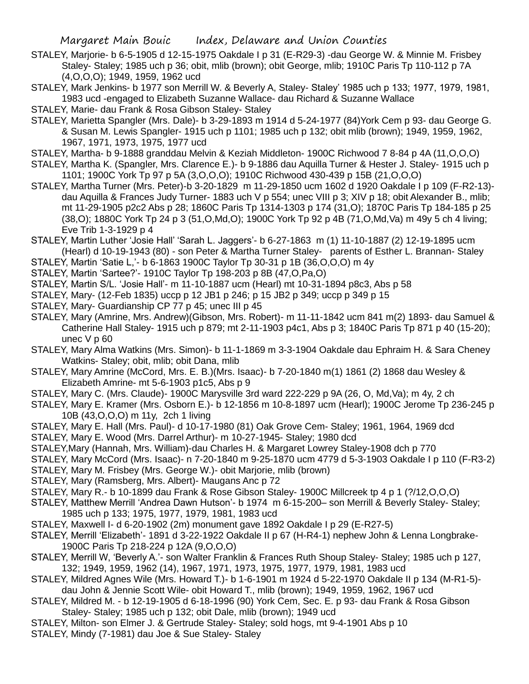- STALEY, Marjorie- b 6-5-1905 d 12-15-1975 Oakdale I p 31 (E-R29-3) -dau George W. & Minnie M. Frisbey Staley- Staley; 1985 uch p 36; obit, mlib (brown); obit George, mlib; 1910C Paris Tp 110-112 p 7A (4,O,O,O); 1949, 1959, 1962 ucd
- STALEY, Mark Jenkins- b 1977 son Merrill W. & Beverly A, Staley- Staley' 1985 uch p 133; 1977, 1979, 1981, 1983 ucd -engaged to Elizabeth Suzanne Wallace- dau Richard & Suzanne Wallace
- STALEY, Marie- dau Frank & Rosa Gibson Staley- Staley
- STALEY, Marietta Spangler (Mrs. Dale)- b 3-29-1893 m 1914 d 5-24-1977 (84)York Cem p 93- dau George G. & Susan M. Lewis Spangler- 1915 uch p 1101; 1985 uch p 132; obit mlib (brown); 1949, 1959, 1962, 1967, 1971, 1973, 1975, 1977 ucd
- STALEY, Martha- b 9-1888 granddau Melvin & Keziah Middleton- 1900C Richwood 7 8-84 p 4A (11,O,O,O)
- STALEY, Martha K. (Spangler, Mrs. Clarence E.)- b 9-1886 dau Aquilla Turner & Hester J. Staley- 1915 uch p 1101; 1900C York Tp 97 p 5A (3,O,O,O); 1910C Richwood 430-439 p 15B (21,O,O,O)
- STALEY, Martha Turner (Mrs. Peter)-b 3-20-1829 m 11-29-1850 ucm 1602 d 1920 Oakdale I p 109 (F-R2-13) dau Aquilla & Frances Judy Turner- 1883 uch V p 554; unec VIII p 3; XIV p 18; obit Alexander B., mlib; mt 11-29-1905 p2c2 Abs p 28; 1860C Paris Tp 1314-1303 p 174 (31,O); 1870C Paris Tp 184-185 p 25 (38,O); 1880C York Tp 24 p 3 (51,O,Md,O); 1900C York Tp 92 p 4B (71,O,Md,Va) m 49y 5 ch 4 living; Eve Trib 1-3-1929 p 4
- STALEY, Martin Luther 'Josie Hall' 'Sarah L. Jaggers'- b 6-27-1863 m (1) 11-10-1887 (2) 12-19-1895 ucm (Hearl) d 10-19-1943 (80) - son Peter & Martha Turner Staley- parents of Esther L. Brannan- Staley
- STALEY, Martin 'Satie L,'- b 6-1863 1900C Taylor Tp 30-31 p 1B (36,O,O,O) m 4y
- STALEY, Martin 'Sartee?'- 1910C Taylor Tp 198-203 p 8B (47,O,Pa,O)
- STALEY, Martin S/L. 'Josie Hall'- m 11-10-1887 ucm (Hearl) mt 10-31-1894 p8c3, Abs p 58
- STALEY, Mary- (12-Feb 1835) uccp p 12 JB1 p 246; p 15 JB2 p 349; uccp p 349 p 15
- STALEY, Mary- Guardianship CP 77 p 45; unec III p 45
- STALEY, Mary (Amrine, Mrs. Andrew)(Gibson, Mrs. Robert)- m 11-11-1842 ucm 841 m(2) 1893- dau Samuel & Catherine Hall Staley- 1915 uch p 879; mt 2-11-1903 p4c1, Abs p 3; 1840C Paris Tp 871 p 40 (15-20); unec V p 60
- STALEY, Mary Alma Watkins (Mrs. Simon)- b 11-1-1869 m 3-3-1904 Oakdale dau Ephraim H. & Sara Cheney Watkins- Staley; obit, mlib; obit Dana, mlib
- STALEY, Mary Amrine (McCord, Mrs. E. B.)(Mrs. Isaac)- b 7-20-1840 m(1) 1861 (2) 1868 dau Wesley & Elizabeth Amrine- mt 5-6-1903 p1c5, Abs p 9
- STALEY, Mary C. (Mrs. Claude)- 1900C Marysville 3rd ward 222-229 p 9A (26, O, Md,Va); m 4y, 2 ch
- STALEY, Mary E. Kramer (Mrs. Osborn E.)- b 12-1856 m 10-8-1897 ucm (Hearl); 1900C Jerome Tp 236-245 p 10B (43,O,O,O) m 11y, 2ch 1 living
- STALEY, Mary E. Hall (Mrs. Paul)- d 10-17-1980 (81) Oak Grove Cem- Staley; 1961, 1964, 1969 dcd
- STALEY, Mary E. Wood (Mrs. Darrel Arthur)- m 10-27-1945- Staley; 1980 dcd
- STALEY,Mary (Hannah, Mrs. William)-dau Charles H. & Margaret Lowrey Staley-1908 dch p 770
- STALEY, Mary McCord (Mrs. Isaac)- n 7-20-1840 m 9-25-1870 ucm 4779 d 5-3-1903 Oakdale I p 110 (F-R3-2)
- STALEY, Mary M. Frisbey (Mrs. George W.)- obit Marjorie, mlib (brown)
- STALEY, Mary (Ramsberg, Mrs. Albert)- Maugans Anc p 72
- STALEY, Mary R.- b 10-1899 dau Frank & Rose Gibson Staley- 1900C Millcreek tp 4 p 1 (?/12,O,O,O)
- STALEY, Matthew Merrill 'Andrea Dawn Hutson'- b 1974 m 6-15-200– son Merrill & Beverly Staley- Staley; 1985 uch p 133; 1975, 1977, 1979, 1981, 1983 ucd
- STALEY, Maxwell I- d 6-20-1902 (2m) monument gave 1892 Oakdale I p 29 (E-R27-5)
- STALEY, Merrill 'Elizabeth'- 1891 d 3-22-1922 Oakdale II p 67 (H-R4-1) nephew John & Lenna Longbrake-1900C Paris Tp 218-224 p 12A (9,O,O,O)
- STALEY, Merrill W, 'Beverly A.'- son Walter Franklin & Frances Ruth Shoup Staley- Staley; 1985 uch p 127, 132; 1949, 1959, 1962 (14), 1967, 1971, 1973, 1975, 1977, 1979, 1981, 1983 ucd
- STALEY, Mildred Agnes Wile (Mrs. Howard T.)- b 1-6-1901 m 1924 d 5-22-1970 Oakdale II p 134 (M-R1-5) dau John & Jennie Scott Wile- obit Howard T., mlib (brown); 1949, 1959, 1962, 1967 ucd
- STALEY, Mildred M. b 12-19-1905 d 6-18-1996 (90) York Cem, Sec. E. p 93- dau Frank & Rosa Gibson Staley- Staley; 1985 uch p 132; obit Dale, mlib (brown); 1949 ucd
- STALEY, Milton- son Elmer J. & Gertrude Staley- Staley; sold hogs, mt 9-4-1901 Abs p 10
- STALEY, Mindy (7-1981) dau Joe & Sue Staley- Staley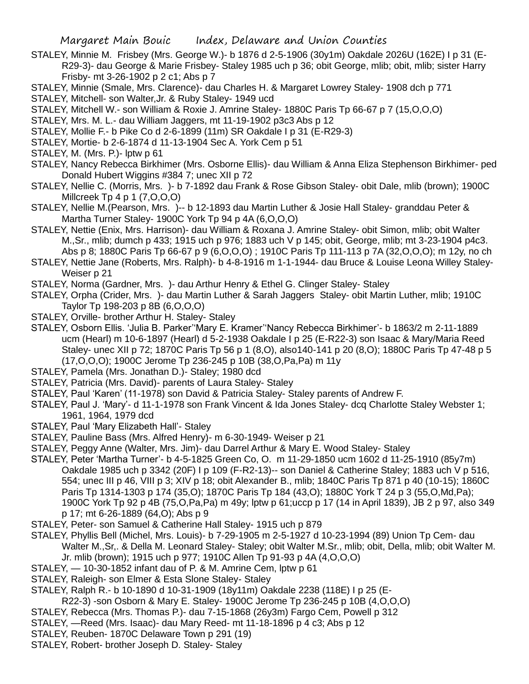- STALEY, Minnie M. Frisbey (Mrs. George W.)- b 1876 d 2-5-1906 (30y1m) Oakdale 2026U (162E) I p 31 (E-R29-3)- dau George & Marie Frisbey- Staley 1985 uch p 36; obit George, mlib; obit, mlib; sister Harry Frisby- mt 3-26-1902 p 2 c1; Abs p 7
- STALEY, Minnie (Smale, Mrs. Clarence)- dau Charles H. & Margaret Lowrey Staley- 1908 dch p 771
- STALEY, Mitchell- son Walter,Jr. & Ruby Staley- 1949 ucd
- STALEY, Mitchell W.- son William & Roxie J. Amrine Staley- 1880C Paris Tp 66-67 p 7 (15,O,O,O)
- STALEY, Mrs. M. L.- dau William Jaggers, mt 11-19-1902 p3c3 Abs p 12
- STALEY, Mollie F.- b Pike Co d 2-6-1899 (11m) SR Oakdale I p 31 (E-R29-3)
- STALEY, Mortie- b 2-6-1874 d 11-13-1904 Sec A. York Cem p 51
- STALEY, M. (Mrs. P.) lptw p 61
- STALEY, Nancy Rebecca Birkhimer (Mrs. Osborne Ellis)- dau William & Anna Eliza Stephenson Birkhimer- ped Donald Hubert Wiggins #384 7; unec XII p 72
- STALEY, Nellie C. (Morris, Mrs. )- b 7-1892 dau Frank & Rose Gibson Staley- obit Dale, mlib (brown); 1900C Millcreek Tp 4 p 1 (7,O,O,O)
- STALEY, Nellie M.(Pearson, Mrs. )-- b 12-1893 dau Martin Luther & Josie Hall Staley- granddau Peter & Martha Turner Staley- 1900C York Tp 94 p 4A (6,O,O,O)
- STALEY, Nettie (Enix, Mrs. Harrison)- dau William & Roxana J. Amrine Staley- obit Simon, mlib; obit Walter M.,Sr., mlib; dumch p 433; 1915 uch p 976; 1883 uch V p 145; obit, George, mlib; mt 3-23-1904 p4c3. Abs p 8; 1880C Paris Tp 66-67 p 9 (6,O,O,O) ; 1910C Paris Tp 111-113 p 7A (32,O,O,O); m 12y, no ch
- STALEY, Nettie Jane (Roberts, Mrs. Ralph)- b 4-8-1916 m 1-1-1944- dau Bruce & Louise Leona Willey Staley-Weiser p 21
- STALEY, Norma (Gardner, Mrs. )- dau Arthur Henry & Ethel G. Clinger Staley- Staley
- STALEY, Orpha (Crider, Mrs. )- dau Martin Luther & Sarah Jaggers Staley- obit Martin Luther, mlib; 1910C Taylor Tp 198-203 p 8B (6,O,O,O)
- STALEY, Orville- brother Arthur H. Staley- Staley
- STALEY, Osborn Ellis. 'Julia B. Parker''Mary E. Kramer''Nancy Rebecca Birkhimer'- b 1863/2 m 2-11-1889 ucm (Hearl) m 10-6-1897 (Hearl) d 5-2-1938 Oakdale I p 25 (E-R22-3) son Isaac & Mary/Maria Reed Staley- unec XII p 72; 1870C Paris Tp 56 p 1 (8,0), also140-141 p 20 (8,0); 1880C Paris Tp 47-48 p 5 (17,O,O,O); 1900C Jerome Tp 236-245 p 10B (38,O,Pa,Pa) m 11y
- STALEY, Pamela (Mrs. Jonathan D.)- Staley; 1980 dcd
- STALEY, Patricia (Mrs. David)- parents of Laura Staley- Staley
- STALEY, Paul 'Karen' (11-1978) son David & Patricia Staley- Staley parents of Andrew F.
- STALEY, Paul J. 'Mary'- d 11-1-1978 son Frank Vincent & Ida Jones Staley- dcq Charlotte Staley Webster 1; 1961, 1964, 1979 dcd
- STALEY, Paul 'Mary Elizabeth Hall'- Staley
- STALEY, Pauline Bass (Mrs. Alfred Henry)- m 6-30-1949- Weiser p 21
- STALEY, Peggy Anne (Walter, Mrs. Jim)- dau Darrel Arthur & Mary E. Wood Staley- Staley
- STALEY, Peter 'Martha Turner'- b 4-5-1825 Green Co, O. m 11-29-1850 ucm 1602 d 11-25-1910 (85y7m) Oakdale 1985 uch p 3342 (20F) I p 109 (F-R2-13)-- son Daniel & Catherine Staley; 1883 uch V p 516, 554; unec III p 46, VIII p 3; XIV p 18; obit Alexander B., mlib; 1840C Paris Tp 871 p 40 (10-15); 1860C Paris Tp 1314-1303 p 174 (35,O); 1870C Paris Tp 184 (43,O); 1880C York T 24 p 3 (55,O,Md,Pa); 1900C York Tp 92 p 4B (75,O,Pa,Pa) m 49y; lptw p 61;uccp p 17 (14 in April 1839), JB 2 p 97, also 349 p 17; mt 6-26-1889 (64,O); Abs p 9
- STALEY, Peter- son Samuel & Catherine Hall Staley- 1915 uch p 879
- STALEY, Phyllis Bell (Michel, Mrs. Louis)- b 7-29-1905 m 2-5-1927 d 10-23-1994 (89) Union Tp Cem- dau Walter M.,Sr,. & Della M. Leonard Staley- Staley; obit Walter M.Sr., mlib; obit, Della, mlib; obit Walter M. Jr. mlib (brown); 1915 uch p 977; 1910C Allen Tp 91-93 p 4A (4,O,O,O)
- STALEY, 10-30-1852 infant dau of P. & M. Amrine Cem, lptw p 61
- STALEY, Raleigh- son Elmer & Esta Slone Staley- Staley
- STALEY, Ralph R.- b 10-1890 d 10-31-1909 (18y11m) Oakdale 2238 (118E) I p 25 (E-
- R22-3) -son Osborn & Mary E. Staley- 1900C Jerome Tp 236-245 p 10B (4,O,O,O)
- STALEY, Rebecca (Mrs. Thomas P.)- dau 7-15-1868 (26y3m) Fargo Cem, Powell p 312
	- STALEY, —Reed (Mrs. Isaac)- dau Mary Reed- mt 11-18-1896 p 4 c3; Abs p 12
	- STALEY, Reuben- 1870C Delaware Town p 291 (19)
	- STALEY, Robert- brother Joseph D. Staley- Staley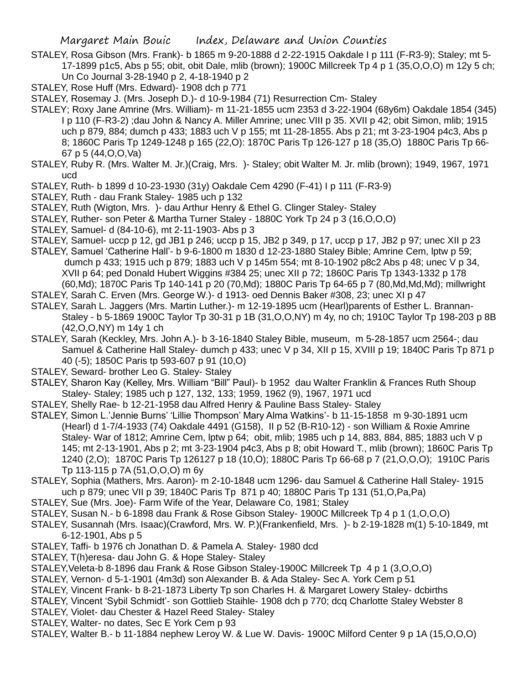- STALEY, Rosa Gibson (Mrs. Frank)- b 1865 m 9-20-1888 d 2-22-1915 Oakdale I p 111 (F-R3-9); Staley; mt 5- 17-1899 p1c5, Abs p 55; obit, obit Dale, mlib (brown); 1900C Millcreek Tp 4 p 1 (35,O,O,O) m 12y 5 ch; Un Co Journal 3-28-1940 p 2, 4-18-1940 p 2
- STALEY, Rose Huff (Mrs. Edward)- 1908 dch p 771
- STALEY, Rosemay J. (Mrs. Joseph D.)- d 10-9-1984 (71) Resurrection Cm- Staley
- STALEY; Roxy Jane Amrine (Mrs. William)- m 11-21-1855 ucm 2353 d 3-22-1904 (68y6m) Oakdale 1854 (345) I p 110 (F-R3-2) ;dau John & Nancy A. Miller Amrine; unec VIII p 35. XVII p 42; obit Simon, mlib; 1915 uch p 879, 884; dumch p 433; 1883 uch V p 155; mt 11-28-1855. Abs p 21; mt 3-23-1904 p4c3, Abs p 8; 1860C Paris Tp 1249-1248 p 165 (22,O): 1870C Paris Tp 126-127 p 18 (35,O) 1880C Paris Tp 66- 67 p 5 (44,O,O,Va)
- STALEY, Ruby R. (Mrs. Walter M. Jr.)(Craig, Mrs. )- Staley; obit Walter M. Jr. mlib (brown); 1949, 1967, 1971 ucd
- STALEY, Ruth- b 1899 d 10-23-1930 (31y) Oakdale Cem 4290 (F-41) I p 111 (F-R3-9)
- STALEY, Ruth dau Frank Staley- 1985 uch p 132
- STALEY, Ruth (Wigton, Mrs. )- dau Arthur Henry & Ethel G. Clinger Staley- Staley
- STALEY, Ruther- son Peter & Martha Turner Staley 1880C York Tp 24 p 3 (16,O,O,O)
- STALEY, Samuel- d (84-10-6), mt 2-11-1903- Abs p 3
- STALEY, Samuel- uccp p 12, gd JB1 p 246; uccp p 15, JB2 p 349, p 17, uccp p 17, JB2 p 97; unec XII p 23
- STALEY, Samuel 'Catherine Hall'- b 9-6-1800 m 1830 d 12-23-1880 Staley Bible; Amrine Cem, lptw p 59; dumch p 433; 1915 uch p 879; 1883 uch V p 145m 554; mt 8-10-1902 p8c2 Abs p 48; unec V p 34, XVII p 64; ped Donald Hubert Wiggins #384 25; unec XII p 72; 1860C Paris Tp 1343-1332 p 178 (60,Md); 1870C Paris Tp 140-141 p 20 (70,Md); 1880C Paris Tp 64-65 p 7 (80,Md,Md,Md); millwright
- STALEY, Sarah C. Erven (Mrs. George W.)- d 1913- oed Dennis Baker #308, 23; unec XI p 47
- STALEY, Sarah L. Jaggers (Mrs. Martin Luther.)- m 12-19-1895 ucm (Hearl)parents of Esther L. Brannan-Staley - b 5-1869 1900C Taylor Tp 30-31 p 1B (31,O,O,NY) m 4y, no ch; 1910C Taylor Tp 198-203 p 8B (42,O,O,NY) m 14y 1 ch
- STALEY, Sarah (Keckley, Mrs. John A.)- b 3-16-1840 Staley Bible, museum, m 5-28-1857 ucm 2564-; dau Samuel & Catherine Hall Staley- dumch p 433; unec V p 34, XII p 15, XVIII p 19; 1840C Paris Tp 871 p 40 (-5); 1850C Paris tp 593-607 p 91 (10,O)
- STALEY, Seward- brother Leo G. Staley- Staley
- STALEY, Sharon Kay (Kelley, Mrs. William "Bill" Paul)- b 1952 dau Walter Franklin & Frances Ruth Shoup Staley- Staley; 1985 uch p 127, 132, 133; 1959, 1962 (9), 1967, 1971 ucd
- STALEY, Shelly Rae- b 12-21-1958 dau Alfred Henry & Pauline Bass Staley- Staley
- STALEY, Simon L.'Jennie Burns' 'Lillie Thompson' Mary Alma Watkins'- b 11-15-1858 m 9-30-1891 ucm (Hearl) d 1-7/4-1933 (74) Oakdale 4491 (G158), II p 52 (B-R10-12) - son William & Roxie Amrine Staley- War of 1812; Amrine Cem, lptw p 64; obit, mlib; 1985 uch p 14, 883, 884, 885; 1883 uch V p 145; mt 2-13-1901, Abs p 2; mt 3-23-1904 p4c3, Abs p 8; obit Howard T., mlib (brown); 1860C Paris Tp 1240 (2,O); 1870C Paris Tp 126127 p 18 (10,O); 1880C Paris Tp 66-68 p 7 (21,O,O,O); 1910C Paris Tp 113-115 p 7A (51,O,O,O) m 6y
- STALEY, Sophia (Mathers, Mrs. Aaron)- m 2-10-1848 ucm 1296- dau Samuel & Catherine Hall Staley- 1915 uch p 879; unec VII p 39; 1840C Paris Tp 871 p 40; 1880C Paris Tp 131 (51,O,Pa,Pa)
- STALEY, Sue (Mrs. Joe)- Farm Wife of the Year, Delaware Co, 1981; Staley
- STALEY, Susan N.- b 6-1898 dau Frank & Rose Gibson Staley- 1900C Millcreek Tp 4 p 1 (1,O,O,O)
- STALEY, Susannah (Mrs. Isaac)(Crawford, Mrs. W. P.)(Frankenfield, Mrs. )- b 2-19-1828 m(1) 5-10-1849, mt 6-12-1901, Abs p 5
- STALEY, Taffi- b 1976 ch Jonathan D. & Pamela A. Staley- 1980 dcd
- STALEY, T(h)eresa- dau John G. & Hope Staley- Staley
- STALEY,Veleta-b 8-1896 dau Frank & Rose Gibson Staley-1900C Millcreek Tp 4 p 1 (3,O,O,O)
- STALEY, Vernon- d 5-1-1901 (4m3d) son Alexander B. & Ada Staley- Sec A. York Cem p 51
- STALEY, Vincent Frank- b 8-21-1873 Liberty Tp son Charles H. & Margaret Lowery Staley- dcbirths
- STALEY, Vincent 'Sybil Schmidt'- son Gottlieb Staihle- 1908 dch p 770; dcq Charlotte Staley Webster 8
- STALEY, Violet- dau Chester & Hazel Reed Staley- Staley
- STALEY, Walter- no dates, Sec E York Cem p 93
- STALEY, Walter B.- b 11-1884 nephew Leroy W. & Lue W. Davis- 1900C Milford Center 9 p 1A (15,O,O,O)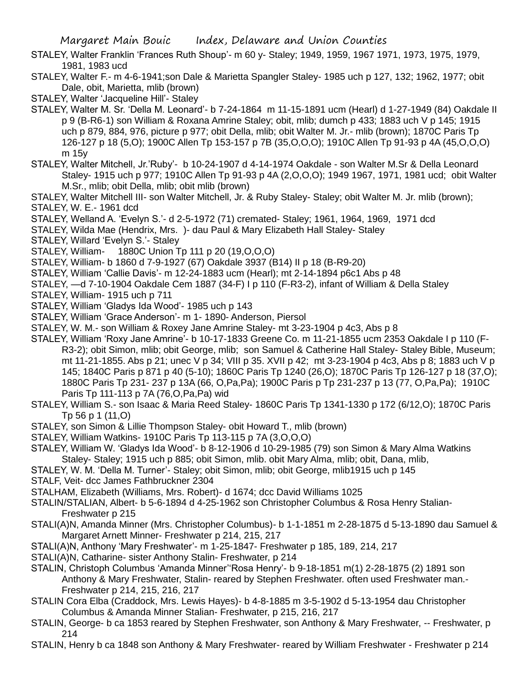STALEY, Walter Franklin 'Frances Ruth Shoup'- m 60 y- Staley; 1949, 1959, 1967 1971, 1973, 1975, 1979, 1981, 1983 ucd

STALEY, Walter F.- m 4-6-1941;son Dale & Marietta Spangler Staley- 1985 uch p 127, 132; 1962, 1977; obit Dale, obit, Marietta, mlib (brown)

STALEY, Walter 'Jacqueline Hill'- Staley

- STALEY, Walter M. Sr. 'Della M. Leonard'- b 7-24-1864 m 11-15-1891 ucm (Hearl) d 1-27-1949 (84) Oakdale II p 9 (B-R6-1) son William & Roxana Amrine Staley; obit, mlib; dumch p 433; 1883 uch V p 145; 1915 uch p 879, 884, 976, picture p 977; obit Della, mlib; obit Walter M. Jr.- mlib (brown); 1870C Paris Tp 126-127 p 18 (5,O); 1900C Allen Tp 153-157 p 7B (35,O,O,O); 1910C Allen Tp 91-93 p 4A (45,O,O,O) m 15y
- STALEY, Walter Mitchell, Jr.'Ruby'- b 10-24-1907 d 4-14-1974 Oakdale son Walter M.Sr & Della Leonard Staley- 1915 uch p 977; 1910C Allen Tp 91-93 p 4A (2,O,O,O); 1949 1967, 1971, 1981 ucd; obit Walter M.Sr., mlib; obit Della, mlib; obit mlib (brown)
- STALEY, Walter Mitchell III- son Walter Mitchell, Jr. & Ruby Staley- Staley; obit Walter M. Jr. mlib (brown); STALEY, W. E.- 1961 dcd
- STALEY, Welland A. 'Evelyn S.'- d 2-5-1972 (71) cremated- Staley; 1961, 1964, 1969, 1971 dcd
- STALEY, Wilda Mae (Hendrix, Mrs. )- dau Paul & Mary Elizabeth Hall Staley- Staley
- STALEY, Willard 'Evelyn S.'- Staley
- STALEY, William- 1880C Union Tp 111 p 20 (19,O,O,O)
- STALEY, William- b 1860 d 7-9-1927 (67) Oakdale 3937 (B14) II p 18 (B-R9-20)
- STALEY, William 'Callie Davis'- m 12-24-1883 ucm (Hearl); mt 2-14-1894 p6c1 Abs p 48
- STALEY, —d 7-10-1904 Oakdale Cem 1887 (34-F) I p 110 (F-R3-2), infant of William & Della Staley
- STALEY, William- 1915 uch p 711
- STALEY, William 'Gladys Ida Wood'- 1985 uch p 143
- STALEY, William 'Grace Anderson'- m 1- 1890- Anderson, Piersol
- STALEY, W. M.- son William & Roxey Jane Amrine Staley- mt 3-23-1904 p 4c3, Abs p 8
- STALEY, William 'Roxy Jane Amrine'- b 10-17-1833 Greene Co. m 11-21-1855 ucm 2353 Oakdale I p 110 (F-R3-2); obit Simon, mlib; obit George, mlib; son Samuel & Catherine Hall Staley- Staley Bible, Museum; mt 11-21-1855. Abs p 21; unec V p 34; VIII p 35. XVII p 42; mt 3-23-1904 p 4c3, Abs p 8; 1883 uch V p 145; 1840C Paris p 871 p 40 (5-10); 1860C Paris Tp 1240 (26,O); 1870C Paris Tp 126-127 p 18 (37,O); 1880C Paris Tp 231- 237 p 13A (66, O,Pa,Pa); 1900C Paris p Tp 231-237 p 13 (77, O,Pa,Pa); 1910C Paris Tp 111-113 p 7A (76,O,Pa,Pa) wid
- STALEY, William S.- son Isaac & Maria Reed Staley- 1860C Paris Tp 1341-1330 p 172 (6/12,O); 1870C Paris Tp 56 p 1 (11,O)
- STALEY, son Simon & Lillie Thompson Staley- obit Howard T., mlib (brown)
- STALEY, William Watkins- 1910C Paris Tp 113-115 p 7A (3,O,O,O)
- STALEY, William W. 'Gladys Ida Wood'- b 8-12-1906 d 10-29-1985 (79) son Simon & Mary Alma Watkins Staley- Staley; 1915 uch p 885; obit Simon, mlib. obit Mary Alma, mlib; obit, Dana, mlib,
- STALEY, W. M. 'Della M. Turner'- Staley; obit Simon, mlib; obit George, mlib1915 uch p 145
- STALF, Veit- dcc James Fathbruckner 2304
- STALHAM, Elizabeth (Williams, Mrs. Robert)- d 1674; dcc David Williams 1025
- STALIN/STALIAN, Albert- b 5-6-1894 d 4-25-1962 son Christopher Columbus & Rosa Henry Stalian-Freshwater p 215
- STALI(A)N, Amanda Minner (Mrs. Christopher Columbus)- b 1-1-1851 m 2-28-1875 d 5-13-1890 dau Samuel & Margaret Arnett Minner- Freshwater p 214, 215, 217
- STALI(A)N, Anthony 'Mary Freshwater'- m 1-25-1847- Freshwater p 185, 189, 214, 217
- STALI(A)N, Catharine- sister Anthony Stalin- Freshwater, p 214
- STALIN, Christoph Columbus 'Amanda Minner''Rosa Henry'- b 9-18-1851 m(1) 2-28-1875 (2) 1891 son Anthony & Mary Freshwater, Stalin- reared by Stephen Freshwater. often used Freshwater man.- Freshwater p 214, 215, 216, 217
- STALIN Cora Elba (Craddock, Mrs. Lewis Hayes)- b 4-8-1885 m 3-5-1902 d 5-13-1954 dau Christopher Columbus & Amanda Minner Stalian- Freshwater, p 215, 216, 217
- STALIN, George- b ca 1853 reared by Stephen Freshwater, son Anthony & Mary Freshwater, -- Freshwater, p 214
- STALIN, Henry b ca 1848 son Anthony & Mary Freshwater- reared by William Freshwater Freshwater p 214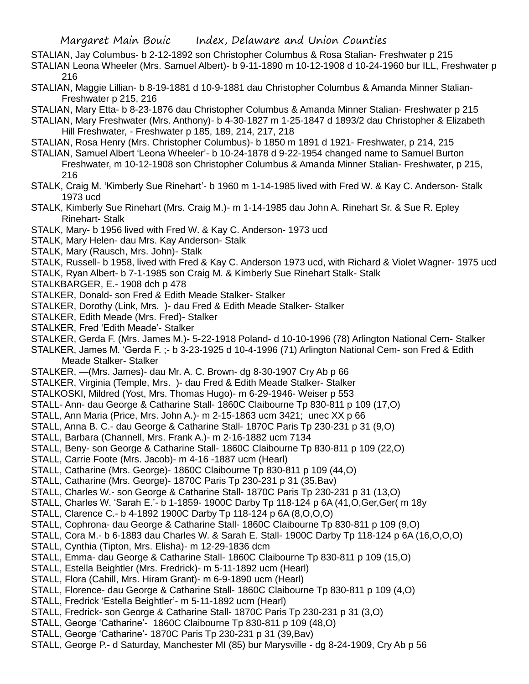STALIAN, Jay Columbus- b 2-12-1892 son Christopher Columbus & Rosa Stalian- Freshwater p 215

STALIAN Leona Wheeler (Mrs. Samuel Albert)- b 9-11-1890 m 10-12-1908 d 10-24-1960 bur ILL, Freshwater p 216

STALIAN, Maggie Lillian- b 8-19-1881 d 10-9-1881 dau Christopher Columbus & Amanda Minner Stalian-Freshwater p 215, 216

STALIAN, Mary Etta- b 8-23-1876 dau Christopher Columbus & Amanda Minner Stalian- Freshwater p 215

STALIAN, Mary Freshwater (Mrs. Anthony)- b 4-30-1827 m 1-25-1847 d 1893/2 dau Christopher & Elizabeth Hill Freshwater, - Freshwater p 185, 189, 214, 217, 218

- STALIAN, Rosa Henry (Mrs. Christopher Columbus)- b 1850 m 1891 d 1921- Freshwater, p 214, 215
- STALIAN, Samuel Albert 'Leona Wheeler'- b 10-24-1878 d 9-22-1954 changed name to Samuel Burton Freshwater, m 10-12-1908 son Christopher Columbus & Amanda Minner Stalian- Freshwater, p 215, 216
- STALK, Craig M. 'Kimberly Sue Rinehart'- b 1960 m 1-14-1985 lived with Fred W. & Kay C. Anderson- Stalk 1973 ucd

STALK, Kimberly Sue Rinehart (Mrs. Craig M.)- m 1-14-1985 dau John A. Rinehart Sr. & Sue R. Epley Rinehart- Stalk

- STALK, Mary- b 1956 lived with Fred W. & Kay C. Anderson- 1973 ucd
- STALK, Mary Helen- dau Mrs. Kay Anderson- Stalk
- STALK, Mary (Rausch, Mrs. John)- Stalk

STALK, Russell- b 1958, lived with Fred & Kay C. Anderson 1973 ucd, with Richard & Violet Wagner- 1975 ucd

- STALK, Ryan Albert- b 7-1-1985 son Craig M. & Kimberly Sue Rinehart Stalk- Stalk
- STALKBARGER, E.- 1908 dch p 478
- STALKER, Donald- son Fred & Edith Meade Stalker- Stalker
- STALKER, Dorothy (Link, Mrs. )- dau Fred & Edith Meade Stalker- Stalker
- STALKER, Edith Meade (Mrs. Fred)- Stalker
- STALKER, Fred 'Edith Meade'- Stalker
- STALKER, Gerda F. (Mrs. James M.)- 5-22-1918 Poland- d 10-10-1996 (78) Arlington National Cem- Stalker
- STALKER, James M. 'Gerda F. ;- b 3-23-1925 d 10-4-1996 (71) Arlington National Cem- son Fred & Edith Meade Stalker- Stalker
- STALKER, —(Mrs. James)- dau Mr. A. C. Brown- dg 8-30-1907 Cry Ab p 66
- STALKER, Virginia (Temple, Mrs. )- dau Fred & Edith Meade Stalker- Stalker
- STALKOSKI, Mildred (Yost, Mrs. Thomas Hugo)- m 6-29-1946- Weiser p 553
- STALL- Ann- dau George & Catharine Stall- 1860C Claibourne Tp 830-811 p 109 (17,O)
- STALL, Ann Maria (Price, Mrs. John A.)- m 2-15-1863 ucm 3421; unec XX p 66
- STALL, Anna B. C.- dau George & Catharine Stall- 1870C Paris Tp 230-231 p 31 (9,O)
- STALL, Barbara (Channell, Mrs. Frank A.)- m 2-16-1882 ucm 7134
- STALL, Beny- son George & Catharine Stall- 1860C Claibourne Tp 830-811 p 109 (22,O)
- STALL, Carrie Foote (Mrs. Jacob)- m 4-16 -1887 ucm (Hearl)
- STALL, Catharine (Mrs. George)- 1860C Claibourne Tp 830-811 p 109 (44,O)
- STALL, Catharine (Mrs. George)- 1870C Paris Tp 230-231 p 31 (35.Bav)
- STALL, Charles W.- son George & Catharine Stall- 1870C Paris Tp 230-231 p 31 (13,O)
- STALL, Charles W. 'Sarah E.'- b 1-1859- 1900C Darby Tp 118-124 p 6A (41,O,Ger,Ger( m 18y
- STALL, Clarence C.- b 4-1892 1900C Darby Tp 118-124 p 6A (8,O,O,O)
- STALL, Cophrona- dau George & Catharine Stall- 1860C Claibourne Tp 830-811 p 109 (9,O)
- STALL, Cora M.- b 6-1883 dau Charles W. & Sarah E. Stall- 1900C Darby Tp 118-124 p 6A (16,O,O,O)
- STALL, Cynthia (Tipton, Mrs. Elisha)- m 12-29-1836 dcm
- STALL, Emma- dau George & Catharine Stall- 1860C Claibourne Tp 830-811 p 109 (15,O)
- STALL, Estella Beightler (Mrs. Fredrick)- m 5-11-1892 ucm (Hearl)
- STALL, Flora (Cahill, Mrs. Hiram Grant)- m 6-9-1890 ucm (Hearl)
- STALL, Florence- dau George & Catharine Stall- 1860C Claibourne Tp 830-811 p 109 (4,O)
- STALL, Fredrick 'Estella Beightler'- m 5-11-1892 ucm (Hearl)
- STALL, Fredrick- son George & Catharine Stall- 1870C Paris Tp 230-231 p 31 (3,O)
- STALL, George 'Catharine'- 1860C Claibourne Tp 830-811 p 109 (48,O)
- STALL, George 'Catharine'- 1870C Paris Tp 230-231 p 31 (39,Bav)
- STALL, George P.- d Saturday, Manchester MI (85) bur Marysville dg 8-24-1909, Cry Ab p 56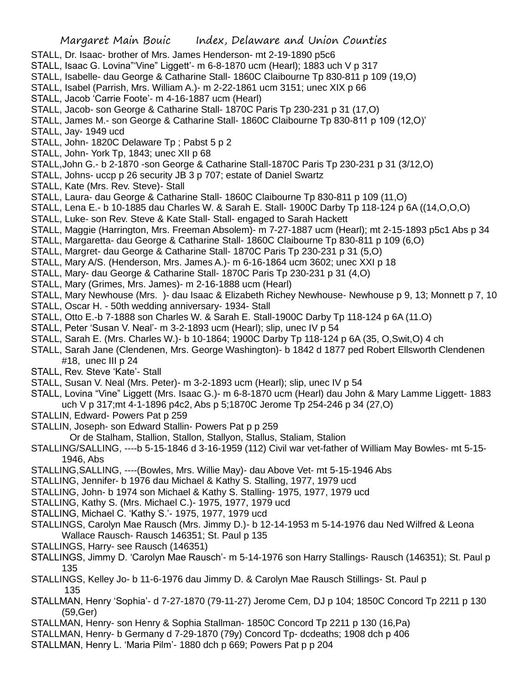- STALL, Dr. Isaac- brother of Mrs. James Henderson- mt 2-19-1890 p5c6
- STALL, Isaac G. Lovina"'Vine" Liggett'- m 6-8-1870 ucm (Hearl); 1883 uch V p 317
- STALL, Isabelle- dau George & Catharine Stall- 1860C Claibourne Tp 830-811 p 109 (19,O)
- STALL, Isabel (Parrish, Mrs. William A.)- m 2-22-1861 ucm 3151; unec XIX p 66
- STALL, Jacob 'Carrie Foote'- m 4-16-1887 ucm (Hearl)
- STALL, Jacob- son George & Catharine Stall- 1870C Paris Tp 230-231 p 31 (17,O)
- STALL, James M.- son George & Catharine Stall- 1860C Claibourne Tp 830-811 p 109 (12,O)'
- STALL, Jay- 1949 ucd
- STALL, John- 1820C Delaware Tp ; Pabst 5 p 2
- STALL, John- York Tp, 1843; unec XII p 68
- STALL,John G.- b 2-1870 -son George & Catharine Stall-1870C Paris Tp 230-231 p 31 (3/12,O)
- STALL, Johns- uccp p 26 security JB 3 p 707; estate of Daniel Swartz
- STALL, Kate (Mrs. Rev. Steve)- Stall
- STALL, Laura- dau George & Catharine Stall- 1860C Claibourne Tp 830-811 p 109 (11,O)
- STALL, Lena E.- b 10-1885 dau Charles W. & Sarah E. Stall- 1900C Darby Tp 118-124 p 6A ((14,O,O,O)
- STALL, Luke- son Rev. Steve & Kate Stall- Stall- engaged to Sarah Hackett
- STALL, Maggie (Harrington, Mrs. Freeman Absolem)- m 7-27-1887 ucm (Hearl); mt 2-15-1893 p5c1 Abs p 34
- STALL, Margaretta- dau George & Catharine Stall- 1860C Claibourne Tp 830-811 p 109 (6,O)
- STALL, Margret- dau George & Catharine Stall- 1870C Paris Tp 230-231 p 31 (5,O)
- STALL, Mary A/S. (Henderson, Mrs. James A.)- m 6-16-1864 ucm 3602; unec XXI p 18
- STALL, Mary- dau George & Catharine Stall- 1870C Paris Tp 230-231 p 31 (4,O)
- STALL, Mary (Grimes, Mrs. James)- m 2-16-1888 ucm (Hearl)
- STALL, Mary Newhouse (Mrs. )- dau Isaac & Elizabeth Richey Newhouse- Newhouse p 9, 13; Monnett p 7, 10
- STALL, Oscar H. 50th wedding anniversary- 1934- Stall
- STALL, Otto E.-b 7-1888 son Charles W. & Sarah E. Stall-1900C Darby Tp 118-124 p 6A (11.O)
- STALL, Peter 'Susan V. Neal'- m 3-2-1893 ucm (Hearl); slip, unec IV p 54
- STALL, Sarah E. (Mrs. Charles W.)- b 10-1864; 1900C Darby Tp 118-124 p 6A (35, O,Swit,O) 4 ch
- STALL, Sarah Jane (Clendenen, Mrs. George Washington)- b 1842 d 1877 ped Robert Ellsworth Clendenen #18, unec III p 24
- STALL, Rev. Steve 'Kate'- Stall
- STALL, Susan V. Neal (Mrs. Peter)- m 3-2-1893 ucm (Hearl); slip, unec IV p 54
- STALL, Lovina "Vine" Liggett (Mrs. Isaac G.)- m 6-8-1870 ucm (Hearl) dau John & Mary Lamme Liggett- 1883 uch V p 317;mt 4-1-1896 p4c2, Abs p 5;1870C Jerome Tp 254-246 p 34 (27,O)
- STALLIN, Edward- Powers Pat p 259
- STALLIN, Joseph- son Edward Stallin- Powers Pat p p 259
- Or de Stalham, Stallion, Stallon, Stallyon, Stallus, Staliam, Stalion
- STALLING/SALLING, ----b 5-15-1846 d 3-16-1959 (112) Civil war vet-father of William May Bowles- mt 5-15- 1946, Abs
- STALLING,SALLING, ----(Bowles, Mrs. Willie May)- dau Above Vet- mt 5-15-1946 Abs
- STALLING, Jennifer- b 1976 dau Michael & Kathy S. Stalling, 1977, 1979 ucd
- STALLING, John- b 1974 son Michael & Kathy S. Stalling- 1975, 1977, 1979 ucd
- STALLING, Kathy S. (Mrs. Michael C.)- 1975, 1977, 1979 ucd
- STALLING, Michael C. 'Kathy S.'- 1975, 1977, 1979 ucd
- STALLINGS, Carolyn Mae Rausch (Mrs. Jimmy D.)- b 12-14-1953 m 5-14-1976 dau Ned Wilfred & Leona Wallace Rausch- Rausch 146351; St. Paul p 135
- STALLINGS, Harry- see Rausch (146351)
- STALLINGS, Jimmy D. 'Carolyn Mae Rausch'- m 5-14-1976 son Harry Stallings- Rausch (146351); St. Paul p 135
- STALLINGS, Kelley Jo- b 11-6-1976 dau Jimmy D. & Carolyn Mae Rausch Stillings- St. Paul p 135
- STALLMAN, Henry 'Sophia'- d 7-27-1870 (79-11-27) Jerome Cem, DJ p 104; 1850C Concord Tp 2211 p 130 (59,Ger)
- STALLMAN, Henry- son Henry & Sophia Stallman- 1850C Concord Tp 2211 p 130 (16,Pa)
- STALLMAN, Henry- b Germany d 7-29-1870 (79y) Concord Tp- dcdeaths; 1908 dch p 406
- STALLMAN, Henry L. 'Maria Pilm'- 1880 dch p 669; Powers Pat p p 204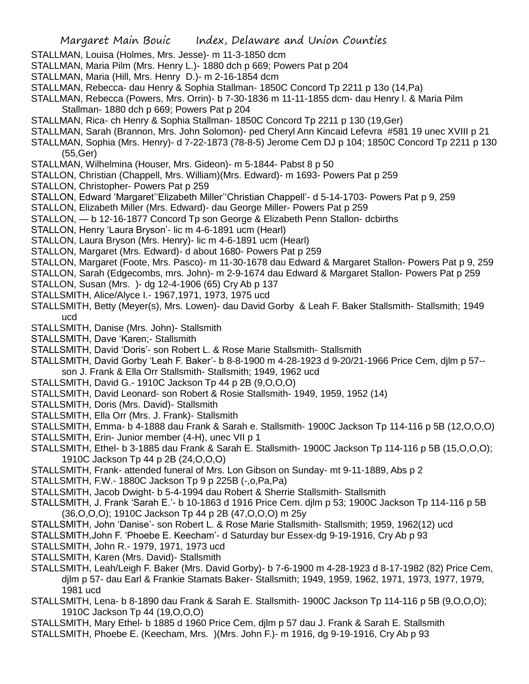- STALLMAN, Louisa (Holmes, Mrs. Jesse)- m 11-3-1850 dcm
- STALLMAN, Maria Pilm (Mrs. Henry L.)- 1880 dch p 669; Powers Pat p 204
- STALLMAN, Maria (Hill, Mrs. Henry D.)- m 2-16-1854 dcm
- STALLMAN, Rebecca- dau Henry & Sophia Stallman- 1850C Concord Tp 2211 p 13o (14,Pa)
- STALLMAN, Rebecca (Powers, Mrs. Orrin)- b 7-30-1836 m 11-11-1855 dcm- dau Henry l. & Maria Pilm Stallman- 1880 dch p 669; Powers Pat p 204
- STALLMAN, Rica- ch Henry & Sophia Stallman- 1850C Concord Tp 2211 p 130 (19,Ger)
- STALLMAN, Sarah (Brannon, Mrs. John Solomon)- ped Cheryl Ann Kincaid Lefevra #581 19 unec XVIII p 21
- STALLMAN, Sophia (Mrs. Henry)- d 7-22-1873 (78-8-5) Jerome Cem DJ p 104; 1850C Concord Tp 2211 p 130 (55,Ger)
- STALLMAN, Wilhelmina (Houser, Mrs. Gideon)- m 5-1844- Pabst 8 p 50
- STALLON, Christian (Chappell, Mrs. William)(Mrs. Edward)- m 1693- Powers Pat p 259
- STALLON, Christopher- Powers Pat p 259
- STALLON, Edward 'Margaret''Elizabeth Miller''Christian Chappell'- d 5-14-1703- Powers Pat p 9, 259
- STALLON, Elizabeth Miller (Mrs. Edward)- dau George Miller- Powers Pat p 259
- STALLON, b 12-16-1877 Concord Tp son George & Elizabeth Penn Stallon- dcbirths
- STALLON, Henry 'Laura Bryson'- lic m 4-6-1891 ucm (Hearl)
- STALLON, Laura Bryson (Mrs. Henry)- lic m 4-6-1891 ucm (Hearl)
- STALLON, Margaret (Mrs. Edward)- d about 1680- Powers Pat p 259
- STALLON, Margaret (Foote, Mrs. Pasco)- m 11-30-1678 dau Edward & Margaret Stallon- Powers Pat p 9, 259
- STALLON, Sarah (Edgecombs, mrs. John)- m 2-9-1674 dau Edward & Margaret Stallon- Powers Pat p 259
- STALLON, Susan (Mrs. )- dg 12-4-1906 (65) Cry Ab p 137
- STALLSMITH, Alice/Alyce I.- 1967,1971, 1973, 1975 ucd
- STALLSMITH, Betty (Meyer(s), Mrs. Lowen)- dau David Gorby & Leah F. Baker Stallsmith- Stallsmith; 1949 ucd
- STALLSMITH, Danise (Mrs. John)- Stallsmith
- STALLSMITH, Dave 'Karen;- Stallsmith
- STALLSMITH, David 'Doris'- son Robert L. & Rose Marie Stallsmith- Stallsmith
- STALLSMITH, David Gorby 'Leah F. Baker'- b 8-8-1900 m 4-28-1923 d 9-20/21-1966 Price Cem, djlm p 57- son J. Frank & Ella Orr Stallsmith- Stallsmith; 1949, 1962 ucd
- STALLSMITH, David G.- 1910C Jackson Tp 44 p 2B (9,O,O,O)
- STALLSMITH, David Leonard- son Robert & Rosie Stallsmith- 1949, 1959, 1952 (14)
- STALLSMITH, Doris (Mrs. David)- Stallsmith
- STALLSMITH, Ella Orr (Mrs. J. Frank)- Stallsmith
- STALLSMITH, Emma- b 4-1888 dau Frank & Sarah e. Stallsmith- 1900C Jackson Tp 114-116 p 5B (12,O,O,O)
- STALLSMITH, Erin- Junior member (4-H), unec VII p 1
- STALLSMITH, Ethel- b 3-1885 dau Frank & Sarah E. Stallsmith- 1900C Jackson Tp 114-116 p 5B (15,O,O,O); 1910C Jackson Tp 44 p 2B (24,O,O,O)
- STALLSMITH, Frank- attended funeral of Mrs. Lon Gibson on Sunday- mt 9-11-1889, Abs p 2
- STALLSMITH, F.W.- 1880C Jackson Tp 9 p 225B (-,o,Pa,Pa)
- STALLSMITH, Jacob Dwight- b 5-4-1994 dau Robert & Sherrie Stallsmith- Stallsmith
- STALLSMITH, J. Frank 'Sarah E.'- b 10-1863 d 1916 Price Cem. djlm p 53; 1900C Jackson Tp 114-116 p 5B (36,O,O,O); 1910C Jackson Tp 44 p 2B (47,O,O,O) m 25y
- STALLSMITH, John 'Danise'- son Robert L. & Rose Marie Stallsmith- Stallsmith; 1959, 1962(12) ucd
- STALLSMITH,John F. 'Phoebe E. Keecham'- d Saturday bur Essex-dg 9-19-1916, Cry Ab p 93
- STALLSMITH, John R.- 1979, 1971, 1973 ucd
- STALLSMITH, Karen (Mrs. David)- Stallsmith
- STALLSMITH, Leah/Leigh F. Baker (Mrs. David Gorby)- b 7-6-1900 m 4-28-1923 d 8-17-1982 (82) Price Cem, djlm p 57- dau Earl & Frankie Stamats Baker- Stallsmith; 1949, 1959, 1962, 1971, 1973, 1977, 1979, 1981 ucd
- STALLSMITH, Lena- b 8-1890 dau Frank & Sarah E. Stallsmith- 1900C Jackson Tp 114-116 p 5B (9,O,O,O); 1910C Jackson Tp 44 (19,O,O,O)
- STALLSMITH, Mary Ethel- b 1885 d 1960 Price Cem, djlm p 57 dau J. Frank & Sarah E. Stallsmith
- STALLSMITH, Phoebe E. (Keecham, Mrs. )(Mrs. John F.)- m 1916, dg 9-19-1916, Cry Ab p 93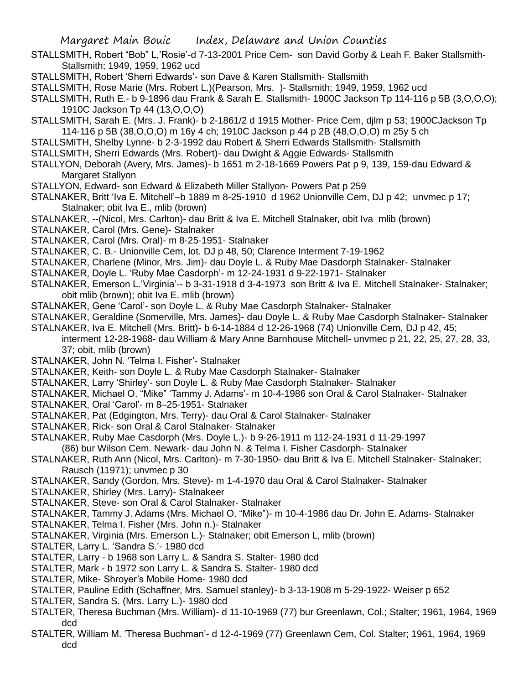- STALLSMITH, Robert "Bob" L,'Rosie'-d 7-13-2001 Price Cem- son David Gorby & Leah F. Baker Stallsmith-Stallsmith; 1949, 1959, 1962 ucd
- STALLSMITH, Robert 'Sherri Edwards'- son Dave & Karen Stallsmith- Stallsmith
- STALLSMITH, Rose Marie (Mrs. Robert L.)(Pearson, Mrs. )- Stallsmith; 1949, 1959, 1962 ucd
- STALLSMITH, Ruth E.- b 9-1896 dau Frank & Sarah E. Stallsmith- 1900C Jackson Tp 114-116 p 5B (3,O,O,O); 1910C Jackson Tp 44 (13,O,O,O)
- STALLSMITH, Sarah E. (Mrs. J. Frank)- b 2-1861/2 d 1915 Mother- Price Cem, djlm p 53; 1900CJackson Tp 114-116 p 5B (38,O,O,O) m 16y 4 ch; 1910C Jackson p 44 p 2B (48,O,O,O) m 25y 5 ch
- STALLSMITH, Shelby Lynne- b 2-3-1992 dau Robert & Sherri Edwards Stallsmith- Stallsmith
- STALLSMITH, Sherri Edwards (Mrs. Robert)- dau Dwight & Aggie Edwards- Stallsmith
- STALLYON, Deborah (Avery, Mrs. James)- b 1651 m 2-18-1669 Powers Pat p 9, 139, 159-dau Edward & Margaret Stallyon
- STALLYON, Edward- son Edward & Elizabeth Miller Stallyon- Powers Pat p 259
- STALNAKER, Britt 'Iva E. Mitchell'–b 1889 m 8-25-1910 d 1962 Unionville Cem, DJ p 42; unvmec p 17; Stalnaker; obit Iva E., mlib (brown)
- STALNAKER, --(Nicol, Mrs. Carlton)- dau Britt & Iva E. Mitchell Stalnaker, obit Iva mlib (brown)
- STALNAKER, Carol (Mrs. Gene)- Stalnaker
- STALNAKER, Carol (Mrs. Oral)- m 8-25-1951- Stalnaker
- STALNAKER, C. B.- Unionville Cem, lot. DJ p 48, 50; Clarence Interment 7-19-1962
- STALNAKER, Charlene (Minor, Mrs. Jim)- dau Doyle L. & Ruby Mae Dasdorph Stalnaker- Stalnaker
- STALNAKER, Doyle L. 'Ruby Mae Casdorph'- m 12-24-1931 d 9-22-1971- Stalnaker
- STALNAKER, Emerson L.'Virginia'-- b 3-31-1918 d 3-4-1973 son Britt & Iva E. Mitchell Stalnaker- Stalnaker; obit mlib (brown); obit Iva E. mlib (brown)
- STALNAKER, Gene 'Carol'- son Doyle L. & Ruby Mae Casdorph Stalnaker- Stalnaker
- STALNAKER, Geraldine (Somerville, Mrs. James)- dau Doyle L. & Ruby Mae Casdorph Stalnaker- Stalnaker
- STALNAKER, Iva E. Mitchell (Mrs. Britt)- b 6-14-1884 d 12-26-1968 (74) Unionville Cem, DJ p 42, 45;
	- interment 12-28-1968- dau William & Mary Anne Barnhouse Mitchell- unvmec p 21, 22, 25, 27, 28, 33, 37; obit, mlib (brown)
- STALNAKER, John N. 'Telma I. Fisher'- Stalnaker
- STALNAKER, Keith- son Doyle L. & Ruby Mae Casdorph Stalnaker- Stalnaker
- STALNAKER, Larry 'Shirley'- son Doyle L. & Ruby Mae Casdorph Stalnaker- Stalnaker
- STALNAKER, Michael O. "Mike" 'Tammy J. Adams'- m 10-4-1986 son Oral & Carol Stalnaker- Stalnaker
- STALNAKER, Oral 'Carol'- m 8–25-1951- Stalnaker
- STALNAKER, Pat (Edgington, Mrs. Terry)- dau Oral & Carol Stalnaker- Stalnaker
- STALNAKER, Rick- son Oral & Carol Stalnaker- Stalnaker
- STALNAKER, Ruby Mae Casdorph (Mrs. Doyle L.)- b 9-26-1911 m 112-24-1931 d 11-29-1997
- (86) bur Wilson Cem. Newark- dau John N. & Telma I. Fisher Casdorph- Stalnaker
- STALNAKER, Ruth Ann (Nicol, Mrs. Carlton)- m 7-30-1950- dau Britt & Iva E. Mitchell Stalnaker- Stalnaker; Rausch (11971); unvmec p 30
- STALNAKER, Sandy (Gordon, Mrs. Steve)- m 1-4-1970 dau Oral & Carol Stalnaker- Stalnaker
- STALNAKER, Shirley (Mrs. Larry)- Stalnakeer
- STALNAKER, Steve- son Oral & Carol Stalnaker- Stalnaker
- STALNAKER, Tammy J. Adams (Mrs. Michael O. "Mike")- m 10-4-1986 dau Dr. John E. Adams- Stalnaker
- STALNAKER, Telma I. Fisher (Mrs. John n.)- Stalnaker
- STALNAKER, Virginia (Mrs. Emerson L.)- Stalnaker; obit Emerson L, mlib (brown)
- STALTER, Larry L. 'Sandra S.'- 1980 dcd
- STALTER, Larry b 1968 son Larry L. & Sandra S. Stalter- 1980 dcd
- STALTER, Mark b 1972 son Larry L. & Sandra S. Stalter- 1980 dcd
- STALTER, Mike- Shroyer's Mobile Home- 1980 dcd
- STALTER, Pauline Edith (Schaffner, Mrs. Samuel stanley)- b 3-13-1908 m 5-29-1922- Weiser p 652
- STALTER, Sandra S. (Mrs. Larry L.)- 1980 dcd
- STALTER, Theresa Buchman (Mrs. William)- d 11-10-1969 (77) bur Greenlawn, Col.; Stalter; 1961, 1964, 1969 dcd
- STALTER, William M. 'Theresa Buchman'- d 12-4-1969 (77) Greenlawn Cem, Col. Stalter; 1961, 1964, 1969 dcd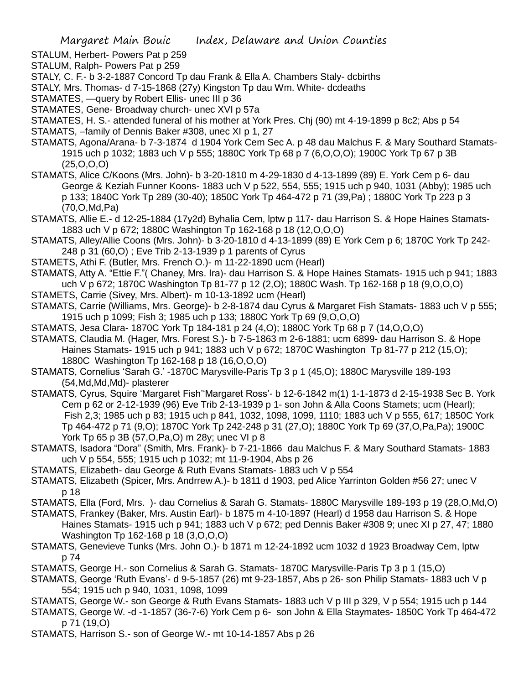- STALUM, Herbert- Powers Pat p 259
- STALUM, Ralph- Powers Pat p 259
- STALY, C. F.- b 3-2-1887 Concord Tp dau Frank & Ella A. Chambers Staly- dcbirths
- STALY, Mrs. Thomas- d 7-15-1868 (27y) Kingston Tp dau Wm. White- dcdeaths
- STAMATES, —query by Robert Ellis- unec III p 36
- STAMATES, Gene- Broadway church- unec XVI p 57a
- STAMATES, H. S.- attended funeral of his mother at York Pres. Chj (90) mt 4-19-1899 p 8c2; Abs p 54
- STAMATS, –family of Dennis Baker #308, unec XI p 1, 27
- STAMATS, Agona/Arana- b 7-3-1874 d 1904 York Cem Sec A. p 48 dau Malchus F. & Mary Southard Stamats-1915 uch p 1032; 1883 uch V p 555; 1880C York Tp 68 p 7 (6,O,O,O); 1900C York Tp 67 p 3B (25,O,O,O)
- STAMATS, Alice C/Koons (Mrs. John)- b 3-20-1810 m 4-29-1830 d 4-13-1899 (89) E. York Cem p 6- dau George & Keziah Funner Koons- 1883 uch V p 522, 554, 555; 1915 uch p 940, 1031 (Abby); 1985 uch p 133; 1840C York Tp 289 (30-40); 1850C York Tp 464-472 p 71 (39,Pa) ; 1880C York Tp 223 p 3 (70,O,Md,Pa)
- STAMATS, Allie E.- d 12-25-1884 (17y2d) Byhalia Cem, lptw p 117- dau Harrison S. & Hope Haines Stamats-1883 uch V p 672; 1880C Washington Tp 162-168 p 18 (12,O,O,O)
- STAMATS, Alley/Allie Coons (Mrs. John)- b 3-20-1810 d 4-13-1899 (89) E York Cem p 6; 1870C York Tp 242- 248 p 31 (60,O) ; Eve Trib 2-13-1939 p 1 parents of Cyrus
- STAMETS, Athi F. (Butler, Mrs. French O.)- m 11-22-1890 ucm (Hearl)
- STAMATS, Atty A. "Ettie F."( Chaney, Mrs. Ira)- dau Harrison S. & Hope Haines Stamats- 1915 uch p 941; 1883 uch V p 672; 1870C Washington Tp 81-77 p 12 (2,O); 1880C Wash. Tp 162-168 p 18 (9,O,O,O)
- STAMETS, Carrie (Sivey, Mrs. Albert)- m 10-13-1892 ucm (Hearl)
- STAMATS, Carrie (Williams, Mrs. George)- b 2-8-1874 dau Cyrus & Margaret Fish Stamats- 1883 uch V p 555; 1915 uch p 1099; Fish 3; 1985 uch p 133; 1880C York Tp 69 (9,O,O,O)
- STAMATS, Jesa Clara- 1870C York Tp 184-181 p 24 (4,O); 1880C York Tp 68 p 7 (14,O,O,O)
- STAMATS, Claudia M. (Hager, Mrs. Forest S.)- b 7-5-1863 m 2-6-1881; ucm 6899- dau Harrison S. & Hope Haines Stamats- 1915 uch p 941; 1883 uch V p 672; 1870C Washington Tp 81-77 p 212 (15,O); 1880C Washington Tp 162-168 p 18 (16,O,O,O)
- STAMATS, Cornelius 'Sarah G.' -1870C Marysville-Paris Tp 3 p 1 (45,O); 1880C Marysville 189-193 (54,Md,Md,Md)- plasterer
- STAMATS, Cyrus, Squire 'Margaret Fish''Margaret Ross'- b 12-6-1842 m(1) 1-1-1873 d 2-15-1938 Sec B. York Cem p 62 or 2-12-1939 (96) Eve Trib 2-13-1939 p 1- son John & Alla Coons Stamets; ucm (Hearl); Fish 2,3; 1985 uch p 83; 1915 uch p 841, 1032, 1098, 1099, 1110; 1883 uch V p 555, 617; 1850C York Tp 464-472 p 71 (9,O); 1870C York Tp 242-248 p 31 (27,O); 1880C York Tp 69 (37,O,Pa,Pa); 1900C York Tp 65 p 3B (57,O,Pa,O) m 28y; unec VI p 8
- STAMATS, Isadora "Dora" (Smith, Mrs. Frank)- b 7-21-1866 dau Malchus F. & Mary Southard Stamats- 1883 uch V p 554, 555; 1915 uch p 1032; mt 11-9-1904, Abs p 26
- STAMATS, Elizabeth- dau George & Ruth Evans Stamats- 1883 uch V p 554
- STAMATS, Elizabeth (Spicer, Mrs. Andrrew A.)- b 1811 d 1903, ped Alice Yarrinton Golden #56 27; unec V p 18
- STAMATS, Ella (Ford, Mrs. )- dau Cornelius & Sarah G. Stamats- 1880C Marysville 189-193 p 19 (28,O,Md,O)
- STAMATS, Frankey (Baker, Mrs. Austin Earl)- b 1875 m 4-10-1897 (Hearl) d 1958 dau Harrison S. & Hope Haines Stamats- 1915 uch p 941; 1883 uch V p 672; ped Dennis Baker #308 9; unec XI p 27, 47; 1880 Washington Tp 162-168 p 18 (3,O,O,O)
- STAMATS, Genevieve Tunks (Mrs. John O.)- b 1871 m 12-24-1892 ucm 1032 d 1923 Broadway Cem, lptw p 74
- STAMATS, George H.- son Cornelius & Sarah G. Stamats- 1870C Marysville-Paris Tp 3 p 1 (15,O)
- STAMATS, George 'Ruth Evans'- d 9-5-1857 (26) mt 9-23-1857, Abs p 26- son Philip Stamats- 1883 uch V p 554; 1915 uch p 940, 1031, 1098, 1099
- STAMATS, George W.- son George & Ruth Evans Stamats- 1883 uch V p III p 329, V p 554; 1915 uch p 144
- STAMATS, George W. -d -1-1857 (36-7-6) York Cem p 6- son John & Ella Staymates- 1850C York Tp 464-472 p 71 (19,O)
- STAMATS, Harrison S.- son of George W.- mt 10-14-1857 Abs p 26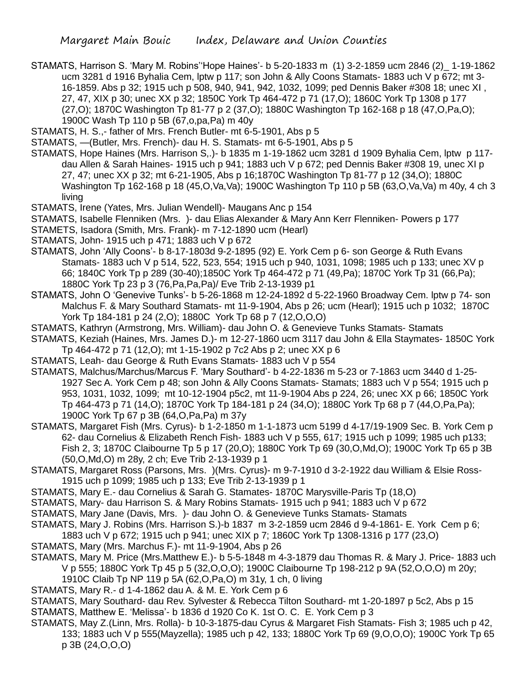- STAMATS, Harrison S. 'Mary M. Robins''Hope Haines'- b 5-20-1833 m (1) 3-2-1859 ucm 2846 (2)\_ 1-19-1862 ucm 3281 d 1916 Byhalia Cem, lptw p 117; son John & Ally Coons Stamats- 1883 uch V p 672; mt 3- 16-1859. Abs p 32; 1915 uch p 508, 940, 941, 942, 1032, 1099; ped Dennis Baker #308 18; unec XI , 27, 47, XIX p 30; unec XX p 32; 1850C York Tp 464-472 p 71 (17,O); 1860C York Tp 1308 p 177 (27,O); 1870C Washington Tp 81-77 p 2 (37,O); 1880C Washington Tp 162-168 p 18 (47,O,Pa,O); 1900C Wash Tp 110 p 5B (67,o,pa,Pa) m 40y
- STAMATS, H. S.,- father of Mrs. French Butler- mt 6-5-1901, Abs p 5
- STAMATS, —(Butler, Mrs. French)- dau H. S. Stamats- mt 6-5-1901, Abs p 5
- STAMATS, Hope Haines (Mrs. Harrison S,.)- b 1835 m 1-19-1862 ucm 3281 d 1909 Byhalia Cem, lptw p 117 dau Allen & Sarah Haines- 1915 uch p 941; 1883 uch V p 672; ped Dennis Baker #308 19, unec XI p 27, 47; unec XX p 32; mt 6-21-1905, Abs p 16;1870C Washington Tp 81-77 p 12 (34,O); 1880C Washington Tp 162-168 p 18 (45,O,Va,Va); 1900C Washington Tp 110 p 5B (63,O,Va,Va) m 40y, 4 ch 3 living
- STAMATS, Irene (Yates, Mrs. Julian Wendell)- Maugans Anc p 154
- STAMATS, Isabelle Flenniken (Mrs. )- dau Elias Alexander & Mary Ann Kerr Flenniken- Powers p 177
- STAMETS, Isadora (Smith, Mrs. Frank)- m 7-12-1890 ucm (Hearl)
- STAMATS, John- 1915 uch p 471; 1883 uch V p 672
- STAMATS, John 'Ally Coons'- b 8-17-1803d 9-2-1895 (92) E. York Cem p 6- son George & Ruth Evans Stamats- 1883 uch V p 514, 522, 523, 554; 1915 uch p 940, 1031, 1098; 1985 uch p 133; unec XV p 66; 1840C York Tp p 289 (30-40);1850C York Tp 464-472 p 71 (49,Pa); 1870C York Tp 31 (66,Pa); 1880C York Tp 23 p 3 (76,Pa,Pa,Pa)/ Eve Trib 2-13-1939 p1
- STAMATS, John O 'Genevive Tunks'- b 5-26-1868 m 12-24-1892 d 5-22-1960 Broadway Cem. lptw p 74- son Malchus F. & Mary Southard Stamats- mt 11-9-1904, Abs p 26; ucm (Hearl); 1915 uch p 1032; 1870C York Tp 184-181 p 24 (2,O); 1880C York Tp 68 p 7 (12,O,O,O)
- STAMATS, Kathryn (Armstrong, Mrs. William)- dau John O. & Genevieve Tunks Stamats- Stamats
- STAMATS, Keziah (Haines, Mrs. James D.)- m 12-27-1860 ucm 3117 dau John & Ella Staymates- 1850C York Tp 464-472 p 71 (12,O); mt 1-15-1902 p 7c2 Abs p 2; unec XX p 6
- STAMATS, Leah- dau George & Ruth Evans Stamats- 1883 uch V p 554
- STAMATS, Malchus/Marchus/Marcus F. 'Mary Southard'- b 4-22-1836 m 5-23 or 7-1863 ucm 3440 d 1-25- 1927 Sec A. York Cem p 48; son John & Ally Coons Stamats- Stamats; 1883 uch V p 554; 1915 uch p 953, 1031, 1032, 1099; mt 10-12-1904 p5c2, mt 11-9-1904 Abs p 224, 26; unec XX p 66; 1850C York Tp 464-473 p 71 (14,O); 1870C York Tp 184-181 p 24 (34,O); 1880C York Tp 68 p 7 (44,O,Pa,Pa); 1900C York Tp 67 p 3B (64,O,Pa,Pa) m 37y
- STAMATS, Margaret Fish (Mrs. Cyrus)- b 1-2-1850 m 1-1-1873 ucm 5199 d 4-17/19-1909 Sec. B. York Cem p 62- dau Cornelius & Elizabeth Rench Fish- 1883 uch V p 555, 617; 1915 uch p 1099; 1985 uch p133; Fish 2, 3; 1870C Claibourne Tp 5 p 17 (20,O); 1880C York Tp 69 (30,O,Md,O); 1900C York Tp 65 p 3B (50,O,Md,O) m 28y, 2 ch; Eve Trib 2-13-1939 p 1
- STAMATS, Margaret Ross (Parsons, Mrs. )(Mrs. Cyrus)- m 9-7-1910 d 3-2-1922 dau William & Elsie Ross-1915 uch p 1099; 1985 uch p 133; Eve Trib 2-13-1939 p 1
- STAMATS, Mary E.- dau Cornelius & Sarah G. Stamates- 1870C Marysville-Paris Tp (18,O)
- STAMATS, Mary- dau Harrison S. & Mary Robins Stamats- 1915 uch p 941; 1883 uch V p 672
- STAMATS, Mary Jane (Davis, Mrs. )- dau John O. & Genevieve Tunks Stamats- Stamats
- STAMATS, Mary J. Robins (Mrs. Harrison S.)-b 1837 m 3-2-1859 ucm 2846 d 9-4-1861- E. York Cem p 6;
- 1883 uch V p 672; 1915 uch p 941; unec XIX p 7; 1860C York Tp 1308-1316 p 177 (23,O)
- STAMATS, Mary (Mrs. Marchus F.)- mt 11-9-1904, Abs p 26
- STAMATS, Mary M. Price (Mrs.Matthew E.)- b 5-5-1848 m 4-3-1879 dau Thomas R. & Mary J. Price- 1883 uch V p 555; 1880C York Tp 45 p 5 (32,O,O,O); 1900C Claibourne Tp 198-212 p 9A (52,O,O,O) m 20y;
	- 1910C Claib Tp NP 119 p 5A (62,O,Pa,O) m 31y, 1 ch, 0 living
- STAMATS, Mary R.- d 1-4-1862 dau A. & M. E. York Cem p 6
- STAMATS, Mary Southard- dau Rev. Sylvester & Rebecca Tilton Southard- mt 1-20-1897 p 5c2, Abs p 15 STAMATS, Matthew E. 'Melissa'- b 1836 d 1920 Co K. 1st O. C. E. York Cem p 3
- STAMATS, May Z.(Linn, Mrs. Rolla)- b 10-3-1875-dau Cyrus & Margaret Fish Stamats- Fish 3; 1985 uch p 42, 133; 1883 uch V p 555(Mayzella); 1985 uch p 42, 133; 1880C York Tp 69 (9,O,O,O); 1900C York Tp 65 p 3B (24,O,O,O)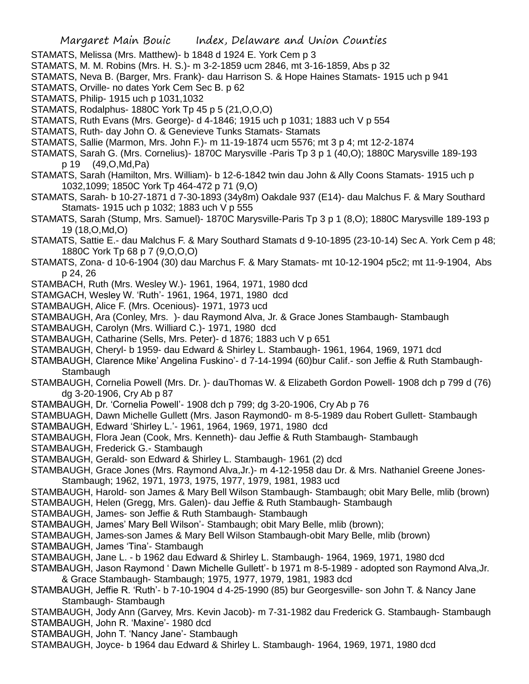- STAMATS, Melissa (Mrs. Matthew)- b 1848 d 1924 E. York Cem p 3
- STAMATS, M. M. Robins (Mrs. H. S.)- m 3-2-1859 ucm 2846, mt 3-16-1859, Abs p 32
- STAMATS, Neva B. (Barger, Mrs. Frank)- dau Harrison S. & Hope Haines Stamats- 1915 uch p 941
- STAMATS, Orville- no dates York Cem Sec B. p 62
- STAMATS, Philip- 1915 uch p 1031,1032
- STAMATS, Rodalphus- 1880C York Tp 45 p 5 (21,O,O,O)
- STAMATS, Ruth Evans (Mrs. George)- d 4-1846; 1915 uch p 1031; 1883 uch V p 554
- STAMATS, Ruth- day John O. & Genevieve Tunks Stamats- Stamats
- STAMATS, Sallie (Marmon, Mrs. John F.)- m 11-19-1874 ucm 5576; mt 3 p 4; mt 12-2-1874
- STAMATS, Sarah G. (Mrs. Cornelius)- 1870C Marysville -Paris Tp 3 p 1 (40,O); 1880C Marysville 189-193 p 19 (49,O,Md,Pa)
- STAMATS, Sarah (Hamilton, Mrs. William)- b 12-6-1842 twin dau John & Ally Coons Stamats- 1915 uch p 1032,1099; 1850C York Tp 464-472 p 71 (9,O)
- STAMATS, Sarah- b 10-27-1871 d 7-30-1893 (34y8m) Oakdale 937 (E14)- dau Malchus F. & Mary Southard Stamats- 1915 uch p 1032; 1883 uch V p 555
- STAMATS, Sarah (Stump, Mrs. Samuel)- 1870C Marysville-Paris Tp 3 p 1 (8,O); 1880C Marysville 189-193 p 19 (18,O,Md,O)
- STAMATS, Sattie E.- dau Malchus F. & Mary Southard Stamats d 9-10-1895 (23-10-14) Sec A. York Cem p 48; 1880C York Tp 68 p 7 (9,O,O,O)
- STAMATS, Zona- d 10-6-1904 (30) dau Marchus F. & Mary Stamats- mt 10-12-1904 p5c2; mt 11-9-1904, Abs p 24, 26
- STAMBACH, Ruth (Mrs. Wesley W.)- 1961, 1964, 1971, 1980 dcd
- STAMGACH, Wesley W. 'Ruth'- 1961, 1964, 1971, 1980 dcd
- STAMBAUGH, Alice F. (Mrs. Ocenious)- 1971, 1973 ucd
- STAMBAUGH, Ara (Conley, Mrs. )- dau Raymond Alva, Jr. & Grace Jones Stambaugh- Stambaugh
- STAMBAUGH, Carolyn (Mrs. Williard C.)- 1971, 1980 dcd
- STAMBAUGH, Catharine (Sells, Mrs. Peter)- d 1876; 1883 uch V p 651
- STAMBAUGH, Cheryl- b 1959- dau Edward & Shirley L. Stambaugh- 1961, 1964, 1969, 1971 dcd
- STAMBAUGH, Clarence Mike' Angelina Fuskino'- d 7-14-1994 (60)bur Calif.- son Jeffie & Ruth Stambaugh-**Stambaugh**
- STAMBAUGH, Cornelia Powell (Mrs. Dr. )- dauThomas W. & Elizabeth Gordon Powell- 1908 dch p 799 d (76) dg 3-20-1906, Cry Ab p 87
- STAMBAUGH, Dr. 'Cornelia Powell'- 1908 dch p 799; dg 3-20-1906, Cry Ab p 76
- STAMBUAGH, Dawn Michelle Gullett (Mrs. Jason Raymond0- m 8-5-1989 dau Robert Gullett- Stambaugh
- STAMBAUGH, Edward 'Shirley L.'- 1961, 1964, 1969, 1971, 1980 dcd
- STAMBAUGH, Flora Jean (Cook, Mrs. Kenneth)- dau Jeffie & Ruth Stambaugh- Stambaugh
- STAMBAUGH, Frederick G.- Stambaugh
- STAMBAUGH, Gerald- son Edward & Shirley L. Stambaugh- 1961 (2) dcd
- STAMBAUGH, Grace Jones (Mrs. Raymond Alva,Jr.)- m 4-12-1958 dau Dr. & Mrs. Nathaniel Greene Jones-Stambaugh; 1962, 1971, 1973, 1975, 1977, 1979, 1981, 1983 ucd
- STAMBAUGH, Harold- son James & Mary Bell Wilson Stambaugh- Stambaugh; obit Mary Belle, mlib (brown)
- STAMBAUGH, Helen (Gregg, Mrs. Galen)- dau Jeffie & Ruth Stambaugh- Stambaugh
- STAMBAUGH, James- son Jeffie & Ruth Stambaugh- Stambaugh
- STAMBAUGH, James' Mary Bell Wilson'- Stambaugh; obit Mary Belle, mlib (brown);
- STAMBAUGH, James-son James & Mary Bell Wilson Stambaugh-obit Mary Belle, mlib (brown)
- STAMBAUGH, James 'Tina'- Stambaugh
- STAMBAUGH, Jane L. b 1962 dau Edward & Shirley L. Stambaugh- 1964, 1969, 1971, 1980 dcd
- STAMBAUGH, Jason Raymond ' Dawn Michelle Gullett'- b 1971 m 8-5-1989 adopted son Raymond Alva,Jr. & Grace Stambaugh- Stambaugh; 1975, 1977, 1979, 1981, 1983 dcd
- STAMBAUGH, Jeffie R. 'Ruth'- b 7-10-1904 d 4-25-1990 (85) bur Georgesville- son John T. & Nancy Jane Stambaugh- Stambaugh
- STAMBAUGH, Jody Ann (Garvey, Mrs. Kevin Jacob)- m 7-31-1982 dau Frederick G. Stambaugh- Stambaugh STAMBAUGH, John R. 'Maxine'- 1980 dcd
- STAMBAUGH, John T. 'Nancy Jane'- Stambaugh
- STAMBAUGH, Joyce- b 1964 dau Edward & Shirley L. Stambaugh- 1964, 1969, 1971, 1980 dcd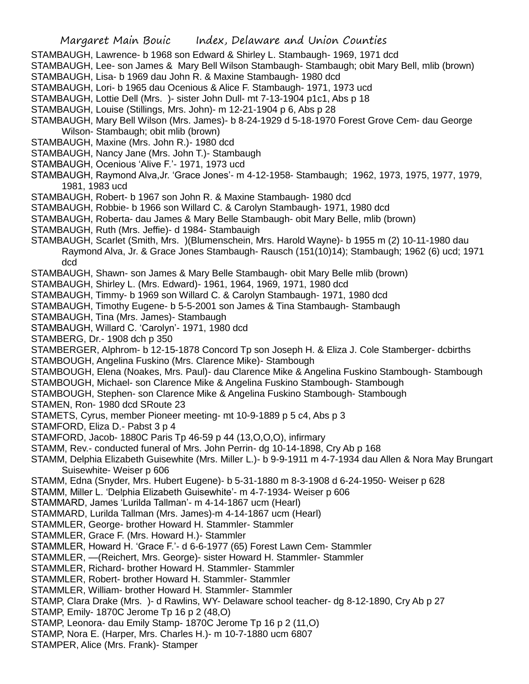- STAMBAUGH, Lawrence- b 1968 son Edward & Shirley L. Stambaugh- 1969, 1971 dcd
- STAMBAUGH, Lee- son James & Mary Bell Wilson Stambaugh- Stambaugh; obit Mary Bell, mlib (brown)
- STAMBAUGH, Lisa- b 1969 dau John R. & Maxine Stambaugh- 1980 dcd
- STAMBAUGH, Lori- b 1965 dau Ocenious & Alice F. Stambaugh- 1971, 1973 ucd
- STAMBAUGH, Lottie Dell (Mrs. )- sister John Dull- mt 7-13-1904 p1c1, Abs p 18
- STAMBAUGH, Louise (Stillings, Mrs. John)- m 12-21-1904 p 6, Abs p 28
- STAMBAUGH, Mary Bell Wilson (Mrs. James)- b 8-24-1929 d 5-18-1970 Forest Grove Cem- dau George Wilson- Stambaugh; obit mlib (brown)
- STAMBAUGH, Maxine (Mrs. John R.)- 1980 dcd
- STAMBAUGH, Nancy Jane (Mrs. John T.)- Stambaugh
- STAMBAUGH, Ocenious 'Alive F.'- 1971, 1973 ucd
- STAMBAUGH, Raymond Alva,Jr. 'Grace Jones'- m 4-12-1958- Stambaugh; 1962, 1973, 1975, 1977, 1979, 1981, 1983 ucd
- STAMBAUGH, Robert- b 1967 son John R. & Maxine Stambaugh- 1980 dcd
- STAMBAUGH, Robbie- b 1966 son Willard C. & Carolyn Stambaugh- 1971, 1980 dcd
- STAMBAUGH, Roberta- dau James & Mary Belle Stambaugh- obit Mary Belle, mlib (brown)
- STAMBAUGH, Ruth (Mrs. Jeffie)- d 1984- Stambauigh
- STAMBAUGH, Scarlet (Smith, Mrs. )(Blumenschein, Mrs. Harold Wayne)- b 1955 m (2) 10-11-1980 dau Raymond Alva, Jr. & Grace Jones Stambaugh- Rausch (151(10)14); Stambaugh; 1962 (6) ucd; 1971 dcd
- STAMBAUGH, Shawn- son James & Mary Belle Stambaugh- obit Mary Belle mlib (brown)
- STAMBAUGH, Shirley L. (Mrs. Edward)- 1961, 1964, 1969, 1971, 1980 dcd
- STAMBAUGH, Timmy- b 1969 son Willard C. & Carolyn Stambaugh- 1971, 1980 dcd
- STAMBAUGH, Timothy Eugene- b 5-5-2001 son James & Tina Stambaugh- Stambaugh
- STAMBAUGH, Tina (Mrs. James)- Stambaugh
- STAMBAUGH, Willard C. 'Carolyn'- 1971, 1980 dcd
- STAMBERG, Dr.- 1908 dch p 350
- STAMBERGER, Alphrom- b 12-15-1878 Concord Tp son Joseph H. & Eliza J. Cole Stamberger- dcbirths STAMBOUGH, Angelina Fuskino (Mrs. Clarence Mike)- Stambough
- STAMBOUGH, Elena (Noakes, Mrs. Paul)- dau Clarence Mike & Angelina Fuskino Stambough- Stambough
- STAMBOUGH, Michael- son Clarence Mike & Angelina Fuskino Stambough- Stambough
- STAMBOUGH, Stephen- son Clarence Mike & Angelina Fuskino Stambough- Stambough
- STAMEN, Ron- 1980 dcd SRoute 23
- STAMETS, Cyrus, member Pioneer meeting- mt 10-9-1889 p 5 c4, Abs p 3
- STAMFORD, Eliza D.- Pabst 3 p 4
- STAMFORD, Jacob- 1880C Paris Tp 46-59 p 44 (13,O,O,O), infirmary
- STAMM, Rev.- conducted funeral of Mrs. John Perrin- dg 10-14-1898, Cry Ab p 168
- STAMM, Delphia Elizabeth Guisewhite (Mrs. Miller L.)- b 9-9-1911 m 4-7-1934 dau Allen & Nora May Brungart Suisewhite- Weiser p 606
- STAMM, Edna (Snyder, Mrs. Hubert Eugene)- b 5-31-1880 m 8-3-1908 d 6-24-1950- Weiser p 628
- STAMM, Miller L. 'Delphia Elizabeth Guisewhite'- m 4-7-1934- Weiser p 606
- STAMMARD, James 'Lurilda Tallman'- m 4-14-1867 ucm (Hearl)
- STAMMARD, Lurilda Tallman (Mrs. James)-m 4-14-1867 ucm (Hearl)
- STAMMLER, George- brother Howard H. Stammler- Stammler
- STAMMLER, Grace F. (Mrs. Howard H.)- Stammler
- STAMMLER, Howard H. 'Grace F.'- d 6-6-1977 (65) Forest Lawn Cem- Stammler
- STAMMLER, —(Reichert, Mrs. George)- sister Howard H. Stammler- Stammler
- STAMMLER, Richard- brother Howard H. Stammler- Stammler
- STAMMLER, Robert- brother Howard H. Stammler- Stammler
- STAMMLER, William- brother Howard H. Stammler- Stammler
- STAMP, Clara Drake (Mrs. )- d Rawlins, WY- Delaware school teacher- dg 8-12-1890, Cry Ab p 27
- STAMP, Emily- 1870C Jerome Tp 16 p 2 (48,O)
- STAMP, Leonora- dau Emily Stamp- 1870C Jerome Tp 16 p 2 (11,O)
- STAMP, Nora E. (Harper, Mrs. Charles H.)- m 10-7-1880 ucm 6807
- STAMPER, Alice (Mrs. Frank)- Stamper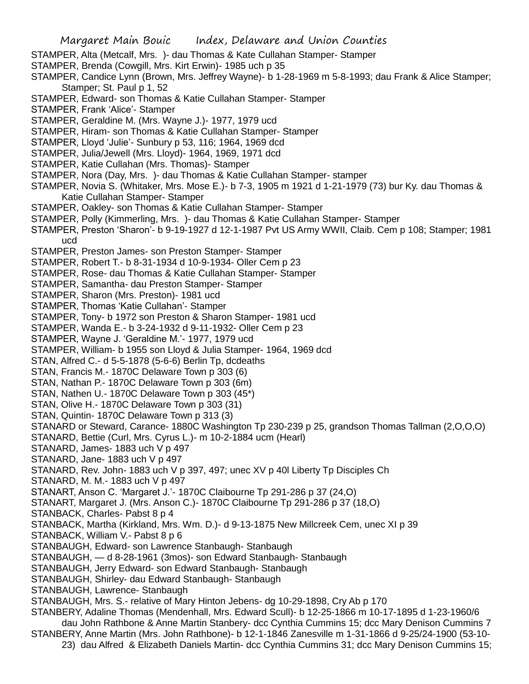- STAMPER, Alta (Metcalf, Mrs. )- dau Thomas & Kate Cullahan Stamper- Stamper
- STAMPER, Brenda (Cowgill, Mrs. Kirt Erwin)- 1985 uch p 35
- STAMPER, Candice Lynn (Brown, Mrs. Jeffrey Wayne)- b 1-28-1969 m 5-8-1993; dau Frank & Alice Stamper; Stamper; St. Paul p 1, 52
- STAMPER, Edward- son Thomas & Katie Cullahan Stamper- Stamper
- STAMPER, Frank 'Alice'- Stamper
- STAMPER, Geraldine M. (Mrs. Wayne J.)- 1977, 1979 ucd
- STAMPER, Hiram- son Thomas & Katie Cullahan Stamper- Stamper
- STAMPER, Lloyd 'Julie'- Sunbury p 53, 116; 1964, 1969 dcd
- STAMPER, Julia/Jewell (Mrs. Lloyd)- 1964, 1969, 1971 dcd
- STAMPER, Katie Cullahan (Mrs. Thomas)- Stamper
- STAMPER, Nora (Day, Mrs. )- dau Thomas & Katie Cullahan Stamper- stamper
- STAMPER, Novia S. (Whitaker, Mrs. Mose E.)- b 7-3, 1905 m 1921 d 1-21-1979 (73) bur Ky. dau Thomas & Katie Cullahan Stamper- Stamper
- STAMPER, Oakley- son Thomas & Katie Cullahan Stamper- Stamper
- STAMPER, Polly (Kimmerling, Mrs. )- dau Thomas & Katie Cullahan Stamper- Stamper
- STAMPER, Preston 'Sharon'- b 9-19-1927 d 12-1-1987 Pvt US Army WWII, Claib. Cem p 108; Stamper; 1981 ucd
- STAMPER, Preston James- son Preston Stamper- Stamper
- STAMPER, Robert T.- b 8-31-1934 d 10-9-1934- Oller Cem p 23
- STAMPER, Rose- dau Thomas & Katie Cullahan Stamper- Stamper
- STAMPER, Samantha- dau Preston Stamper- Stamper
- STAMPER, Sharon (Mrs. Preston)- 1981 ucd
- STAMPER, Thomas 'Katie Cullahan'- Stamper
- STAMPER, Tony- b 1972 son Preston & Sharon Stamper- 1981 ucd
- STAMPER, Wanda E.- b 3-24-1932 d 9-11-1932- Oller Cem p 23
- STAMPER, Wayne J. 'Geraldine M.'- 1977, 1979 ucd
- STAMPER, William- b 1955 son Lloyd & Julia Stamper- 1964, 1969 dcd
- STAN, Alfred C.- d 5-5-1878 (5-6-6) Berlin Tp, dcdeaths
- STAN, Francis M.- 1870C Delaware Town p 303 (6)
- STAN, Nathan P.- 1870C Delaware Town p 303 (6m)
- STAN, Nathen U.- 1870C Delaware Town p 303 (45\*)
- STAN, Olive H.- 1870C Delaware Town p 303 (31)
- STAN, Quintin- 1870C Delaware Town p 313 (3)
- STANARD or Steward, Carance- 1880C Washington Tp 230-239 p 25, grandson Thomas Tallman (2,O,O,O)
- STANARD, Bettie (Curl, Mrs. Cyrus L.)- m 10-2-1884 ucm (Hearl)
- STANARD, James- 1883 uch V p 497
- STANARD, Jane- 1883 uch V p 497
- STANARD, Rev. John- 1883 uch V p 397, 497; unec XV p 40l Liberty Tp Disciples Ch
- STANARD, M. M.- 1883 uch V p 497
- STANART, Anson C. 'Margaret J.'- 1870C Claibourne Tp 291-286 p 37 (24,O)
- STANART, Margaret J. (Mrs. Anson C.)- 1870C Claibourne Tp 291-286 p 37 (18,O)
- STANBACK, Charles- Pabst 8 p 4
- STANBACK, Martha (Kirkland, Mrs. Wm. D.)- d 9-13-1875 New Millcreek Cem, unec XI p 39
- STANBACK, William V.- Pabst 8 p 6
- STANBAUGH, Edward- son Lawrence Stanbaugh- Stanbaugh
- STANBAUGH, d 8-28-1961 (3mos)- son Edward Stanbaugh- Stanbaugh
- STANBAUGH, Jerry Edward- son Edward Stanbaugh- Stanbaugh
- STANBAUGH, Shirley- dau Edward Stanbaugh- Stanbaugh
- STANBAUGH, Lawrence- Stanbaugh
- STANBAUGH, Mrs. S.- relative of Mary Hinton Jebens- dg 10-29-1898, Cry Ab p 170
- STANBERY, Adaline Thomas (Mendenhall, Mrs. Edward Scull)- b 12-25-1866 m 10-17-1895 d 1-23-1960/6 dau John Rathbone & Anne Martin Stanbery- dcc Cynthia Cummins 15; dcc Mary Denison Cummins 7
- STANBERY, Anne Martin (Mrs. John Rathbone)- b 12-1-1846 Zanesville m 1-31-1866 d 9-25/24-1900 (53-10- 23) dau Alfred & Elizabeth Daniels Martin- dcc Cynthia Cummins 31; dcc Mary Denison Cummins 15;
	-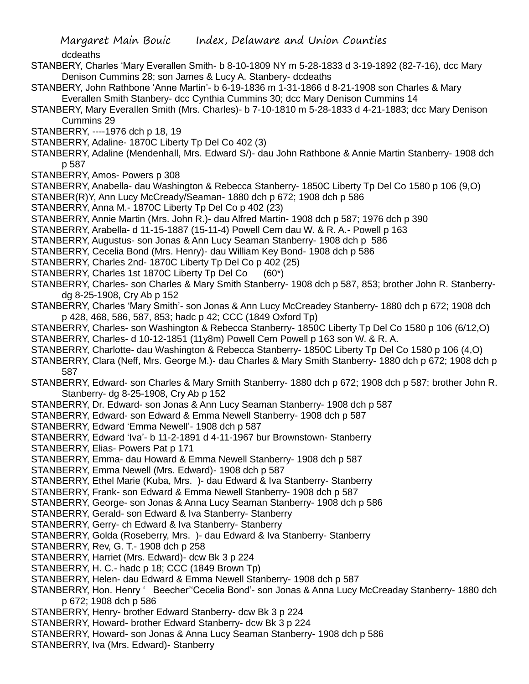dcdeaths

- STANBERY, Charles 'Mary Everallen Smith- b 8-10-1809 NY m 5-28-1833 d 3-19-1892 (82-7-16), dcc Mary Denison Cummins 28; son James & Lucy A. Stanbery- dcdeaths
- STANBERY, John Rathbone 'Anne Martin'- b 6-19-1836 m 1-31-1866 d 8-21-1908 son Charles & Mary Everallen Smith Stanbery- dcc Cynthia Cummins 30; dcc Mary Denison Cummins 14
- STANBERY, Mary Everallen Smith (Mrs. Charles)- b 7-10-1810 m 5-28-1833 d 4-21-1883; dcc Mary Denison Cummins 29
- STANBERRY, ----1976 dch p 18, 19
- STANBERRY, Adaline- 1870C Liberty Tp Del Co 402 (3)
- STANBERRY, Adaline (Mendenhall, Mrs. Edward S/)- dau John Rathbone & Annie Martin Stanberry- 1908 dch p 587
- STANBERRY, Amos- Powers p 308
- STANBERRY, Anabella- dau Washington & Rebecca Stanberry- 1850C Liberty Tp Del Co 1580 p 106 (9,O)
- STANBER(R)Y, Ann Lucy McCready/Seaman- 1880 dch p 672; 1908 dch p 586
- STANBERRY, Anna M.- 1870C Liberty Tp Del Co p 402 (23)
- STANBERRY, Annie Martin (Mrs. John R.)- dau Alfred Martin- 1908 dch p 587; 1976 dch p 390
- STANBERRY, Arabella- d 11-15-1887 (15-11-4) Powell Cem dau W. & R. A.- Powell p 163
- STANBERRY, Augustus- son Jonas & Ann Lucy Seaman Stanberry- 1908 dch p 586
- STANBERRY, Cecelia Bond (Mrs. Henry)- dau William Key Bond- 1908 dch p 586
- STANBERRY, Charles 2nd- 1870C Liberty Tp Del Co p 402 (25)
- STANBERRY, Charles 1st 1870C Liberty Tp Del Co (60\*)
- STANBERRY, Charles- son Charles & Mary Smith Stanberry- 1908 dch p 587, 853; brother John R. Stanberrydg 8-25-1908, Cry Ab p 152
- STANBERRY, Charles 'Mary Smith'- son Jonas & Ann Lucy McCreadey Stanberry- 1880 dch p 672; 1908 dch p 428, 468, 586, 587, 853; hadc p 42; CCC (1849 Oxford Tp)
- STANBERRY, Charles- son Washington & Rebecca Stanberry- 1850C Liberty Tp Del Co 1580 p 106 (6/12,O)
- STANBERRY, Charles- d 10-12-1851 (11y8m) Powell Cem Powell p 163 son W. & R. A.
- STANBERRY, Charlotte- dau Washington & Rebecca Stanberry- 1850C Liberty Tp Del Co 1580 p 106 (4,O)
- STANBERRY, Clara (Neff, Mrs. George M.)- dau Charles & Mary Smith Stanberry- 1880 dch p 672; 1908 dch p 587
- STANBERRY, Edward- son Charles & Mary Smith Stanberry- 1880 dch p 672; 1908 dch p 587; brother John R. Stanberry- dg 8-25-1908, Cry Ab p 152
- STANBERRY, Dr. Edward- son Jonas & Ann Lucy Seaman Stanberry- 1908 dch p 587
- STANBERRY, Edward- son Edward & Emma Newell Stanberry- 1908 dch p 587
- STANBERRY, Edward 'Emma Newell'- 1908 dch p 587
- STANBERRY, Edward 'Iva'- b 11-2-1891 d 4-11-1967 bur Brownstown- Stanberry
- STANBERRY, Elias- Powers Pat p 171
- STANBERRY, Emma- dau Howard & Emma Newell Stanberry- 1908 dch p 587
- STANBERRY, Emma Newell (Mrs. Edward)- 1908 dch p 587
- STANBERRY, Ethel Marie (Kuba, Mrs. )- dau Edward & Iva Stanberry- Stanberry
- STANBERRY, Frank- son Edward & Emma Newell Stanberry- 1908 dch p 587
- STANBERRY, George- son Jonas & Anna Lucy Seaman Stanberry- 1908 dch p 586
- STANBERRY, Gerald- son Edward & Iva Stanberry- Stanberry
- STANBERRY, Gerry- ch Edward & Iva Stanberry- Stanberry
- STANBERRY, Golda (Roseberry, Mrs. )- dau Edward & Iva Stanberry- Stanberry
- STANBERRY, Rev, G. T.- 1908 dch p 258
- STANBERRY, Harriet (Mrs. Edward)- dcw Bk 3 p 224
- STANBERRY, H. C.- hadc p 18; CCC (1849 Brown Tp)
- STANBERRY, Helen- dau Edward & Emma Newell Stanberry- 1908 dch p 587
- STANBERRY, Hon. Henry ' Beecher''Cecelia Bond'- son Jonas & Anna Lucy McCreaday Stanberry- 1880 dch p 672; 1908 dch p 586
- STANBERRY, Henry- brother Edward Stanberry- dcw Bk 3 p 224
- STANBERRY, Howard- brother Edward Stanberry- dcw Bk 3 p 224
- STANBERRY, Howard- son Jonas & Anna Lucy Seaman Stanberry- 1908 dch p 586
- STANBERRY, Iva (Mrs. Edward)- Stanberry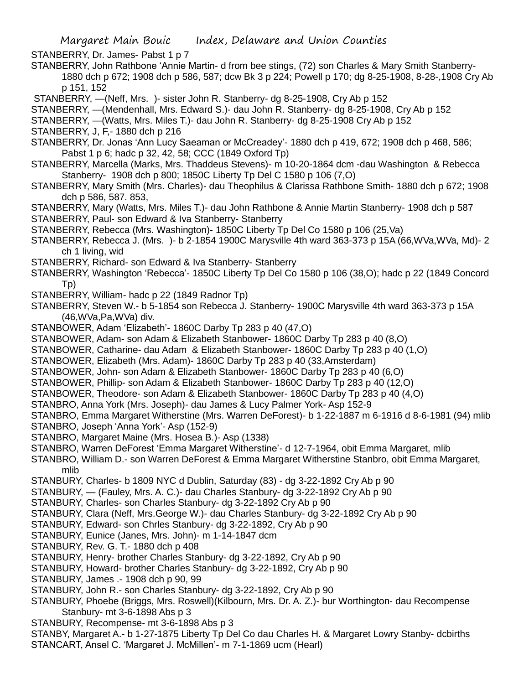STANBERRY, Dr. James- Pabst 1 p 7

STANBERRY, John Rathbone 'Annie Martin- d from bee stings, (72) son Charles & Mary Smith Stanberry-1880 dch p 672; 1908 dch p 586, 587; dcw Bk 3 p 224; Powell p 170; dg 8-25-1908, 8-28-,1908 Cry Ab p 151, 152

STANBERRY, —(Neff, Mrs. )- sister John R. Stanberry- dg 8-25-1908, Cry Ab p 152

- STANBERRY, —(Mendenhall, Mrs. Edward S.)- dau John R. Stanberry- dg 8-25-1908, Cry Ab p 152
- STANBERRY, —(Watts, Mrs. Miles T.)- dau John R. Stanberry- dg 8-25-1908 Cry Ab p 152
- STANBERRY, J, F,- 1880 dch p 216
- STANBERRY, Dr. Jonas 'Ann Lucy Saeaman or McCreadey'- 1880 dch p 419, 672; 1908 dch p 468, 586; Pabst 1 p 6; hadc p 32, 42, 58; CCC (1849 Oxford Tp)
- STANBERRY, Marcella (Marks, Mrs. Thaddeus Stevens)- m 10-20-1864 dcm -dau Washington & Rebecca Stanberry- 1908 dch p 800; 1850C Liberty Tp Del C 1580 p 106 (7,O)
- STANBERRY, Mary Smith (Mrs. Charles)- dau Theophilus & Clarissa Rathbone Smith- 1880 dch p 672; 1908 dch p 586, 587. 853,
- STANBERRY, Mary (Watts, Mrs. Miles T.)- dau John Rathbone & Annie Martin Stanberry- 1908 dch p 587 STANBERRY, Paul- son Edward & Iva Stanberry- Stanberry
- STANBERRY, Rebecca (Mrs. Washington)- 1850C Liberty Tp Del Co 1580 p 106 (25,Va)
- STANBERRY, Rebecca J. (Mrs. )- b 2-1854 1900C Marysville 4th ward 363-373 p 15A (66,WVa,WVa, Md)- 2 ch 1 living, wid
- STANBERRY, Richard- son Edward & Iva Stanberry- Stanberry
- STANBERRY, Washington 'Rebecca'- 1850C Liberty Tp Del Co 1580 p 106 (38,O); hadc p 22 (1849 Concord Tp)
- STANBERRY, William- hadc p 22 (1849 Radnor Tp)
- STANBERRY, Steven W.- b 5-1854 son Rebecca J. Stanberry- 1900C Marysville 4th ward 363-373 p 15A (46,WVa,Pa,WVa) div.
- STANBOWER, Adam 'Elizabeth'- 1860C Darby Tp 283 p 40 (47,O)
- STANBOWER, Adam- son Adam & Elizabeth Stanbower- 1860C Darby Tp 283 p 40 (8,O)
- STANBOWER, Catharine- dau Adam & Elizabeth Stanbower- 1860C Darby Tp 283 p 40 (1,O)
- STANBOWER, Elizabeth (Mrs. Adam)- 1860C Darby Tp 283 p 40 (33,Amsterdam)
- STANBOWER, John- son Adam & Elizabeth Stanbower- 1860C Darby Tp 283 p 40 (6,O)
- STANBOWER, Phillip- son Adam & Elizabeth Stanbower- 1860C Darby Tp 283 p 40 (12,O)
- STANBOWER, Theodore- son Adam & Elizabeth Stanbower- 1860C Darby Tp 283 p 40 (4,O)
- STANBRO, Anna York (Mrs. Joseph)- dau James & Lucy Palmer York- Asp 152-9
- STANBRO, Emma Margaret Witherstine (Mrs. Warren DeForest)- b 1-22-1887 m 6-1916 d 8-6-1981 (94) mlib
- STANBRO, Joseph 'Anna York'- Asp (152-9)
- STANBRO, Margaret Maine (Mrs. Hosea B.)- Asp (1338)
- STANBRO, Warren DeForest 'Emma Margaret Witherstine'- d 12-7-1964, obit Emma Margaret, mlib
- STANBRO, William D.- son Warren DeForest & Emma Margaret Witherstine Stanbro, obit Emma Margaret, mlib
- STANBURY, Charles- b 1809 NYC d Dublin, Saturday (83) dg 3-22-1892 Cry Ab p 90
- STANBURY, (Fauley, Mrs. A. C.)- dau Charles Stanbury- dg 3-22-1892 Cry Ab p 90
- STANBURY, Charles- son Charles Stanbury- dg 3-22-1892 Cry Ab p 90
- STANBURY, Clara (Neff, Mrs.George W.)- dau Charles Stanbury- dg 3-22-1892 Cry Ab p 90
- STANBURY, Edward- son Chrles Stanbury- dg 3-22-1892, Cry Ab p 90
- STANBURY, Eunice (Janes, Mrs. John)- m 1-14-1847 dcm
- STANBURY, Rev. G. T.- 1880 dch p 408
- STANBURY, Henry- brother Charles Stanbury- dg 3-22-1892, Cry Ab p 90
- STANBURY, Howard- brother Charles Stanbury- dg 3-22-1892, Cry Ab p 90
- STANBURY, James .- 1908 dch p 90, 99
- STANBURY, John R.- son Charles Stanbury- dg 3-22-1892, Cry Ab p 90
- STANBURY, Phoebe (Briggs, Mrs. Roswell)(Kilbourn, Mrs. Dr. A. Z.)- bur Worthington- dau Recompense Stanbury- mt 3-6-1898 Abs p 3
- STANBURY, Recompense- mt 3-6-1898 Abs p 3
- STANBY, Margaret A.- b 1-27-1875 Liberty Tp Del Co dau Charles H. & Margaret Lowry Stanby- dcbirths STANCART, Ansel C. 'Margaret J. McMillen'- m 7-1-1869 ucm (Hearl)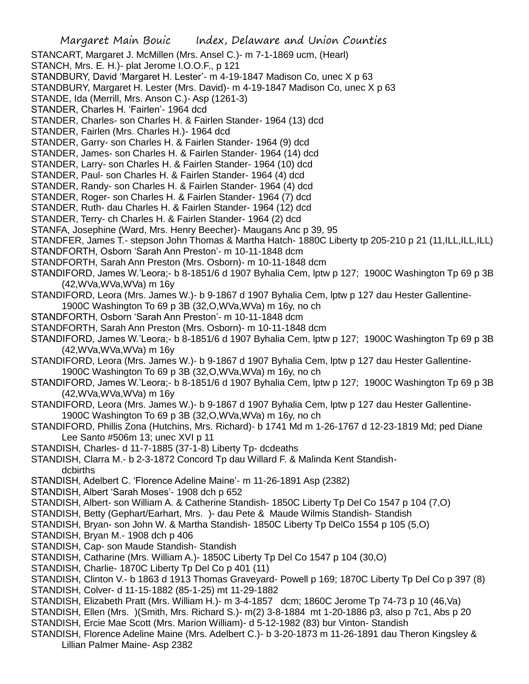- Margaret Main Bouic Index, Delaware and Union Counties STANCART, Margaret J. McMillen (Mrs. Ansel C.)- m 7-1-1869 ucm, (Hearl) STANCH, Mrs. E. H.)- plat Jerome I.O.O.F., p 121 STANDBURY, David 'Margaret H. Lester'- m 4-19-1847 Madison Co, unec X p 63 STANDBURY, Margaret H. Lester (Mrs. David)- m 4-19-1847 Madison Co, unec X p 63 STANDE, Ida (Merrill, Mrs. Anson C.)- Asp (1261-3) STANDER, Charles H. 'Fairlen'- 1964 dcd STANDER, Charles- son Charles H. & Fairlen Stander- 1964 (13) dcd STANDER, Fairlen (Mrs. Charles H.)- 1964 dcd STANDER, Garry- son Charles H. & Fairlen Stander- 1964 (9) dcd STANDER, James- son Charles H. & Fairlen Stander- 1964 (14) dcd STANDER, Larry- son Charles H. & Fairlen Stander- 1964 (10) dcd STANDER, Paul- son Charles H. & Fairlen Stander- 1964 (4) dcd STANDER, Randy- son Charles H. & Fairlen Stander- 1964 (4) dcd STANDER, Roger- son Charles H. & Fairlen Stander- 1964 (7) dcd STANDER, Ruth- dau Charles H. & Fairlen Stander- 1964 (12) dcd STANDER, Terry- ch Charles H. & Fairlen Stander- 1964 (2) dcd STANFA, Josephine (Ward, Mrs. Henry Beecher)- Maugans Anc p 39, 95 STANDFER, James T.- stepson John Thomas & Martha Hatch- 1880C Liberty tp 205-210 p 21 (11, ILL, ILL, ILL) STANDFORTH, Osborn 'Sarah Ann Preston'- m 10-11-1848 dcm STANDFORTH, Sarah Ann Preston (Mrs. Osborn)- m 10-11-1848 dcm STANDIFORD, James W.'Leora;- b 8-1851/6 d 1907 Byhalia Cem, lptw p 127; 1900C Washington Tp 69 p 3B (42,WVa,WVa,WVa) m 16y STANDIFORD, Leora (Mrs. James W.)- b 9-1867 d 1907 Byhalia Cem, lptw p 127 dau Hester Gallentine-1900C Washington To 69 p 3B (32,O,WVa,WVa) m 16y, no ch STANDFORTH, Osborn 'Sarah Ann Preston'- m 10-11-1848 dcm STANDFORTH, Sarah Ann Preston (Mrs. Osborn)- m 10-11-1848 dcm STANDIFORD, James W.'Leora;- b 8-1851/6 d 1907 Byhalia Cem, lptw p 127; 1900C Washington Tp 69 p 3B (42,WVa,WVa,WVa) m 16y STANDIFORD, Leora (Mrs. James W.)- b 9-1867 d 1907 Byhalia Cem, lptw p 127 dau Hester Gallentine-1900C Washington To 69 p 3B (32,O,WVa,WVa) m 16y, no ch STANDIFORD, James W.'Leora;- b 8-1851/6 d 1907 Byhalia Cem, lptw p 127; 1900C Washington Tp 69 p 3B (42,WVa,WVa,WVa) m 16y STANDIFORD, Leora (Mrs. James W.)- b 9-1867 d 1907 Byhalia Cem, lptw p 127 dau Hester Gallentine-1900C Washington To 69 p 3B (32,O,WVa,WVa) m 16y, no ch STANDIFORD, Phillis Zona (Hutchins, Mrs. Richard)- b 1741 Md m 1-26-1767 d 12-23-1819 Md; ped Diane Lee Santo #506m 13; unec XVI p 11 STANDISH, Charles- d 11-7-1885 (37-1-8) Liberty Tp- dcdeaths STANDISH, Clarra M.- b 2-3-1872 Concord Tp dau Willard F. & Malinda Kent Standishdcbirths STANDISH, Adelbert C. 'Florence Adeline Maine'- m 11-26-1891 Asp (2382) STANDISH, Albert 'Sarah Moses'- 1908 dch p 652 STANDISH, Albert- son William A. & Catherine Standish- 1850C Liberty Tp Del Co 1547 p 104 (7,O) STANDISH, Betty (Gephart/Earhart, Mrs. )- dau Pete & Maude Wilmis Standish- Standish STANDISH, Bryan- son John W. & Martha Standish- 1850C Liberty Tp DelCo 1554 p 105 (5,O) STANDISH, Bryan M.- 1908 dch p 406 STANDISH, Cap- son Maude Standish- Standish STANDISH, Catharine (Mrs. William A.)- 1850C Liberty Tp Del Co 1547 p 104 (30,O) STANDISH, Charlie- 1870C Liberty Tp Del Co p 401 (11) STANDISH, Clinton V.- b 1863 d 1913 Thomas Graveyard- Powell p 169; 1870C Liberty Tp Del Co p 397 (8) STANDISH, Colver- d 11-15-1882 (85-1-25) mt 11-29-1882 STANDISH, Elizabeth Pratt (Mrs. William H.)- m 3-4-1857 dcm; 1860C Jerome Tp 74-73 p 10 (46,Va) STANDISH, Ellen (Mrs. )(Smith, Mrs. Richard S.)- m(2) 3-8-1884 mt 1-20-1886 p3, also p 7c1, Abs p 20 STANDISH, Ercie Mae Scott (Mrs. Marion William)- d 5-12-1982 (83) bur Vinton- Standish
- STANDISH, Florence Adeline Maine (Mrs. Adelbert C.)- b 3-20-1873 m 11-26-1891 dau Theron Kingsley & Lillian Palmer Maine- Asp 2382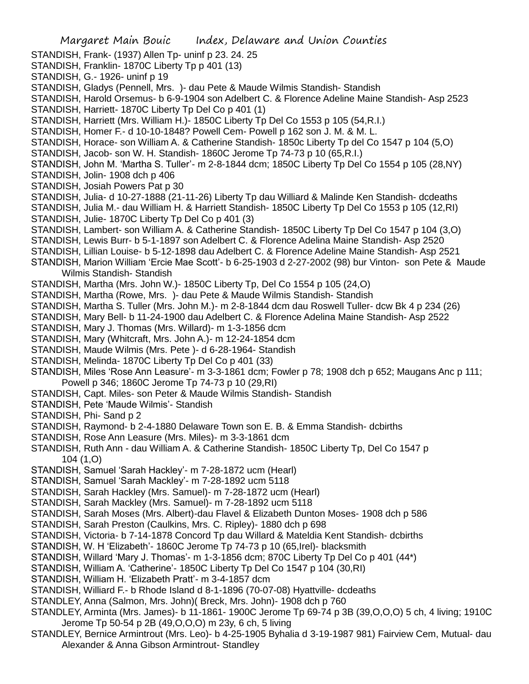- Margaret Main Bouic Index, Delaware and Union Counties STANDISH, Frank- (1937) Allen Tp- uninf p 23. 24. 25 STANDISH, Franklin- 1870C Liberty Tp p 401 (13) STANDISH, G.- 1926- uninf p 19 STANDISH, Gladys (Pennell, Mrs. )- dau Pete & Maude Wilmis Standish- Standish STANDISH, Harold Orsemus- b 6-9-1904 son Adelbert C. & Florence Adeline Maine Standish- Asp 2523 STANDISH, Harriett- 1870C Liberty Tp Del Co p 401 (1) STANDISH, Harriett (Mrs. William H.)- 1850C Liberty Tp Del Co 1553 p 105 (54,R.I.) STANDISH, Homer F.- d 10-10-1848? Powell Cem- Powell p 162 son J. M. & M. L. STANDISH, Horace- son William A. & Catherine Standish- 1850c Liberty Tp del Co 1547 p 104 (5,O) STANDISH, Jacob- son W. H. Standish- 1860C Jerome Tp 74-73 p 10 (65,R.I.) STANDISH, John M. 'Martha S. Tuller'- m 2-8-1844 dcm; 1850C Liberty Tp Del Co 1554 p 105 (28,NY) STANDISH, Jolin- 1908 dch p 406 STANDISH, Josiah Powers Pat p 30 STANDISH, Julia- d 10-27-1888 (21-11-26) Liberty Tp dau Williard & Malinde Ken Standish- dcdeaths STANDISH, Julia M.- dau William H. & Harriett Standish- 1850C Liberty Tp Del Co 1553 p 105 (12,RI) STANDISH, Julie- 1870C Liberty Tp Del Co p 401 (3) STANDISH, Lambert- son William A. & Catherine Standish- 1850C Liberty Tp Del Co 1547 p 104 (3,O) STANDISH, Lewis Burr- b 5-1-1897 son Adelbert C. & Florence Adelina Maine Standish- Asp 2520 STANDISH, Lillian Louise- b 5-12-1898 dau Adelbert C. & Florence Adeline Maine Standish- Asp 2521 STANDISH, Marion William 'Ercie Mae Scott'- b 6-25-1903 d 2-27-2002 (98) bur Vinton- son Pete & Maude Wilmis Standish- Standish STANDISH, Martha (Mrs. John W.)- 1850C Liberty Tp, Del Co 1554 p 105 (24,O) STANDISH, Martha (Rowe, Mrs. )- dau Pete & Maude Wilmis Standish- Standish STANDISH, Martha S. Tuller (Mrs. John M.)- m 2-8-1844 dcm dau Roswell Tuller- dcw Bk 4 p 234 (26) STANDISH, Mary Bell- b 11-24-1900 dau Adelbert C. & Florence Adelina Maine Standish- Asp 2522 STANDISH, Mary J. Thomas (Mrs. Willard)- m 1-3-1856 dcm STANDISH, Mary (Whitcraft, Mrs. John A.)- m 12-24-1854 dcm STANDISH, Maude Wilmis (Mrs. Pete )- d 6-28-1964- Standish STANDISH, Melinda- 1870C Liberty Tp Del Co p 401 (33) STANDISH, Miles 'Rose Ann Leasure'- m 3-3-1861 dcm; Fowler p 78; 1908 dch p 652; Maugans Anc p 111; Powell p 346; 1860C Jerome Tp 74-73 p 10 (29,RI) STANDISH, Capt. Miles- son Peter & Maude Wilmis Standish- Standish STANDISH, Pete 'Maude Wilmis'- Standish STANDISH, Phi- Sand p 2 STANDISH, Raymond- b 2-4-1880 Delaware Town son E. B. & Emma Standish- dcbirths STANDISH, Rose Ann Leasure (Mrs. Miles)- m 3-3-1861 dcm STANDISH, Ruth Ann - dau William A. & Catherine Standish- 1850C Liberty Tp, Del Co 1547 p 104 (1,O) STANDISH, Samuel 'Sarah Hackley'- m 7-28-1872 ucm (Hearl) STANDISH, Samuel 'Sarah Mackley'- m 7-28-1892 ucm 5118 STANDISH, Sarah Hackley (Mrs. Samuel)- m 7-28-1872 ucm (Hearl) STANDISH, Sarah Mackley (Mrs. Samuel)- m 7-28-1892 ucm 5118 STANDISH, Sarah Moses (Mrs. Albert)-dau Flavel & Elizabeth Dunton Moses- 1908 dch p 586 STANDISH, Sarah Preston (Caulkins, Mrs. C. Ripley)- 1880 dch p 698 STANDISH, Victoria- b 7-14-1878 Concord Tp dau Willard & Mateldia Kent Standish- dcbirths STANDISH, W. H 'Elizabeth'- 1860C Jerome Tp 74-73 p 10 (65,Irel)- blacksmith STANDISH, Willard 'Mary J. Thomas'- m 1-3-1856 dcm; 870C Liberty Tp Del Co p 401 (44\*) STANDISH, William A. 'Catherine'- 1850C Liberty Tp Del Co 1547 p 104 (30,RI) STANDISH, William H. 'Elizabeth Pratt'- m 3-4-1857 dcm STANDISH, Williard F.- b Rhode Island d 8-1-1896 (70-07-08) Hyattville- dcdeaths STANDLEY, Anna (Salmon, Mrs. John)( Breck, Mrs. John)- 1908 dch p 760 STANDLEY, Arminta (Mrs. James)- b 11-1861- 1900C Jerome Tp 69-74 p 3B (39,O,O,O) 5 ch, 4 living; 1910C Jerome Tp 50-54 p 2B (49,O,O,O) m 23y, 6 ch, 5 living
- STANDLEY, Bernice Armintrout (Mrs. Leo)- b 4-25-1905 Byhalia d 3-19-1987 981) Fairview Cem, Mutual- dau Alexander & Anna Gibson Armintrout- Standley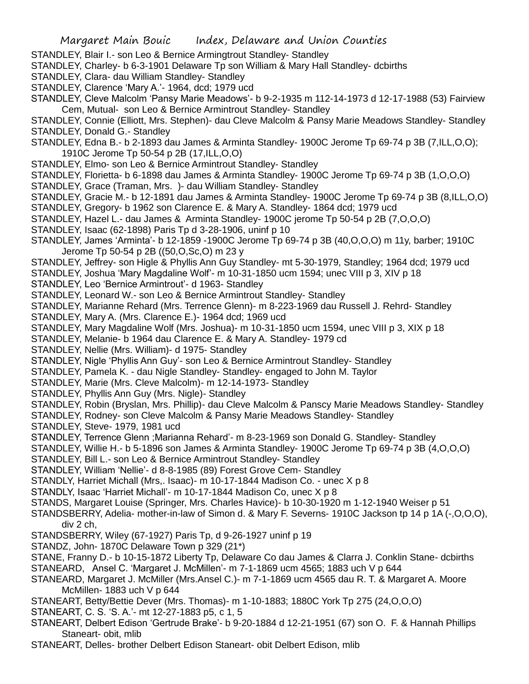- STANDLEY, Blair I.- son Leo & Bernice Armingtrout Standley- Standley
- STANDLEY, Charley- b 6-3-1901 Delaware Tp son William & Mary Hall Standley- dcbirths
- STANDLEY, Clara- dau William Standley- Standley
- STANDLEY, Clarence 'Mary A.'- 1964, dcd; 1979 ucd
- STANDLEY, Cleve Malcolm 'Pansy Marie Meadows'- b 9-2-1935 m 112-14-1973 d 12-17-1988 (53) Fairview Cem, Mutual- son Leo & Bernice Armintrout Standley- Standley
- STANDLEY, Connie (Elliott, Mrs. Stephen)- dau Cleve Malcolm & Pansy Marie Meadows Standley- Standley STANDLEY, Donald G.- Standley
- STANDLEY, Edna B.- b 2-1893 dau James & Arminta Standley- 1900C Jerome Tp 69-74 p 3B (7,ILL,O,O); 1910C Jerome Tp 50-54 p 2B (17,ILL,O,O)
- STANDLEY, Elmo- son Leo & Bernice Armintrout Standley- Standley
- STANDLEY, Florietta- b 6-1898 dau James & Arminta Standley- 1900C Jerome Tp 69-74 p 3B (1,O,O,O)
- STANDLEY, Grace (Traman, Mrs. )- dau William Standley- Standley
- STANDLEY, Gracie M.- b 12-1891 dau James & Arminta Standley- 1900C Jerome Tp 69-74 p 3B (8,ILL,O,O)
- STANDLEY, Gregory- b 1962 son Clarence E. & Mary A. Standley- 1864 dcd; 1979 ucd
- STANDLEY, Hazel L.- dau James & Arminta Standley- 1900C jerome Tp 50-54 p 2B (7,O,O,O)
- STANDLEY, Isaac (62-1898) Paris Tp d 3-28-1906, uninf p 10
- STANDLEY, James 'Arminta'- b 12-1859 -1900C Jerome Tp 69-74 p 3B (40,O,O,O) m 11y, barber; 1910C Jerome Tp 50-54 p 2B ((50,O,Sc,O) m 23 y
- STANDLEY, Jeffrey- son Higle & Phyllis Ann Guy Standley- mt 5-30-1979, Standley; 1964 dcd; 1979 ucd
- STANDLEY, Joshua 'Mary Magdaline Wolf'- m 10-31-1850 ucm 1594; unec VIII p 3, XIV p 18
- STANDLEY, Leo 'Bernice Armintrout'- d 1963- Standley
- STANDLEY, Leonard W.- son Leo & Bernice Armintrout Standley- Standley
- STANDLEY, Marianne Rehard (Mrs. Terrence Glenn)- m 8-223-1969 dau Russell J. Rehrd- Standley
- STANDLEY, Mary A. (Mrs. Clarence E.)- 1964 dcd; 1969 ucd
- STANDLEY, Mary Magdaline Wolf (Mrs. Joshua)- m 10-31-1850 ucm 1594, unec VIII p 3, XIX p 18
- STANDLEY, Melanie- b 1964 dau Clarence E. & Mary A. Standley- 1979 cd
- STANDLEY, Nellie (Mrs. William)- d 1975- Standley
- STANDLEY, Nigle 'Phyllis Ann Guy'- son Leo & Bernice Armintrout Standley- Standley
- STANDLEY, Pamela K. dau Nigle Standley- Standley- engaged to John M. Taylor
- STANDLEY, Marie (Mrs. Cleve Malcolm)- m 12-14-1973- Standley
- STANDLEY, Phyllis Ann Guy (Mrs. Nigle)- Standley
- STANDLEY, Robin (Bryslan, Mrs. Phillip)- dau Cleve Malcolm & Panscy Marie Meadows Standley- Standley
- STANDLEY, Rodney- son Cleve Malcolm & Pansy Marie Meadows Standley- Standley
- STANDLEY, Steve- 1979, 1981 ucd
- STANDLEY, Terrence Glenn ;Marianna Rehard'- m 8-23-1969 son Donald G. Standley- Standley
- STANDLEY, Willie H.- b 5-1896 son James & Arminta Standley- 1900C Jerome Tp 69-74 p 3B (4,O,O,O)
- STANDLEY, Bill L.- son Leo & Bernice Armintrout Standley- Standley
- STANDLEY, William 'Nellie'- d 8-8-1985 (89) Forest Grove Cem- Standley
- STANDLY, Harriet Michall (Mrs,. Isaac)- m 10-17-1844 Madison Co. unec X p 8
- STANDLY, Isaac 'Harriet Michall'- m 10-17-1844 Madison Co, unec X p 8
- STANDS, Margaret Louise (Springer, Mrs. Charles Havice)- b 10-30-1920 m 1-12-1940 Weiser p 51
- STANDSBERRY, Adelia- mother-in-law of Simon d. & Mary F. Severns- 1910C Jackson tp 14 p 1A (-,O,O,O), div 2 ch,
- STANDSBERRY, Wiley (67-1927) Paris Tp, d 9-26-1927 uninf p 19
- STANDZ, John- 1870C Delaware Town p 329 (21\*)
- STANE, Franny D.- b 10-15-1872 Liberty Tp, Delaware Co dau James & Clarra J. Conklin Stane- dcbirths STANEARD, Ansel C. 'Margaret J. McMillen'- m 7-1-1869 ucm 4565; 1883 uch V p 644
- STANEARD, Margaret J. McMiller (Mrs.Ansel C.)- m 7-1-1869 ucm 4565 dau R. T. & Margaret A. Moore McMillen- 1883 uch V p 644
- STANEART, Betty/Bettie Dever (Mrs. Thomas)- m 1-10-1883; 1880C York Tp 275 (24,O,O,O)
- STANEART, C. S. 'S. A.'- mt 12-27-1883 p5, c 1, 5
- STANEART, Delbert Edison 'Gertrude Brake'- b 9-20-1884 d 12-21-1951 (67) son O. F. & Hannah Phillips Staneart- obit, mlib
- STANEART, Delles- brother Delbert Edison Staneart- obit Delbert Edison, mlib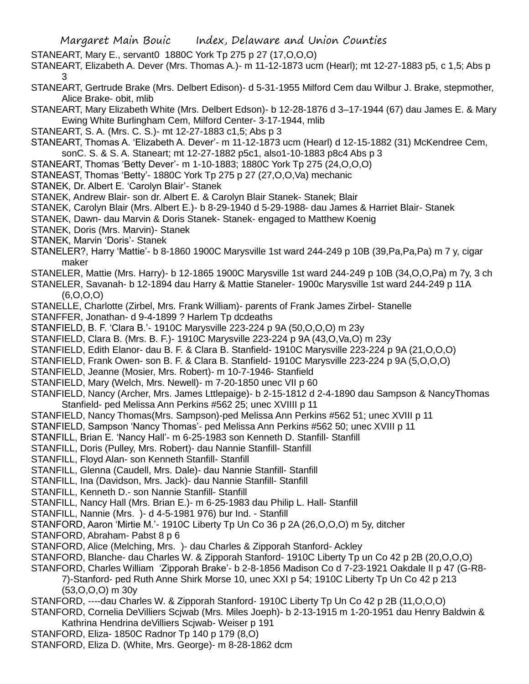- STANEART, Mary E., servant0 1880C York Tp 275 p 27 (17,O,O,O)
- STANEART, Elizabeth A. Dever (Mrs. Thomas A.)- m 11-12-1873 ucm (Hearl); mt 12-27-1883 p5, c 1,5; Abs p 3
- STANEART, Gertrude Brake (Mrs. Delbert Edison)- d 5-31-1955 Milford Cem dau Wilbur J. Brake, stepmother, Alice Brake- obit, mlib
- STANEART, Mary Elizabeth White (Mrs. Delbert Edson)- b 12-28-1876 d 3–17-1944 (67) dau James E. & Mary Ewing White Burlingham Cem, Milford Center- 3-17-1944, mlib
- STANEART, S. A. (Mrs. C. S.)- mt 12-27-1883 c1,5; Abs p 3
- STANEART, Thomas A. 'Elizabeth A. Dever'- m 11-12-1873 ucm (Hearl) d 12-15-1882 (31) McKendree Cem, sonC. S. & S. A. Staneart; mt 12-27-1882 p5c1, also1-10-1883 p8c4 Abs p 3
- STANEART, Thomas 'Betty Dever'- m 1-10-1883; 1880C York Tp 275 (24,O,O,O)
- STANEAST, Thomas 'Betty'- 1880C York Tp 275 p 27 (27,O,O,Va) mechanic
- STANEK, Dr. Albert E. 'Carolyn Blair'- Stanek
- STANEK, Andrew Blair- son dr. Albert E. & Carolyn Blair Stanek- Stanek; Blair
- STANEK, Carolyn Blair (Mrs. Albert E.)- b 8-29-1940 d 5-29-1988- dau James & Harriet Blair- Stanek
- STANEK, Dawn- dau Marvin & Doris Stanek- Stanek- engaged to Matthew Koenig
- STANEK, Doris (Mrs. Marvin)- Stanek
- STANEK, Marvin 'Doris'- Stanek
- STANELER?, Harry 'Mattie'- b 8-1860 1900C Marysville 1st ward 244-249 p 10B (39,Pa,Pa,Pa) m 7 y, cigar maker
- STANELER, Mattie (Mrs. Harry)- b 12-1865 1900C Marysville 1st ward 244-249 p 10B (34,O,O,Pa) m 7y, 3 ch

STANELER, Savanah- b 12-1894 dau Harry & Mattie Staneler- 1900c Marysville 1st ward 244-249 p 11A (6,O,O,O)

- STANELLE, Charlotte (Zirbel, Mrs. Frank William)- parents of Frank James Zirbel- Stanelle
- STANFFER, Jonathan- d 9-4-1899 ? Harlem Tp dcdeaths
- STANFIELD, B. F. 'Clara B.'- 1910C Marysville 223-224 p 9A (50,O,O,O) m 23y
- STANFIELD, Clara B. (Mrs. B. F.)- 1910C Marysville 223-224 p 9A (43,O,Va,O) m 23y
- STANFIELD, Edith Elanor- dau B. F. & Clara B. Stanfield- 1910C Marysville 223-224 p 9A (21,O,O,O)
- STANFIELD, Frank Owen- son B. F. & Clara B. Stanfield- 1910C Marysville 223-224 p 9A (5,O,O,O)
- STANFIELD, Jeanne (Mosier, Mrs. Robert)- m 10-7-1946- Stanfield
- STANFIELD, Mary (Welch, Mrs. Newell)- m 7-20-1850 unec VII p 60
- STANFIELD, Nancy (Archer, Mrs. James Lttlepaige)- b 2-15-1812 d 2-4-1890 dau Sampson & NancyThomas Stanfield- ped Melissa Ann Perkins #562 25; unec XVIIII p 11
- STANFIELD, Nancy Thomas(Mrs. Sampson)-ped Melissa Ann Perkins #562 51; unec XVIII p 11
- STANFIELD, Sampson 'Nancy Thomas'- ped Melissa Ann Perkins #562 50; unec XVIII p 11
- STANFILL, Brian E. 'Nancy Hall'- m 6-25-1983 son Kenneth D. Stanfill- Stanfill
- STANFILL, Doris (Pulley, Mrs. Robert)- dau Nannie Stanfill- Stanfill
- STANFILL, Floyd Alan- son Kenneth Stanfill- Stanfill
- STANFILL, Glenna (Caudell, Mrs. Dale)- dau Nannie Stanfill- Stanfill
- STANFILL, Ina (Davidson, Mrs. Jack)- dau Nannie Stanfill- Stanfill
- STANFILL, Kenneth D.- son Nannie Stanfill- Stanfill
- STANFILL, Nancy Hall (Mrs. Brian E.)- m 6-25-1983 dau Philip L. Hall- Stanfill
- STANFILL, Nannie (Mrs. )- d 4-5-1981 976) bur Ind. Stanfill
- STANFORD, Aaron 'Mirtie M.'- 1910C Liberty Tp Un Co 36 p 2A (26,O,O,O) m 5y, ditcher
- STANFORD, Abraham- Pabst 8 p 6
- STANFORD, Alice (Melching, Mrs. )- dau Charles & Zipporah Stanford- Ackley
- STANFORD, Blanche- dau Charles W. & Zipporah Stanford- 1910C Liberty Tp un Co 42 p 2B (20,O,O,O)
- STANFORD, Charles William 'Zipporah Brake'- b 2-8-1856 Madison Co d 7-23-1921 Oakdale II p 47 (G-R8-
	- 7)-Stanford- ped Ruth Anne Shirk Morse 10, unec XXI p 54; 1910C Liberty Tp Un Co 42 p 213 (53,O,O,O) m 30y
- STANFORD, ----dau Charles W. & Zipporah Stanford- 1910C Liberty Tp Un Co 42 p 2B (11,O,O,O)
- STANFORD, Cornelia DeVilliers Scjwab (Mrs. Miles Joeph)- b 2-13-1915 m 1-20-1951 dau Henry Baldwin & Kathrina Hendrina deVilliers Scjwab- Weiser p 191
- STANFORD, Eliza- 1850C Radnor Tp 140 p 179 (8,O)
- STANFORD, Eliza D. (White, Mrs. George)- m 8-28-1862 dcm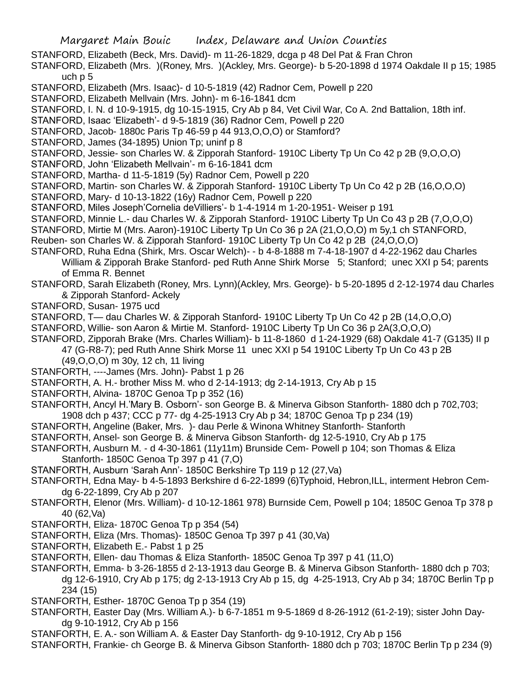- STANFORD, Elizabeth (Beck, Mrs. David)- m 11-26-1829, dcga p 48 Del Pat & Fran Chron
- STANFORD, Elizabeth (Mrs. )(Roney, Mrs. )(Ackley, Mrs. George)- b 5-20-1898 d 1974 Oakdale II p 15; 1985 uch p 5
- STANFORD, Elizabeth (Mrs. Isaac)- d 10-5-1819 (42) Radnor Cem, Powell p 220
- STANFORD, Elizabeth Mellvain (Mrs. John)- m 6-16-1841 dcm
- STANFORD, I. N. d 10-9-1915, dg 10-15-1915, Cry Ab p 84, Vet Civil War, Co A. 2nd Battalion, 18th inf.
- STANFORD, Isaac 'Elizabeth'- d 9-5-1819 (36) Radnor Cem, Powell p 220
- STANFORD, Jacob- 1880c Paris Tp 46-59 p 44 913,O,O,O) or Stamford?
- STANFORD, James (34-1895) Union Tp; uninf p 8
- STANFORD, Jessie- son Charles W. & Zipporah Stanford- 1910C Liberty Tp Un Co 42 p 2B (9,O,O,O)
- STANFORD, John 'Elizabeth Mellvain'- m 6-16-1841 dcm
- STANFORD, Martha- d 11-5-1819 (5y) Radnor Cem, Powell p 220
- STANFORD, Martin- son Charles W. & Zipporah Stanford- 1910C Liberty Tp Un Co 42 p 2B (16,O,O,O)
- STANFORD, Mary- d 10-13-1822 (16y) Radnor Cem, Powell p 220
- STANFORD, Miles Joseph'Cornelia deVilliers'- b 1-4-1914 m 1-20-1951- Weiser p 191
- STANFORD, Minnie L.- dau Charles W. & Zipporah Stanford- 1910C Liberty Tp Un Co 43 p 2B (7,O,O,O)
- STANFORD, Mirtie M (Mrs. Aaron)-1910C Liberty Tp Un Co 36 p 2A (21,O,O,O) m 5y,1 ch STANFORD,
- Reuben- son Charles W. & Zipporah Stanford- 1910C Liberty Tp Un Co 42 p 2B (24,O,O,O)
- STANFORD, Ruha Edna (Shirk, Mrs. Oscar Welch)- b 4-8-1888 m 7-4-18-1907 d 4-22-1962 dau Charles William & Zipporah Brake Stanford- ped Ruth Anne Shirk Morse 5; Stanford; unec XXI p 54; parents of Emma R. Bennet
- STANFORD, Sarah Elizabeth (Roney, Mrs. Lynn)(Ackley, Mrs. George)- b 5-20-1895 d 2-12-1974 dau Charles & Zipporah Stanford- Ackely
- STANFORD, Susan- 1975 ucd
- STANFORD, T— dau Charles W. & Zipporah Stanford- 1910C Liberty Tp Un Co 42 p 2B (14,O,O,O)
- STANFORD, Willie- son Aaron & Mirtie M. Stanford- 1910C Liberty Tp Un Co 36 p 2A(3,O,O,O)
- STANFORD, Zipporah Brake (Mrs. Charles William)- b 11-8-1860 d 1-24-1929 (68) Oakdale 41-7 (G135) II p
	- 47 (G-R8-7); ped Ruth Anne Shirk Morse 11 unec XXI p 54 1910C Liberty Tp Un Co 43 p 2B (49,O,O,O) m 30y, 12 ch, 11 living
- STANFORTH, ----James (Mrs. John)- Pabst 1 p 26
- STANFORTH, A. H.- brother Miss M. who d 2-14-1913; dg 2-14-1913, Cry Ab p 15
- STANFORTH, Alvina- 1870C Genoa Tp p 352 (16)
- STANFORTH, Ancyl H.'Mary B. Osborn'- son George B. & Minerva Gibson Stanforth- 1880 dch p 702,703; 1908 dch p 437; CCC p 77- dg 4-25-1913 Cry Ab p 34; 1870C Genoa Tp p 234 (19)
- STANFORTH, Angeline (Baker, Mrs. )- dau Perle & Winona Whitney Stanforth- Stanforth
- STANFORTH, Ansel- son George B. & Minerva Gibson Stanforth- dg 12-5-1910, Cry Ab p 175
- STANFORTH, Ausburn M. d 4-30-1861 (11y11m) Brunside Cem- Powell p 104; son Thomas & Eliza
- Stanforth- 1850C Genoa Tp 397 p 41 (7,O)
- STANFORTH, Ausburn 'Sarah Ann'- 1850C Berkshire Tp 119 p 12 (27,Va)
- STANFORTH, Edna May- b 4-5-1893 Berkshire d 6-22-1899 (6)Typhoid, Hebron,ILL, interment Hebron Cemdg 6-22-1899, Cry Ab p 207
- STANFORTH, Elenor (Mrs. William)- d 10-12-1861 978) Burnside Cem, Powell p 104; 1850C Genoa Tp 378 p 40 (62,Va)
- STANFORTH, Eliza- 1870C Genoa Tp p 354 (54)
- STANFORTH, Eliza (Mrs. Thomas)- 1850C Genoa Tp 397 p 41 (30,Va)
- STANFORTH, Elizabeth E.- Pabst 1 p 25
- STANFORTH, Ellen- dau Thomas & Eliza Stanforth- 1850C Genoa Tp 397 p 41 (11,O)
- STANFORTH, Emma- b 3-26-1855 d 2-13-1913 dau George B. & Minerva Gibson Stanforth- 1880 dch p 703; dg 12-6-1910, Cry Ab p 175; dg 2-13-1913 Cry Ab p 15, dg 4-25-1913, Cry Ab p 34; 1870C Berlin Tp p 234 (15)
- STANFORTH, Esther- 1870C Genoa Tp p 354 (19)
- STANFORTH, Easter Day (Mrs. William A.)- b 6-7-1851 m 9-5-1869 d 8-26-1912 (61-2-19); sister John Daydg 9-10-1912, Cry Ab p 156
- STANFORTH, E. A.- son William A. & Easter Day Stanforth- dg 9-10-1912, Cry Ab p 156
- STANFORTH, Frankie- ch George B. & Minerva Gibson Stanforth- 1880 dch p 703; 1870C Berlin Tp p 234 (9)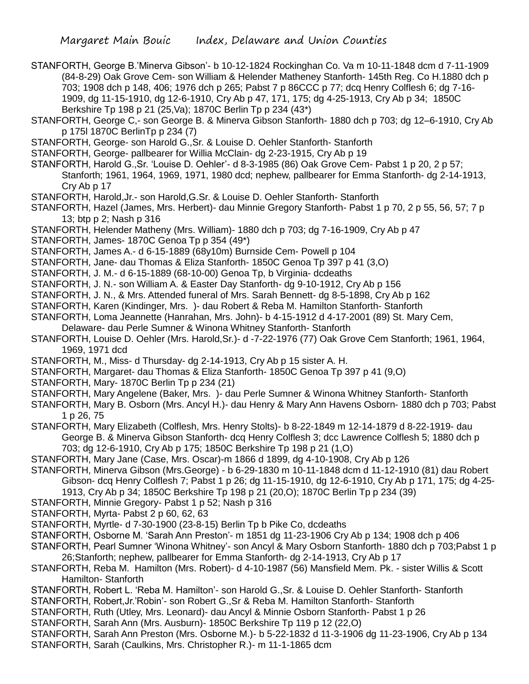STANFORTH, George B.'Minerva Gibson'- b 10-12-1824 Rockinghan Co. Va m 10-11-1848 dcm d 7-11-1909 (84-8-29) Oak Grove Cem- son William & Helender Matheney Stanforth- 145th Reg. Co H.1880 dch p 703; 1908 dch p 148, 406; 1976 dch p 265; Pabst 7 p 86CCC p 77; dcq Henry Colflesh 6; dg 7-16- 1909, dg 11-15-1910, dg 12-6-1910, Cry Ab p 47, 171, 175; dg 4-25-1913, Cry Ab p 34; 1850C Berkshire Tp 198 p 21 (25,Va); 1870C Berlin Tp p 234 (43\*)

- STANFORTH, George C,- son George B. & Minerva Gibson Stanforth- 1880 dch p 703; dg 12–6-1910, Cry Ab p 175l 1870C BerlinTp p 234 (7)
- STANFORTH, George- son Harold G.,Sr. & Louise D. Oehler Stanforth- Stanforth
- STANFORTH, George- pallbearer for Willia McClain- dg 2-23-1915, Cry Ab p 19
- STANFORTH, Harold G.,Sr. 'Louise D. Oehler'- d 8-3-1985 (86) Oak Grove Cem- Pabst 1 p 20, 2 p 57; Stanforth; 1961, 1964, 1969, 1971, 1980 dcd; nephew, pallbearer for Emma Stanforth- dg 2-14-1913, Cry Ab p 17
- STANFORTH, Harold,Jr.- son Harold,G.Sr. & Louise D. Oehler Stanforth- Stanforth
- STANFORTH, Hazel (James, Mrs. Herbert)- dau Minnie Gregory Stanforth- Pabst 1 p 70, 2 p 55, 56, 57; 7 p 13; btp p 2; Nash p 316
- STANFORTH, Helender Matheny (Mrs. William)- 1880 dch p 703; dg 7-16-1909, Cry Ab p 47
- STANFORTH, James- 1870C Genoa Tp p 354 (49\*)
- STANFORTH, James A.- d 6-15-1889 (68y10m) Burnside Cem- Powell p 104
- STANFORTH, Jane- dau Thomas & Eliza Stanforth- 1850C Genoa Tp 397 p 41 (3,O)
- STANFORTH, J. M.- d 6-15-1889 (68-10-00) Genoa Tp, b Virginia- dcdeaths
- STANFORTH, J. N.- son William A. & Easter Day Stanforth- dg 9-10-1912, Cry Ab p 156
- STANFORTH, J. N., & Mrs. Attended funeral of Mrs. Sarah Bennett- dg 8-5-1898, Cry Ab p 162
- STANFORTH, Karen (Kindinger, Mrs. )- dau Robert & Reba M. Hamilton Stanforth- Stanforth
- STANFORTH, Loma Jeannette (Hanrahan, Mrs. John)- b 4-15-1912 d 4-17-2001 (89) St. Mary Cem, Delaware- dau Perle Sumner & Winona Whitney Stanforth- Stanforth
- STANFORTH, Louise D. Oehler (Mrs. Harold,Sr.)- d -7-22-1976 (77) Oak Grove Cem Stanforth; 1961, 1964, 1969, 1971 dcd
- STANFORTH, M., Miss- d Thursday- dg 2-14-1913, Cry Ab p 15 sister A. H.
- STANFORTH, Margaret- dau Thomas & Eliza Stanforth- 1850C Genoa Tp 397 p 41 (9,O)
- STANFORTH, Mary- 1870C Berlin Tp p 234 (21)
- STANFORTH, Mary Angelene (Baker, Mrs. )- dau Perle Sumner & Winona Whitney Stanforth- Stanforth
- STANFORTH, Mary B. Osborn (Mrs. Ancyl H.)- dau Henry & Mary Ann Havens Osborn- 1880 dch p 703; Pabst 1 p 26, 75
- STANFORTH, Mary Elizabeth (Colflesh, Mrs. Henry Stolts)- b 8-22-1849 m 12-14-1879 d 8-22-1919- dau George B. & Minerva Gibson Stanforth- dcq Henry Colflesh 3; dcc Lawrence Colflesh 5; 1880 dch p 703; dg 12-6-1910, Cry Ab p 175; 1850C Berkshire Tp 198 p 21 (1,O)
- STANFORTH, Mary Jane (Case, Mrs. Oscar)-m 1866 d 1899, dg 4-10-1908, Cry Ab p 126
- STANFORTH, Minerva Gibson (Mrs.George) b 6-29-1830 m 10-11-1848 dcm d 11-12-1910 (81) dau Robert Gibson- dcq Henry Colflesh 7; Pabst 1 p 26; dg 11-15-1910, dg 12-6-1910, Cry Ab p 171, 175; dg 4-25-
	- 1913, Cry Ab p 34; 1850C Berkshire Tp 198 p 21 (20,O); 1870C Berlin Tp p 234 (39)
- STANFORTH, Minnie Gregory- Pabst 1 p 52; Nash p 316
- STANFORTH, Myrta- Pabst 2 p 60, 62, 63
- STANFORTH, Myrtle- d 7-30-1900 (23-8-15) Berlin Tp b Pike Co, dcdeaths
- STANFORTH, Osborne M. 'Sarah Ann Preston'- m 1851 dg 11-23-1906 Cry Ab p 134; 1908 dch p 406
- STANFORTH, Pearl Sumner 'Winona Whitney'- son Ancyl & Mary Osborn Stanforth- 1880 dch p 703;Pabst 1 p 26;Stanforth; nephew, pallbearer for Emma Stanforth- dg 2-14-1913, Cry Ab p 17
- STANFORTH, Reba M. Hamilton (Mrs. Robert)- d 4-10-1987 (56) Mansfield Mem. Pk. sister Willis & Scott Hamilton- Stanforth
- STANFORTH, Robert L. 'Reba M. Hamilton'- son Harold G.,Sr. & Louise D. Oehler Stanforth- Stanforth
- STANFORTH, Robert,Jr.'Robin'- son Robert G.,Sr & Reba M. Hamilton Stanforth- Stanforth
- STANFORTH, Ruth (Utley, Mrs. Leonard)- dau Ancyl & Minnie Osborn Stanforth- Pabst 1 p 26
- STANFORTH, Sarah Ann (Mrs. Ausburn)- 1850C Berkshire Tp 119 p 12 (22,O)
- STANFORTH, Sarah Ann Preston (Mrs. Osborne M.)- b 5-22-1832 d 11-3-1906 dg 11-23-1906, Cry Ab p 134
- STANFORTH, Sarah (Caulkins, Mrs. Christopher R.)- m 11-1-1865 dcm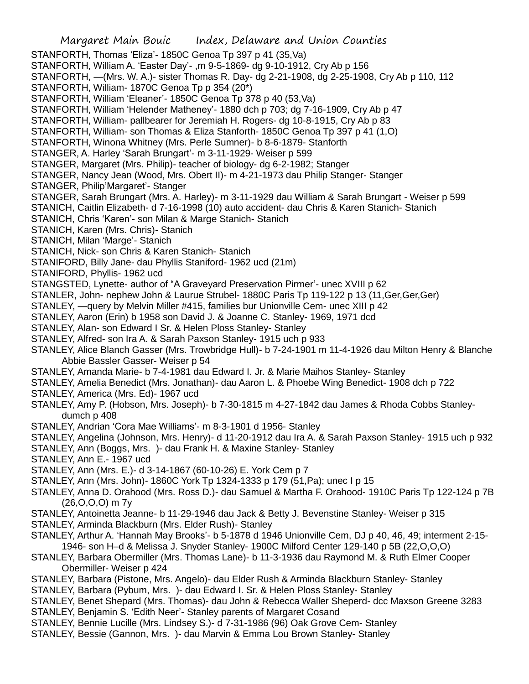Margaret Main Bouic Index, Delaware and Union Counties STANFORTH, Thomas 'Eliza'- 1850C Genoa Tp 397 p 41 (35,Va) STANFORTH, William A. 'Easter Day'- ,m 9-5-1869- dg 9-10-1912, Cry Ab p 156 STANFORTH, —(Mrs. W. A.)- sister Thomas R. Day- dg 2-21-1908, dg 2-25-1908, Cry Ab p 110, 112 STANFORTH, William- 1870C Genoa Tp p 354 (20\*) STANFORTH, William 'Eleaner'- 1850C Genoa Tp 378 p 40 (53,Va) STANFORTH, William 'Helender Matheney'- 1880 dch p 703; dg 7-16-1909, Cry Ab p 47 STANFORTH, William- pallbearer for Jeremiah H. Rogers- dg 10-8-1915, Cry Ab p 83 STANFORTH, William- son Thomas & Eliza Stanforth- 1850C Genoa Tp 397 p 41 (1,O) STANFORTH, Winona Whitney (Mrs. Perle Sumner)- b 8-6-1879- Stanforth STANGER, A. Harley 'Sarah Brungart'- m 3-11-1929- Weiser p 599 STANGER, Margaret (Mrs. Philip)- teacher of biology- dg 6-2-1982; Stanger STANGER, Nancy Jean (Wood, Mrs. Obert II)- m 4-21-1973 dau Philip Stanger- Stanger STANGER, Philip'Margaret'- Stanger STANGER, Sarah Brungart (Mrs. A. Harley)- m 3-11-1929 dau William & Sarah Brungart - Weiser p 599 STANICH, Caitlin Elizabeth- d 7-16-1998 (10) auto accident- dau Chris & Karen Stanich- Stanich STANICH, Chris 'Karen'- son Milan & Marge Stanich- Stanich STANICH, Karen (Mrs. Chris)- Stanich STANICH, Milan 'Marge'- Stanich STANICH, Nick- son Chris & Karen Stanich- Stanich STANIFORD, Billy Jane- dau Phyllis Staniford- 1962 ucd (21m) STANIFORD, Phyllis- 1962 ucd STANGSTED, Lynette- author of "A Graveyard Preservation Pirmer'- unec XVIII p 62 STANLER, John- nephew John & Laurue Strubel- 1880C Paris Tp 119-122 p 13 (11,Ger,Ger,Ger) STANLEY, —query by Melvin Miller #415, families bur Unionville Cem- unec XIII p 42 STANLEY, Aaron (Erin) b 1958 son David J. & Joanne C. Stanley- 1969, 1971 dcd STANLEY, Alan- son Edward I Sr. & Helen Ploss Stanley- Stanley STANLEY, Alfred- son Ira A. & Sarah Paxson Stanley- 1915 uch p 933 STANLEY, Alice Blanch Gasser (Mrs. Trowbridge Hull)- b 7-24-1901 m 11-4-1926 dau Milton Henry & Blanche Abbie Bassler Gasser- Weiser p 54 STANLEY, Amanda Marie- b 7-4-1981 dau Edward I. Jr. & Marie Maihos Stanley- Stanley STANLEY, Amelia Benedict (Mrs. Jonathan)- dau Aaron L. & Phoebe Wing Benedict- 1908 dch p 722 STANLEY, America (Mrs. Ed)- 1967 ucd STANLEY, Amy P. (Hobson, Mrs. Joseph)- b 7-30-1815 m 4-27-1842 dau James & Rhoda Cobbs Stanleydumch p 408 STANLEY, Andrian 'Cora Mae Williams'- m 8-3-1901 d 1956- Stanley STANLEY, Angelina (Johnson, Mrs. Henry)- d 11-20-1912 dau Ira A. & Sarah Paxson Stanley- 1915 uch p 932 STANLEY, Ann (Boggs, Mrs. )- dau Frank H. & Maxine Stanley- Stanley STANLEY, Ann E.- 1967 ucd STANLEY, Ann (Mrs. E.)- d 3-14-1867 (60-10-26) E. York Cem p 7 STANLEY, Ann (Mrs. John)- 1860C York Tp 1324-1333 p 179 (51,Pa); unec I p 15 STANLEY, Anna D. Orahood (Mrs. Ross D.)- dau Samuel & Martha F. Orahood- 1910C Paris Tp 122-124 p 7B (26,O,O,O) m 7y STANLEY, Antoinetta Jeanne- b 11-29-1946 dau Jack & Betty J. Bevenstine Stanley- Weiser p 315 STANLEY, Arminda Blackburn (Mrs. Elder Rush)- Stanley STANLEY, Arthur A. 'Hannah May Brooks'- b 5-1878 d 1946 Unionville Cem, DJ p 40, 46, 49; interment 2-15- 1946- son H–d & Melissa J. Snyder Stanley- 1900C Milford Center 129-140 p 5B (22,O,O,O) STANLEY, Barbara Obermiller (Mrs. Thomas Lane)- b 11-3-1936 dau Raymond M. & Ruth Elmer Cooper Obermiller- Weiser p 424 STANLEY, Barbara (Pistone, Mrs. Angelo)- dau Elder Rush & Arminda Blackburn Stanley- Stanley STANLEY, Barbara (Pybum, Mrs. )- dau Edward I. Sr. & Helen Ploss Stanley- Stanley STANLEY, Benet Shepard (Mrs. Thomas)- dau John & Rebecca Waller Sheperd- dcc Maxson Greene 3283

STANLEY, Benjamin S. 'Edith Neer'- Stanley parents of Margaret Cosand

STANLEY, Bennie Lucille (Mrs. Lindsey S.)- d 7-31-1986 (96) Oak Grove Cem- Stanley

STANLEY, Bessie (Gannon, Mrs. )- dau Marvin & Emma Lou Brown Stanley- Stanley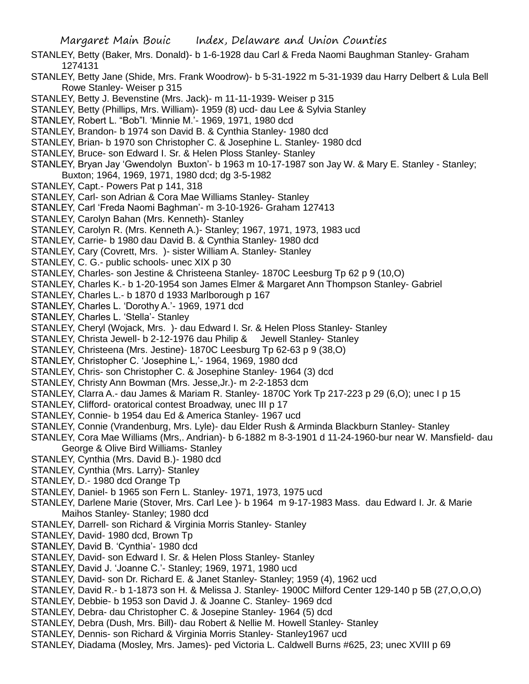- STANLEY, Betty (Baker, Mrs. Donald)- b 1-6-1928 dau Carl & Freda Naomi Baughman Stanley- Graham 1274131
- STANLEY, Betty Jane (Shide, Mrs. Frank Woodrow)- b 5-31-1922 m 5-31-1939 dau Harry Delbert & Lula Bell Rowe Stanley- Weiser p 315
- STANLEY, Betty J. Bevenstine (Mrs. Jack)- m 11-11-1939- Weiser p 315
- STANLEY, Betty (Phillips, Mrs. William)- 1959 (8) ucd- dau Lee & Sylvia Stanley
- STANLEY, Robert L. "Bob"l. 'Minnie M.'- 1969, 1971, 1980 dcd
- STANLEY, Brandon- b 1974 son David B. & Cynthia Stanley- 1980 dcd
- STANLEY, Brian- b 1970 son Christopher C. & Josephine L. Stanley- 1980 dcd
- STANLEY, Bruce- son Edward I. Sr. & Helen Ploss Stanley- Stanley
- STANLEY, Bryan Jay 'Gwendolyn Buxton'- b 1963 m 10-17-1987 son Jay W. & Mary E. Stanley Stanley; Buxton; 1964, 1969, 1971, 1980 dcd; dg 3-5-1982
- STANLEY, Capt.- Powers Pat p 141, 318
- STANLEY, Carl- son Adrian & Cora Mae Williams Stanley- Stanley
- STANLEY, Carl 'Freda Naomi Baghman'- m 3-10-1926- Graham 127413
- STANLEY, Carolyn Bahan (Mrs. Kenneth)- Stanley
- STANLEY, Carolyn R. (Mrs. Kenneth A.)- Stanley; 1967, 1971, 1973, 1983 ucd
- STANLEY, Carrie- b 1980 dau David B. & Cynthia Stanley- 1980 dcd
- STANLEY, Cary (Covrett, Mrs. )- sister William A. Stanley- Stanley
- STANLEY, C. G.- public schools- unec XIX p 30
- STANLEY, Charles- son Jestine & Christeena Stanley- 1870C Leesburg Tp 62 p 9 (10,O)
- STANLEY, Charles K.- b 1-20-1954 son James Elmer & Margaret Ann Thompson Stanley- Gabriel
- STANLEY, Charles L.- b 1870 d 1933 Marlborough p 167
- STANLEY, Charles L. 'Dorothy A.'- 1969, 1971 dcd
- STANLEY, Charles L. 'Stella'- Stanley
- STANLEY, Cheryl (Wojack, Mrs. )- dau Edward I. Sr. & Helen Ploss Stanley- Stanley
- STANLEY, Christa Jewell- b 2-12-1976 dau Philip & Jewell Stanley- Stanley
- STANLEY, Christeena (Mrs. Jestine)- 1870C Leesburg Tp 62-63 p 9 (38,O)
- STANLEY, Christopher C. 'Josephine L,'- 1964, 1969, 1980 dcd
- STANLEY, Chris- son Christopher C. & Josephine Stanley- 1964 (3) dcd
- STANLEY, Christy Ann Bowman (Mrs. Jesse,Jr.)- m 2-2-1853 dcm
- STANLEY, Clarra A.- dau James & Mariam R. Stanley- 1870C York Tp 217-223 p 29 (6,O); unec I p 15
- STANLEY, Clifford- oratorical contest Broadway, unec III p 17
- STANLEY, Connie- b 1954 dau Ed & America Stanley- 1967 ucd
- STANLEY, Connie (Vrandenburg, Mrs. Lyle)- dau Elder Rush & Arminda Blackburn Stanley- Stanley
- STANLEY, Cora Mae Williams (Mrs,. Andrian)- b 6-1882 m 8-3-1901 d 11-24-1960-bur near W. Mansfield- dau George & Olive Bird Williams- Stanley
- STANLEY, Cynthia (Mrs. David B.)- 1980 dcd
- STANLEY, Cynthia (Mrs. Larry)- Stanley
- STANLEY, D.- 1980 dcd Orange Tp
- STANLEY, Daniel- b 1965 son Fern L. Stanley- 1971, 1973, 1975 ucd
- STANLEY, Darlene Marie (Stover, Mrs. Carl Lee )- b 1964 m 9-17-1983 Mass. dau Edward I. Jr. & Marie Maihos Stanley- Stanley; 1980 dcd
- STANLEY, Darrell- son Richard & Virginia Morris Stanley- Stanley
- STANLEY, David- 1980 dcd, Brown Tp
- STANLEY, David B. 'Cynthia'- 1980 dcd
- STANLEY, David- son Edward I. Sr. & Helen Ploss Stanley- Stanley
- STANLEY, David J. 'Joanne C.'- Stanley; 1969, 1971, 1980 ucd
- STANLEY, David- son Dr. Richard E. & Janet Stanley- Stanley; 1959 (4), 1962 ucd
- STANLEY, David R.- b 1-1873 son H. & Melissa J. Stanley- 1900C Milford Center 129-140 p 5B (27,O,O,O)
- STANLEY, Debbie- b 1953 son David J. & Joanne C. Stanley- 1969 dcd
- STANLEY, Debra- dau Christopher C. & Josepine Stanley- 1964 (5) dcd
- STANLEY, Debra (Dush, Mrs. Bill)- dau Robert & Nellie M. Howell Stanley- Stanley
- STANLEY, Dennis- son Richard & Virginia Morris Stanley- Stanley1967 ucd
- STANLEY, Diadama (Mosley, Mrs. James)- ped Victoria L. Caldwell Burns #625, 23; unec XVIII p 69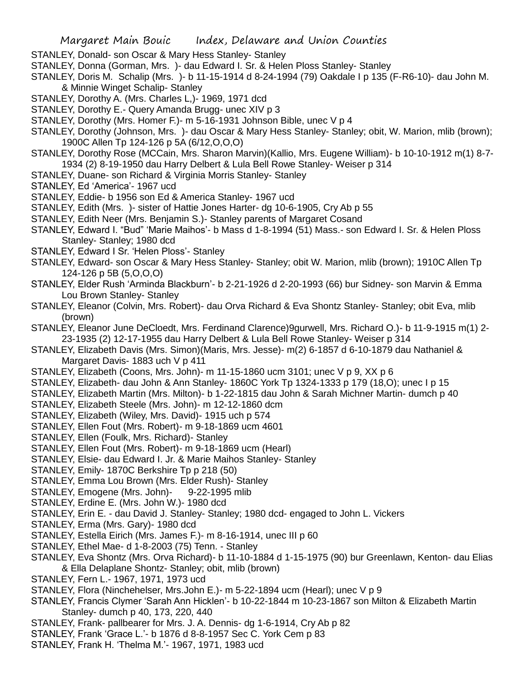- STANLEY, Donald- son Oscar & Mary Hess Stanley- Stanley
- STANLEY, Donna (Gorman, Mrs. )- dau Edward I. Sr. & Helen Ploss Stanley- Stanley
- STANLEY, Doris M. Schalip (Mrs. )- b 11-15-1914 d 8-24-1994 (79) Oakdale I p 135 (F-R6-10)- dau John M. & Minnie Winget Schalip- Stanley
- STANLEY, Dorothy A. (Mrs. Charles L,)- 1969, 1971 dcd
- STANLEY, Dorothy E.- Query Amanda Brugg- unec XIV p 3
- STANLEY, Dorothy (Mrs. Homer F.)- m 5-16-1931 Johnson Bible, unec V p 4
- STANLEY, Dorothy (Johnson, Mrs. )- dau Oscar & Mary Hess Stanley- Stanley; obit, W. Marion, mlib (brown); 1900C Allen Tp 124-126 p 5A (6/12,O,O,O)
- STANLEY, Dorothy Rose (MCCain, Mrs. Sharon Marvin)(Kallio, Mrs. Eugene William)- b 10-10-1912 m(1) 8-7- 1934 (2) 8-19-1950 dau Harry Delbert & Lula Bell Rowe Stanley- Weiser p 314
- STANLEY, Duane- son Richard & Virginia Morris Stanley- Stanley
- STANLEY, Ed 'America'- 1967 ucd
- STANLEY, Eddie- b 1956 son Ed & America Stanley- 1967 ucd
- STANLEY, Edith (Mrs. )- sister of Hattie Jones Harter- dg 10-6-1905, Cry Ab p 55
- STANLEY, Edith Neer (Mrs. Benjamin S.)- Stanley parents of Margaret Cosand
- STANLEY, Edward I. "Bud" 'Marie Maihos'- b Mass d 1-8-1994 (51) Mass.- son Edward I. Sr. & Helen Ploss Stanley- Stanley; 1980 dcd
- STANLEY, Edward I Sr. 'Helen Ploss'- Stanley
- STANLEY, Edward- son Oscar & Mary Hess Stanley- Stanley; obit W. Marion, mlib (brown); 1910C Allen Tp 124-126 p 5B (5,O,O,O)
- STANLEY, Elder Rush 'Arminda Blackburn'- b 2-21-1926 d 2-20-1993 (66) bur Sidney- son Marvin & Emma Lou Brown Stanley- Stanley
- STANLEY, Eleanor (Colvin, Mrs. Robert)- dau Orva Richard & Eva Shontz Stanley- Stanley; obit Eva, mlib (brown)
- STANLEY, Eleanor June DeCloedt, Mrs. Ferdinand Clarence)9gurwell, Mrs. Richard O.)- b 11-9-1915 m(1) 2- 23-1935 (2) 12-17-1955 dau Harry Delbert & Lula Bell Rowe Stanley- Weiser p 314
- STANLEY, Elizabeth Davis (Mrs. Simon)(Maris, Mrs. Jesse)- m(2) 6-1857 d 6-10-1879 dau Nathaniel & Margaret Davis- 1883 uch V p 411
- STANLEY, Elizabeth (Coons, Mrs. John)- m 11-15-1860 ucm 3101; unec V p 9, XX p 6
- STANLEY, Elizabeth- dau John & Ann Stanley- 1860C York Tp 1324-1333 p 179 (18,O); unec I p 15
- STANLEY, Elizabeth Martin (Mrs. Milton)- b 1-22-1815 dau John & Sarah Michner Martin- dumch p 40
- STANLEY, Elizabeth Steele (Mrs. John)- m 12-12-1860 dcm
- STANLEY, Elizabeth (Wiley, Mrs. David)- 1915 uch p 574
- STANLEY, Ellen Fout (Mrs. Robert)- m 9-18-1869 ucm 4601
- STANLEY, Ellen (Foulk, Mrs. Richard)- Stanley
- STANLEY, Ellen Fout (Mrs. Robert)- m 9-18-1869 ucm (Hearl)
- STANLEY, Elsie- dau Edward I. Jr. & Marie Maihos Stanley- Stanley
- STANLEY, Emily- 1870C Berkshire Tp p 218 (50)
- STANLEY, Emma Lou Brown (Mrs. Elder Rush)- Stanley
- STANLEY, Emogene (Mrs. John)- 9-22-1995 mlib
- STANLEY, Erdine E. (Mrs. John W.)- 1980 dcd
- STANLEY, Erin E. dau David J. Stanley- Stanley; 1980 dcd- engaged to John L. Vickers
- STANLEY, Erma (Mrs. Gary)- 1980 dcd
- STANLEY, Estella Eirich (Mrs. James F.)- m 8-16-1914, unec III p 60
- STANLEY, Ethel Mae- d 1-8-2003 (75) Tenn. Stanley
- STANLEY, Eva Shontz (Mrs. Orva Richard)- b 11-10-1884 d 1-15-1975 (90) bur Greenlawn, Kenton- dau Elias & Ella Delaplane Shontz- Stanley; obit, mlib (brown)
- STANLEY, Fern L.- 1967, 1971, 1973 ucd
- STANLEY, Flora (Ninchehelser, Mrs.John E.)- m 5-22-1894 ucm (Hearl); unec V p 9
- STANLEY, Francis Clymer 'Sarah Ann Hicklen'- b 10-22-1844 m 10-23-1867 son Milton & Elizabeth Martin Stanley- dumch p 40, 173, 220, 440
- STANLEY, Frank- pallbearer for Mrs. J. A. Dennis- dg 1-6-1914, Cry Ab p 82
- STANLEY, Frank 'Grace L.'- b 1876 d 8-8-1957 Sec C. York Cem p 83
- STANLEY, Frank H. 'Thelma M.'- 1967, 1971, 1983 ucd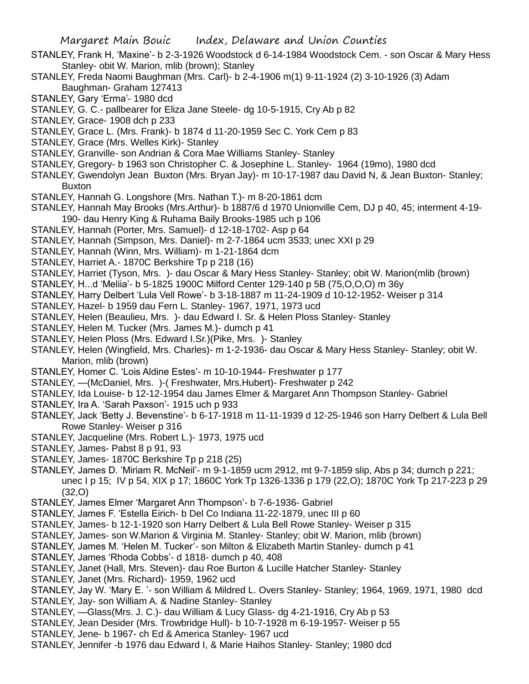- STANLEY, Frank H, 'Maxine'- b 2-3-1926 Woodstock d 6-14-1984 Woodstock Cem. son Oscar & Mary Hess Stanley- obit W. Marion, mlib (brown); Stanley
- STANLEY, Freda Naomi Baughman (Mrs. Carl)- b 2-4-1906 m(1) 9-11-1924 (2) 3-10-1926 (3) Adam Baughman- Graham 127413
- STANLEY, Gary 'Erma'- 1980 dcd
- STANLEY, G. C.- pallbearer for Eliza Jane Steele- dg 10-5-1915, Cry Ab p 82
- STANLEY, Grace- 1908 dch p 233
- STANLEY, Grace L. (Mrs. Frank)- b 1874 d 11-20-1959 Sec C. York Cem p 83
- STANLEY, Grace (Mrs. Welles Kirk)- Stanley
- STANLEY, Granville- son Andrian & Cora Mae Williams Stanley- Stanley
- STANLEY, Gregory- b 1963 son Christopher C. & Josephine L. Stanley- 1964 (19mo), 1980 dcd
- STANLEY, Gwendolyn Jean Buxton (Mrs. Bryan Jay)- m 10-17-1987 dau David N, & Jean Buxton- Stanley; Buxton
- STANLEY, Hannah G. Longshore (Mrs. Nathan T.)- m 8-20-1861 dcm
- STANLEY, Hannah May Brooks (Mrs.Arthur)- b 1887/6 d 1970 Unionville Cem, DJ p 40, 45; interment 4-19- 190- dau Henry King & Ruhama Baily Brooks-1985 uch p 106
- STANLEY, Hannah (Porter, Mrs. Samuel)- d 12-18-1702- Asp p 64
- STANLEY, Hannah (Simpson, Mrs. Daniel)- m 2-7-1864 ucm 3533; unec XXI p 29
- STANLEY, Hannah (Winn, Mrs. William)- m 1-21-1864 dcm
- STANLEY, Harriet A.- 1870C Berkshire Tp p 218 (16)
- STANLEY, Harriet (Tyson, Mrs. )- dau Oscar & Mary Hess Stanley- Stanley; obit W. Marion(mlib (brown)
- STANLEY, H...d 'Meliia'- b 5-1825 1900C Milford Center 129-140 p 5B (75,O,O,O) m 36y
- STANLEY, Harry Delbert 'Lula Vell Rowe'- b 3-18-1887 m 11-24-1909 d 10-12-1952- Weiser p 314
- STANLEY, Hazel- b 1959 dau Fern L. Stanley- 1967, 1971, 1973 ucd
- STANLEY, Helen (Beaulieu, Mrs. )- dau Edward I. Sr. & Helen Ploss Stanley- Stanley
- STANLEY, Helen M. Tucker (Mrs. James M.)- dumch p 41
- STANLEY, Helen Ploss (Mrs. Edward I.Sr.)(Pike, Mrs. )- Stanley
- STANLEY, Helen (Wingfield, Mrs. Charles)- m 1-2-1936- dau Oscar & Mary Hess Stanley- Stanley; obit W. Marion, mlib (brown)
- STANLEY, Homer C. 'Lois Aldine Estes'- m 10-10-1944- Freshwater p 177
- STANLEY, —(McDaniel, Mrs. )-( Freshwater, Mrs.Hubert)- Freshwater p 242
- STANLEY, Ida Louise- b 12-12-1954 dau James Elmer & Margaret Ann Thompson Stanley- Gabriel
- STANLEY, Ira A. 'Sarah Paxson'- 1915 uch p 933
- STANLEY, Jack 'Betty J. Bevenstine'- b 6-17-1918 m 11-11-1939 d 12-25-1946 son Harry Delbert & Lula Bell Rowe Stanley- Weiser p 316
- STANLEY, Jacqueline (Mrs. Robert L.)- 1973, 1975 ucd
- STANLEY, James- Pabst 8 p 91, 93
- STANLEY, James- 1870C Berkshire Tp p 218 (25)
- STANLEY, James D. 'Miriam R. McNeil'- m 9-1-1859 ucm 2912, mt 9-7-1859 slip, Abs p 34; dumch p 221; unec I p 15; IV p 54, XIX p 17; 1860C York Tp 1326-1336 p 179 (22,O); 1870C York Tp 217-223 p 29 (32,O)
- STANLEY, James Elmer 'Margaret Ann Thompson'- b 7-6-1936- Gabriel
- STANLEY, James F. 'Estella Eirich- b Del Co Indiana 11-22-1879, unec III p 60
- STANLEY, James- b 12-1-1920 son Harry Delbert & Lula Bell Rowe Stanley- Weiser p 315
- STANLEY, James- son W.Marion & Virginia M. Stanley- Stanley; obit W. Marion, mlib (brown)
- STANLEY, James M. 'Helen M. Tucker'- son Milton & Elizabeth Martin Stanley- dumch p 41
- STANLEY, James 'Rhoda Cobbs'- d 1818- dumch p 40, 408
- STANLEY, Janet (Hall, Mrs. Steven)- dau Roe Burton & Lucille Hatcher Stanley- Stanley
- STANLEY, Janet (Mrs. Richard)- 1959, 1962 ucd
- STANLEY, Jay W. 'Mary E. '- son William & Mildred L. Overs Stanley- Stanley; 1964, 1969, 1971, 1980 dcd STANLEY, Jay- son William A. & Nadine Stanley- Stanley
- STANLEY, —Glass(Mrs. J. C.)- dau William & Lucy Glass- dg 4-21-1916, Cry Ab p 53
- STANLEY, Jean Desider (Mrs. Trowbridge Hull)- b 10-7-1928 m 6-19-1957- Weiser p 55
- STANLEY, Jene- b 1967- ch Ed & America Stanley- 1967 ucd
- STANLEY, Jennifer -b 1976 dau Edward I, & Marie Haihos Stanley- Stanley; 1980 dcd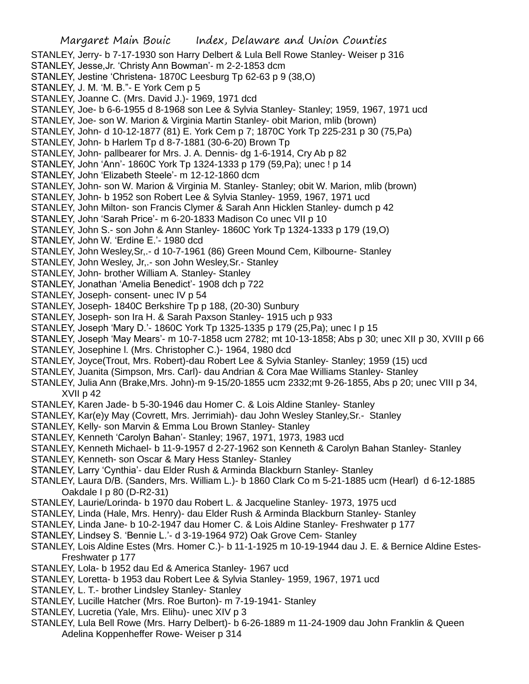- STANLEY, Jerry- b 7-17-1930 son Harry Delbert & Lula Bell Rowe Stanley- Weiser p 316
- STANLEY, Jesse,Jr. 'Christy Ann Bowman'- m 2-2-1853 dcm
- STANLEY, Jestine 'Christena- 1870C Leesburg Tp 62-63 p 9 (38,O)
- STANLEY, J. M. 'M. B."- E York Cem p 5
- STANLEY, Joanne C. (Mrs. David J.)- 1969, 1971 dcd
- STANLEY, Joe- b 6-6-1955 d 8-1968 son Lee & Sylvia Stanley- Stanley; 1959, 1967, 1971 ucd
- STANLEY, Joe- son W. Marion & Virginia Martin Stanley- obit Marion, mlib (brown)
- STANLEY, John- d 10-12-1877 (81) E. York Cem p 7; 1870C York Tp 225-231 p 30 (75,Pa)
- STANLEY, John- b Harlem Tp d 8-7-1881 (30-6-20) Brown Tp
- STANLEY, John- pallbearer for Mrs. J. A. Dennis- dg 1-6-1914, Cry Ab p 82
- STANLEY, John 'Ann'- 1860C York Tp 1324-1333 p 179 (59,Pa); unec ! p 14
- STANLEY, John 'Elizabeth Steele'- m 12-12-1860 dcm
- STANLEY, John- son W. Marion & Virginia M. Stanley- Stanley; obit W. Marion, mlib (brown)
- STANLEY, John- b 1952 son Robert Lee & Sylvia Stanley- 1959, 1967, 1971 ucd
- STANLEY, John Milton- son Francis Clymer & Sarah Ann Hicklen Stanley- dumch p 42
- STANLEY, John 'Sarah Price'- m 6-20-1833 Madison Co unec VII p 10
- STANLEY, John S.- son John & Ann Stanley- 1860C York Tp 1324-1333 p 179 (19,O)
- STANLEY, John W. 'Erdine E.'- 1980 dcd
- STANLEY, John Wesley,Sr,.- d 10-7-1961 (86) Green Mound Cem, Kilbourne- Stanley
- STANLEY, John Wesley, Jr,.- son John Wesley,Sr.- Stanley
- STANLEY, John- brother William A. Stanley- Stanley
- STANLEY, Jonathan 'Amelia Benedict'- 1908 dch p 722
- STANLEY, Joseph- consent- unec IV p 54
- STANLEY, Joseph- 1840C Berkshire Tp p 188, (20-30) Sunbury
- STANLEY, Joseph- son Ira H. & Sarah Paxson Stanley- 1915 uch p 933
- STANLEY, Joseph 'Mary D.'- 1860C York Tp 1325-1335 p 179 (25,Pa); unec I p 15
- STANLEY, Joseph 'May Mears'- m 10-7-1858 ucm 2782; mt 10-13-1858; Abs p 30; unec XII p 30, XVIII p 66
- STANLEY, Josephine l. (Mrs. Christopher C.)- 1964, 1980 dcd
- STANLEY, Joyce(Trout, Mrs. Robert)-dau Robert Lee & Sylvia Stanley- Stanley; 1959 (15) ucd
- STANLEY, Juanita (Simpson, Mrs. Carl)- dau Andrian & Cora Mae Williams Stanley- Stanley
- STANLEY, Julia Ann (Brake,Mrs. John)-m 9-15/20-1855 ucm 2332;mt 9-26-1855, Abs p 20; unec VIII p 34, XVII p 42
- STANLEY, Karen Jade- b 5-30-1946 dau Homer C. & Lois Aldine Stanley- Stanley
- STANLEY, Kar(e)y May (Covrett, Mrs. Jerrimiah)- dau John Wesley Stanley,Sr.- Stanley
- STANLEY, Kelly- son Marvin & Emma Lou Brown Stanley- Stanley
- STANLEY, Kenneth 'Carolyn Bahan'- Stanley; 1967, 1971, 1973, 1983 ucd
- STANLEY, Kenneth Michael- b 11-9-1957 d 2-27-1962 son Kenneth & Carolyn Bahan Stanley- Stanley
- STANLEY, Kenneth- son Oscar & Mary Hess Stanley- Stanley
- STANLEY, Larry 'Cynthia'- dau Elder Rush & Arminda Blackburn Stanley- Stanley
- STANLEY, Laura D/B. (Sanders, Mrs. William L.)- b 1860 Clark Co m 5-21-1885 ucm (Hearl) d 6-12-1885 Oakdale I p 80 (D-R2-31)
- STANLEY, Laurie/Lorinda- b 1970 dau Robert L. & Jacqueline Stanley- 1973, 1975 ucd
- STANLEY, Linda (Hale, Mrs. Henry)- dau Elder Rush & Arminda Blackburn Stanley- Stanley
- STANLEY, Linda Jane- b 10-2-1947 dau Homer C. & Lois Aldine Stanley- Freshwater p 177
- STANLEY, Lindsey S. 'Bennie L.'- d 3-19-1964 972) Oak Grove Cem- Stanley
- STANLEY, Lois Aldine Estes (Mrs. Homer C.)- b 11-1-1925 m 10-19-1944 dau J. E. & Bernice Aldine Estes-Freshwater p 177
- STANLEY, Lola- b 1952 dau Ed & America Stanley- 1967 ucd
- STANLEY, Loretta- b 1953 dau Robert Lee & Sylvia Stanley- 1959, 1967, 1971 ucd
- STANLEY, L. T.- brother Lindsley Stanley- Stanley
- STANLEY, Lucille Hatcher (Mrs. Roe Burton)- m 7-19-1941- Stanley
- STANLEY, Lucretia (Yale, Mrs. Elihu)- unec XIV p 3
- STANLEY, Lula Bell Rowe (Mrs. Harry Delbert)- b 6-26-1889 m 11-24-1909 dau John Franklin & Queen Adelina Koppenheffer Rowe- Weiser p 314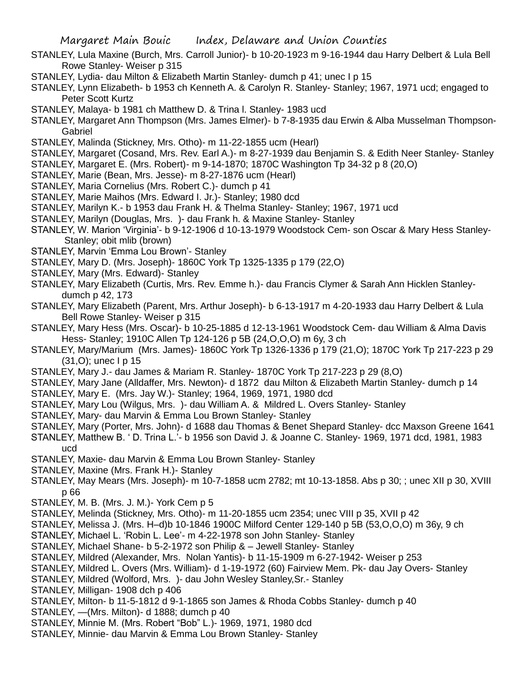- STANLEY, Lula Maxine (Burch, Mrs. Carroll Junior)- b 10-20-1923 m 9-16-1944 dau Harry Delbert & Lula Bell Rowe Stanley- Weiser p 315
- STANLEY, Lydia- dau Milton & Elizabeth Martin Stanley- dumch p 41; unec I p 15
- STANLEY, Lynn Elizabeth- b 1953 ch Kenneth A. & Carolyn R. Stanley- Stanley; 1967, 1971 ucd; engaged to Peter Scott Kurtz
- STANLEY, Malaya- b 1981 ch Matthew D. & Trina l. Stanley- 1983 ucd
- STANLEY, Margaret Ann Thompson (Mrs. James Elmer)- b 7-8-1935 dau Erwin & Alba Musselman Thompson-Gabriel
- STANLEY, Malinda (Stickney, Mrs. Otho)- m 11-22-1855 ucm (Hearl)
- STANLEY, Margaret (Cosand, Mrs. Rev. Earl A.)- m 8-27-1939 dau Benjamin S. & Edith Neer Stanley- Stanley
- STANLEY, Margaret E. (Mrs. Robert)- m 9-14-1870; 1870C Washington Tp 34-32 p 8 (20,O)
- STANLEY, Marie (Bean, Mrs. Jesse)- m 8-27-1876 ucm (Hearl)
- STANLEY, Maria Cornelius (Mrs. Robert C.)- dumch p 41
- STANLEY, Marie Maihos (Mrs. Edward I. Jr.)- Stanley; 1980 dcd
- STANLEY, Marilyn K.- b 1953 dau Frank H. & Thelma Stanley- Stanley; 1967, 1971 ucd
- STANLEY, Marilyn (Douglas, Mrs. )- dau Frank h. & Maxine Stanley- Stanley
- STANLEY, W. Marion 'Virginia'- b 9-12-1906 d 10-13-1979 Woodstock Cem- son Oscar & Mary Hess Stanley-Stanley; obit mlib (brown)
- STANLEY, Marvin 'Emma Lou Brown'- Stanley
- STANLEY, Mary D. (Mrs. Joseph)- 1860C York Tp 1325-1335 p 179 (22,O)
- STANLEY, Mary (Mrs. Edward)- Stanley
- STANLEY, Mary Elizabeth (Curtis, Mrs. Rev. Emme h.)- dau Francis Clymer & Sarah Ann Hicklen Stanleydumch p 42, 173
- STANLEY, Mary Elizabeth (Parent, Mrs. Arthur Joseph)- b 6-13-1917 m 4-20-1933 dau Harry Delbert & Lula Bell Rowe Stanley- Weiser p 315
- STANLEY, Mary Hess (Mrs. Oscar)- b 10-25-1885 d 12-13-1961 Woodstock Cem- dau William & Alma Davis Hess- Stanley; 1910C Allen Tp 124-126 p 5B (24,O,O,O) m 6y, 3 ch
- STANLEY, Mary/Marium (Mrs. James)- 1860C York Tp 1326-1336 p 179 (21,O); 1870C York Tp 217-223 p 29 (31,O); unec I p 15
- STANLEY, Mary J.- dau James & Mariam R. Stanley- 1870C York Tp 217-223 p 29 (8,O)
- STANLEY, Mary Jane (Alldaffer, Mrs. Newton)- d 1872 dau Milton & Elizabeth Martin Stanley- dumch p 14
- STANLEY, Mary E. (Mrs. Jay W.)- Stanley; 1964, 1969, 1971, 1980 dcd
- STANLEY, Mary Lou (Wilgus, Mrs. )- dau William A. & Mildred L. Overs Stanley- Stanley
- STANLEY, Mary- dau Marvin & Emma Lou Brown Stanley- Stanley
- STANLEY, Mary (Porter, Mrs. John)- d 1688 dau Thomas & Benet Shepard Stanley- dcc Maxson Greene 1641
- STANLEY, Matthew B. ' D. Trina L.'- b 1956 son David J. & Joanne C. Stanley- 1969, 1971 dcd, 1981, 1983 ucd
- STANLEY, Maxie- dau Marvin & Emma Lou Brown Stanley- Stanley
- STANLEY, Maxine (Mrs. Frank H.)- Stanley
- STANLEY, May Mears (Mrs. Joseph)- m 10-7-1858 ucm 2782; mt 10-13-1858. Abs p 30; ; unec XII p 30, XVIII p 66
- STANLEY, M. B. (Mrs. J. M.)- York Cem p 5
- STANLEY, Melinda (Stickney, Mrs. Otho)- m 11-20-1855 ucm 2354; unec VIII p 35, XVII p 42
- STANLEY, Melissa J. (Mrs. H–d)b 10-1846 1900C Milford Center 129-140 p 5B (53,O,O,O) m 36y, 9 ch
- STANLEY, Michael L. 'Robin L. Lee'- m 4-22-1978 son John Stanley- Stanley
- STANLEY, Michael Shane- b 5-2-1972 son Philip & Jewell Stanley- Stanley
- STANLEY, Mildred (Alexander, Mrs. Nolan Yantis)- b 11-15-1909 m 6-27-1942- Weiser p 253
- STANLEY, Mildred L. Overs (Mrs. William)- d 1-19-1972 (60) Fairview Mem. Pk- dau Jay Overs- Stanley
- STANLEY, Mildred (Wolford, Mrs. )- dau John Wesley Stanley,Sr.- Stanley
- STANLEY, Milligan- 1908 dch p 406
- STANLEY, Milton- b 11-5-1812 d 9-1-1865 son James & Rhoda Cobbs Stanley- dumch p 40
- STANLEY, —(Mrs. Milton)- d 1888; dumch p 40
- STANLEY, Minnie M. (Mrs. Robert "Bob" L.)- 1969, 1971, 1980 dcd
- STANLEY, Minnie- dau Marvin & Emma Lou Brown Stanley- Stanley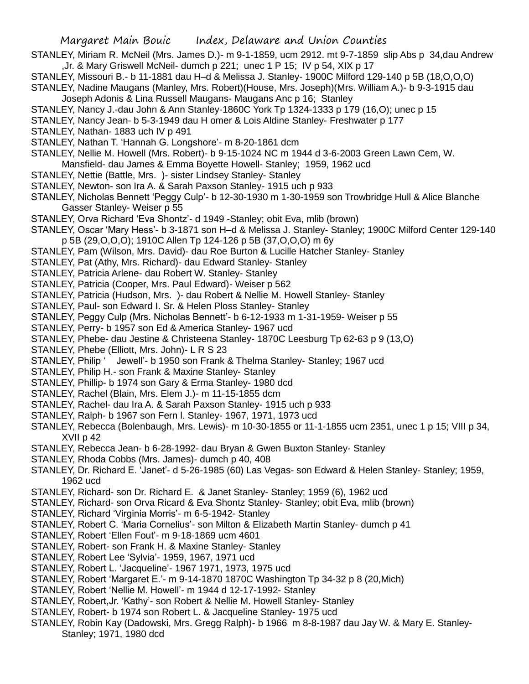- STANLEY, Miriam R. McNeil (Mrs. James D.)- m 9-1-1859, ucm 2912. mt 9-7-1859 slip Abs p 34,dau Andrew ,Jr. & Mary Griswell McNeil- dumch p 221; unec 1 P 15; IV p 54, XIX p 17
- STANLEY, Missouri B.- b 11-1881 dau H–d & Melissa J. Stanley- 1900C Milford 129-140 p 5B (18,O,O,O)

STANLEY, Nadine Maugans (Manley, Mrs. Robert)(House, Mrs. Joseph)(Mrs. William A.)- b 9-3-1915 dau Joseph Adonis & Lina Russell Maugans- Maugans Anc p 16; Stanley

- STANLEY, Nancy J.-dau John & Ann Stanley-1860C York Tp 1324-1333 p 179 (16,O); unec p 15
- STANLEY, Nancy Jean- b 5-3-1949 dau H omer & Lois Aldine Stanley- Freshwater p 177
- STANLEY, Nathan- 1883 uch IV p 491
- STANLEY, Nathan T. 'Hannah G. Longshore'- m 8-20-1861 dcm
- STANLEY, Nellie M. Howell (Mrs. Robert)- b 9-15-1024 NC m 1944 d 3-6-2003 Green Lawn Cem, W.
- Mansfield- dau James & Emma Boyette Howell- Stanley; 1959, 1962 ucd
- STANLEY, Nettie (Battle, Mrs. )- sister Lindsey Stanley- Stanley
- STANLEY, Newton- son Ira A. & Sarah Paxson Stanley- 1915 uch p 933
- STANLEY, Nicholas Bennett 'Peggy Culp'- b 12-30-1930 m 1-30-1959 son Trowbridge Hull & Alice Blanche Gasser Stanley- Weiser p 55
- STANLEY, Orva Richard 'Eva Shontz'- d 1949 -Stanley; obit Eva, mlib (brown)
- STANLEY, Oscar 'Mary Hess'- b 3-1871 son H–d & Melissa J. Stanley- Stanley; 1900C Milford Center 129-140 p 5B (29,O,O,O); 1910C Allen Tp 124-126 p 5B (37,O,O,O) m 6y
- STANLEY, Pam (Wilson, Mrs. David)- dau Roe Burton & Lucille Hatcher Stanley- Stanley
- STANLEY, Pat (Athy, Mrs. Richard)- dau Edward Stanley- Stanley
- STANLEY, Patricia Arlene- dau Robert W. Stanley- Stanley
- STANLEY, Patricia (Cooper, Mrs. Paul Edward)- Weiser p 562
- STANLEY, Patricia (Hudson, Mrs. )- dau Robert & Nellie M. Howell Stanley- Stanley
- STANLEY, Paul- son Edward I. Sr. & Helen Ploss Stanley- Stanley
- STANLEY, Peggy Culp (Mrs. Nicholas Bennett'- b 6-12-1933 m 1-31-1959- Weiser p 55
- STANLEY, Perry- b 1957 son Ed & America Stanley- 1967 ucd
- STANLEY, Phebe- dau Jestine & Christeena Stanley- 1870C Leesburg Tp 62-63 p 9 (13,O)
- STANLEY, Phebe (Elliott, Mrs. John)- L R S 23
- STANLEY, Philip ' Jewell'- b 1950 son Frank & Thelma Stanley- Stanley; 1967 ucd
- STANLEY, Philip H.- son Frank & Maxine Stanley- Stanley
- STANLEY, Phillip- b 1974 son Gary & Erma Stanley- 1980 dcd
- STANLEY, Rachel (Blain, Mrs. Elem J.)- m 11-15-1855 dcm
- STANLEY, Rachel- dau Ira A. & Sarah Paxson Stanley- 1915 uch p 933
- STANLEY, Ralph- b 1967 son Fern l. Stanley- 1967, 1971, 1973 ucd
- STANLEY, Rebecca (Bolenbaugh, Mrs. Lewis)- m 10-30-1855 or 11-1-1855 ucm 2351, unec 1 p 15; VIII p 34, XVII p 42
- STANLEY, Rebecca Jean- b 6-28-1992- dau Bryan & Gwen Buxton Stanley- Stanley
- STANLEY, Rhoda Cobbs (Mrs. James)- dumch p 40, 408
- STANLEY, Dr. Richard E. 'Janet'- d 5-26-1985 (60) Las Vegas- son Edward & Helen Stanley- Stanley; 1959, 1962 ucd
- STANLEY, Richard- son Dr. Richard E. & Janet Stanley- Stanley; 1959 (6), 1962 ucd
- STANLEY, Richard- son Orva Ricard & Eva Shontz Stanley- Stanley; obit Eva, mlib (brown)
- STANLEY, Richard 'Virginia Morris'- m 6-5-1942- Stanley
- STANLEY, Robert C. 'Maria Cornelius'- son Milton & Elizabeth Martin Stanley- dumch p 41
- STANLEY, Robert 'Ellen Fout'- m 9-18-1869 ucm 4601
- STANLEY, Robert- son Frank H. & Maxine Stanley- Stanley
- STANLEY, Robert Lee 'Sylvia'- 1959, 1967, 1971 ucd
- STANLEY, Robert L. 'Jacqueline'- 1967 1971, 1973, 1975 ucd
- STANLEY, Robert 'Margaret E.'- m 9-14-1870 1870C Washington Tp 34-32 p 8 (20,Mich)
- STANLEY, Robert 'Nellie M. Howell'- m 1944 d 12-17-1992- Stanley
- STANLEY, Robert,Jr. 'Kathy'- son Robert & Nellie M. Howell Stanley- Stanley
- STANLEY, Robert- b 1974 son Robert L. & Jacqueline Stanley- 1975 ucd
- STANLEY, Robin Kay (Dadowski, Mrs. Gregg Ralph)- b 1966 m 8-8-1987 dau Jay W. & Mary E. Stanley-Stanley; 1971, 1980 dcd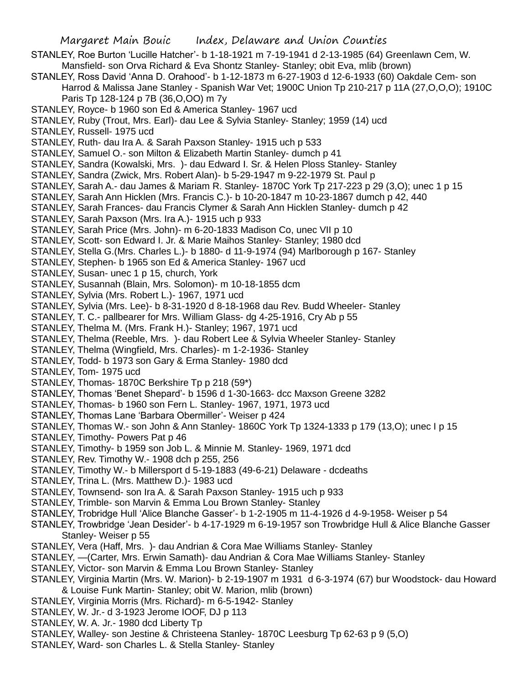- STANLEY, Roe Burton 'Lucille Hatcher'- b 1-18-1921 m 7-19-1941 d 2-13-1985 (64) Greenlawn Cem, W. Mansfield- son Orva Richard & Eva Shontz Stanley- Stanley; obit Eva, mlib (brown)
- STANLEY, Ross David 'Anna D. Orahood'- b 1-12-1873 m 6-27-1903 d 12-6-1933 (60) Oakdale Cem- son Harrod & Malissa Jane Stanley - Spanish War Vet; 1900C Union Tp 210-217 p 11A (27,O,O,O); 1910C Paris Tp 128-124 p 7B (36,O,OO) m 7y
- STANLEY, Royce- b 1960 son Ed & America Stanley- 1967 ucd
- STANLEY, Ruby (Trout, Mrs. Earl)- dau Lee & Sylvia Stanley- Stanley; 1959 (14) ucd
- STANLEY, Russell- 1975 ucd
- STANLEY, Ruth- dau Ira A. & Sarah Paxson Stanley- 1915 uch p 533
- STANLEY, Samuel O.- son Milton & Elizabeth Martin Stanley- dumch p 41
- STANLEY, Sandra (Kowalski, Mrs. )- dau Edward I. Sr. & Helen Ploss Stanley- Stanley
- STANLEY, Sandra (Zwick, Mrs. Robert Alan)- b 5-29-1947 m 9-22-1979 St. Paul p
- STANLEY, Sarah A.- dau James & Mariam R. Stanley- 1870C York Tp 217-223 p 29 (3,O); unec 1 p 15
- STANLEY, Sarah Ann Hicklen (Mrs. Francis C.)- b 10-20-1847 m 10-23-1867 dumch p 42, 440
- STANLEY, Sarah Frances- dau Francis Clymer & Sarah Ann Hicklen Stanley- dumch p 42
- STANLEY, Sarah Paxson (Mrs. Ira A.)- 1915 uch p 933
- STANLEY, Sarah Price (Mrs. John)- m 6-20-1833 Madison Co, unec VII p 10
- STANLEY, Scott- son Edward I. Jr. & Marie Maihos Stanley- Stanley; 1980 dcd
- STANLEY, Stella G.(Mrs. Charles L.)- b 1880- d 11-9-1974 (94) Marlborough p 167- Stanley
- STANLEY, Stephen- b 1965 son Ed & America Stanley- 1967 ucd
- STANLEY, Susan- unec 1 p 15, church, York
- STANLEY, Susannah (Blain, Mrs. Solomon)- m 10-18-1855 dcm
- STANLEY, Sylvia (Mrs. Robert L.)- 1967, 1971 ucd
- STANLEY, Sylvia (Mrs. Lee)- b 8-31-1920 d 8-18-1968 dau Rev. Budd Wheeler- Stanley
- STANLEY, T. C.- pallbearer for Mrs. William Glass- dg 4-25-1916, Cry Ab p 55
- STANLEY, Thelma M. (Mrs. Frank H.)- Stanley; 1967, 1971 ucd
- STANLEY, Thelma (Reeble, Mrs. )- dau Robert Lee & Sylvia Wheeler Stanley- Stanley
- STANLEY, Thelma (Wingfield, Mrs. Charles)- m 1-2-1936- Stanley
- STANLEY, Todd- b 1973 son Gary & Erma Stanley- 1980 dcd
- STANLEY, Tom- 1975 ucd
- STANLEY, Thomas- 1870C Berkshire Tp p 218 (59\*)
- STANLEY, Thomas 'Benet Shepard'- b 1596 d 1-30-1663- dcc Maxson Greene 3282
- STANLEY, Thomas- b 1960 son Fern L. Stanley- 1967, 1971, 1973 ucd
- STANLEY, Thomas Lane 'Barbara Obermiller'- Weiser p 424
- STANLEY, Thomas W.- son John & Ann Stanley- 1860C York Tp 1324-1333 p 179 (13,O); unec I p 15
- STANLEY, Timothy- Powers Pat p 46
- STANLEY, Timothy- b 1959 son Job L. & Minnie M. Stanley- 1969, 1971 dcd
- STANLEY, Rev. Timothy W.- 1908 dch p 255, 256
- STANLEY, Timothy W.- b Millersport d 5-19-1883 (49-6-21) Delaware dcdeaths
- STANLEY, Trina L. (Mrs. Matthew D.)- 1983 ucd
- STANLEY, Townsend- son Ira A. & Sarah Paxson Stanley- 1915 uch p 933
- STANLEY, Trimble- son Marvin & Emma Lou Brown Stanley- Stanley
- STANLEY, Trobridge Hull 'Alice Blanche Gasser'- b 1-2-1905 m 11-4-1926 d 4-9-1958- Weiser p 54
- STANLEY, Trowbridge 'Jean Desider'- b 4-17-1929 m 6-19-1957 son Trowbridge Hull & Alice Blanche Gasser Stanley- Weiser p 55
- STANLEY, Vera (Haff, Mrs. )- dau Andrian & Cora Mae Williams Stanley- Stanley
- STANLEY, —(Carter, Mrs. Erwin Samath)- dau Andrian & Cora Mae Williams Stanley- Stanley
- STANLEY, Victor- son Marvin & Emma Lou Brown Stanley- Stanley
- STANLEY, Virginia Martin (Mrs. W. Marion)- b 2-19-1907 m 1931 d 6-3-1974 (67) bur Woodstock- dau Howard & Louise Funk Martin- Stanley; obit W. Marion, mlib (brown)
- STANLEY, Virginia Morris (Mrs. Richard)- m 6-5-1942- Stanley
- STANLEY, W. Jr.- d 3-1923 Jerome IOOF, DJ p 113
- STANLEY, W. A. Jr.- 1980 dcd Liberty Tp
- STANLEY, Walley- son Jestine & Christeena Stanley- 1870C Leesburg Tp 62-63 p 9 (5,O)
- STANLEY, Ward- son Charles L. & Stella Stanley- Stanley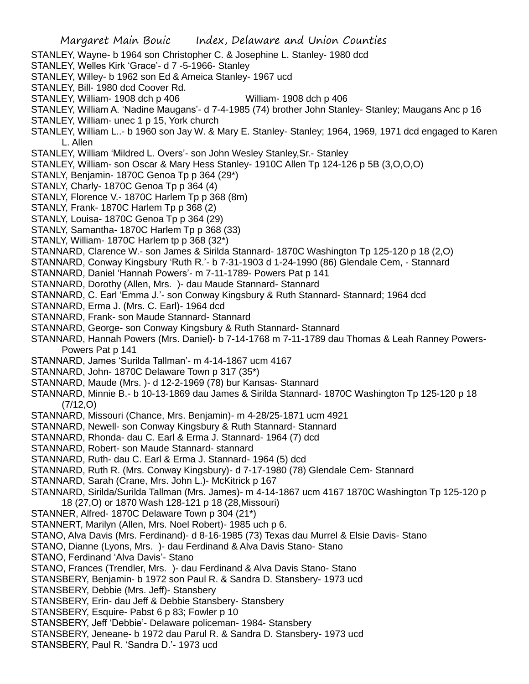- STANLEY, Wayne- b 1964 son Christopher C. & Josephine L. Stanley- 1980 dcd
- STANLEY, Welles Kirk 'Grace'- d 7 -5-1966- Stanley
- STANLEY, Willey- b 1962 son Ed & Ameica Stanley- 1967 ucd
- STANLEY, Bill- 1980 dcd Coover Rd.
- STANLEY, William- 1908 dch p 406 William- 1908 dch p 406
- STANLEY, William A. 'Nadine Maugans'- d 7-4-1985 (74) brother John Stanley- Stanley; Maugans Anc p 16
- STANLEY, William- unec 1 p 15, York church
- STANLEY, William L..- b 1960 son Jay W. & Mary E. Stanley- Stanley; 1964, 1969, 1971 dcd engaged to Karen L. Allen
- STANLEY, William 'Mildred L. Overs'- son John Wesley Stanley,Sr.- Stanley
- STANLEY, William- son Oscar & Mary Hess Stanley- 1910C Allen Tp 124-126 p 5B (3,O,O,O)
- STANLY, Benjamin- 1870C Genoa Tp p 364 (29\*)
- STANLY, Charly- 1870C Genoa Tp p 364 (4)
- STANLY, Florence V.- 1870C Harlem Tp p 368 (8m)
- STANLY, Frank- 1870C Harlem Tp p 368 (2)
- STANLY, Louisa- 1870C Genoa Tp p 364 (29)
- STANLY, Samantha- 1870C Harlem Tp p 368 (33)
- STANLY, William- 1870C Harlem tp p 368 (32\*)
- STANNARD, Clarence W.- son James & Sirilda Stannard- 1870C Washington Tp 125-120 p 18 (2,O)
- STANNARD, Conway Kingsbury 'Ruth R.'- b 7-31-1903 d 1-24-1990 (86) Glendale Cem, Stannard
- STANNARD, Daniel 'Hannah Powers'- m 7-11-1789- Powers Pat p 141
- STANNARD, Dorothy (Allen, Mrs. )- dau Maude Stannard- Stannard
- STANNARD, C. Earl 'Emma J.'- son Conway Kingsbury & Ruth Stannard- Stannard; 1964 dcd
- STANNARD, Erma J. (Mrs. C. Earl)- 1964 dcd
- STANNARD, Frank- son Maude Stannard- Stannard
- STANNARD, George- son Conway Kingsbury & Ruth Stannard- Stannard
- STANNARD, Hannah Powers (Mrs. Daniel)- b 7-14-1768 m 7-11-1789 dau Thomas & Leah Ranney Powers-Powers Pat p 141
- STANNARD, James 'Surilda Tallman'- m 4-14-1867 ucm 4167
- STANNARD, John- 1870C Delaware Town p 317 (35\*)
- STANNARD, Maude (Mrs. )- d 12-2-1969 (78) bur Kansas- Stannard
- STANNARD, Minnie B.- b 10-13-1869 dau James & Sirilda Stannard- 1870C Washington Tp 125-120 p 18 (7/12,O)
- STANNARD, Missouri (Chance, Mrs. Benjamin)- m 4-28/25-1871 ucm 4921
- STANNARD, Newell- son Conway Kingsbury & Ruth Stannard- Stannard
- STANNARD, Rhonda- dau C. Earl & Erma J. Stannard- 1964 (7) dcd
- STANNARD, Robert- son Maude Stannard- stannard
- STANNARD, Ruth- dau C. Earl & Erma J. Stannard- 1964 (5) dcd
- STANNARD, Ruth R. (Mrs. Conway Kingsbury)- d 7-17-1980 (78) Glendale Cem- Stannard
- STANNARD, Sarah (Crane, Mrs. John L.)- McKitrick p 167
- STANNARD, Sirilda/Surilda Tallman (Mrs. James)- m 4-14-1867 ucm 4167 1870C Washington Tp 125-120 p 18 (27,O) or 1870 Wash 128-121 p 18 (28,Missouri)
- STANNER, Alfred- 1870C Delaware Town p 304 (21\*)
- STANNERT, Marilyn (Allen, Mrs. Noel Robert)- 1985 uch p 6.
- STANO, Alva Davis (Mrs. Ferdinand)- d 8-16-1985 (73) Texas dau Murrel & Elsie Davis- Stano
- STANO, Dianne (Lyons, Mrs. )- dau Ferdinand & Alva Davis Stano- Stano
- STANO, Ferdinand 'Alva Davis'- Stano
- STANO, Frances (Trendler, Mrs. )- dau Ferdinand & Alva Davis Stano- Stano
- STANSBERY, Benjamin- b 1972 son Paul R. & Sandra D. Stansbery- 1973 ucd
- STANSBERY, Debbie (Mrs. Jeff)- Stansbery
- STANSBERY, Erin- dau Jeff & Debbie Stansbery- Stansbery
- STANSBERY, Esquire- Pabst 6 p 83; Fowler p 10
- STANSBERY, Jeff 'Debbie'- Delaware policeman- 1984- Stansbery
- STANSBERY, Jeneane- b 1972 dau Parul R. & Sandra D. Stansbery- 1973 ucd
- STANSBERY, Paul R. 'Sandra D.'- 1973 ucd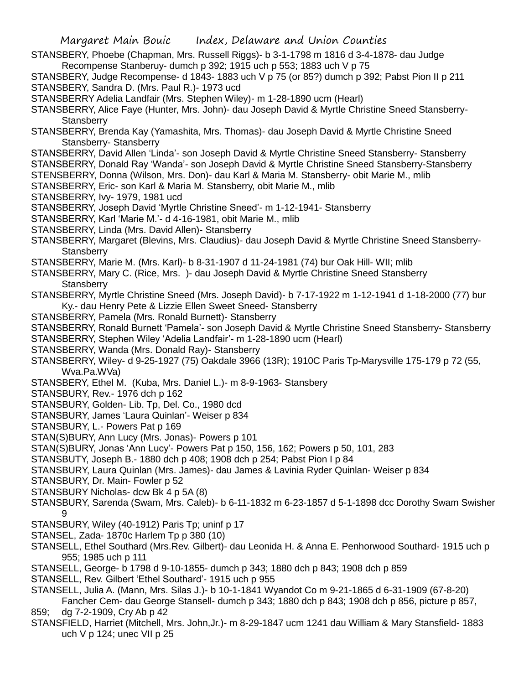Margaret Main Bouic Index, Delaware and Union Counties STANSBERY, Phoebe (Chapman, Mrs. Russell Riggs)- b 3-1-1798 m 1816 d 3-4-1878- dau Judge Recompense Stanberuy- dumch p 392; 1915 uch p 553; 1883 uch V p 75 STANSBERY, Judge Recompense- d 1843- 1883 uch V p 75 (or 85?) dumch p 392; Pabst Pion II p 211 STANSBERY, Sandra D. (Mrs. Paul R.)- 1973 ucd STANSBERRY Adelia Landfair (Mrs. Stephen Wiley)- m 1-28-1890 ucm (Hearl) STANSBERRY, Alice Faye (Hunter, Mrs. John)- dau Joseph David & Myrtle Christine Sneed Stansberry-**Stansberry** STANSBERRY, Brenda Kay (Yamashita, Mrs. Thomas)- dau Joseph David & Myrtle Christine Sneed Stansberry- Stansberry STANSBERRY, David Allen 'Linda'- son Joseph David & Myrtle Christine Sneed Stansberry- Stansberry STANSBERRY, Donald Ray 'Wanda'- son Joseph David & Myrtle Christine Sneed Stansberry-Stansberry STENSBERRY, Donna (Wilson, Mrs. Don)- dau Karl & Maria M. Stansberry- obit Marie M., mlib STANSBERRY, Eric- son Karl & Maria M. Stansberry, obit Marie M., mlib STANSBERRY, Ivy- 1979, 1981 ucd STANSBERRY, Joseph David 'Myrtle Christine Sneed'- m 1-12-1941- Stansberry STANSBERRY, Karl 'Marie M.'- d 4-16-1981, obit Marie M., mlib STANSBERRY, Linda (Mrs. David Allen)- Stansberry STANSBERRY, Margaret (Blevins, Mrs. Claudius)- dau Joseph David & Myrtle Christine Sneed Stansberry-**Stansberry** STANSBERRY, Marie M. (Mrs. Karl)- b 8-31-1907 d 11-24-1981 (74) bur Oak Hill- WII; mlib STANSBERRY, Mary C. (Rice, Mrs. )- dau Joseph David & Myrtle Christine Sneed Stansberry **Stansberry** STANSBERRY, Myrtle Christine Sneed (Mrs. Joseph David)- b 7-17-1922 m 1-12-1941 d 1-18-2000 (77) bur Ky.- dau Henry Pete & Lizzie Ellen Sweet Sneed- Stansberry STANSBERRY, Pamela (Mrs. Ronald Burnett)- Stansberry STANSBERRY, Ronald Burnett 'Pamela'- son Joseph David & Myrtle Christine Sneed Stansberry- Stansberry STANSBERRY, Stephen Wiley 'Adelia Landfair'- m 1-28-1890 ucm (Hearl) STANSBERRY, Wanda (Mrs. Donald Ray)- Stansberry STANSBERRY, Wiley- d 9-25-1927 (75) Oakdale 3966 (13R); 1910C Paris Tp-Marysville 175-179 p 72 (55, Wva.Pa.WVa) STANSBERY, Ethel M. (Kuba, Mrs. Daniel L.)- m 8-9-1963- Stansbery STANSBURY, Rev.- 1976 dch p 162 STANSBURY, Golden- Lib. Tp, Del. Co., 1980 dcd STANSBURY, James 'Laura Quinlan'- Weiser p 834 STANSBURY, L.- Powers Pat p 169 STAN(S)BURY, Ann Lucy (Mrs. Jonas)- Powers p 101 STAN(S)BURY, Jonas 'Ann Lucy'- Powers Pat p 150, 156, 162; Powers p 50, 101, 283 STANSBUTY, Joseph B.- 1880 dch p 408; 1908 dch p 254; Pabst Pion I p 84 STANSBURY, Laura Quinlan (Mrs. James)- dau James & Lavinia Ryder Quinlan- Weiser p 834 STANSBURY, Dr. Main- Fowler p 52 STANSBURY Nicholas- dcw Bk 4 p 5A (8) STANSBURY, Sarenda (Swam, Mrs. Caleb)- b 6-11-1832 m 6-23-1857 d 5-1-1898 dcc Dorothy Swam Swisher 9 STANSBURY, Wiley (40-1912) Paris Tp; uninf p 17 STANSEL, Zada- 1870c Harlem Tp p 380 (10) STANSELL, Ethel Southard (Mrs.Rev. Gilbert)- dau Leonida H. & Anna E. Penhorwood Southard- 1915 uch p 955; 1985 uch p 111 STANSELL, George- b 1798 d 9-10-1855- dumch p 343; 1880 dch p 843; 1908 dch p 859 STANSELL, Rev. Gilbert 'Ethel Southard'- 1915 uch p 955 STANSELL, Julia A. (Mann, Mrs. Silas J.)- b 10-1-1841 Wyandot Co m 9-21-1865 d 6-31-1909 (67-8-20) Fancher Cem- dau George Stansell- dumch p 343; 1880 dch p 843; 1908 dch p 856, picture p 857,

859; dg 7-2-1909, Cry Ab p 42

STANSFIELD, Harriet (Mitchell, Mrs. John,Jr.)- m 8-29-1847 ucm 1241 dau William & Mary Stansfield- 1883 uch  $V$  p 124; unec VII p 25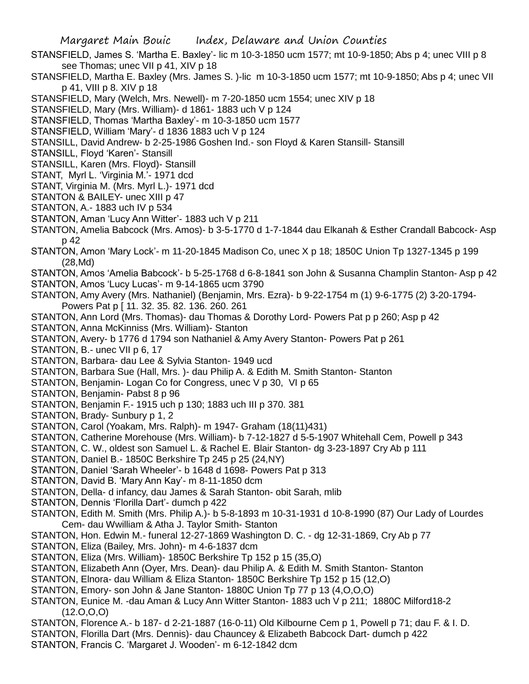- STANSFIELD, James S. 'Martha E. Baxley'- lic m 10-3-1850 ucm 1577; mt 10-9-1850; Abs p 4; unec VIII p 8 see Thomas; unec VII p 41, XIV p 18
- STANSFIELD, Martha E. Baxley (Mrs. James S. )-lic m 10-3-1850 ucm 1577; mt 10-9-1850; Abs p 4; unec VII p 41, VIII p 8. XIV p 18
- STANSFIELD, Mary (Welch, Mrs. Newell)- m 7-20-1850 ucm 1554; unec XIV p 18
- STANSFIELD, Mary (Mrs. William)- d 1861- 1883 uch V p 124
- STANSFIELD, Thomas 'Martha Baxley'- m 10-3-1850 ucm 1577
- STANSFIELD, William 'Mary'- d 1836 1883 uch V p 124
- STANSILL, David Andrew- b 2-25-1986 Goshen Ind.- son Floyd & Karen Stansill- Stansill
- STANSILL, Floyd 'Karen'- Stansill
- STANSILL, Karen (Mrs. Floyd)- Stansill
- STANT, Myrl L. 'Virginia M.'- 1971 dcd
- STANT, Virginia M. (Mrs. Myrl L.)- 1971 dcd
- STANTON & BAILEY- unec XIII p 47
- STANTON, A.- 1883 uch IV p 534
- STANTON, Aman 'Lucy Ann Witter'- 1883 uch V p 211
- STANTON, Amelia Babcock (Mrs. Amos)- b 3-5-1770 d 1-7-1844 dau Elkanah & Esther Crandall Babcock- Asp p 42
- STANTON, Amon 'Mary Lock'- m 11-20-1845 Madison Co, unec X p 18; 1850C Union Tp 1327-1345 p 199 (28,Md)
- STANTON, Amos 'Amelia Babcock'- b 5-25-1768 d 6-8-1841 son John & Susanna Champlin Stanton- Asp p 42
- STANTON, Amos 'Lucy Lucas'- m 9-14-1865 ucm 3790
- STANTON, Amy Avery (Mrs. Nathaniel) (Benjamin, Mrs. Ezra)- b 9-22-1754 m (1) 9-6-1775 (2) 3-20-1794- Powers Pat p [ 11. 32. 35. 82. 136. 260. 261
- STANTON, Ann Lord (Mrs. Thomas)- dau Thomas & Dorothy Lord- Powers Pat p p 260; Asp p 42
- STANTON, Anna McKinniss (Mrs. William)- Stanton
- STANTON, Avery- b 1776 d 1794 son Nathaniel & Amy Avery Stanton- Powers Pat p 261
- STANTON, B.- unec VII p 6, 17
- STANTON, Barbara- dau Lee & Sylvia Stanton- 1949 ucd
- STANTON, Barbara Sue (Hall, Mrs. )- dau Philip A. & Edith M. Smith Stanton- Stanton
- STANTON, Benjamin- Logan Co for Congress, unec V p 30, VI p 65
- STANTON, Benjamin- Pabst 8 p 96
- STANTON, Benjamin F.- 1915 uch p 130; 1883 uch III p 370. 381
- STANTON, Brady- Sunbury p 1, 2
- STANTON, Carol (Yoakam, Mrs. Ralph)- m 1947- Graham (18(11)431)
- STANTON, Catherine Morehouse (Mrs. William)- b 7-12-1827 d 5-5-1907 Whitehall Cem, Powell p 343
- STANTON, C. W., oldest son Samuel L. & Rachel E. Blair Stanton- dg 3-23-1897 Cry Ab p 111
- STANTON, Daniel B.- 1850C Berkshire Tp 245 p 25 (24,NY)
- STANTON, Daniel 'Sarah Wheeler'- b 1648 d 1698- Powers Pat p 313
- STANTON, David B. 'Mary Ann Kay'- m 8-11-1850 dcm
- STANTON, Della- d infancy, dau James & Sarah Stanton- obit Sarah, mlib
- STANTON, Dennis 'Florilla Dart'- dumch p 422
- STANTON, Edith M. Smith (Mrs. Philip A.)- b 5-8-1893 m 10-31-1931 d 10-8-1990 (87) Our Lady of Lourdes Cem- dau Wwilliam & Atha J. Taylor Smith- Stanton
- STANTON, Hon. Edwin M.- funeral 12-27-1869 Washington D. C. dg 12-31-1869, Cry Ab p 77
- STANTON, Eliza (Bailey, Mrs. John)- m 4-6-1837 dcm
- STANTON, Eliza (Mrs. William)- 1850C Berkshire Tp 152 p 15 (35,O)
- STANTON, Elizabeth Ann (Oyer, Mrs. Dean)- dau Philip A. & Edith M. Smith Stanton- Stanton
- STANTON, Elnora- dau William & Eliza Stanton- 1850C Berkshire Tp 152 p 15 (12,O)
- STANTON, Emory- son John & Jane Stanton- 1880C Union Tp 77 p 13 (4,O,O,O)
- STANTON, Eunice M. -dau Aman & Lucy Ann Witter Stanton- 1883 uch V p 211; 1880C Milford18-2 (12.O,O,O)
- STANTON, Florence A.- b 187- d 2-21-1887 (16-0-11) Old Kilbourne Cem p 1, Powell p 71; dau F. & I. D.
- STANTON, Florilla Dart (Mrs. Dennis)- dau Chauncey & Elizabeth Babcock Dart- dumch p 422
- STANTON, Francis C. 'Margaret J. Wooden'- m 6-12-1842 dcm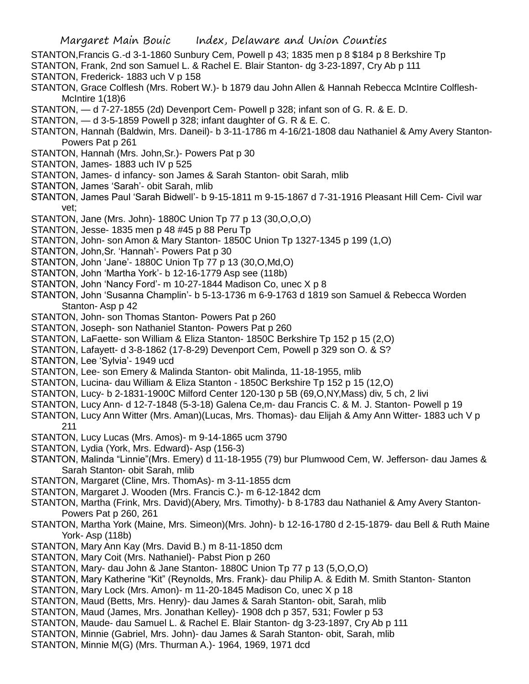- STANTON,Francis G.-d 3-1-1860 Sunbury Cem, Powell p 43; 1835 men p 8 \$184 p 8 Berkshire Tp
- STANTON, Frank, 2nd son Samuel L. & Rachel E. Blair Stanton- dg 3-23-1897, Cry Ab p 111
- STANTON, Frederick- 1883 uch V p 158
- STANTON, Grace Colflesh (Mrs. Robert W.)- b 1879 dau John Allen & Hannah Rebecca McIntire Colflesh-McIntire 1(18)6
- STANTON, d 7-27-1855 (2d) Devenport Cem- Powell p 328; infant son of G. R. & E. D.
- STANTON, d 3-5-1859 Powell p 328; infant daughter of G. R & E. C.
- STANTON, Hannah (Baldwin, Mrs. Daneil)- b 3-11-1786 m 4-16/21-1808 dau Nathaniel & Amy Avery Stanton-Powers Pat p 261
- STANTON, Hannah (Mrs. John,Sr.)- Powers Pat p 30
- STANTON, James- 1883 uch IV p 525
- STANTON, James- d infancy- son James & Sarah Stanton- obit Sarah, mlib
- STANTON, James 'Sarah'- obit Sarah, mlib
- STANTON, James Paul 'Sarah Bidwell'- b 9-15-1811 m 9-15-1867 d 7-31-1916 Pleasant Hill Cem- Civil war vet;
- STANTON, Jane (Mrs. John)- 1880C Union Tp 77 p 13 (30,O,O,O)
- STANTON, Jesse- 1835 men p 48 #45 p 88 Peru Tp
- STANTON, John- son Amon & Mary Stanton- 1850C Union Tp 1327-1345 p 199 (1,O)
- STANTON, John,Sr. 'Hannah'- Powers Pat p 30
- STANTON, John 'Jane'- 1880C Union Tp 77 p 13 (30,O,Md,O)
- STANTON, John 'Martha York'- b 12-16-1779 Asp see (118b)
- STANTON, John 'Nancy Ford'- m 10-27-1844 Madison Co, unec X p 8
- STANTON, John 'Susanna Champlin'- b 5-13-1736 m 6-9-1763 d 1819 son Samuel & Rebecca Worden Stanton- Asp p 42
- STANTON, John- son Thomas Stanton- Powers Pat p 260
- STANTON, Joseph- son Nathaniel Stanton- Powers Pat p 260
- STANTON, LaFaette- son William & Eliza Stanton- 1850C Berkshire Tp 152 p 15 (2,O)
- STANTON, Lafayett- d 3-8-1862 (17-8-29) Devenport Cem, Powell p 329 son O. & S?
- STANTON, Lee 'Sylvia'- 1949 ucd
- STANTON, Lee- son Emery & Malinda Stanton- obit Malinda, 11-18-1955, mlib
- STANTON, Lucina- dau William & Eliza Stanton 1850C Berkshire Tp 152 p 15 (12,O)
- STANTON, Lucy- b 2-1831-1900C Milford Center 120-130 p 5B (69,O,NY,Mass) div, 5 ch, 2 livi
- STANTON, Lucy Ann- d 12-7-1848 (5-3-18) Galena Ce,m- dau Francis C. & M. J. Stanton- Powell p 19
- STANTON, Lucy Ann Witter (Mrs. Aman)(Lucas, Mrs. Thomas)- dau Elijah & Amy Ann Witter- 1883 uch V p 211
- STANTON, Lucy Lucas (Mrs. Amos)- m 9-14-1865 ucm 3790
- STANTON, Lydia (York, Mrs. Edward)- Asp (156-3)
- STANTON, Malinda "Linnie"(Mrs. Emery) d 11-18-1955 (79) bur Plumwood Cem, W. Jefferson- dau James & Sarah Stanton- obit Sarah, mlib
- STANTON, Margaret (Cline, Mrs. ThomAs)- m 3-11-1855 dcm
- STANTON, Margaret J. Wooden (Mrs. Francis C.)- m 6-12-1842 dcm
- STANTON, Martha (Frink, Mrs. David)(Abery, Mrs. Timothy)- b 8-1783 dau Nathaniel & Amy Avery Stanton-Powers Pat p 260, 261
- STANTON, Martha York (Maine, Mrs. Simeon)(Mrs. John)- b 12-16-1780 d 2-15-1879- dau Bell & Ruth Maine York- Asp (118b)
- STANTON, Mary Ann Kay (Mrs. David B.) m 8-11-1850 dcm
- STANTON, Mary Coit (Mrs. Nathaniel)- Pabst Pion p 260
- STANTON, Mary- dau John & Jane Stanton- 1880C Union Tp 77 p 13 (5,O,O,O)
- STANTON, Mary Katherine "Kit" (Reynolds, Mrs. Frank)- dau Philip A. & Edith M. Smith Stanton- Stanton
- STANTON, Mary Lock (Mrs. Amon)- m 11-20-1845 Madison Co, unec X p 18
- STANTON, Maud (Betts, Mrs. Henry)- dau James & Sarah Stanton- obit, Sarah, mlib
- STANTON, Maud (James, Mrs. Jonathan Kelley)- 1908 dch p 357, 531; Fowler p 53
- STANTON, Maude- dau Samuel L. & Rachel E. Blair Stanton- dg 3-23-1897, Cry Ab p 111
- STANTON, Minnie (Gabriel, Mrs. John)- dau James & Sarah Stanton- obit, Sarah, mlib
- STANTON, Minnie M(G) (Mrs. Thurman A.)- 1964, 1969, 1971 dcd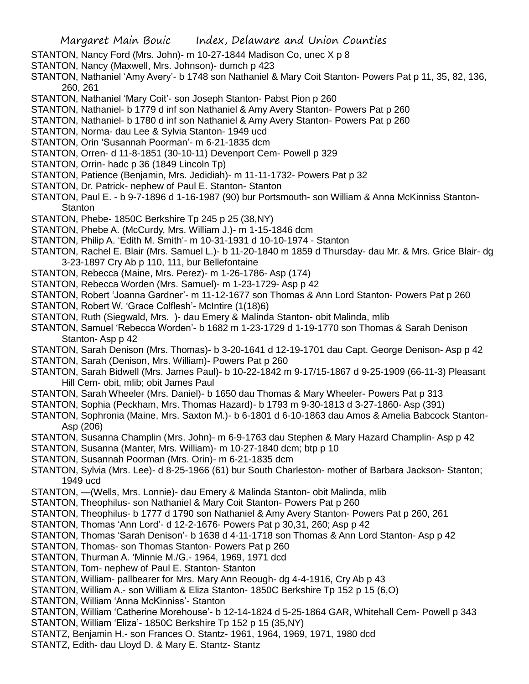- STANTON, Nancy Ford (Mrs. John)- m 10-27-1844 Madison Co, unec X p 8
- STANTON, Nancy (Maxwell, Mrs. Johnson)- dumch p 423
- STANTON, Nathaniel 'Amy Avery'- b 1748 son Nathaniel & Mary Coit Stanton- Powers Pat p 11, 35, 82, 136, 260, 261
- STANTON, Nathaniel 'Mary Coit'- son Joseph Stanton- Pabst Pion p 260
- STANTON, Nathaniel- b 1779 d inf son Nathaniel & Amy Avery Stanton- Powers Pat p 260
- STANTON, Nathaniel- b 1780 d inf son Nathaniel & Amy Avery Stanton- Powers Pat p 260
- STANTON, Norma- dau Lee & Sylvia Stanton- 1949 ucd
- STANTON, Orin 'Susannah Poorman'- m 6-21-1835 dcm
- STANTON, Orren- d 11-8-1851 (30-10-11) Devenport Cem- Powell p 329
- STANTON, Orrin- hadc p 36 (1849 Lincoln Tp)
- STANTON, Patience (Benjamin, Mrs. Jedidiah)- m 11-11-1732- Powers Pat p 32
- STANTON, Dr. Patrick- nephew of Paul E. Stanton- Stanton
- STANTON, Paul E. b 9-7-1896 d 1-16-1987 (90) bur Portsmouth- son William & Anna McKinniss Stanton-**Stanton**
- STANTON, Phebe- 1850C Berkshire Tp 245 p 25 (38,NY)
- STANTON, Phebe A. (McCurdy, Mrs. William J.)- m 1-15-1846 dcm
- STANTON, Philip A. 'Edith M. Smith'- m 10-31-1931 d 10-10-1974 Stanton
- STANTON, Rachel E. Blair (Mrs. Samuel L.)- b 11-20-1840 m 1859 d Thursday- dau Mr. & Mrs. Grice Blair- dg 3-23-1897 Cry Ab p 110, 111, bur Bellefontaine
- STANTON, Rebecca (Maine, Mrs. Perez)- m 1-26-1786- Asp (174)
- STANTON, Rebecca Worden (Mrs. Samuel)- m 1-23-1729- Asp p 42
- STANTON, Robert 'Joanna Gardner'- m 11-12-1677 son Thomas & Ann Lord Stanton- Powers Pat p 260
- STANTON, Robert W. 'Grace Colflesh'- McIntire (1(18)6)
- STANTON, Ruth (Siegwald, Mrs. )- dau Emery & Malinda Stanton- obit Malinda, mlib
- STANTON, Samuel 'Rebecca Worden'- b 1682 m 1-23-1729 d 1-19-1770 son Thomas & Sarah Denison Stanton- Asp p 42
- STANTON, Sarah Denison (Mrs. Thomas)- b 3-20-1641 d 12-19-1701 dau Capt. George Denison- Asp p 42
- STANTON, Sarah (Denison, Mrs. William)- Powers Pat p 260
- STANTON, Sarah Bidwell (Mrs. James Paul)- b 10-22-1842 m 9-17/15-1867 d 9-25-1909 (66-11-3) Pleasant Hill Cem- obit, mlib; obit James Paul
- STANTON, Sarah Wheeler (Mrs. Daniel)- b 1650 dau Thomas & Mary Wheeler- Powers Pat p 313
- STANTON, Sophia (Peckham, Mrs. Thomas Hazard)- b 1793 m 9-30-1813 d 3-27-1860- Asp (391)
- STANTON, Sophronia (Maine, Mrs. Saxton M.)- b 6-1801 d 6-10-1863 dau Amos & Amelia Babcock Stanton-Asp (206)
- STANTON, Susanna Champlin (Mrs. John)- m 6-9-1763 dau Stephen & Mary Hazard Champlin- Asp p 42
- STANTON, Susanna (Manter, Mrs. William)- m 10-27-1840 dcm; btp p 10
- STANTON, Susannah Poorman (Mrs. Orin)- m 6-21-1835 dcm
- STANTON, Sylvia (Mrs. Lee)- d 8-25-1966 (61) bur South Charleston- mother of Barbara Jackson- Stanton; 1949 ucd
- STANTON, —(Wells, Mrs. Lonnie)- dau Emery & Malinda Stanton- obit Malinda, mlib
- STANTON, Theophilus- son Nathaniel & Mary Coit Stanton- Powers Pat p 260
- STANTON, Theophilus- b 1777 d 1790 son Nathaniel & Amy Avery Stanton- Powers Pat p 260, 261
- STANTON, Thomas 'Ann Lord'- d 12-2-1676- Powers Pat p 30,31, 260; Asp p 42
- STANTON, Thomas 'Sarah Denison'- b 1638 d 4-11-1718 son Thomas & Ann Lord Stanton- Asp p 42
- STANTON, Thomas- son Thomas Stanton- Powers Pat p 260
- STANTON, Thurman A. 'Minnie M./G.- 1964, 1969, 1971 dcd
- STANTON, Tom- nephew of Paul E. Stanton- Stanton
- STANTON, William- pallbearer for Mrs. Mary Ann Reough- dg 4-4-1916, Cry Ab p 43
- STANTON, William A.- son William & Eliza Stanton- 1850C Berkshire Tp 152 p 15 (6,O)
- STANTON, William 'Anna McKinniss'- Stanton
- STANTON, William 'Catherine Morehouse'- b 12-14-1824 d 5-25-1864 GAR, Whitehall Cem- Powell p 343
- STANTON, William 'Eliza'- 1850C Berkshire Tp 152 p 15 (35,NY)
- STANTZ, Benjamin H.- son Frances O. Stantz- 1961, 1964, 1969, 1971, 1980 dcd
- STANTZ, Edith- dau Lloyd D. & Mary E. Stantz- Stantz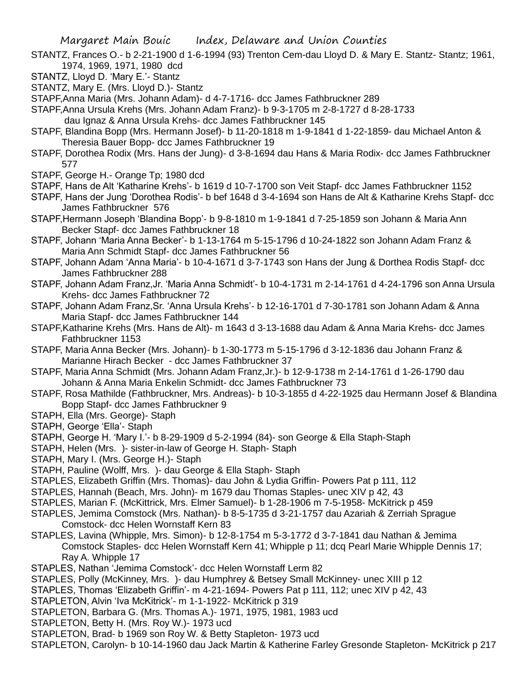- STANTZ, Frances O.- b 2-21-1900 d 1-6-1994 (93) Trenton Cem-dau Lloyd D. & Mary E. Stantz- Stantz; 1961, 1974, 1969, 1971, 1980 dcd
- STANTZ, Lloyd D. 'Mary E.'- Stantz
- STANTZ, Mary E. (Mrs. Lloyd D.)- Stantz

STAPF,Anna Maria (Mrs. Johann Adam)- d 4-7-1716- dcc James Fathbruckner 289

STAPF,Anna Ursula Krehs (Mrs. Johann Adam Franz)- b 9-3-1705 m 2-8-1727 d 8-28-1733

- dau Ignaz & Anna Ursula Krehs- dcc James Fathbruckner 145
- STAPF, Blandina Bopp (Mrs. Hermann Josef)- b 11-20-1818 m 1-9-1841 d 1-22-1859- dau Michael Anton & Theresia Bauer Bopp- dcc James Fathbruckner 19
- STAPF, Dorothea Rodix (Mrs. Hans der Jung)- d 3-8-1694 dau Hans & Maria Rodix- dcc James Fathbruckner 577
- STAPF, George H.- Orange Tp; 1980 dcd
- STAPF, Hans de Alt 'Katharine Krehs'- b 1619 d 10-7-1700 son Veit Stapf- dcc James Fathbruckner 1152
- STAPF, Hans der Jung 'Dorothea Rodis'- b bef 1648 d 3-4-1694 son Hans de Alt & Katharine Krehs Stapf- dcc James Fathbruckner 576
- STAPF,Hermann Joseph 'Blandina Bopp'- b 9-8-1810 m 1-9-1841 d 7-25-1859 son Johann & Maria Ann Becker Stapf- dcc James Fathbruckner 18
- STAPF, Johann 'Maria Anna Becker'- b 1-13-1764 m 5-15-1796 d 10-24-1822 son Johann Adam Franz & Maria Ann Schmidt Stapf- dcc James Fathbruckner 56
- STAPF, Johann Adam 'Anna Maria'- b 10-4-1671 d 3-7-1743 son Hans der Jung & Dorthea Rodis Stapf- dcc James Fathbruckner 288
- STAPF, Johann Adam Franz,Jr. 'Maria Anna Schmidt'- b 10-4-1731 m 2-14-1761 d 4-24-1796 son Anna Ursula Krehs- dcc James Fathbruckner 72
- STAPF, Johann Adam Franz,Sr. 'Anna Ursula Krehs'- b 12-16-1701 d 7-30-1781 son Johann Adam & Anna Maria Stapf- dcc James Fathbruckner 144
- STAPF,Katharine Krehs (Mrs. Hans de Alt)- m 1643 d 3-13-1688 dau Adam & Anna Maria Krehs- dcc James Fathbruckner 1153
- STAPF, Maria Anna Becker (Mrs. Johann)- b 1-30-1773 m 5-15-1796 d 3-12-1836 dau Johann Franz & Marianne Hirach Becker - dcc James Fathbruckner 37
- STAPF, Maria Anna Schmidt (Mrs. Johann Adam Franz,Jr.)- b 12-9-1738 m 2-14-1761 d 1-26-1790 dau Johann & Anna Maria Enkelin Schmidt- dcc James Fathbruckner 73
- STAPF, Rosa Mathilde (Fathbruckner, Mrs. Andreas)- b 10-3-1855 d 4-22-1925 dau Hermann Josef & Blandina Bopp Stapf- dcc James Fathbruckner 9
- STAPH, Ella (Mrs. George)- Staph
- STAPH, George 'Ella'- Staph
- STAPH, George H. 'Mary I.'- b 8-29-1909 d 5-2-1994 (84)- son George & Ella Staph-Staph
- STAPH, Helen (Mrs. )- sister-in-law of George H. Staph- Staph
- STAPH, Mary I. (Mrs. George H.)- Staph
- STAPH, Pauline (Wolff, Mrs. )- dau George & Ella Staph- Staph
- STAPLES, Elizabeth Griffin (Mrs. Thomas)- dau John & Lydia Griffin- Powers Pat p 111, 112
- STAPLES, Hannah (Beach, Mrs. John)- m 1679 dau Thomas Staples- unec XIV p 42, 43
- STAPLES, Marian F. (McKittrick, Mrs. Elmer Samuel)- b 1-28-1906 m 7-5-1958- McKitrick p 459
- STAPLES, Jemima Comstock (Mrs. Nathan)- b 8-5-1735 d 3-21-1757 dau Azariah & Zerriah Sprague Comstock- dcc Helen Wornstaff Kern 83
- STAPLES, Lavina (Whipple, Mrs. Simon)- b 12-8-1754 m 5-3-1772 d 3-7-1841 dau Nathan & Jemima Comstock Staples- dcc Helen Wornstaff Kern 41; Whipple p 11; dcq Pearl Marie Whipple Dennis 17; Ray A. Whipple 17
- STAPLES, Nathan 'Jemima Comstock'- dcc Helen Wornstaff Lerm 82
- STAPLES, Polly (McKinney, Mrs. )- dau Humphrey & Betsey Small McKinney- unec XIII p 12
- STAPLES, Thomas 'Elizabeth Griffin'- m 4-21-1694- Powers Pat p 111, 112; unec XIV p 42, 43
- STAPLETON, Alvin 'Iva McKitrick'- m 1-1-1922- McKitrick p 319
- STAPLETON, Barbara G. (Mrs. Thomas A.)- 1971, 1975, 1981, 1983 ucd
- STAPLETON, Betty H. (Mrs. Roy W.)- 1973 ucd
- STAPLETON, Brad- b 1969 son Roy W. & Betty Stapleton- 1973 ucd
- STAPLETON, Carolyn- b 10-14-1960 dau Jack Martin & Katherine Farley Gresonde Stapleton- McKitrick p 217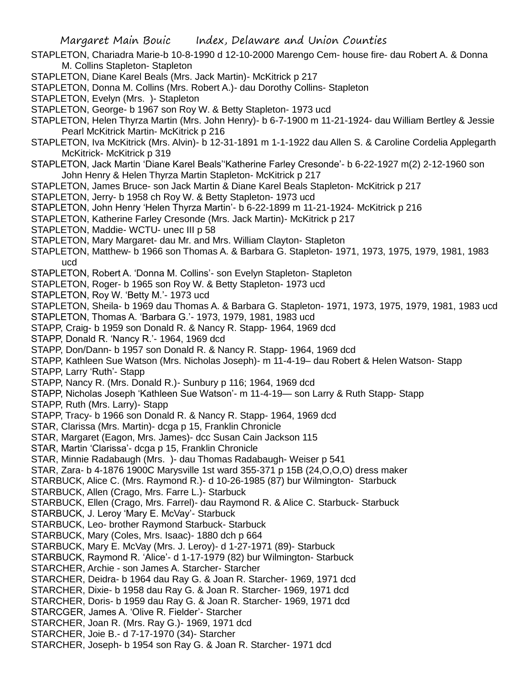- STAPLETON, Chariadra Marie-b 10-8-1990 d 12-10-2000 Marengo Cem- house fire- dau Robert A. & Donna M. Collins Stapleton- Stapleton
- STAPLETON, Diane Karel Beals (Mrs. Jack Martin)- McKitrick p 217
- STAPLETON, Donna M. Collins (Mrs. Robert A.)- dau Dorothy Collins- Stapleton

STAPLETON, Evelyn (Mrs. )- Stapleton

- STAPLETON, George- b 1967 son Roy W. & Betty Stapleton- 1973 ucd
- STAPLETON, Helen Thyrza Martin (Mrs. John Henry)- b 6-7-1900 m 11-21-1924- dau William Bertley & Jessie Pearl McKitrick Martin- McKitrick p 216
- STAPLETON, Iva McKitrick (Mrs. Alvin)- b 12-31-1891 m 1-1-1922 dau Allen S. & Caroline Cordelia Applegarth McKitrick- McKitrick p 319
- STAPLETON, Jack Martin 'Diane Karel Beals''Katherine Farley Cresonde'- b 6-22-1927 m(2) 2-12-1960 son John Henry & Helen Thyrza Martin Stapleton- McKitrick p 217
- STAPLETON, James Bruce- son Jack Martin & Diane Karel Beals Stapleton- McKitrick p 217
- STAPLETON, Jerry- b 1958 ch Roy W. & Betty Stapleton- 1973 ucd
- STAPLETON, John Henry 'Helen Thyrza Martin'- b 6-22-1899 m 11-21-1924- McKitrick p 216
- STAPLETON, Katherine Farley Cresonde (Mrs. Jack Martin)- McKitrick p 217
- STAPLETON, Maddie- WCTU- unec III p 58
- STAPLETON, Mary Margaret- dau Mr. and Mrs. William Clayton- Stapleton
- STAPLETON, Matthew- b 1966 son Thomas A. & Barbara G. Stapleton- 1971, 1973, 1975, 1979, 1981, 1983 ucd
- STAPLETON, Robert A. 'Donna M. Collins'- son Evelyn Stapleton- Stapleton
- STAPLETON, Roger- b 1965 son Roy W. & Betty Stapleton- 1973 ucd
- STAPLETON, Roy W. 'Betty M.'- 1973 ucd

STAPLETON, Sheila- b 1969 dau Thomas A. & Barbara G. Stapleton- 1971, 1973, 1975, 1979, 1981, 1983 ucd

- STAPLETON, Thomas A. 'Barbara G.'- 1973, 1979, 1981, 1983 ucd
- STAPP, Craig- b 1959 son Donald R. & Nancy R. Stapp- 1964, 1969 dcd
- STAPP, Donald R. 'Nancy R.'- 1964, 1969 dcd
- STAPP, Don/Dann- b 1957 son Donald R. & Nancy R. Stapp- 1964, 1969 dcd
- STAPP, Kathleen Sue Watson (Mrs. Nicholas Joseph)- m 11-4-19– dau Robert & Helen Watson- Stapp

STAPP, Larry 'Ruth'- Stapp

- STAPP, Nancy R. (Mrs. Donald R.)- Sunbury p 116; 1964, 1969 dcd
- STAPP, Nicholas Joseph 'Kathleen Sue Watson'- m 11-4-19— son Larry & Ruth Stapp- Stapp
- STAPP, Ruth (Mrs. Larry)- Stapp
- STAPP, Tracy- b 1966 son Donald R. & Nancy R. Stapp- 1964, 1969 dcd
- STAR, Clarissa (Mrs. Martin)- dcga p 15, Franklin Chronicle
- STAR, Margaret (Eagon, Mrs. James)- dcc Susan Cain Jackson 115
- STAR, Martin 'Clarissa'- dcga p 15, Franklin Chronicle
- STAR, Minnie Radabaugh (Mrs. )- dau Thomas Radabaugh- Weiser p 541
- STAR, Zara- b 4-1876 1900C Marysville 1st ward 355-371 p 15B (24,O,O,O) dress maker
- STARBUCK, Alice C. (Mrs. Raymond R.)- d 10-26-1985 (87) bur Wilmington- Starbuck
- STARBUCK, Allen (Crago, Mrs. Farre L.)- Starbuck
- STARBUCK, Ellen (Crago, Mrs. Farrel)- dau Raymond R. & Alice C. Starbuck- Starbuck
- STARBUCK, J. Leroy 'Mary E. McVay'- Starbuck
- STARBUCK, Leo- brother Raymond Starbuck- Starbuck
- STARBUCK, Mary (Coles, Mrs. Isaac)- 1880 dch p 664
- STARBUCK, Mary E. McVay (Mrs. J. Leroy)- d 1-27-1971 (89)- Starbuck
- STARBUCK, Raymond R. 'Alice'- d 1-17-1979 (82) bur Wilmington- Starbuck
- STARCHER, Archie son James A. Starcher- Starcher
- STARCHER, Deidra- b 1964 dau Ray G. & Joan R. Starcher- 1969, 1971 dcd
- STARCHER, Dixie- b 1958 dau Ray G. & Joan R. Starcher- 1969, 1971 dcd
- STARCHER, Doris- b 1959 dau Ray G. & Joan R. Starcher- 1969, 1971 dcd
- STARCGER, James A. 'Olive R. Fielder'- Starcher
- STARCHER, Joan R. (Mrs. Ray G.)- 1969, 1971 dcd
- STARCHER, Joie B.- d 7-17-1970 (34)- Starcher
- STARCHER, Joseph- b 1954 son Ray G. & Joan R. Starcher- 1971 dcd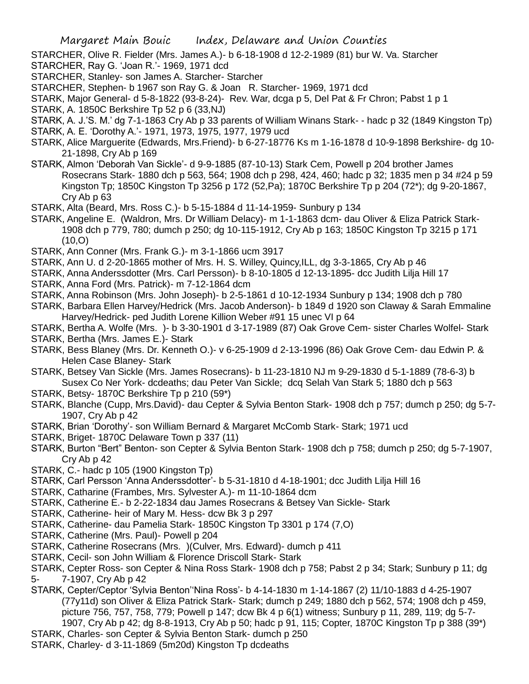STARCHER, Olive R. Fielder (Mrs. James A.)- b 6-18-1908 d 12-2-1989 (81) bur W. Va. Starcher STARCHER, Ray G. 'Joan R.'- 1969, 1971 dcd

- STARCHER, Stanley- son James A. Starcher- Starcher
- STARCHER, Stephen- b 1967 son Ray G. & Joan R. Starcher- 1969, 1971 dcd

STARK, Major General- d 5-8-1822 (93-8-24)- Rev. War, dcga p 5, Del Pat & Fr Chron; Pabst 1 p 1

- STARK, A. 1850C Berkshire Tp 52 p 6 (33,NJ)
- STARK, A. J.'S. M.' dg 7-1-1863 Cry Ab p 33 parents of William Winans Stark- hadc p 32 (1849 Kingston Tp) STARK, A. E. 'Dorothy A.'- 1971, 1973, 1975, 1977, 1979 ucd
- STARK, Alice Marguerite (Edwards, Mrs.Friend)- b 6-27-18776 Ks m 1-16-1878 d 10-9-1898 Berkshire- dg 10- 21-1898, Cry Ab p 169
- STARK, Almon 'Deborah Van Sickle'- d 9-9-1885 (87-10-13) Stark Cem, Powell p 204 brother James Rosecrans Stark- 1880 dch p 563, 564; 1908 dch p 298, 424, 460; hadc p 32; 1835 men p 34 #24 p 59 Kingston Tp; 1850C Kingston Tp 3256 p 172 (52,Pa); 1870C Berkshire Tp p 204 (72\*); dg 9-20-1867, Cry Ab p 63
- STARK, Alta (Beard, Mrs. Ross C.)- b 5-15-1884 d 11-14-1959- Sunbury p 134
- STARK, Angeline E. (Waldron, Mrs. Dr William Delacy)- m 1-1-1863 dcm- dau Oliver & Eliza Patrick Stark-1908 dch p 779, 780; dumch p 250; dg 10-115-1912, Cry Ab p 163; 1850C Kingston Tp 3215 p 171  $(10, 0)$
- STARK, Ann Conner (Mrs. Frank G.)- m 3-1-1866 ucm 3917
- STARK, Ann U. d 2-20-1865 mother of Mrs. H. S. Willey, Quincy,ILL, dg 3-3-1865, Cry Ab p 46
- STARK, Anna Anderssdotter (Mrs. Carl Persson)- b 8-10-1805 d 12-13-1895- dcc Judith Lilja Hill 17 STARK, Anna Ford (Mrs. Patrick)- m 7-12-1864 dcm
- STARK, Anna Robinson (Mrs. John Joseph)- b 2-5-1861 d 10-12-1934 Sunbury p 134; 1908 dch p 780
- STARK, Barbara Ellen Harvey/Hedrick (Mrs. Jacob Anderson)- b 1849 d 1920 son Claway & Sarah Emmaline Harvey/Hedrick- ped Judith Lorene Killion Weber #91 15 unec VI p 64
- STARK, Bertha A. Wolfe (Mrs. )- b 3-30-1901 d 3-17-1989 (87) Oak Grove Cem- sister Charles Wolfel- Stark STARK, Bertha (Mrs. James E.)- Stark
- STARK, Bess Blaney (Mrs. Dr. Kenneth O.)- v 6-25-1909 d 2-13-1996 (86) Oak Grove Cem- dau Edwin P. & Helen Case Blaney- Stark
- STARK, Betsey Van Sickle (Mrs. James Rosecrans)- b 11-23-1810 NJ m 9-29-1830 d 5-1-1889 (78-6-3) b Susex Co Ner York- dcdeaths; dau Peter Van Sickle; dcq Selah Van Stark 5; 1880 dch p 563
- STARK, Betsy- 1870C Berkshire Tp p 210 (59\*)
- STARK, Blanche (Cupp, Mrs.David)- dau Cepter & Sylvia Benton Stark- 1908 dch p 757; dumch p 250; dg 5-7- 1907, Cry Ab p 42
- STARK, Brian 'Dorothy'- son William Bernard & Margaret McComb Stark- Stark; 1971 ucd
- STARK, Briget- 1870C Delaware Town p 337 (11)
- STARK, Burton "Bert" Benton- son Cepter & Sylvia Benton Stark- 1908 dch p 758; dumch p 250; dg 5-7-1907, Cry Ab p 42
- STARK, C.- hadc p 105 (1900 Kingston Tp)
- STARK, Carl Persson 'Anna Anderssdotter'- b 5-31-1810 d 4-18-1901; dcc Judith Lilja Hill 16
- STARK, Catharine (Frambes, Mrs. Sylvester A.)- m 11-10-1864 dcm
- STARK, Catherine E.- b 2-22-1834 dau James Rosecrans & Betsey Van Sickle- Stark
- STARK, Catherine- heir of Mary M. Hess- dcw Bk 3 p 297
- STARK, Catherine- dau Pamelia Stark- 1850C Kingston Tp 3301 p 174 (7,O)
- STARK, Catherine (Mrs. Paul)- Powell p 204
- STARK, Catherine Rosecrans (Mrs. )(Culver, Mrs. Edward)- dumch p 411
- STARK, Cecil- son John William & Florence Driscoll Stark- Stark
- STARK, Cepter Ross- son Cepter & Nina Ross Stark- 1908 dch p 758; Pabst 2 p 34; Stark; Sunbury p 11; dg 5- 7-1907, Cry Ab p 42
- STARK, Cepter/Ceptor 'Sylvia Benton''Nina Ross'- b 4-14-1830 m 1-14-1867 (2) 11/10-1883 d 4-25-1907 (77y11d) son Oliver & Eliza Patrick Stark- Stark; dumch p 249; 1880 dch p 562, 574; 1908 dch p 459, picture 756, 757, 758, 779; Powell p 147; dcw Bk 4 p 6(1) witness; Sunbury p 11, 289, 119; dg 5-7- 1907, Cry Ab p 42; dg 8-8-1913, Cry Ab p 50; hadc p 91, 115; Copter, 1870C Kingston Tp p 388 (39\*)
- STARK, Charles- son Cepter & Sylvia Benton Stark- dumch p 250
- STARK, Charley- d 3-11-1869 (5m20d) Kingston Tp dcdeaths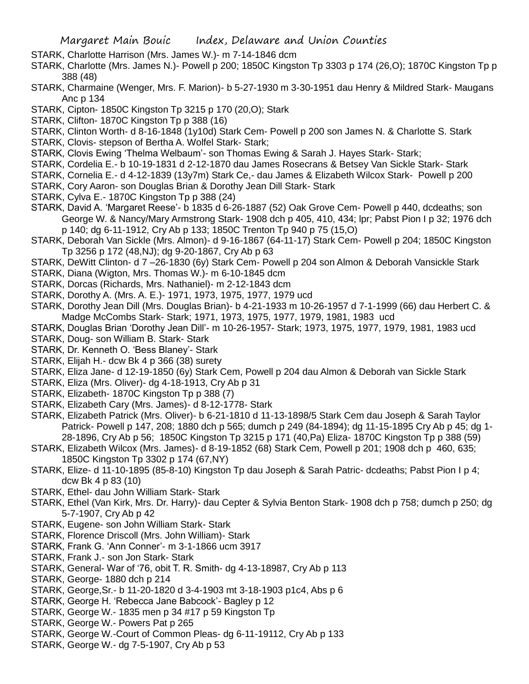- STARK, Charlotte Harrison (Mrs. James W.)- m 7-14-1846 dcm
- STARK, Charlotte (Mrs. James N.)- Powell p 200; 1850C Kingston Tp 3303 p 174 (26,O); 1870C Kingston Tp p 388 (48)
- STARK, Charmaine (Wenger, Mrs. F. Marion)- b 5-27-1930 m 3-30-1951 dau Henry & Mildred Stark- Maugans Anc p 134
- STARK, Cipton- 1850C Kingston Tp 3215 p 170 (20,O); Stark
- STARK, Clifton- 1870C Kingston Tp p 388 (16)
- STARK, Clinton Worth- d 8-16-1848 (1y10d) Stark Cem- Powell p 200 son James N. & Charlotte S. Stark
- STARK, Clovis- stepson of Bertha A. Wolfel Stark- Stark;
- STARK, Clovis Ewing 'Thelma Welbaum'- son Thomas Ewing & Sarah J. Hayes Stark- Stark;
- STARK, Cordelia E.- b 10-19-1831 d 2-12-1870 dau James Rosecrans & Betsey Van Sickle Stark- Stark
- STARK, Cornelia E.- d 4-12-1839 (13y7m) Stark Ce,- dau James & Elizabeth Wilcox Stark- Powell p 200
- STARK, Cory Aaron- son Douglas Brian & Dorothy Jean Dill Stark- Stark
- STARK, Cylva E.- 1870C Kingston Tp p 388 (24)
- STARK, David A. 'Margaret Reese'- b 1835 d 6-26-1887 (52) Oak Grove Cem- Powell p 440, dcdeaths; son George W. & Nancy/Mary Armstrong Stark- 1908 dch p 405, 410, 434; lpr; Pabst Pion I p 32; 1976 dch p 140; dg 6-11-1912, Cry Ab p 133; 1850C Trenton Tp 940 p 75 (15,O)
- STARK, Deborah Van Sickle (Mrs. Almon)- d 9-16-1867 (64-11-17) Stark Cem- Powell p 204; 1850C Kingston Tp 3256 p 172 (48,NJ); dg 9-20-1867, Cry Ab p 63
- STARK, DeWitt Clinton- d 7 –26-1830 (6y) Stark Cem- Powell p 204 son Almon & Deborah Vansickle Stark
- STARK, Diana (Wigton, Mrs. Thomas W.)- m 6-10-1845 dcm
- STARK, Dorcas (Richards, Mrs. Nathaniel)- m 2-12-1843 dcm
- STARK, Dorothy A. (Mrs. A. E.)- 1971, 1973, 1975, 1977, 1979 ucd
- STARK, Dorothy Jean Dill (Mrs. Douglas Brian)- b 4-21-1933 m 10-26-1957 d 7-1-1999 (66) dau Herbert C. & Madge McCombs Stark- Stark; 1971, 1973, 1975, 1977, 1979, 1981, 1983 ucd
- STARK, Douglas Brian 'Dorothy Jean Dill'- m 10-26-1957- Stark; 1973, 1975, 1977, 1979, 1981, 1983 ucd
- STARK, Doug- son William B. Stark- Stark
- STARK, Dr. Kenneth O. 'Bess Blaney'- Stark
- STARK, Elijah H.- dcw Bk 4 p 366 (38) surety
- STARK, Eliza Jane- d 12-19-1850 (6y) Stark Cem, Powell p 204 dau Almon & Deborah van Sickle Stark
- STARK, Eliza (Mrs. Oliver)- dg 4-18-1913, Cry Ab p 31
- STARK, Elizabeth- 1870C Kingston Tp p 388 (7)
- STARK, Elizabeth Cary (Mrs. James)- d 8-12-1778- Stark
- STARK, Elizabeth Patrick (Mrs. Oliver)- b 6-21-1810 d 11-13-1898/5 Stark Cem dau Joseph & Sarah Taylor Patrick- Powell p 147, 208; 1880 dch p 565; dumch p 249 (84-1894); dg 11-15-1895 Cry Ab p 45; dg 1- 28-1896, Cry Ab p 56; 1850C Kingston Tp 3215 p 171 (40,Pa) Eliza- 1870C Kingston Tp p 388 (59)
- STARK, Elizabeth Wilcox (Mrs. James)- d 8-19-1852 (68) Stark Cem, Powell p 201; 1908 dch p 460, 635; 1850C Kingston Tp 3302 p 174 (67,NY)
- STARK, Elize- d 11-10-1895 (85-8-10) Kingston Tp dau Joseph & Sarah Patric- dcdeaths; Pabst Pion I p 4; dcw Bk 4 p 83 (10)
- STARK, Ethel- dau John William Stark- Stark
- STARK, Ethel (Van Kirk, Mrs. Dr. Harry)- dau Cepter & Sylvia Benton Stark- 1908 dch p 758; dumch p 250; dg 5-7-1907, Cry Ab p 42
- STARK, Eugene- son John William Stark- Stark
- STARK, Florence Driscoll (Mrs. John William)- Stark
- STARK, Frank G. 'Ann Conner'- m 3-1-1866 ucm 3917
- STARK, Frank J.- son Jon Stark- Stark
- STARK, General- War of '76, obit T. R. Smith- dg 4-13-18987, Cry Ab p 113
- STARK, George- 1880 dch p 214
- STARK, George,Sr.- b 11-20-1820 d 3-4-1903 mt 3-18-1903 p1c4, Abs p 6
- STARK, George H. 'Rebecca Jane Babcock'- Bagley p 12
- STARK, George W.- 1835 men p 34 #17 p 59 Kingston Tp
- STARK, George W.- Powers Pat p 265
- STARK, George W.-Court of Common Pleas- dg 6-11-19112, Cry Ab p 133
- STARK, George W.- dg 7-5-1907, Cry Ab p 53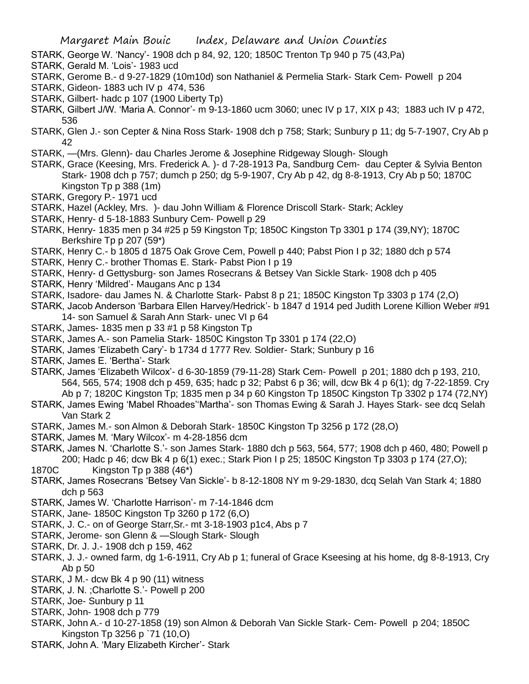- STARK, George W. 'Nancy'- 1908 dch p 84, 92, 120; 1850C Trenton Tp 940 p 75 (43,Pa)
- STARK, Gerald M. 'Lois'- 1983 ucd
- STARK, Gerome B.- d 9-27-1829 (10m10d) son Nathaniel & Permelia Stark- Stark Cem- Powell p 204
- STARK, Gideon- 1883 uch IV p 474, 536
- STARK, Gilbert- hadc p 107 (1900 Liberty Tp)
- STARK, Gilbert J/W. 'Maria A. Connor'- m 9-13-1860 ucm 3060; unec IV p 17, XIX p 43; 1883 uch IV p 472, 536
- STARK, Glen J.- son Cepter & Nina Ross Stark- 1908 dch p 758; Stark; Sunbury p 11; dg 5-7-1907, Cry Ab p 42
- STARK, —(Mrs. Glenn)- dau Charles Jerome & Josephine Ridgeway Slough- Slough
- STARK, Grace (Keesing, Mrs. Frederick A. )- d 7-28-1913 Pa, Sandburg Cem- dau Cepter & Sylvia Benton Stark- 1908 dch p 757; dumch p 250; dg 5-9-1907, Cry Ab p 42, dg 8-8-1913, Cry Ab p 50; 1870C Kingston Tp p 388 (1m)
- STARK, Gregory P.- 1971 ucd
- STARK, Hazel (Ackley, Mrs. )- dau John William & Florence Driscoll Stark- Stark; Ackley
- STARK, Henry- d 5-18-1883 Sunbury Cem- Powell p 29
- STARK, Henry- 1835 men p 34 #25 p 59 Kingston Tp; 1850C Kingston Tp 3301 p 174 (39,NY); 1870C Berkshire Tp p 207 (59\*)
- STARK, Henry C.- b 1805 d 1875 Oak Grove Cem, Powell p 440; Pabst Pion I p 32; 1880 dch p 574
- STARK, Henry C.- brother Thomas E. Stark- Pabst Pion I p 19
- STARK, Henry- d Gettysburg- son James Rosecrans & Betsey Van Sickle Stark- 1908 dch p 405
- STARK, Henry 'Mildred'- Maugans Anc p 134
- STARK, Isadore- dau James N. & Charlotte Stark- Pabst 8 p 21; 1850C Kingston Tp 3303 p 174 (2,O)
- STARK, Jacob Anderson 'Barbara Ellen Harvey/Hedrick'- b 1847 d 1914 ped Judith Lorene Killion Weber #91 14- son Samuel & Sarah Ann Stark- unec VI p 64
- STARK, James- 1835 men p 33 #1 p 58 Kingston Tp
- STARK, James A.- son Pamelia Stark- 1850C Kingston Tp 3301 p 174 (22,O)
- STARK, James 'Elizabeth Cary'- b 1734 d 1777 Rev. Soldier- Stark; Sunbury p 16
- STARK, James E. 'Bertha'- Stark
- STARK, James 'Elizabeth Wilcox'- d 6-30-1859 (79-11-28) Stark Cem- Powell p 201; 1880 dch p 193, 210, 564, 565, 574; 1908 dch p 459, 635; hadc p 32; Pabst 6 p 36; will, dcw Bk 4 p 6(1); dg 7-22-1859. Cry Ab p 7; 1820C Kingston Tp; 1835 men p 34 p 60 Kingston Tp 1850C Kingston Tp 3302 p 174 (72,NY)
- STARK, James Ewing 'Mabel Rhoades''Martha'- son Thomas Ewing & Sarah J. Hayes Stark- see dcq Selah Van Stark 2
- STARK, James M.- son Almon & Deborah Stark- 1850C Kingston Tp 3256 p 172 (28,O)
- STARK, James M. 'Mary Wilcox'- m 4-28-1856 dcm
- STARK, James N. 'Charlotte S.'- son James Stark- 1880 dch p 563, 564, 577; 1908 dch p 460, 480; Powell p 200; Hadc p 46; dcw Bk 4 p 6(1) exec.; Stark Pion I p 25; 1850C Kingston Tp 3303 p 174 (27,O);
- 1870C Kingston Tp p 388 (46\*)
- STARK, James Rosecrans 'Betsey Van Sickle'- b 8-12-1808 NY m 9-29-1830, dcq Selah Van Stark 4; 1880 dch p 563
- STARK, James W. 'Charlotte Harrison'- m 7-14-1846 dcm
- STARK, Jane- 1850C Kingston Tp 3260 p 172 (6,O)
- STARK, J. C.- on of George Starr,Sr.- mt 3-18-1903 p1c4, Abs p 7
- STARK, Jerome- son Glenn & —Slough Stark- Slough
- STARK, Dr. J. J.- 1908 dch p 159, 462
- STARK, J. J.- owned farm, dg 1-6-1911, Cry Ab p 1; funeral of Grace Kseesing at his home, dg 8-8-1913, Cry Ab p 50
- STARK, J M.- dcw Bk 4 p 90 (11) witness
- STARK, J. N. ;Charlotte S.'- Powell p 200
- STARK, Joe- Sunbury p 11
- STARK, John- 1908 dch p 779
- STARK, John A.- d 10-27-1858 (19) son Almon & Deborah Van Sickle Stark- Cem- Powell p 204; 1850C Kingston Tp 3256 p `71 (10,O)
- STARK, John A. 'Mary Elizabeth Kircher'- Stark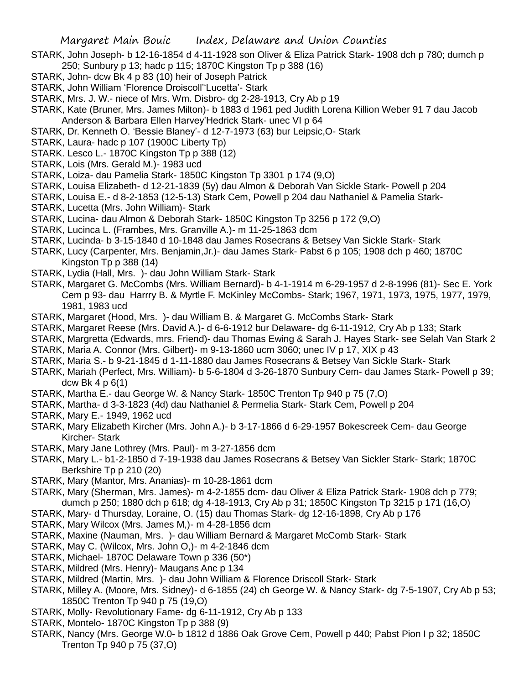- STARK, John Joseph- b 12-16-1854 d 4-11-1928 son Oliver & Eliza Patrick Stark- 1908 dch p 780; dumch p 250; Sunbury p 13; hadc p 115; 1870C Kingston Tp p 388 (16)
- STARK, John- dcw Bk 4 p 83 (10) heir of Joseph Patrick
- STARK, John William 'Florence Droiscoll''Lucetta'- Stark
- STARK, Mrs. J. W.- niece of Mrs. Wm. Disbro- dg 2-28-1913, Cry Ab p 19
- STARK, Kate (Bruner, Mrs. James Milton)- b 1883 d 1961 ped Judith Lorena Killion Weber 91 7 dau Jacob Anderson & Barbara Ellen Harvey'Hedrick Stark- unec VI p 64
- STARK, Dr. Kenneth O. 'Bessie Blaney'- d 12-7-1973 (63) bur Leipsic,O- Stark
- STARK, Laura- hadc p 107 (1900C Liberty Tp)
- STARK. Lesco L.- 1870C Kingston Tp p 388 (12)
- STARK, Lois (Mrs. Gerald M.)- 1983 ucd
- STARK, Loiza- dau Pamelia Stark- 1850C Kingston Tp 3301 p 174 (9,O)
- STARK, Louisa Elizabeth- d 12-21-1839 (5y) dau Almon & Deborah Van Sickle Stark- Powell p 204
- STARK, Louisa E.- d 8-2-1853 (12-5-13) Stark Cem, Powell p 204 dau Nathaniel & Pamelia Stark-
- STARK, Lucetta (Mrs. John William)- Stark
- STARK, Lucina- dau Almon & Deborah Stark- 1850C Kingston Tp 3256 p 172 (9,O)
- STARK, Lucinca L. (Frambes, Mrs. Granville A.)- m 11-25-1863 dcm
- STARK, Lucinda- b 3-15-1840 d 10-1848 dau James Rosecrans & Betsey Van Sickle Stark- Stark
- STARK, Lucy (Carpenter, Mrs. Benjamin,Jr.)- dau James Stark- Pabst 6 p 105; 1908 dch p 460; 1870C Kingston Tp p 388 (14)
- STARK, Lydia (Hall, Mrs. )- dau John William Stark- Stark
- STARK, Margaret G. McCombs (Mrs. William Bernard)- b 4-1-1914 m 6-29-1957 d 2-8-1996 (81)- Sec E. York Cem p 93- dau Harrry B. & Myrtle F. McKinley McCombs- Stark; 1967, 1971, 1973, 1975, 1977, 1979, 1981, 1983 ucd
- STARK, Margaret (Hood, Mrs. )- dau William B. & Margaret G. McCombs Stark- Stark
- STARK, Margaret Reese (Mrs. David A.)- d 6-6-1912 bur Delaware- dg 6-11-1912, Cry Ab p 133; Stark
- STARK, Margretta (Edwards, mrs. Friend)- dau Thomas Ewing & Sarah J. Hayes Stark- see Selah Van Stark 2
- STARK, Maria A. Connor (Mrs. Gilbert)- m 9-13-1860 ucm 3060; unec IV p 17, XIX p 43
- STARK, Maria S.- b 9-21-1845 d 1-11-1880 dau James Rosecrans & Betsey Van Sickle Stark- Stark
- STARK, Mariah (Perfect, Mrs. William)- b 5-6-1804 d 3-26-1870 Sunbury Cem- dau James Stark- Powell p 39; dcw Bk 4 p 6(1)
- STARK, Martha E.- dau George W. & Nancy Stark- 1850C Trenton Tp 940 p 75 (7,O)
- STARK, Martha- d 3-3-1823 (4d) dau Nathaniel & Permelia Stark- Stark Cem, Powell p 204
- STARK, Mary E.- 1949, 1962 ucd
- STARK, Mary Elizabeth Kircher (Mrs. John A.)- b 3-17-1866 d 6-29-1957 Bokescreek Cem- dau George Kircher- Stark
- STARK, Mary Jane Lothrey (Mrs. Paul)- m 3-27-1856 dcm
- STARK, Mary L.- b1-2-1850 d 7-19-1938 dau James Rosecrans & Betsey Van Sickler Stark- Stark; 1870C Berkshire Tp p 210 (20)
- STARK, Mary (Mantor, Mrs. Ananias)- m 10-28-1861 dcm
- STARK, Mary (Sherman, Mrs. James)- m 4-2-1855 dcm- dau Oliver & Eliza Patrick Stark- 1908 dch p 779; dumch p 250; 1880 dch p 618; dg 4-18-1913, Cry Ab p 31; 1850C Kingston Tp 3215 p 171 (16,O)
- STARK, Mary- d Thursday, Loraine, O. (15) dau Thomas Stark- dg 12-16-1898, Cry Ab p 176
- STARK, Mary Wilcox (Mrs. James M,)- m 4-28-1856 dcm
- STARK, Maxine (Nauman, Mrs. )- dau William Bernard & Margaret McComb Stark- Stark
- STARK, May C. (Wilcox, Mrs. John O,)- m 4-2-1846 dcm
- STARK, Michael- 1870C Delaware Town p 336 (50\*)
- STARK, Mildred (Mrs. Henry)- Maugans Anc p 134
- STARK, Mildred (Martin, Mrs. )- dau John William & Florence Driscoll Stark- Stark
- STARK, Milley A. (Moore, Mrs. Sidney)- d 6-1855 (24) ch George W. & Nancy Stark- dg 7-5-1907, Cry Ab p 53; 1850C Trenton Tp 940 p 75 (19,O)
- STARK, Molly- Revolutionary Fame- dg 6-11-1912, Cry Ab p 133
- STARK, Montelo- 1870C Kingston Tp p 388 (9)
- STARK, Nancy (Mrs. George W.0- b 1812 d 1886 Oak Grove Cem, Powell p 440; Pabst Pion I p 32; 1850C Trenton Tp 940 p 75 (37,O)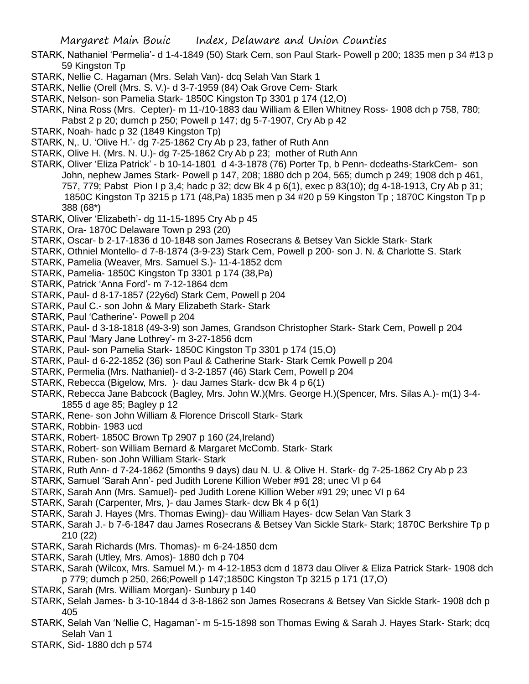- STARK, Nathaniel 'Permelia'- d 1-4-1849 (50) Stark Cem, son Paul Stark- Powell p 200; 1835 men p 34 #13 p 59 Kingston Tp
- STARK, Nellie C. Hagaman (Mrs. Selah Van)- dcq Selah Van Stark 1
- STARK, Nellie (Orell (Mrs. S. V.)- d 3-7-1959 (84) Oak Grove Cem- Stark
- STARK, Nelson- son Pamelia Stark- 1850C Kingston Tp 3301 p 174 (12,O)
- STARK, Nina Ross (Mrs. Cepter)- m 11-/10-1883 dau William & Ellen Whitney Ross- 1908 dch p 758, 780;
- Pabst 2 p 20; dumch p 250; Powell p 147; dg 5-7-1907, Cry Ab p 42
- STARK, Noah- hadc p 32 (1849 Kingston Tp)
- STARK, N,. U. 'Olive H.'- dg 7-25-1862 Cry Ab p 23, father of Ruth Ann
- STARK, Olive H. (Mrs. N. U.)- dg 7-25-1862 Cry Ab p 23; mother of Ruth Ann
- STARK, Oliver 'Eliza Patrick' b 10-14-1801 d 4-3-1878 (76) Porter Tp, b Penn- dcdeaths-StarkCem- son John, nephew James Stark- Powell p 147, 208; 1880 dch p 204, 565; dumch p 249; 1908 dch p 461, 757, 779; Pabst Pion I p 3,4; hadc p 32; dcw Bk 4 p 6(1), exec p 83(10); dg 4-18-1913, Cry Ab p 31; 1850C Kingston Tp 3215 p 171 (48,Pa) 1835 men p 34 #20 p 59 Kingston Tp ; 1870C Kingston Tp p 388 (68\*)
- STARK, Oliver 'Elizabeth'- dg 11-15-1895 Cry Ab p 45
- STARK, Ora- 1870C Delaware Town p 293 (20)
- STARK, Oscar- b 2-17-1836 d 10-1848 son James Rosecrans & Betsey Van Sickle Stark- Stark
- STARK, Othniel Montello- d 7-8-1874 (3-9-23) Stark Cem, Powell p 200- son J. N. & Charlotte S. Stark
- STARK, Pamelia (Weaver, Mrs. Samuel S.)- 11-4-1852 dcm
- STARK, Pamelia- 1850C Kingston Tp 3301 p 174 (38,Pa)
- STARK, Patrick 'Anna Ford'- m 7-12-1864 dcm
- STARK, Paul- d 8-17-1857 (22y6d) Stark Cem, Powell p 204
- STARK, Paul C.- son John & Mary Elizabeth Stark- Stark
- STARK, Paul 'Catherine'- Powell p 204
- STARK, Paul- d 3-18-1818 (49-3-9) son James, Grandson Christopher Stark- Stark Cem, Powell p 204
- STARK, Paul 'Mary Jane Lothrey'- m 3-27-1856 dcm
- STARK, Paul- son Pamelia Stark- 1850C Kingston Tp 3301 p 174 (15,O)
- STARK, Paul- d 6-22-1852 (36) son Paul & Catherine Stark- Stark Cemk Powell p 204
- STARK, Permelia (Mrs. Nathaniel)- d 3-2-1857 (46) Stark Cem, Powell p 204
- STARK, Rebecca (Bigelow, Mrs. )- dau James Stark- dcw Bk 4 p 6(1)
- STARK, Rebecca Jane Babcock (Bagley, Mrs. John W.)(Mrs. George H.)(Spencer, Mrs. Silas A.)- m(1) 3-4- 1855 d age 85; Bagley p 12
- STARK, Rene- son John William & Florence Driscoll Stark- Stark
- STARK, Robbin- 1983 ucd
- STARK, Robert- 1850C Brown Tp 2907 p 160 (24,Ireland)
- STARK, Robert- son William Bernard & Margaret McComb. Stark- Stark
- STARK, Ruben- son John William Stark- Stark
- STARK, Ruth Ann- d 7-24-1862 (5months 9 days) dau N. U. & Olive H. Stark- dg 7-25-1862 Cry Ab p 23
- STARK, Samuel 'Sarah Ann'- ped Judith Lorene Killion Weber #91 28; unec VI p 64
- STARK, Sarah Ann (Mrs. Samuel)- ped Judith Lorene Killion Weber #91 29; unec VI p 64
- STARK, Sarah (Carpenter, Mrs, )- dau James Stark- dcw Bk 4 p 6(1)
- STARK, Sarah J. Hayes (Mrs. Thomas Ewing)- dau William Hayes- dcw Selan Van Stark 3
- STARK, Sarah J.- b 7-6-1847 dau James Rosecrans & Betsey Van Sickle Stark- Stark; 1870C Berkshire Tp p 210 (22)
- STARK, Sarah Richards (Mrs. Thomas)- m 6-24-1850 dcm
- STARK, Sarah (Utley, Mrs. Amos)- 1880 dch p 704
- STARK, Sarah (Wilcox, Mrs. Samuel M.)- m 4-12-1853 dcm d 1873 dau Oliver & Eliza Patrick Stark- 1908 dch p 779; dumch p 250, 266;Powell p 147;1850C Kingston Tp 3215 p 171 (17,O)
- STARK, Sarah (Mrs. William Morgan)- Sunbury p 140
- STARK, Selah James- b 3-10-1844 d 3-8-1862 son James Rosecrans & Betsey Van Sickle Stark- 1908 dch p 405
- STARK, Selah Van 'Nellie C, Hagaman'- m 5-15-1898 son Thomas Ewing & Sarah J. Hayes Stark- Stark; dcq Selah Van 1
- STARK, Sid- 1880 dch p 574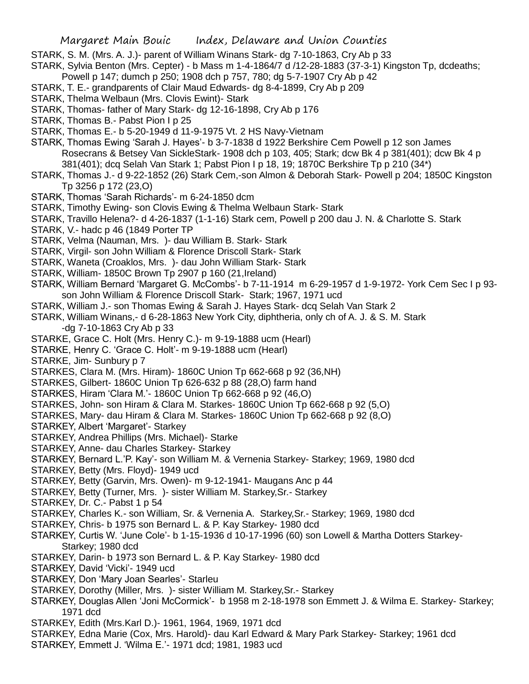STARK, S. M. (Mrs. A. J.)- parent of William Winans Stark- dg 7-10-1863, Cry Ab p 33

STARK, Sylvia Benton (Mrs. Cepter) - b Mass m 1-4-1864/7 d /12-28-1883 (37-3-1) Kingston Tp, dcdeaths;

Powell p 147; dumch p 250; 1908 dch p 757, 780; dg 5-7-1907 Cry Ab p 42

STARK, T. E.- grandparents of Clair Maud Edwards- dg 8-4-1899, Cry Ab p 209

STARK, Thelma Welbaun (Mrs. Clovis Ewint)- Stark

STARK, Thomas- father of Mary Stark- dg 12-16-1898, Cry Ab p 176

STARK, Thomas B.- Pabst Pion I p 25

STARK, Thomas E.- b 5-20-1949 d 11-9-1975 Vt. 2 HS Navy-Vietnam

STARK, Thomas Ewing 'Sarah J. Hayes'- b 3-7-1838 d 1922 Berkshire Cem Powell p 12 son James Rosecrans & Betsey Van SickleStark- 1908 dch p 103, 405; Stark; dcw Bk 4 p 381(401); dcw Bk 4 p 381(401); dcq Selah Van Stark 1; Pabst Pion I p 18, 19; 1870C Berkshire Tp p 210 (34\*)

STARK, Thomas J.- d 9-22-1852 (26) Stark Cem,-son Almon & Deborah Stark- Powell p 204; 1850C Kingston Tp 3256 p 172 (23,O)

STARK, Thomas 'Sarah Richards'- m 6-24-1850 dcm

STARK, Timothy Ewing- son Clovis Ewing & Thelma Welbaun Stark- Stark

STARK, Travillo Helena?- d 4-26-1837 (1-1-16) Stark cem, Powell p 200 dau J. N. & Charlotte S. Stark

STARK, V.- hadc p 46 (1849 Porter TP

STARK, Velma (Nauman, Mrs. )- dau William B. Stark- Stark

- STARK, Virgil- son John William & Florence Driscoll Stark- Stark
- STARK, Waneta (Croaklos, Mrs. )- dau John William Stark- Stark
- STARK, William- 1850C Brown Tp 2907 p 160 (21,Ireland)

STARK, William Bernard 'Margaret G. McCombs'- b 7-11-1914 m 6-29-1957 d 1-9-1972- York Cem Sec I p 93 son John William & Florence Driscoll Stark- Stark; 1967, 1971 ucd

STARK, William J.- son Thomas Ewing & Sarah J. Hayes Stark- dcq Selah Van Stark 2

STARK, William Winans,- d 6-28-1863 New York City, diphtheria, only ch of A. J. & S. M. Stark -dg 7-10-1863 Cry Ab p 33

STARKE, Grace C. Holt (Mrs. Henry C.)- m 9-19-1888 ucm (Hearl)

STARKE, Henry C. 'Grace C. Holt'- m 9-19-1888 ucm (Hearl)

STARKE, Jim- Sunbury p 7

STARKES, Clara M. (Mrs. Hiram)- 1860C Union Tp 662-668 p 92 (36,NH)

STARKES, Gilbert- 1860C Union Tp 626-632 p 88 (28,O) farm hand

STARKES, Hiram 'Clara M.'- 1860C Union Tp 662-668 p 92 (46,O)

STARKES, John- son Hiram & Clara M. Starkes- 1860C Union Tp 662-668 p 92 (5,O)

STARKES, Mary- dau Hiram & Clara M. Starkes- 1860C Union Tp 662-668 p 92 (8,O)

STARKEY, Albert 'Margaret'- Starkey

STARKEY, Andrea Phillips (Mrs. Michael)- Starke

STARKEY, Anne- dau Charles Starkey- Starkey

STARKEY, Bernard L.'P. Kay'- son William M. & Vernenia Starkey- Starkey; 1969, 1980 dcd

STARKEY, Betty (Mrs. Floyd)- 1949 ucd

STARKEY, Betty (Garvin, Mrs. Owen)- m 9-12-1941- Maugans Anc p 44

STARKEY, Betty (Turner, Mrs. )- sister William M. Starkey,Sr.- Starkey

STARKEY, Dr. C.- Pabst 1 p 54

STARKEY, Charles K.- son William, Sr. & Vernenia A. Starkey,Sr.- Starkey; 1969, 1980 dcd

STARKEY, Chris- b 1975 son Bernard L. & P. Kay Starkey- 1980 dcd

STARKEY, Curtis W. 'June Cole'- b 1-15-1936 d 10-17-1996 (60) son Lowell & Martha Dotters Starkey-Starkey; 1980 dcd

STARKEY, Darin- b 1973 son Bernard L. & P. Kay Starkey- 1980 dcd

STARKEY, David 'Vicki'- 1949 ucd

STARKEY, Don 'Mary Joan Searles'- Starleu

STARKEY, Dorothy (Miller, Mrs. )- sister William M. Starkey,Sr.- Starkey

- STARKEY, Douglas Allen 'Joni McCormick'- b 1958 m 2-18-1978 son Emmett J. & Wilma E. Starkey- Starkey; 1971 dcd
- STARKEY, Edith (Mrs.Karl D.)- 1961, 1964, 1969, 1971 dcd
- STARKEY, Edna Marie (Cox, Mrs. Harold)- dau Karl Edward & Mary Park Starkey- Starkey; 1961 dcd
- STARKEY, Emmett J. 'Wilma E.'- 1971 dcd; 1981, 1983 ucd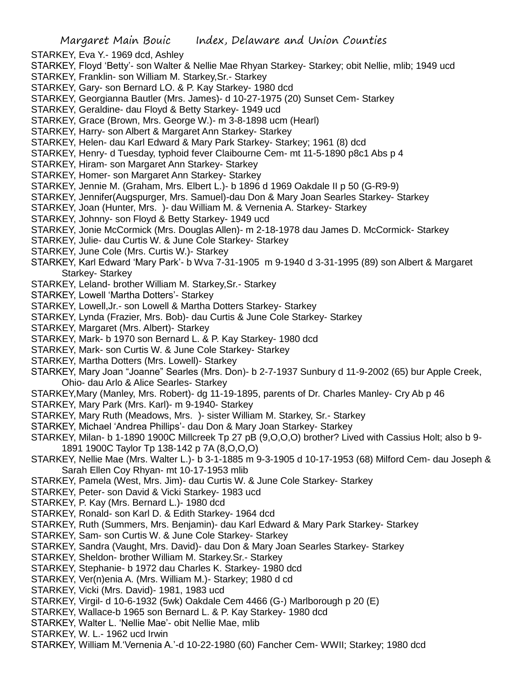- STARKEY, Eva Y.- 1969 dcd, Ashley
- STARKEY, Floyd 'Betty'- son Walter & Nellie Mae Rhyan Starkey- Starkey; obit Nellie, mlib; 1949 ucd
- STARKEY, Franklin- son William M. Starkey,Sr.- Starkey
- STARKEY, Gary- son Bernard LO. & P. Kay Starkey- 1980 dcd
- STARKEY, Georgianna Bautler (Mrs. James)- d 10-27-1975 (20) Sunset Cem- Starkey
- STARKEY, Geraldine- dau Floyd & Betty Starkey- 1949 ucd
- STARKEY, Grace (Brown, Mrs. George W.)- m 3-8-1898 ucm (Hearl)
- STARKEY, Harry- son Albert & Margaret Ann Starkey- Starkey
- STARKEY, Helen- dau Karl Edward & Mary Park Starkey- Starkey; 1961 (8) dcd
- STARKEY, Henry- d Tuesday, typhoid fever Claibourne Cem- mt 11-5-1890 p8c1 Abs p 4
- STARKEY, Hiram- son Margaret Ann Starkey- Starkey
- STARKEY, Homer- son Margaret Ann Starkey- Starkey
- STARKEY, Jennie M. (Graham, Mrs. Elbert L.)- b 1896 d 1969 Oakdale II p 50 (G-R9-9)
- STARKEY, Jennifer(Augspurger, Mrs. Samuel)-dau Don & Mary Joan Searles Starkey- Starkey
- STARKEY, Joan (Hunter, Mrs. )- dau William M. & Vernenia A. Starkey- Starkey
- STARKEY, Johnny- son Floyd & Betty Starkey- 1949 ucd
- STARKEY, Jonie McCormick (Mrs. Douglas Allen)- m 2-18-1978 dau James D. McCormick- Starkey
- STARKEY, Julie- dau Curtis W. & June Cole Starkey- Starkey
- STARKEY, June Cole (Mrs. Curtis W.)- Starkey
- STARKEY, Karl Edward 'Mary Park'- b Wva 7-31-1905 m 9-1940 d 3-31-1995 (89) son Albert & Margaret Starkey- Starkey
- STARKEY, Leland- brother William M. Starkey,Sr.- Starkey
- STARKEY, Lowell 'Martha Dotters'- Starkey
- STARKEY, Lowell,Jr.- son Lowell & Martha Dotters Starkey- Starkey
- STARKEY, Lynda (Frazier, Mrs. Bob)- dau Curtis & June Cole Starkey- Starkey
- STARKEY, Margaret (Mrs. Albert)- Starkey
- STARKEY, Mark- b 1970 son Bernard L. & P. Kay Starkey- 1980 dcd
- STARKEY, Mark- son Curtis W. & June Cole Starkey- Starkey
- STARKEY, Martha Dotters (Mrs. Lowell)- Starkey
- STARKEY, Mary Joan "Joanne" Searles (Mrs. Don)- b 2-7-1937 Sunbury d 11-9-2002 (65) bur Apple Creek, Ohio- dau Arlo & Alice Searles- Starkey
- STARKEY,Mary (Manley, Mrs. Robert)- dg 11-19-1895, parents of Dr. Charles Manley- Cry Ab p 46
- STARKEY, Mary Park (Mrs. Karl)- m 9-1940- Starkey
- STARKEY, Mary Ruth (Meadows, Mrs. )- sister William M. Starkey, Sr.- Starkey
- STARKEY, Michael 'Andrea Phillips'- dau Don & Mary Joan Starkey- Starkey
- STARKEY, Milan- b 1-1890 1900C Millcreek Tp 27 pB (9,O,O,O) brother? Lived with Cassius Holt; also b 9- 1891 1900C Taylor Tp 138-142 p 7A (8,O,O,O)
- STARKEY, Nellie Mae (Mrs. Walter L.)- b 3-1-1885 m 9-3-1905 d 10-17-1953 (68) Milford Cem- dau Joseph & Sarah Ellen Coy Rhyan- mt 10-17-1953 mlib
- STARKEY, Pamela (West, Mrs. Jim)- dau Curtis W. & June Cole Starkey- Starkey
- STARKEY, Peter- son David & Vicki Starkey- 1983 ucd
- STARKEY, P. Kay (Mrs. Bernard L.)- 1980 dcd
- STARKEY, Ronald- son Karl D. & Edith Starkey- 1964 dcd
- STARKEY, Ruth (Summers, Mrs. Benjamin)- dau Karl Edward & Mary Park Starkey- Starkey
- STARKEY, Sam- son Curtis W. & June Cole Starkey- Starkey
- STARKEY, Sandra (Vaught, Mrs. David)- dau Don & Mary Joan Searles Starkey- Starkey
- STARKEY, Sheldon- brother William M. Starkey.Sr.- Starkey
- STARKEY, Stephanie- b 1972 dau Charles K. Starkey- 1980 dcd
- STARKEY, Ver(n)enia A. (Mrs. William M.)- Starkey; 1980 d cd
- STARKEY, Vicki (Mrs. David)- 1981, 1983 ucd
- STARKEY, Virgil- d 10-6-1932 (5wk) Oakdale Cem 4466 (G-) Marlborough p 20 (E)
- STARKEY, Wallace-b 1965 son Bernard L. & P. Kay Starkey- 1980 dcd
- STARKEY, Walter L. 'Nellie Mae'- obit Nellie Mae, mlib
- STARKEY, W. L.- 1962 ucd Irwin
- STARKEY, William M.'Vernenia A.'-d 10-22-1980 (60) Fancher Cem- WWII; Starkey; 1980 dcd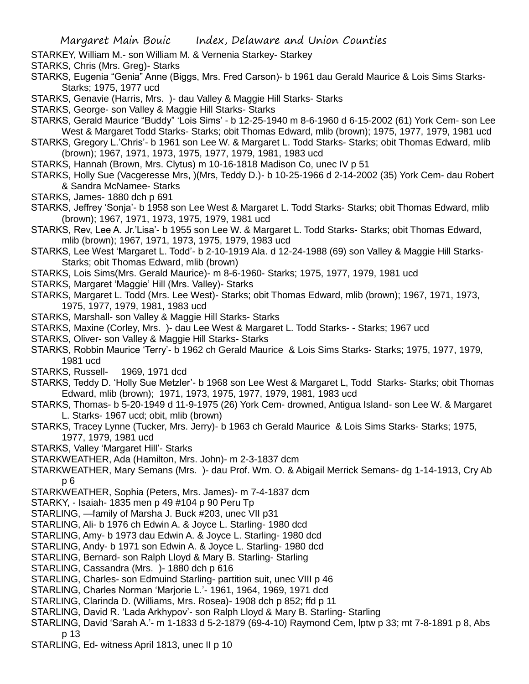- STARKEY, William M.- son William M. & Vernenia Starkey- Starkey
- STARKS, Chris (Mrs. Greg)- Starks
- STARKS, Eugenia "Genia" Anne (Biggs, Mrs. Fred Carson)- b 1961 dau Gerald Maurice & Lois Sims Starks-Starks; 1975, 1977 ucd
- STARKS, Genavie (Harris, Mrs. )- dau Valley & Maggie Hill Starks- Starks
- STARKS, George- son Valley & Maggie Hill Starks- Starks
- STARKS, Gerald Maurice "Buddy" 'Lois Sims' b 12-25-1940 m 8-6-1960 d 6-15-2002 (61) York Cem- son Lee West & Margaret Todd Starks- Starks; obit Thomas Edward, mlib (brown); 1975, 1977, 1979, 1981 ucd
- STARKS, Gregory L.'Chris'- b 1961 son Lee W. & Margaret L. Todd Starks- Starks; obit Thomas Edward, mlib (brown); 1967, 1971, 1973, 1975, 1977, 1979, 1981, 1983 ucd
- STARKS, Hannah (Brown, Mrs. Clytus) m 10-16-1818 Madison Co, unec IV p 51
- STARKS, Holly Sue (Vacgeresse Mrs, )(Mrs, Teddy D.)- b 10-25-1966 d 2-14-2002 (35) York Cem- dau Robert & Sandra McNamee- Starks
- STARKS, James- 1880 dch p 691
- STARKS, Jeffrey 'Sonja'- b 1958 son Lee West & Margaret L. Todd Starks- Starks; obit Thomas Edward, mlib (brown); 1967, 1971, 1973, 1975, 1979, 1981 ucd
- STARKS, Rev, Lee A. Jr.'Lisa'- b 1955 son Lee W. & Margaret L. Todd Starks- Starks; obit Thomas Edward, mlib (brown); 1967, 1971, 1973, 1975, 1979, 1983 ucd
- STARKS, Lee West 'Margaret L. Todd'- b 2-10-1919 Ala. d 12-24-1988 (69) son Valley & Maggie Hill Starks-Starks; obit Thomas Edward, mlib (brown)
- STARKS, Lois Sims(Mrs. Gerald Maurice)- m 8-6-1960- Starks; 1975, 1977, 1979, 1981 ucd
- STARKS, Margaret 'Maggie' Hill (Mrs. Valley)- Starks
- STARKS, Margaret L. Todd (Mrs. Lee West)- Starks; obit Thomas Edward, mlib (brown); 1967, 1971, 1973, 1975, 1977, 1979, 1981, 1983 ucd
- STARKS, Marshall- son Valley & Maggie Hill Starks- Starks
- STARKS, Maxine (Corley, Mrs. )- dau Lee West & Margaret L. Todd Starks- Starks; 1967 ucd
- STARKS, Oliver- son Valley & Maggie Hill Starks- Starks
- STARKS, Robbin Maurice 'Terry'- b 1962 ch Gerald Maurice & Lois Sims Starks- Starks; 1975, 1977, 1979, 1981 ucd
- STARKS, Russell- 1969, 1971 dcd
- STARKS, Teddy D. 'Holly Sue Metzler'- b 1968 son Lee West & Margaret L, Todd Starks- Starks; obit Thomas Edward, mlib (brown); 1971, 1973, 1975, 1977, 1979, 1981, 1983 ucd
- STARKS, Thomas- b 5-20-1949 d 11-9-1975 (26) York Cem- drowned, Antigua Island- son Lee W. & Margaret L. Starks- 1967 ucd; obit, mlib (brown)
- STARKS, Tracey Lynne (Tucker, Mrs. Jerry)- b 1963 ch Gerald Maurice & Lois Sims Starks- Starks; 1975, 1977, 1979, 1981 ucd
- STARKS, Valley 'Margaret Hill'- Starks
- STARKWEATHER, Ada (Hamilton, Mrs. John)- m 2-3-1837 dcm
- STARKWEATHER, Mary Semans (Mrs. )- dau Prof. Wm. O. & Abigail Merrick Semans- dg 1-14-1913, Cry Ab p 6
- STARKWEATHER, Sophia (Peters, Mrs. James)- m 7-4-1837 dcm
- STARKY, Isaiah- 1835 men p 49 #104 p 90 Peru Tp
- STARLING, —family of Marsha J. Buck #203, unec VII p31
- STARLING, Ali- b 1976 ch Edwin A. & Joyce L. Starling- 1980 dcd
- STARLING, Amy- b 1973 dau Edwin A. & Joyce L. Starling- 1980 dcd
- STARLING, Andy- b 1971 son Edwin A. & Joyce L. Starling- 1980 dcd
- STARLING, Bernard- son Ralph Lloyd & Mary B. Starling- Starling
- STARLING, Cassandra (Mrs. )- 1880 dch p 616
- STARLING, Charles- son Edmuind Starling- partition suit, unec VIII p 46
- STARLING, Charles Norman 'Marjorie L.'- 1961, 1964, 1969, 1971 dcd
- STARLING, Clarinda D. (Williams, Mrs. Rosea)- 1908 dch p 852; ffd p 11
- STARLING, David R. 'Lada Arkhypov'- son Ralph Lloyd & Mary B. Starling- Starling
- STARLING, David 'Sarah A.'- m 1-1833 d 5-2-1879 (69-4-10) Raymond Cem, lptw p 33; mt 7-8-1891 p 8, Abs p 13
- STARLING, Ed- witness April 1813, unec II p 10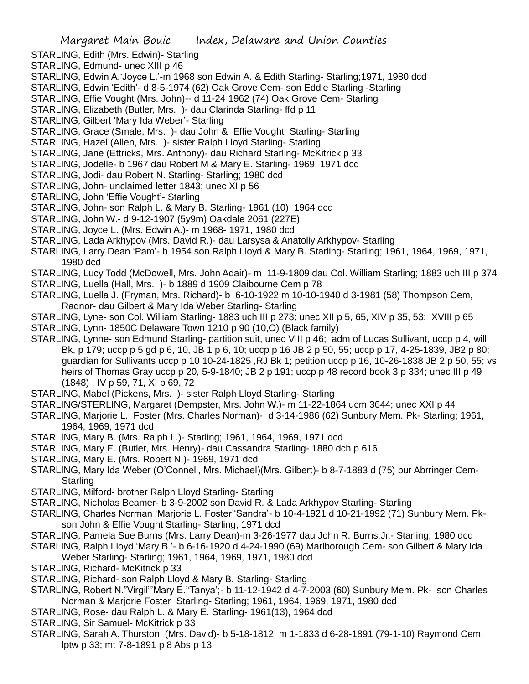- STARLING, Edith (Mrs. Edwin)- Starling
- STARLING, Edmund- unec XIII p 46
- STARLING, Edwin A.'Joyce L.'-m 1968 son Edwin A. & Edith Starling- Starling;1971, 1980 dcd
- STARLING, Edwin 'Edith'- d 8-5-1974 (62) Oak Grove Cem- son Eddie Starling -Starling
- STARLING, Effie Vought (Mrs. John)-- d 11-24 1962 (74) Oak Grove Cem- Starling
- STARLING, Elizabeth (Butler, Mrs. )- dau Clarinda Starling- ffd p 11
- STARLING, Gilbert 'Mary Ida Weber'- Starling
- STARLING, Grace (Smale, Mrs. )- dau John & Effie Vought Starling- Starling
- STARLING, Hazel (Allen, Mrs. )- sister Ralph Lloyd Starling- Starling
- STARLING, Jane (Ettricks, Mrs. Anthony)- dau Richard Starling- McKitrick p 33
- STARLING, Jodelle- b 1967 dau Robert M & Mary E. Starling- 1969, 1971 dcd
- STARLING, Jodi- dau Robert N. Starling- Starling; 1980 dcd
- STARLING, John- unclaimed letter 1843; unec XI p 56
- STARLING, John 'Effie Vought'- Starling
- STARLING, John- son Ralph L. & Mary B. Starling- 1961 (10), 1964 dcd
- STARLING, John W.- d 9-12-1907 (5y9m) Oakdale 2061 (227E)
- STARLING, Joyce L. (Mrs. Edwin A.)- m 1968- 1971, 1980 dcd
- STARLING, Lada Arkhypov (Mrs. David R.)- dau Larsysa & Anatoliy Arkhypov- Starling
- STARLING, Larry Dean 'Pam'- b 1954 son Ralph Lloyd & Mary B. Starling- Starling; 1961, 1964, 1969, 1971, 1980 dcd
- STARLING, Lucy Todd (McDowell, Mrs. John Adair)- m 11-9-1809 dau Col. William Starling; 1883 uch III p 374
- STARLING, Luella (Hall, Mrs. )- b 1889 d 1909 Claibourne Cem p 78
- STARLING, Luella J. (Fryman, Mrs. Richard)- b 6-10-1922 m 10-10-1940 d 3-1981 (58) Thompson Cem, Radnor- dau Gilbert & Mary Ida Weber Starling- Starling
- STARLING, Lyne- son Col. William Starling- 1883 uch III p 273; unec XII p 5, 65, XIV p 35, 53; XVIII p 65
- STARLING, Lynn- 1850C Delaware Town 1210 p 90 (10,O) (Black family)
- STARLING, Lynne- son Edmund Starling- partition suit, unec VIII p 46; adm of Lucas Sullivant, uccp p 4, will Bk, p 179; uccp p 5 gd p 6, 10, JB 1 p 6, 10; uccp p 16 JB 2 p 50, 55; uccp p 17, 4-25-1839, JB2 p 80; guardian for Sullivants uccp p 10 10-24-1825 ,RJ Bk 1; petition uccp p 16, 10-26-1838 JB 2 p 50, 55; vs heirs of Thomas Gray uccp p 20, 5-9-1840; JB 2 p 191; uccp p 48 record book 3 p 334; unec III p 49 (1848) , IV p 59, 71, XI p 69, 72
- STARLING, Mabel (Pickens, Mrs. )- sister Ralph Lloyd Starling- Starling
- STARLING/STERLING, Margaret (Dempster, Mrs. John W.)- m 11-22-1864 ucm 3644; unec XXI p 44
- STARLING, Marjorie L. Foster (Mrs. Charles Norman)- d 3-14-1986 (62) Sunbury Mem. Pk- Starling; 1961, 1964, 1969, 1971 dcd
- STARLING, Mary B. (Mrs. Ralph L.)- Starling; 1961, 1964, 1969, 1971 dcd
- STARLING, Mary E. (Butler, Mrs. Henry)- dau Cassandra Starling- 1880 dch p 616
- STARLING, Mary E. (Mrs. Robert N.)- 1969, 1971 dcd
- STARLING, Mary Ida Weber (O'Connell, Mrs. Michael)(Mrs. Gilbert)- b 8-7-1883 d (75) bur Abrringer Cem-**Starling**
- STARLING, Milford- brother Ralph Lloyd Starling- Starling
- STARLING, Nicholas Beamer- b 3-9-2002 son David R. & Lada Arkhypov Starling- Starling
- STARLING, Charles Norman 'Marjorie L. Foster''Sandra'- b 10-4-1921 d 10-21-1992 (71) Sunbury Mem. Pkson John & Effie Vought Starling- Starling; 1971 dcd
- STARLING, Pamela Sue Burns (Mrs. Larry Dean)-m 3-26-1977 dau John R. Burns,Jr.- Starling; 1980 dcd
- STARLING, Ralph Lloyd 'Mary B.'- b 6-16-1920 d 4-24-1990 (69) Marlborough Cem- son Gilbert & Mary Ida Weber Starling- Starling; 1961, 1964, 1969, 1971, 1980 dcd
- STARLING, Richard- McKitrick p 33
- STARLING, Richard- son Ralph Lloyd & Mary B. Starling- Starling
- STARLING, Robert N."Virgil"'Mary E.''Tanya';- b 11-12-1942 d 4-7-2003 (60) Sunbury Mem. Pk- son Charles Norman & Marjorie Foster Starling- Starling; 1961, 1964, 1969, 1971, 1980 dcd
- STARLING, Rose- dau Ralph L. & Mary E. Starling- 1961(13), 1964 dcd
- STARLING, Sir Samuel- McKitrick p 33
- STARLING, Sarah A. Thurston (Mrs. David)- b 5-18-1812 m 1-1833 d 6-28-1891 (79-1-10) Raymond Cem, lptw p 33; mt 7-8-1891 p 8 Abs p 13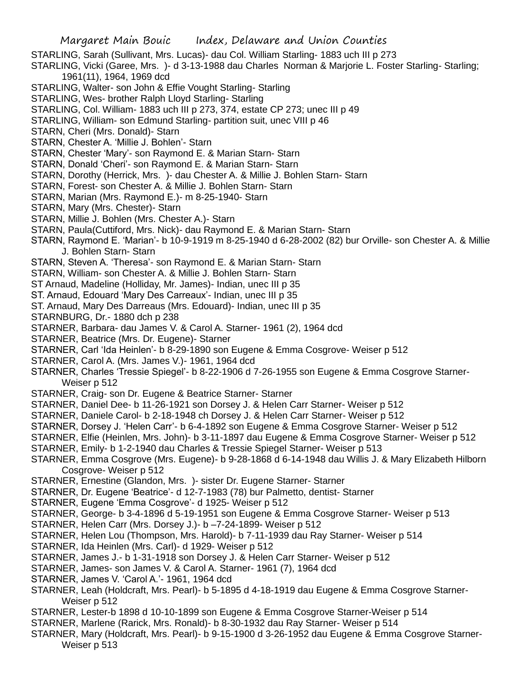- STARLING, Sarah (Sullivant, Mrs. Lucas)- dau Col. William Starling- 1883 uch III p 273
- STARLING, Vicki (Garee, Mrs. )- d 3-13-1988 dau Charles Norman & Marjorie L. Foster Starling- Starling; 1961(11), 1964, 1969 dcd
- STARLING, Walter- son John & Effie Vought Starling- Starling
- STARLING, Wes- brother Ralph Lloyd Starling- Starling
- STARLING, Col. William- 1883 uch III p 273, 374, estate CP 273; unec III p 49
- STARLING, William- son Edmund Starling- partition suit, unec VIII p 46
- STARN, Cheri (Mrs. Donald)- Starn
- STARN, Chester A. 'Millie J. Bohlen'- Starn
- STARN, Chester 'Mary'- son Raymond E. & Marian Starn- Starn
- STARN, Donald 'Cheri'- son Raymond E. & Marian Starn- Starn
- STARN, Dorothy (Herrick, Mrs. )- dau Chester A. & Millie J. Bohlen Starn- Starn
- STARN, Forest- son Chester A. & Millie J. Bohlen Starn- Starn
- STARN, Marian (Mrs. Raymond E.)- m 8-25-1940- Starn
- STARN, Mary (Mrs. Chester)- Starn
- STARN, Millie J. Bohlen (Mrs. Chester A.)- Starn
- STARN, Paula(Cuttiford, Mrs. Nick)- dau Raymond E. & Marian Starn- Starn
- STARN, Raymond E. 'Marian'- b 10-9-1919 m 8-25-1940 d 6-28-2002 (82) bur Orville- son Chester A. & Millie J. Bohlen Starn- Starn
- STARN, Steven A. 'Theresa'- son Raymond E. & Marian Starn- Starn
- STARN, William- son Chester A. & Millie J. Bohlen Starn- Starn
- ST Arnaud, Madeline (Holliday, Mr. James)- Indian, unec III p 35
- ST. Arnaud, Edouard 'Mary Des Carreaux'- Indian, unec III p 35
- ST. Arnaud, Mary Des Darreaus (Mrs. Edouard)- Indian, unec III p 35
- STARNBURG, Dr.- 1880 dch p 238
- STARNER, Barbara- dau James V. & Carol A. Starner- 1961 (2), 1964 dcd
- STARNER, Beatrice (Mrs. Dr. Eugene)- Starner
- STARNER, Carl 'Ida Heinlen'- b 8-29-1890 son Eugene & Emma Cosgrove- Weiser p 512
- STARNER, Carol A. (Mrs. James V.)- 1961, 1964 dcd
- STARNER, Charles 'Tressie Spiegel'- b 8-22-1906 d 7-26-1955 son Eugene & Emma Cosgrove Starner-Weiser p 512
- STARNER, Craig- son Dr. Eugene & Beatrice Starner- Starner
- STARNER, Daniel Dee- b 11-26-1921 son Dorsey J. & Helen Carr Starner- Weiser p 512
- STARNER, Daniele Carol- b 2-18-1948 ch Dorsey J. & Helen Carr Starner- Weiser p 512
- STARNER, Dorsey J. 'Helen Carr'- b 6-4-1892 son Eugene & Emma Cosgrove Starner- Weiser p 512
- STARNER, Elfie (Heinlen, Mrs. John)- b 3-11-1897 dau Eugene & Emma Cosgrove Starner- Weiser p 512
- STARNER, Emily- b 1-2-1940 dau Charles & Tressie Spiegel Starner- Weiser p 513
- STARNER, Emma Cosgrove (Mrs. Eugene)- b 9-28-1868 d 6-14-1948 dau Willis J. & Mary Elizabeth Hilborn Cosgrove- Weiser p 512
- STARNER, Ernestine (Glandon, Mrs. )- sister Dr. Eugene Starner- Starner
- STARNER, Dr. Eugene 'Beatrice'- d 12-7-1983 (78) bur Palmetto, dentist- Starner
- STARNER, Eugene 'Emma Cosgrove'- d 1925- Weiser p 512
- STARNER, George- b 3-4-1896 d 5-19-1951 son Eugene & Emma Cosgrove Starner- Weiser p 513
- STARNER, Helen Carr (Mrs. Dorsey J.)- b –7-24-1899- Weiser p 512
- STARNER, Helen Lou (Thompson, Mrs. Harold)- b 7-11-1939 dau Ray Starner- Weiser p 514
- STARNER, Ida Heinlen (Mrs. Carl)- d 1929- Weiser p 512
- STARNER, James J.- b 1-31-1918 son Dorsey J. & Helen Carr Starner- Weiser p 512
- STARNER, James- son James V. & Carol A. Starner- 1961 (7), 1964 dcd
- STARNER, James V. 'Carol A.'- 1961, 1964 dcd
- STARNER, Leah (Holdcraft, Mrs. Pearl)- b 5-1895 d 4-18-1919 dau Eugene & Emma Cosgrove Starner-Weiser p 512
- STARNER, Lester-b 1898 d 10-10-1899 son Eugene & Emma Cosgrove Starner-Weiser p 514
- STARNER, Marlene (Rarick, Mrs. Ronald)- b 8-30-1932 dau Ray Starner- Weiser p 514
- STARNER, Mary (Holdcraft, Mrs. Pearl)- b 9-15-1900 d 3-26-1952 dau Eugene & Emma Cosgrove Starner-Weiser p 513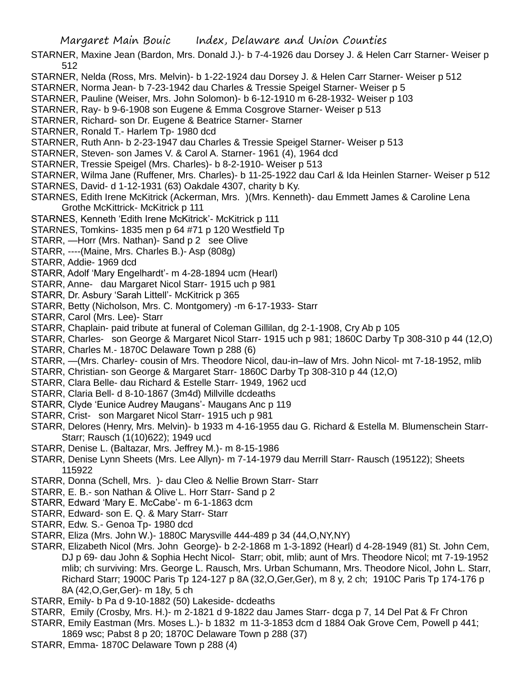- STARNER, Maxine Jean (Bardon, Mrs. Donald J.)- b 7-4-1926 dau Dorsey J. & Helen Carr Starner- Weiser p 512
- STARNER, Nelda (Ross, Mrs. Melvin)- b 1-22-1924 dau Dorsey J. & Helen Carr Starner- Weiser p 512
- STARNER, Norma Jean- b 7-23-1942 dau Charles & Tressie Speigel Starner- Weiser p 5
- STARNER, Pauline (Weiser, Mrs. John Solomon)- b 6-12-1910 m 6-28-1932- Weiser p 103
- STARNER, Ray- b 9-6-1908 son Eugene & Emma Cosgrove Starner- Weiser p 513
- STARNER, Richard- son Dr. Eugene & Beatrice Starner- Starner
- STARNER, Ronald T.- Harlem Tp- 1980 dcd
- STARNER, Ruth Ann- b 2-23-1947 dau Charles & Tressie Speigel Starner- Weiser p 513
- STARNER, Steven- son James V. & Carol A. Starner- 1961 (4), 1964 dcd
- STARNER, Tressie Speigel (Mrs. Charles)- b 8-2-1910- Weiser p 513
- STARNER, Wilma Jane (Ruffener, Mrs. Charles)- b 11-25-1922 dau Carl & Ida Heinlen Starner- Weiser p 512
- STARNES, David- d 1-12-1931 (63) Oakdale 4307, charity b Ky.
- STARNES, Edith Irene McKitrick (Ackerman, Mrs. )(Mrs. Kenneth)- dau Emmett James & Caroline Lena Grothe McKittrick- McKitrick p 111
- STARNES, Kenneth 'Edith Irene McKitrick'- McKitrick p 111
- STARNES, Tomkins- 1835 men p 64 #71 p 120 Westfield Tp
- STARR, —Horr (Mrs. Nathan)- Sand p 2 see Olive
- STARR, ----(Maine, Mrs. Charles B.)- Asp (808g)
- STARR, Addie- 1969 dcd
- STARR, Adolf 'Mary Engelhardt'- m 4-28-1894 ucm (Hearl)
- STARR, Anne- dau Margaret Nicol Starr- 1915 uch p 981
- STARR, Dr. Asbury 'Sarah Littell'- McKitrick p 365
- STARR, Betty (Nicholson, Mrs. C. Montgomery) -m 6-17-1933- Starr
- STARR, Carol (Mrs. Lee)- Starr
- STARR, Chaplain- paid tribute at funeral of Coleman Gillilan, dg 2-1-1908, Cry Ab p 105
- STARR, Charles- son George & Margaret Nicol Starr- 1915 uch p 981; 1860C Darby Tp 308-310 p 44 (12,O)
- STARR, Charles M.- 1870C Delaware Town p 288 (6)
- STARR, —(Mrs. Charley- cousin of Mrs. Theodore Nicol, dau-in–law of Mrs. John Nicol- mt 7-18-1952, mlib
- STARR, Christian- son George & Margaret Starr- 1860C Darby Tp 308-310 p 44 (12,O)
- STARR, Clara Belle- dau Richard & Estelle Starr- 1949, 1962 ucd
- STARR, Claria Bell- d 8-10-1867 (3m4d) Millville dcdeaths
- STARR, Clyde 'Eunice Audrey Maugans'- Maugans Anc p 119
- STARR, Crist- son Margaret Nicol Starr- 1915 uch p 981
- STARR, Delores (Henry, Mrs. Melvin)- b 1933 m 4-16-1955 dau G. Richard & Estella M. Blumenschein Starr-Starr; Rausch (1(10)622); 1949 ucd
- STARR, Denise L. (Baltazar, Mrs. Jeffrey M.)- m 8-15-1986
- STARR, Denise Lynn Sheets (Mrs. Lee Allyn)- m 7-14-1979 dau Merrill Starr- Rausch (195122); Sheets 115922
- STARR, Donna (Schell, Mrs. )- dau Cleo & Nellie Brown Starr- Starr
- STARR, E. B.- son Nathan & Olive L. Horr Starr- Sand p 2
- STARR, Edward 'Mary E. McCabe'- m 6-1-1863 dcm
- STARR, Edward- son E. Q. & Mary Starr- Starr
- STARR, Edw. S.- Genoa Tp- 1980 dcd
- STARR, Eliza (Mrs. John W.)- 1880C Marysville 444-489 p 34 (44,O,NY,NY)
- STARR, Elizabeth Nicol (Mrs. John George)- b 2-2-1868 m 1-3-1892 (Hearl) d 4-28-1949 (81) St. John Cem, DJ p 69- dau John & Sophia Hecht Nicol- Starr; obit, mlib; aunt of Mrs. Theodore Nicol; mt 7-19-1952 mlib; ch surviving: Mrs. George L. Rausch, Mrs. Urban Schumann, Mrs. Theodore Nicol, John L. Starr, Richard Starr; 1900C Paris Tp 124-127 p 8A (32,O,Ger,Ger), m 8 y, 2 ch; 1910C Paris Tp 174-176 p 8A (42,O,Ger,Ger)- m 18y, 5 ch
- STARR, Emily- b Pa d 9-10-1882 (50) Lakeside- dcdeaths
- STARR, Emily (Crosby, Mrs. H.)- m 2-1821 d 9-1822 dau James Starr- dcga p 7, 14 Del Pat & Fr Chron
- STARR, Emily Eastman (Mrs. Moses L.)- b 1832 m 11-3-1853 dcm d 1884 Oak Grove Cem, Powell p 441;
- 1869 wsc; Pabst 8 p 20; 1870C Delaware Town p 288 (37)
- STARR, Emma- 1870C Delaware Town p 288 (4)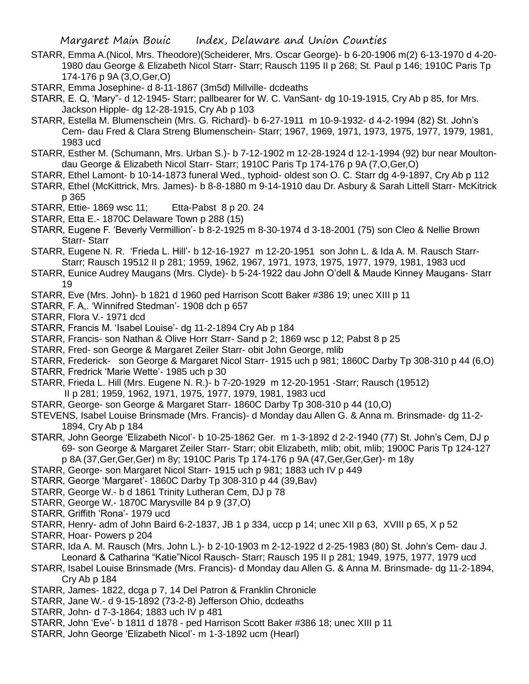- STARR, Emma A.(Nicol, Mrs. Theodore)(Scheiderer, Mrs. Oscar George)- b 6-20-1906 m(2) 6-13-1970 d 4-20- 1980 dau George & Elizabeth Nicol Starr- Starr; Rausch 1195 II p 268; St. Paul p 146; 1910C Paris Tp 174-176 p 9A (3,O,Ger,O)
- STARR, Emma Josephine- d 8-11-1867 (3m5d) Millville- dcdeaths
- STARR, E. Q, 'Mary"- d 12-1945- Starr; pallbearer for W. C. VanSant- dg 10-19-1915, Cry Ab p 85, for Mrs. Jackson Hipple- dg 12-28-1915, Cry Ab p 103
- STARR, Estella M. Blumenschein (Mrs. G. Richard)- b 6-27-1911 m 10-9-1932- d 4-2-1994 (82) St. John's Cem- dau Fred & Clara Streng Blumenschein- Starr; 1967, 1969, 1971, 1973, 1975, 1977, 1979, 1981, 1983 ucd
- STARR, Esther M. (Schumann, Mrs. Urban S.)- b 7-12-1902 m 12-28-1924 d 12-1-1994 (92) bur near Moultondau George & Elizabeth Nicol Starr- Starr; 1910C Paris Tp 174-176 p 9A (7,O,Ger,O)
- STARR, Ethel Lamont- b 10-14-1873 funeral Wed., typhoid- oldest son O. C. Starr dg 4-9-1897, Cry Ab p 112
- STARR, Ethel (McKittrick, Mrs. James)- b 8-8-1880 m 9-14-1910 dau Dr. Asbury & Sarah Littell Starr- McKitrick p 365
- STARR, Ettie- 1869 wsc 11; Etta-Pabst 8 p 20. 24
- STARR, Etta E.- 1870C Delaware Town p 288 (15)
- STARR, Eugene F. 'Beverly Vermillion'- b 8-2-1925 m 8-30-1974 d 3-18-2001 (75) son Cleo & Nellie Brown Starr- Starr
- STARR, Eugene N. R. 'Frieda L. Hill'- b 12-16-1927 m 12-20-1951 son John L. & Ida A. M. Rausch Starr-Starr; Rausch 19512 II p 281; 1959, 1962, 1967, 1971, 1973, 1975, 1977, 1979, 1981, 1983 ucd
- STARR, Eunice Audrey Maugans (Mrs. Clyde)- b 5-24-1922 dau John O'dell & Maude Kinney Maugans- Starr 19
- STARR, Eve (Mrs. John)- b 1821 d 1960 ped Harrison Scott Baker #386 19; unec XIII p 11
- STARR, F. A,. 'Winnifred Stedman'- 1908 dch p 657
- STARR, Flora V.- 1971 dcd
- STARR, Francis M. 'Isabel Louise'- dg 11-2-1894 Cry Ab p 184
- STARR, Francis- son Nathan & Olive Horr Starr- Sand p 2; 1869 wsc p 12; Pabst 8 p 25
- STARR, Fred- son George & Margaret Zeiler Starr- obit John George, mlib
- STARR, Frederick- son George & Margaret Nicol Starr- 1915 uch p 981; 1860C Darby Tp 308-310 p 44 (6,O)
- STARR, Fredrick 'Marie Wette'- 1985 uch p 30
- STARR, Frieda L. Hill (Mrs. Eugene N. R.)- b 7-20-1929 m 12-20-1951 -Starr; Rausch (19512)
- II p 281; 1959, 1962, 1971, 1975, 1977, 1979, 1981, 1983 ucd
- STARR, George- son George & Margaret Starr- 1860C Darby Tp 308-310 p 44 (10,O)
- STEVENS, Isabel Louise Brinsmade (Mrs. Francis)- d Monday dau Allen G. & Anna m. Brinsmade- dg 11-2- 1894, Cry Ab p 184
- STARR, John George 'Elizabeth Nicol'- b 10-25-1862 Ger. m 1-3-1892 d 2-2-1940 (77) St. John's Cem, DJ p 69- son George & Margaret Zeiler Starr- Starr; obit Elizabeth, mlib; obit, mlib; 1900C Paris Tp 124-127
	- p 8A (37,Ger,Ger,Ger) m 8y; 1910C Paris Tp 174-176 p 9A (47,Ger,Ger,Ger)- m 18y
- STARR, George- son Margaret Nicol Starr- 1915 uch p 981; 1883 uch IV p 449
- STARR, George 'Margaret'- 1860C Darby Tp 308-310 p 44 (39,Bav)
- STARR, George W.- b d 1861 Trinity Lutheran Cem, DJ p 78
- STARR, George W.- 1870C Marysville 84 p 9 (37,O)
- STARR, Griffith 'Rona'- 1979 ucd
- STARR, Henry- adm of John Baird 6-2-1837, JB 1 p 334, uccp p 14; unec XII p 63, XVIII p 65, X p 52
- STARR, Hoar- Powers p 204
- STARR, Ida A. M. Rausch (Mrs. John L.)- b 2-10-1903 m 2-12-1922 d 2-25-1983 (80) St. John's Cem- dau J. Leonard & Catharina "Katie"Nicol Rausch- Starr; Rausch 195 II p 281; 1949, 1975, 1977, 1979 ucd
- STARR, Isabel Louise Brinsmade (Mrs. Francis)- d Monday dau Allen G. & Anna M. Brinsmade- dg 11-2-1894, Cry Ab p 184
- STARR, James- 1822, dcga p 7, 14 Del Patron & Franklin Chronicle
- STARR, Jane W.- d 9-15-1892 (73-2-8) Jefferson Ohio, dcdeaths
- STARR, John- d 7-3-1864; 1883 uch IV p 481
- STARR, John 'Eve'- b 1811 d 1878 ped Harrison Scott Baker #386 18; unec XIII p 11
- STARR, John George 'Elizabeth Nicol'- m 1-3-1892 ucm (Hearl)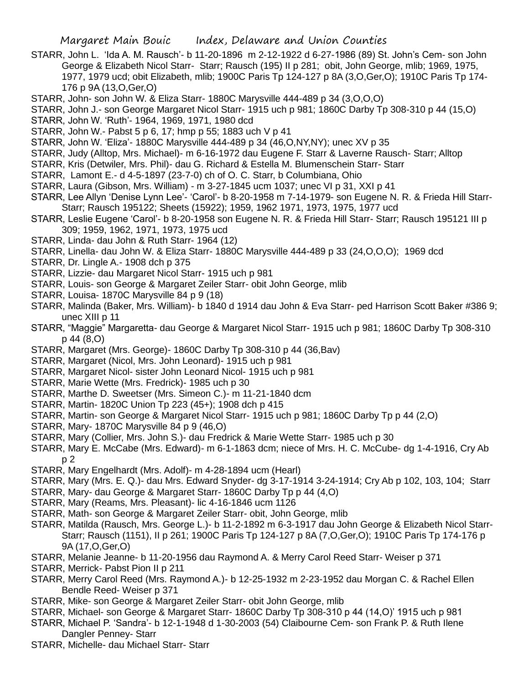- STARR, John L. 'Ida A. M. Rausch'- b 11-20-1896 m 2-12-1922 d 6-27-1986 (89) St. John's Cem- son John George & Elizabeth Nicol Starr- Starr; Rausch (195) II p 281; obit, John George, mlib; 1969, 1975, 1977, 1979 ucd; obit Elizabeth, mlib; 1900C Paris Tp 124-127 p 8A (3,O,Ger,O); 1910C Paris Tp 174- 176 p 9A (13,O,Ger,O)
- STARR, John- son John W. & Eliza Starr- 1880C Marysville 444-489 p 34 (3,O,O,O)
- STARR, John J.- son George Margaret Nicol Starr- 1915 uch p 981; 1860C Darby Tp 308-310 p 44 (15,O)
- STARR, John W. 'Ruth'- 1964, 1969, 1971, 1980 dcd
- STARR, John W.- Pabst 5 p 6, 17; hmp p 55; 1883 uch V p 41
- STARR, John W. 'Eliza'- 1880C Marysville 444-489 p 34 (46,O,NY,NY); unec XV p 35
- STARR, Judy (Alltop, Mrs. Michael)- m 6-16-1972 dau Eugene F. Starr & Laverne Rausch- Starr; Alltop
- STARR, Kris (Detwiler, Mrs. Phil)- dau G. Richard & Estella M. Blumenschein Starr- Starr
- STARR, Lamont E.- d 4-5-1897 (23-7-0) ch of O. C. Starr, b Columbiana, Ohio
- STARR, Laura (Gibson, Mrs. William) m 3-27-1845 ucm 1037; unec VI p 31, XXI p 41
- STARR, Lee Allyn 'Denise Lynn Lee'- 'Carol'- b 8-20-1958 m 7-14-1979- son Eugene N. R. & Frieda Hill Starr-Starr; Rausch 195122; Sheets (15922); 1959, 1962 1971, 1973, 1975, 1977 ucd
- STARR, Leslie Eugene 'Carol'- b 8-20-1958 son Eugene N. R. & Frieda Hill Starr- Starr; Rausch 195121 III p 309; 1959, 1962, 1971, 1973, 1975 ucd
- STARR, Linda- dau John & Ruth Starr- 1964 (12)
- STARR, Linella- dau John W. & Eliza Starr- 1880C Marysville 444-489 p 33 (24,O,O,O); 1969 dcd
- STARR, Dr. Lingle A.- 1908 dch p 375
- STARR, Lizzie- dau Margaret Nicol Starr- 1915 uch p 981
- STARR, Louis- son George & Margaret Zeiler Starr- obit John George, mlib
- STARR, Louisa- 1870C Marysville 84 p 9 (18)
- STARR, Malinda (Baker, Mrs. William)- b 1840 d 1914 dau John & Eva Starr- ped Harrison Scott Baker #386 9; unec XIII p 11
- STARR, "Maggie" Margaretta- dau George & Margaret Nicol Starr- 1915 uch p 981; 1860C Darby Tp 308-310 p 44 (8,O)
- STARR, Margaret (Mrs. George)- 1860C Darby Tp 308-310 p 44 (36,Bav)
- STARR, Margaret (Nicol, Mrs. John Leonard)- 1915 uch p 981
- STARR, Margaret Nicol- sister John Leonard Nicol- 1915 uch p 981
- STARR, Marie Wette (Mrs. Fredrick)- 1985 uch p 30
- STARR, Marthe D. Sweetser (Mrs. Simeon C.)- m 11-21-1840 dcm
- STARR, Martin- 1820C Union Tp 223 (45+); 1908 dch p 415
- STARR, Martin- son George & Margaret Nicol Starr- 1915 uch p 981; 1860C Darby Tp p 44 (2,O)
- STARR, Mary- 1870C Marysville 84 p 9 (46,O)
- STARR, Mary (Collier, Mrs. John S.)- dau Fredrick & Marie Wette Starr- 1985 uch p 30
- STARR, Mary E. McCabe (Mrs. Edward)- m 6-1-1863 dcm; niece of Mrs. H. C. McCube- dg 1-4-1916, Cry Ab p 2
- STARR, Mary Engelhardt (Mrs. Adolf)- m 4-28-1894 ucm (Hearl)
- STARR, Mary (Mrs. E. Q.)- dau Mrs. Edward Snyder- dg 3-17-1914 3-24-1914; Cry Ab p 102, 103, 104; Starr
- STARR, Mary- dau George & Margaret Starr- 1860C Darby Tp p 44 (4,O)
- STARR, Mary (Reams, Mrs. Pleasant)- lic 4-16-1846 ucm 1126
- STARR, Math- son George & Margaret Zeiler Starr- obit, John George, mlib
- STARR, Matilda (Rausch, Mrs. George L.)- b 11-2-1892 m 6-3-1917 dau John George & Elizabeth Nicol Starr-Starr; Rausch (1151), II p 261; 1900C Paris Tp 124-127 p 8A (7,O,Ger,O); 1910C Paris Tp 174-176 p 9A (17,O,Ger,O)
- STARR, Melanie Jeanne- b 11-20-1956 dau Raymond A. & Merry Carol Reed Starr- Weiser p 371
- STARR, Merrick- Pabst Pion II p 211
- STARR, Merry Carol Reed (Mrs. Raymond A.)- b 12-25-1932 m 2-23-1952 dau Morgan C. & Rachel Ellen Bendle Reed- Weiser p 371
- STARR, Mike- son George & Margaret Zeiler Starr- obit John George, mlib
- STARR, Michael- son George & Margaret Starr- 1860C Darby Tp 308-310 p 44 (14,O)' 1915 uch p 981
- STARR, Michael P. 'Sandra'- b 12-1-1948 d 1-30-2003 (54) Claibourne Cem- son Frank P. & Ruth Ilene Dangler Penney- Starr
- STARR, Michelle- dau Michael Starr- Starr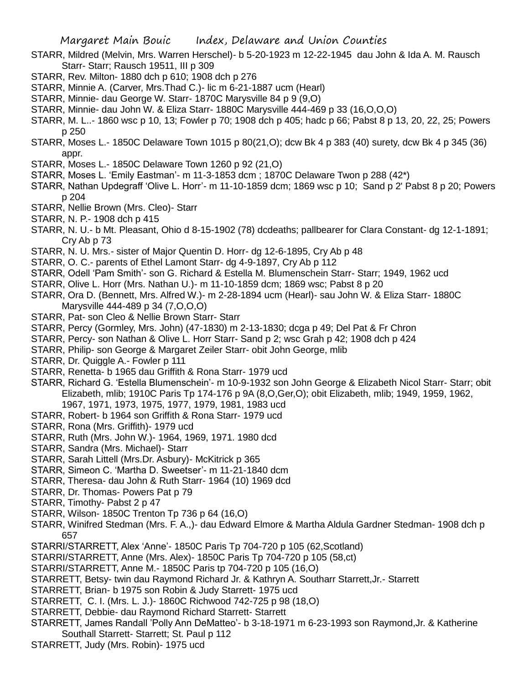- STARR, Mildred (Melvin, Mrs. Warren Herschel)- b 5-20-1923 m 12-22-1945 dau John & Ida A. M. Rausch Starr- Starr; Rausch 19511, III p 309
- STARR, Rev. Milton- 1880 dch p 610; 1908 dch p 276
- STARR, Minnie A. (Carver, Mrs.Thad C.)- lic m 6-21-1887 ucm (Hearl)
- STARR, Minnie- dau George W. Starr- 1870C Marysville 84 p 9 (9,O)
- STARR, Minnie- dau John W. & Eliza Starr- 1880C Marysville 444-469 p 33 (16,O,O,O)
- STARR, M. L..- 1860 wsc p 10, 13; Fowler p 70; 1908 dch p 405; hadc p 66; Pabst 8 p 13, 20, 22, 25; Powers p 250
- STARR, Moses L.- 1850C Delaware Town 1015 p 80(21,O); dcw Bk 4 p 383 (40) surety, dcw Bk 4 p 345 (36) appr.
- STARR, Moses L.- 1850C Delaware Town 1260 p 92 (21,O)
- STARR, Moses L. 'Emily Eastman'- m 11-3-1853 dcm ; 1870C Delaware Twon p 288 (42\*)
- STARR, Nathan Updegraff 'Olive L. Horr'- m 11-10-1859 dcm; 1869 wsc p 10; Sand p 2' Pabst 8 p 20; Powers p 204
- STARR, Nellie Brown (Mrs. Cleo)- Starr
- STARR, N. P.- 1908 dch p 415
- STARR, N. U.- b Mt. Pleasant, Ohio d 8-15-1902 (78) dcdeaths; pallbearer for Clara Constant- dg 12-1-1891; Cry Ab p 73
- STARR, N. U. Mrs.- sister of Major Quentin D. Horr- dg 12-6-1895, Cry Ab p 48
- STARR, O. C.- parents of Ethel Lamont Starr- dg 4-9-1897, Cry Ab p 112
- STARR, Odell 'Pam Smith'- son G. Richard & Estella M. Blumenschein Starr- Starr; 1949, 1962 ucd
- STARR, Olive L. Horr (Mrs. Nathan U.)- m 11-10-1859 dcm; 1869 wsc; Pabst 8 p 20
- STARR, Ora D. (Bennett, Mrs. Alfred W.)- m 2-28-1894 ucm (Hearl)- sau John W. & Eliza Starr- 1880C Marysville 444-489 p 34 (7,O,O,O)
- STARR, Pat- son Cleo & Nellie Brown Starr- Starr
- STARR, Percy (Gormley, Mrs. John) (47-1830) m 2-13-1830; dcga p 49; Del Pat & Fr Chron
- STARR, Percy- son Nathan & Olive L. Horr Starr- Sand p 2; wsc Grah p 42; 1908 dch p 424
- STARR, Philip- son George & Margaret Zeiler Starr- obit John George, mlib
- STARR, Dr. Quiggle A.- Fowler p 111
- STARR, Renetta- b 1965 dau Griffith & Rona Starr- 1979 ucd
- STARR, Richard G. 'Estella Blumenschein'- m 10-9-1932 son John George & Elizabeth Nicol Starr- Starr; obit Elizabeth, mlib; 1910C Paris Tp 174-176 p 9A (8,O,Ger,O); obit Elizabeth, mlib; 1949, 1959, 1962,

1967, 1971, 1973, 1975, 1977, 1979, 1981, 1983 ucd

- STARR, Robert- b 1964 son Griffith & Rona Starr- 1979 ucd
- STARR, Rona (Mrs. Griffith)- 1979 ucd
- STARR, Ruth (Mrs. John W.)- 1964, 1969, 1971. 1980 dcd
- STARR, Sandra (Mrs. Michael)- Starr
- STARR, Sarah Littell (Mrs.Dr. Asbury)- McKitrick p 365
- STARR, Simeon C. 'Martha D. Sweetser'- m 11-21-1840 dcm
- STARR, Theresa- dau John & Ruth Starr- 1964 (10) 1969 dcd
- STARR, Dr. Thomas- Powers Pat p 79
- STARR, Timothy- Pabst 2 p 47
- STARR, Wilson- 1850C Trenton Tp 736 p 64 (16,O)
- STARR, Winifred Stedman (Mrs. F. A.,)- dau Edward Elmore & Martha Aldula Gardner Stedman- 1908 dch p 657
- STARRI/STARRETT, Alex 'Anne'- 1850C Paris Tp 704-720 p 105 (62,Scotland)
- STARRI/STARRETT, Anne (Mrs. Alex)- 1850C Paris Tp 704-720 p 105 (58,ct)
- STARRI/STARRETT, Anne M.- 1850C Paris tp 704-720 p 105 (16,O)
- STARRETT, Betsy- twin dau Raymond Richard Jr. & Kathryn A. Southarr Starrett,Jr.- Starrett
- STARRETT, Brian- b 1975 son Robin & Judy Starrett- 1975 ucd
- STARRETT, C. I. (Mrs. L. J.)- 1860C Richwood 742-725 p 98 (18,O)
- STARRETT, Debbie- dau Raymond Richard Starrett- Starrett
- STARRETT, James Randall 'Polly Ann DeMatteo'- b 3-18-1971 m 6-23-1993 son Raymond,Jr. & Katherine Southall Starrett- Starrett; St. Paul p 112
- STARRETT, Judy (Mrs. Robin)- 1975 ucd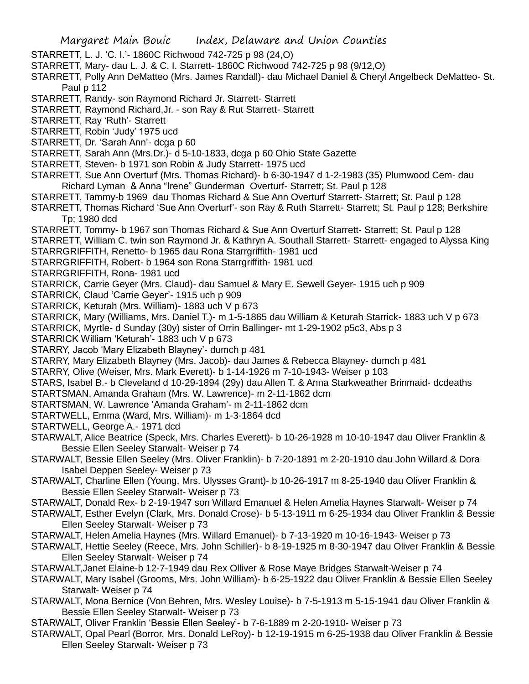- STARRETT, L. J. 'C. I.'- 1860C Richwood 742-725 p 98 (24,O)
- STARRETT, Mary- dau L. J. & C. I. Starrett- 1860C Richwood 742-725 p 98 (9/12,O)
- STARRETT, Polly Ann DeMatteo (Mrs. James Randall)- dau Michael Daniel & Cheryl Angelbeck DeMatteo- St. Paul p 112
- STARRETT, Randy- son Raymond Richard Jr. Starrett- Starrett
- STARRETT, Raymond Richard,Jr. son Ray & Rut Starrett- Starrett
- STARRETT, Ray 'Ruth'- Starrett
- STARRETT, Robin 'Judy' 1975 ucd
- STARRETT, Dr. 'Sarah Ann'- dcga p 60
- STARRETT, Sarah Ann (Mrs.Dr.)- d 5-10-1833, dcga p 60 Ohio State Gazette
- STARRETT, Steven- b 1971 son Robin & Judy Starrett- 1975 ucd
- STARRETT, Sue Ann Overturf (Mrs. Thomas Richard)- b 6-30-1947 d 1-2-1983 (35) Plumwood Cem- dau Richard Lyman & Anna "Irene" Gunderman Overturf- Starrett; St. Paul p 128
- STARRETT, Tammy-b 1969 dau Thomas Richard & Sue Ann Overturf Starrett- Starrett; St. Paul p 128
- STARRETT, Thomas Richard 'Sue Ann Overturf'- son Ray & Ruth Starrett- Starrett; St. Paul p 128; Berkshire Tp; 1980 dcd
- STARRETT, Tommy- b 1967 son Thomas Richard & Sue Ann Overturf Starrett- Starrett; St. Paul p 128 STARRETT, William C. twin son Raymond Jr. & Kathryn A. Southall Starrett- Starrett- engaged to Alyssa King STARRGRIFFITH, Renetto- b 1965 dau Rona Starrgriffith- 1981 ucd
- STARRGRIFFITH, Robert- b 1964 son Rona Starrgriffith- 1981 ucd
- STARRGRIFFITH, Rona- 1981 ucd
- STARRICK, Carrie Geyer (Mrs. Claud)- dau Samuel & Mary E. Sewell Geyer- 1915 uch p 909
- STARRICK, Claud 'Carrie Geyer'- 1915 uch p 909
- STARRICK, Keturah (Mrs. William)- 1883 uch V p 673
- STARRICK, Mary (Williams, Mrs. Daniel T.)- m 1-5-1865 dau William & Keturah Starrick- 1883 uch V p 673 STARRICK, Myrtle- d Sunday (30y) sister of Orrin Ballinger- mt 1-29-1902 p5c3, Abs p 3
- STARRICK William 'Keturah'- 1883 uch V p 673
- STARRY, Jacob 'Mary Elizabeth Blayney'- dumch p 481
- STARRY, Mary Elizabeth Blayney (Mrs. Jacob)- dau James & Rebecca Blayney- dumch p 481
- STARRY, Olive (Weiser, Mrs. Mark Everett)- b 1-14-1926 m 7-10-1943- Weiser p 103
- STARS, Isabel B.- b Cleveland d 10-29-1894 (29y) dau Allen T. & Anna Starkweather Brinmaid- dcdeaths
- STARTSMAN, Amanda Graham (Mrs. W. Lawrence)- m 2-11-1862 dcm
- STARTSMAN, W. Lawrence 'Amanda Graham'- m 2-11-1862 dcm
- STARTWELL, Emma (Ward, Mrs. William)- m 1-3-1864 dcd
- STARTWELL, George A.- 1971 dcd
- STARWALT, Alice Beatrice (Speck, Mrs. Charles Everett)- b 10-26-1928 m 10-10-1947 dau Oliver Franklin & Bessie Ellen Seeley Starwalt- Weiser p 74
- STARWALT, Bessie Ellen Seeley (Mrs. Oliver Franklin)- b 7-20-1891 m 2-20-1910 dau John Willard & Dora Isabel Deppen Seeley- Weiser p 73
- STARWALT, Charline Ellen (Young, Mrs. Ulysses Grant)- b 10-26-1917 m 8-25-1940 dau Oliver Franklin & Bessie Ellen Seeley Starwalt- Weiser p 73
- STARWALT, Donald Rex- b 2-19-1947 son Willard Emanuel & Helen Amelia Haynes Starwalt- Weiser p 74
- STARWALT, Esther Evelyn (Clark, Mrs. Donald Crose)- b 5-13-1911 m 6-25-1934 dau Oliver Franklin & Bessie Ellen Seeley Starwalt- Weiser p 73
- STARWALT, Helen Amelia Haynes (Mrs. Willard Emanuel)- b 7-13-1920 m 10-16-1943- Weiser p 73
- STARWALT, Hettie Seeley (Reece, Mrs. John Schiller)- b 8-19-1925 m 8-30-1947 dau Oliver Franklin & Bessie Ellen Seeley Starwalt- Weiser p 74
- STARWALT,Janet Elaine-b 12-7-1949 dau Rex Olliver & Rose Maye Bridges Starwalt-Weiser p 74
- STARWALT, Mary Isabel (Grooms, Mrs. John William)- b 6-25-1922 dau Oliver Franklin & Bessie Ellen Seeley Starwalt- Weiser p 74
- STARWALT, Mona Bernice (Von Behren, Mrs. Wesley Louise)- b 7-5-1913 m 5-15-1941 dau Oliver Franklin & Bessie Ellen Seeley Starwalt- Weiser p 73
- STARWALT, Oliver Franklin 'Bessie Ellen Seeley'- b 7-6-1889 m 2-20-1910- Weiser p 73
- STARWALT, Opal Pearl (Borror, Mrs. Donald LeRoy)- b 12-19-1915 m 6-25-1938 dau Oliver Franklin & Bessie Ellen Seeley Starwalt- Weiser p 73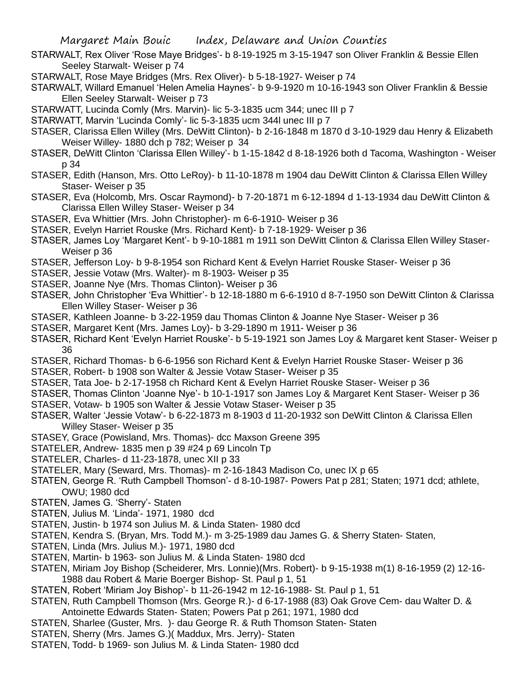- STARWALT, Rex Oliver 'Rose Maye Bridges'- b 8-19-1925 m 3-15-1947 son Oliver Franklin & Bessie Ellen Seeley Starwalt- Weiser p 74
- STARWALT, Rose Maye Bridges (Mrs. Rex Oliver)- b 5-18-1927- Weiser p 74
- STARWALT, Willard Emanuel 'Helen Amelia Haynes'- b 9-9-1920 m 10-16-1943 son Oliver Franklin & Bessie Ellen Seeley Starwalt- Weiser p 73
- STARWATT, Lucinda Comly (Mrs. Marvin)- lic 5-3-1835 ucm 344; unec III p 7
- STARWATT, Marvin 'Lucinda Comly'- lic 5-3-1835 ucm 344l unec III p 7
- STASER, Clarissa Ellen Willey (Mrs. DeWitt Clinton)- b 2-16-1848 m 1870 d 3-10-1929 dau Henry & Elizabeth Weiser Willey- 1880 dch p 782; Weiser p 34
- STASER, DeWitt Clinton 'Clarissa Ellen Willey'- b 1-15-1842 d 8-18-1926 both d Tacoma, Washington Weiser p 34
- STASER, Edith (Hanson, Mrs. Otto LeRoy)- b 11-10-1878 m 1904 dau DeWitt Clinton & Clarissa Ellen Willey Staser- Weiser p 35
- STASER, Eva (Holcomb, Mrs. Oscar Raymond)- b 7-20-1871 m 6-12-1894 d 1-13-1934 dau DeWitt Clinton & Clarissa Ellen Willey Staser- Weiser p 34
- STASER, Eva Whittier (Mrs. John Christopher)- m 6-6-1910- Weiser p 36
- STASER, Evelyn Harriet Rouske (Mrs. Richard Kent)- b 7-18-1929- Weiser p 36
- STASER, James Loy 'Margaret Kent'- b 9-10-1881 m 1911 son DeWitt Clinton & Clarissa Ellen Willey Staser-Weiser p 36
- STASER, Jefferson Loy- b 9-8-1954 son Richard Kent & Evelyn Harriet Rouske Staser- Weiser p 36
- STASER, Jessie Votaw (Mrs. Walter)- m 8-1903- Weiser p 35
- STASER, Joanne Nye (Mrs. Thomas Clinton)- Weiser p 36
- STASER, John Christopher 'Eva Whittier'- b 12-18-1880 m 6-6-1910 d 8-7-1950 son DeWitt Clinton & Clarissa Ellen Willey Staser- Weiser p 36
- STASER, Kathleen Joanne- b 3-22-1959 dau Thomas Clinton & Joanne Nye Staser- Weiser p 36
- STASER, Margaret Kent (Mrs. James Loy)- b 3-29-1890 m 1911- Weiser p 36
- STASER, Richard Kent 'Evelyn Harriet Rouske'- b 5-19-1921 son James Loy & Margaret kent Staser- Weiser p 36
- STASER, Richard Thomas- b 6-6-1956 son Richard Kent & Evelyn Harriet Rouske Staser- Weiser p 36
- STASER, Robert- b 1908 son Walter & Jessie Votaw Staser- Weiser p 35
- STASER, Tata Joe- b 2-17-1958 ch Richard Kent & Evelyn Harriet Rouske Staser- Weiser p 36
- STASER, Thomas Clinton 'Joanne Nye'- b 10-1-1917 son James Loy & Margaret Kent Staser- Weiser p 36
- STASER, Votaw- b 1905 son Walter & Jessie Votaw Staser- Weiser p 35
- STASER, Walter 'Jessie Votaw'- b 6-22-1873 m 8-1903 d 11-20-1932 son DeWitt Clinton & Clarissa Ellen Willey Staser- Weiser p 35
- STASEY, Grace (Powisland, Mrs. Thomas)- dcc Maxson Greene 395
- STATELER, Andrew- 1835 men p 39 #24 p 69 Lincoln Tp
- STATELER, Charles- d 11-23-1878, unec XII p 33
- STATELER, Mary (Seward, Mrs. Thomas)- m 2-16-1843 Madison Co, unec IX p 65
- STATEN, George R. 'Ruth Campbell Thomson'- d 8-10-1987- Powers Pat p 281; Staten; 1971 dcd; athlete, OWU; 1980 dcd
- STATEN, James G. 'Sherry'- Staten
- STATEN, Julius M. 'Linda'- 1971, 1980 dcd
- STATEN, Justin- b 1974 son Julius M. & Linda Staten- 1980 dcd
- STATEN, Kendra S. (Bryan, Mrs. Todd M.)- m 3-25-1989 dau James G. & Sherry Staten- Staten,
- STATEN, Linda (Mrs. Julius M.)- 1971, 1980 dcd
- STATEN, Martin- b 1963- son Julius M. & Linda Staten- 1980 dcd
- STATEN, Miriam Joy Bishop (Scheiderer, Mrs. Lonnie)(Mrs. Robert)- b 9-15-1938 m(1) 8-16-1959 (2) 12-16- 1988 dau Robert & Marie Boerger Bishop- St. Paul p 1, 51
- STATEN, Robert 'Miriam Joy Bishop'- b 11-26-1942 m 12-16-1988- St. Paul p 1, 51
- STATEN, Ruth Campbell Thomson (Mrs. George R.)- d 6-17-1988 (83) Oak Grove Cem- dau Walter D. & Antoinette Edwards Staten- Staten; Powers Pat p 261; 1971, 1980 dcd
- STATEN, Sharlee (Guster, Mrs. )- dau George R. & Ruth Thomson Staten- Staten
- STATEN, Sherry (Mrs. James G.)( Maddux, Mrs. Jerry)- Staten
- STATEN, Todd- b 1969- son Julius M. & Linda Staten- 1980 dcd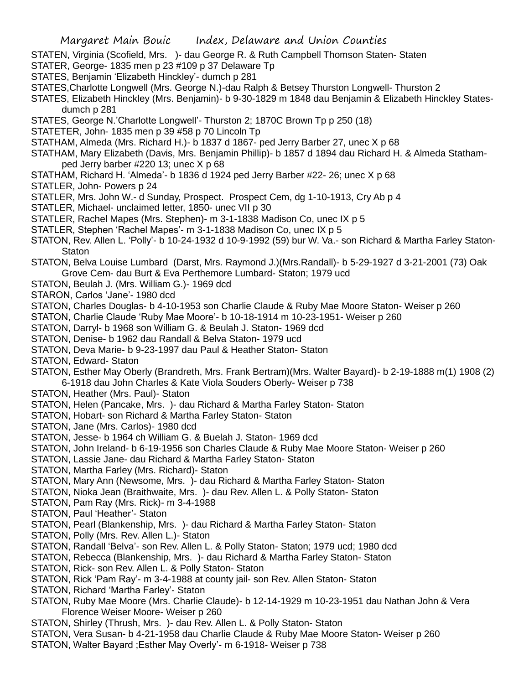- STATEN, Virginia (Scofield, Mrs. )- dau George R. & Ruth Campbell Thomson Staten- Staten
- STATER, George- 1835 men p 23 #109 p 37 Delaware Tp
- STATES, Benjamin 'Elizabeth Hinckley'- dumch p 281
- STATES,Charlotte Longwell (Mrs. George N.)-dau Ralph & Betsey Thurston Longwell- Thurston 2
- STATES, Elizabeth Hinckley (Mrs. Benjamin)- b 9-30-1829 m 1848 dau Benjamin & Elizabeth Hinckley Statesdumch p 281
- STATES, George N.'Charlotte Longwell'- Thurston 2; 1870C Brown Tp p 250 (18)
- STATETER, John- 1835 men p 39 #58 p 70 Lincoln Tp
- STATHAM, Almeda (Mrs. Richard H.)- b 1837 d 1867- ped Jerry Barber 27, unec X p 68
- STATHAM, Mary Elizabeth (Davis, Mrs. Benjamin Phillip)- b 1857 d 1894 dau Richard H. & Almeda Stathamped Jerry barber #220 13; unec X p 68
- STATHAM, Richard H. 'Almeda'- b 1836 d 1924 ped Jerry Barber #22- 26; unec X p 68
- STATLER, John- Powers p 24
- STATLER, Mrs. John W.- d Sunday, Prospect. Prospect Cem, dg 1-10-1913, Cry Ab p 4
- STATLER, Michael- unclaimed letter, 1850- unec VII p 30
- STATLER, Rachel Mapes (Mrs. Stephen)- m 3-1-1838 Madison Co, unec IX p 5
- STATLER, Stephen 'Rachel Mapes'- m 3-1-1838 Madison Co, unec IX p 5
- STATON, Rev. Allen L. 'Polly'- b 10-24-1932 d 10-9-1992 (59) bur W. Va.- son Richard & Martha Farley Staton-**Staton**
- STATON, Belva Louise Lumbard (Darst, Mrs. Raymond J.)(Mrs.Randall)- b 5-29-1927 d 3-21-2001 (73) Oak Grove Cem- dau Burt & Eva Perthemore Lumbard- Staton; 1979 ucd
- STATON, Beulah J. (Mrs. William G.)- 1969 dcd
- STARON, Carlos 'Jane'- 1980 dcd
- STATON, Charles Douglas- b 4-10-1953 son Charlie Claude & Ruby Mae Moore Staton- Weiser p 260
- STATON, Charlie Claude 'Ruby Mae Moore'- b 10-18-1914 m 10-23-1951- Weiser p 260
- STATON, Darryl- b 1968 son William G. & Beulah J. Staton- 1969 dcd
- STATON, Denise- b 1962 dau Randall & Belva Staton- 1979 ucd
- STATON, Deva Marie- b 9-23-1997 dau Paul & Heather Staton- Staton
- STATON, Edward- Staton
- STATON, Esther May Oberly (Brandreth, Mrs. Frank Bertram)(Mrs. Walter Bayard)- b 2-19-1888 m(1) 1908 (2) 6-1918 dau John Charles & Kate Viola Souders Oberly- Weiser p 738
- STATON, Heather (Mrs. Paul)- Staton
- STATON, Helen (Pancake, Mrs. )- dau Richard & Martha Farley Staton- Staton
- STATON, Hobart- son Richard & Martha Farley Staton- Staton
- STATON, Jane (Mrs. Carlos)- 1980 dcd
- STATON, Jesse- b 1964 ch William G. & Buelah J. Staton- 1969 dcd
- STATON, John Ireland- b 6-19-1956 son Charles Claude & Ruby Mae Moore Staton- Weiser p 260
- STATON, Lassie Jane- dau Richard & Martha Farley Staton- Staton
- STATON, Martha Farley (Mrs. Richard)- Staton
- STATON, Mary Ann (Newsome, Mrs. )- dau Richard & Martha Farley Staton- Staton
- STATON, Nioka Jean (Braithwaite, Mrs. )- dau Rev. Allen L. & Polly Staton- Staton
- STATON, Pam Ray (Mrs. Rick)- m 3-4-1988
- STATON, Paul 'Heather'- Staton
- STATON, Pearl (Blankenship, Mrs. )- dau Richard & Martha Farley Staton- Staton
- STATON, Polly (Mrs. Rev. Allen L.)- Staton
- STATON, Randall 'Belva'- son Rev. Allen L. & Polly Staton- Staton; 1979 ucd; 1980 dcd
- STATON, Rebecca (Blankenship, Mrs. )- dau Richard & Martha Farley Staton- Staton
- STATON, Rick- son Rev. Allen L. & Polly Staton- Staton
- STATON, Rick 'Pam Ray'- m 3-4-1988 at county jail- son Rev. Allen Staton- Staton
- STATON, Richard 'Martha Farley'- Staton
- STATON, Ruby Mae Moore (Mrs. Charlie Claude)- b 12-14-1929 m 10-23-1951 dau Nathan John & Vera Florence Weiser Moore- Weiser p 260
- STATON, Shirley (Thrush, Mrs. )- dau Rev. Allen L. & Polly Staton- Staton
- STATON, Vera Susan- b 4-21-1958 dau Charlie Claude & Ruby Mae Moore Staton- Weiser p 260
- STATON, Walter Bayard ;Esther May Overly'- m 6-1918- Weiser p 738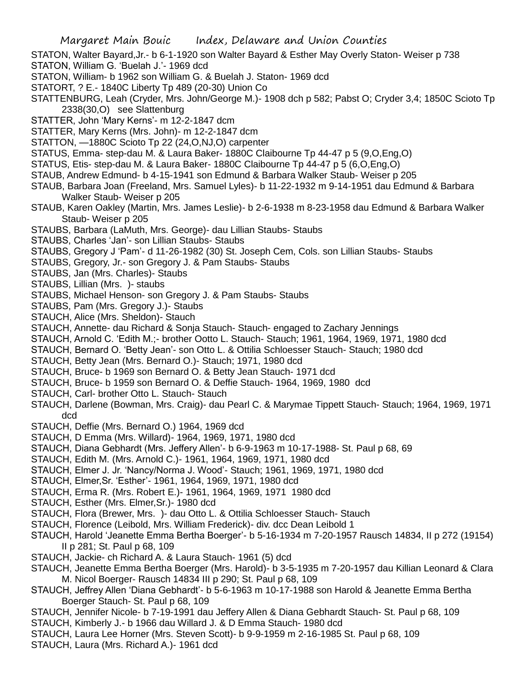- STATON, Walter Bayard,Jr.- b 6-1-1920 son Walter Bayard & Esther May Overly Staton- Weiser p 738
- STATON, William G. 'Buelah J.'- 1969 dcd
- STATON, William- b 1962 son William G. & Buelah J. Staton- 1969 dcd
- STATORT, ? E.- 1840C Liberty Tp 489 (20-30) Union Co
- STATTENBURG, Leah (Cryder, Mrs. John/George M.)- 1908 dch p 582; Pabst O; Cryder 3,4; 1850C Scioto Tp 2338(30,O) see Slattenburg
- STATTER, John 'Mary Kerns'- m 12-2-1847 dcm
- STATTER, Mary Kerns (Mrs. John)- m 12-2-1847 dcm
- STATTON, —1880C Scioto Tp 22 (24,O,NJ,O) carpenter
- STATUS, Emma- step-dau M. & Laura Baker- 1880C Claibourne Tp 44-47 p 5 (9,O,Eng,O)
- STATUS, Etis- step-dau M. & Laura Baker- 1880C Claibourne Tp 44-47 p 5 (6,O,Eng,O)
- STAUB, Andrew Edmund- b 4-15-1941 son Edmund & Barbara Walker Staub- Weiser p 205
- STAUB, Barbara Joan (Freeland, Mrs. Samuel Lyles)- b 11-22-1932 m 9-14-1951 dau Edmund & Barbara Walker Staub- Weiser p 205
- STAUB, Karen Oakley (Martin, Mrs. James Leslie)- b 2-6-1938 m 8-23-1958 dau Edmund & Barbara Walker Staub- Weiser p 205
- STAUBS, Barbara (LaMuth, Mrs. George)- dau Lillian Staubs- Staubs
- STAUBS, Charles 'Jan'- son Lillian Staubs- Staubs
- STAUBS, Gregory J 'Pam'- d 11-26-1982 (30) St. Joseph Cem, Cols. son Lillian Staubs- Staubs
- STAUBS, Gregory, Jr.- son Gregory J. & Pam Staubs- Staubs
- STAUBS, Jan (Mrs. Charles)- Staubs
- STAUBS, Lillian (Mrs. )- staubs
- STAUBS, Michael Henson- son Gregory J. & Pam Staubs- Staubs
- STAUBS, Pam (Mrs. Gregory J.)- Staubs
- STAUCH, Alice (Mrs. Sheldon)- Stauch
- STAUCH, Annette- dau Richard & Sonja Stauch- Stauch- engaged to Zachary Jennings
- STAUCH, Arnold C. 'Edith M.;- brother Ootto L. Stauch- Stauch; 1961, 1964, 1969, 1971, 1980 dcd
- STAUCH, Bernard O. 'Betty Jean'- son Otto L. & Ottilia Schloesser Stauch- Stauch; 1980 dcd
- STAUCH, Betty Jean (Mrs. Bernard O.)- Stauch; 1971, 1980 dcd
- STAUCH, Bruce- b 1969 son Bernard O. & Betty Jean Stauch- 1971 dcd
- STAUCH, Bruce- b 1959 son Bernard O. & Deffie Stauch- 1964, 1969, 1980 dcd
- STAUCH, Carl- brother Otto L. Stauch- Stauch
- STAUCH, Darlene (Bowman, Mrs. Craig)- dau Pearl C. & Marymae Tippett Stauch- Stauch; 1964, 1969, 1971 dcd
- STAUCH, Deffie (Mrs. Bernard O.) 1964, 1969 dcd
- STAUCH, D Emma (Mrs. Willard)- 1964, 1969, 1971, 1980 dcd
- STAUCH, Diana Gebhardt (Mrs. Jeffery Allen'- b 6-9-1963 m 10-17-1988- St. Paul p 68, 69
- STAUCH, Edith M. (Mrs. Arnold C.)- 1961, 1964, 1969, 1971, 1980 dcd
- STAUCH, Elmer J. Jr. 'Nancy/Norma J. Wood'- Stauch; 1961, 1969, 1971, 1980 dcd
- STAUCH, Elmer,Sr. 'Esther'- 1961, 1964, 1969, 1971, 1980 dcd
- STAUCH, Erma R. (Mrs. Robert E.)- 1961, 1964, 1969, 1971 1980 dcd
- STAUCH, Esther (Mrs. Elmer,Sr.)- 1980 dcd
- STAUCH, Flora (Brewer, Mrs. )- dau Otto L. & Ottilia Schloesser Stauch- Stauch
- STAUCH, Florence (Leibold, Mrs. William Frederick)- div. dcc Dean Leibold 1
- STAUCH, Harold 'Jeanette Emma Bertha Boerger'- b 5-16-1934 m 7-20-1957 Rausch 14834, II p 272 (19154) II p 281; St. Paul p 68, 109
- STAUCH, Jackie- ch Richard A. & Laura Stauch- 1961 (5) dcd
- STAUCH, Jeanette Emma Bertha Boerger (Mrs. Harold)- b 3-5-1935 m 7-20-1957 dau Killian Leonard & Clara M. Nicol Boerger- Rausch 14834 III p 290; St. Paul p 68, 109
- STAUCH, Jeffrey Allen 'Diana Gebhardt'- b 5-6-1963 m 10-17-1988 son Harold & Jeanette Emma Bertha Boerger Stauch- St. Paul p 68, 109
- STAUCH, Jennifer Nicole- b 7-19-1991 dau Jeffery Allen & Diana Gebhardt Stauch- St. Paul p 68, 109
- STAUCH, Kimberly J.- b 1966 dau Willard J. & D Emma Stauch- 1980 dcd
- STAUCH, Laura Lee Horner (Mrs. Steven Scott)- b 9-9-1959 m 2-16-1985 St. Paul p 68, 109
- STAUCH, Laura (Mrs. Richard A.)- 1961 dcd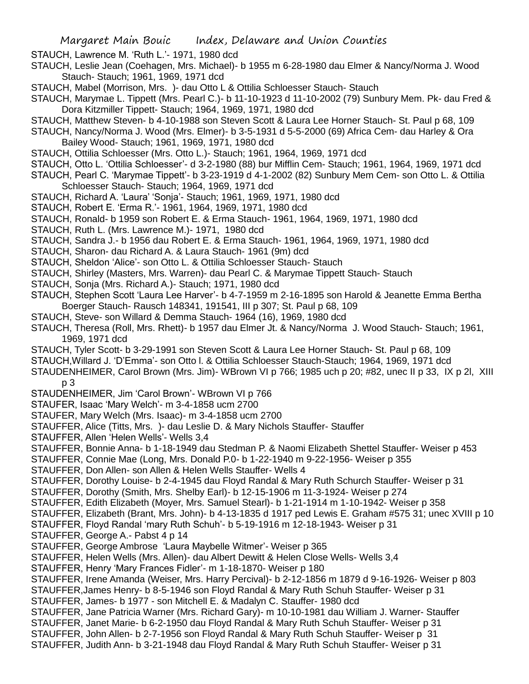Margaret Main Bouic Index, Delaware and Union Counties

STAUCH, Lawrence M. 'Ruth L.'- 1971, 1980 dcd

- STAUCH, Leslie Jean (Coehagen, Mrs. Michael)- b 1955 m 6-28-1980 dau Elmer & Nancy/Norma J. Wood Stauch- Stauch; 1961, 1969, 1971 dcd
- STAUCH, Mabel (Morrison, Mrs. )- dau Otto L & Ottilia Schloesser Stauch- Stauch
- STAUCH, Marymae L. Tippett (Mrs. Pearl C.)- b 11-10-1923 d 11-10-2002 (79) Sunbury Mem. Pk- dau Fred & Dora Kitzmiller Tippett- Stauch; 1964, 1969, 1971, 1980 dcd
- STAUCH, Matthew Steven- b 4-10-1988 son Steven Scott & Laura Lee Horner Stauch- St. Paul p 68, 109
- STAUCH, Nancy/Norma J. Wood (Mrs. Elmer)- b 3-5-1931 d 5-5-2000 (69) Africa Cem- dau Harley & Ora Bailey Wood- Stauch; 1961, 1969, 1971, 1980 dcd
- STAUCH, Ottilia Schloesser (Mrs. Otto L.)- Stauch; 1961, 1964, 1969, 1971 dcd
- STAUCH, Otto L. 'Ottilia Schloesser'- d 3-2-1980 (88) bur Mifflin Cem- Stauch; 1961, 1964, 1969, 1971 dcd
- STAUCH, Pearl C. 'Marymae Tippett'- b 3-23-1919 d 4-1-2002 (82) Sunbury Mem Cem- son Otto L. & Ottilia Schloesser Stauch- Stauch; 1964, 1969, 1971 dcd
- STAUCH, Richard A. 'Laura' 'Sonja'- Stauch; 1961, 1969, 1971, 1980 dcd
- STAUCH, Robert E. 'Erma R.'- 1961, 1964, 1969, 1971, 1980 dcd
- STAUCH, Ronald- b 1959 son Robert E. & Erma Stauch- 1961, 1964, 1969, 1971, 1980 dcd
- STAUCH, Ruth L. (Mrs. Lawrence M.)- 1971, 1980 dcd
- STAUCH, Sandra J.- b 1956 dau Robert E. & Erma Stauch- 1961, 1964, 1969, 1971, 1980 dcd
- STAUCH, Sharon- dau Richard A. & Laura Stauch- 1961 (9m) dcd
- STAUCH, Sheldon 'Alice'- son Otto L. & Ottilia Schloesser Stauch- Stauch
- STAUCH, Shirley (Masters, Mrs. Warren)- dau Pearl C. & Marymae Tippett Stauch- Stauch
- STAUCH, Sonja (Mrs. Richard A.)- Stauch; 1971, 1980 dcd
- STAUCH, Stephen Scott 'Laura Lee Harver'- b 4-7-1959 m 2-16-1895 son Harold & Jeanette Emma Bertha Boerger Stauch- Rausch 148341, 191541, III p 307; St. Paul p 68, 109
- 
- STAUCH, Steve- son Willard & Demma Stauch- 1964 (16), 1969, 1980 dcd
- STAUCH, Theresa (Roll, Mrs. Rhett)- b 1957 dau Elmer Jt. & Nancy/Norma J. Wood Stauch- Stauch; 1961, 1969, 1971 dcd
- STAUCH, Tyler Scott- b 3-29-1991 son Steven Scott & Laura Lee Horner Stauch- St. Paul p 68, 109
- STAUCH,Willard J. 'D'Emma'- son Otto l. & Ottilia Schloesser Stauch-Stauch; 1964, 1969, 1971 dcd
- STAUDENHEIMER, Carol Brown (Mrs. Jim)- WBrown VI p 766; 1985 uch p 20; #82, unec II p 33, IX p 2l, XIII p 3
- STAUDENHEIMER, Jim 'Carol Brown'- WBrown VI p 766
- STAUFER, Isaac 'Mary Welch'- m 3-4-1858 ucm 2700
- STAUFER, Mary Welch (Mrs. Isaac)- m 3-4-1858 ucm 2700
- STAUFFER, Alice (Titts, Mrs. )- dau Leslie D. & Mary Nichols Stauffer- Stauffer
- STAUFFER, Allen 'Helen Wells'- Wells 3,4
- STAUFFER, Bonnie Anna- b 1-18-1949 dau Stedman P. & Naomi Elizabeth Shettel Stauffer- Weiser p 453
- STAUFFER, Connie Mae (Long, Mrs. Donald P.0- b 1-22-1940 m 9-22-1956- Weiser p 355
- STAUFFER, Don Allen- son Allen & Helen Wells Stauffer- Wells 4
- STAUFFER, Dorothy Louise- b 2-4-1945 dau Floyd Randal & Mary Ruth Schurch Stauffer- Weiser p 31
- STAUFFER, Dorothy (Smith, Mrs. Shelby Earl)- b 12-15-1906 m 11-3-1924- Weiser p 274
- STAUFFER, Edith Elizabeth (Moyer, Mrs. Samuel Stearl)- b 1-21-1914 m 1-10-1942- Weiser p 358
- STAUFFER, Elizabeth (Brant, Mrs. John)- b 4-13-1835 d 1917 ped Lewis E. Graham #575 31; unec XVIII p 10
- STAUFFER, Floyd Randal 'mary Ruth Schuh'- b 5-19-1916 m 12-18-1943- Weiser p 31
- STAUFFER, George A.- Pabst 4 p 14
- STAUFFER, George Ambrose 'Laura Maybelle Witmer'- Weiser p 365
- STAUFFER, Helen Wells (Mrs. Allen)- dau Albert Dewitt & Helen Close Wells- Wells 3,4
- STAUFFER, Henry 'Mary Frances Fidler'- m 1-18-1870- Weiser p 180
- STAUFFER, Irene Amanda (Weiser, Mrs. Harry Percival)- b 2-12-1856 m 1879 d 9-16-1926- Weiser p 803
- STAUFFER,James Henry- b 8-5-1946 son Floyd Randal & Mary Ruth Schuh Stauffer- Weiser p 31 STAUFFER, James- b 1977 - son Mitchell E. & Madalyn C. Stauffer- 1980 dcd
- 
- STAUFFER, Jane Patricia Warner (Mrs. Richard Gary)- m 10-10-1981 dau William J. Warner- Stauffer
- STAUFFER, Janet Marie- b 6-2-1950 dau Floyd Randal & Mary Ruth Schuh Stauffer- Weiser p 31
- STAUFFER, John Allen- b 2-7-1956 son Floyd Randal & Mary Ruth Schuh Stauffer- Weiser p 31
- STAUFFER, Judith Ann- b 3-21-1948 dau Floyd Randal & Mary Ruth Schuh Stauffer- Weiser p 31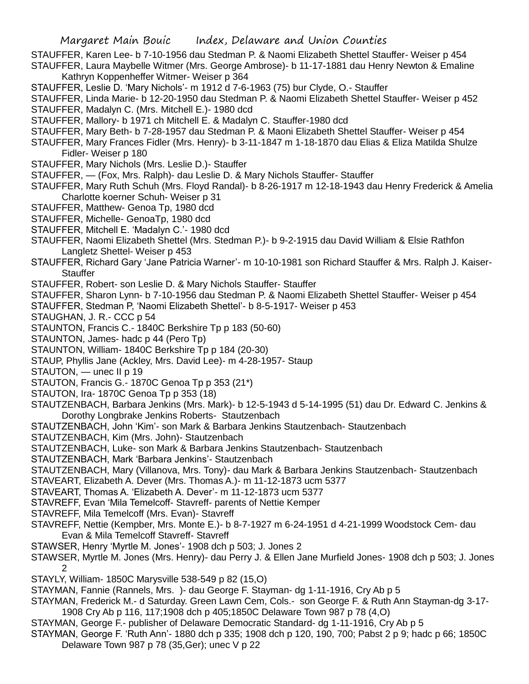Margaret Main Bouic Index, Delaware and Union Counties

STAUFFER, Karen Lee- b 7-10-1956 dau Stedman P. & Naomi Elizabeth Shettel Stauffer- Weiser p 454

STAUFFER, Laura Maybelle Witmer (Mrs. George Ambrose)- b 11-17-1881 dau Henry Newton & Emaline Kathryn Koppenheffer Witmer- Weiser p 364

STAUFFER, Leslie D. 'Mary Nichols'- m 1912 d 7-6-1963 (75) bur Clyde, O.- Stauffer

- STAUFFER, Linda Marie- b 12-20-1950 dau Stedman P. & Naomi Elizabeth Shettel Stauffer- Weiser p 452
- STAUFFER, Madalyn C. (Mrs. Mitchell E.)- 1980 dcd

STAUFFER, Mallory- b 1971 ch Mitchell E. & Madalyn C. Stauffer-1980 dcd

- STAUFFER, Mary Beth- b 7-28-1957 dau Stedman P. & Maoni Elizabeth Shettel Stauffer- Weiser p 454
- STAUFFER, Mary Frances Fidler (Mrs. Henry)- b 3-11-1847 m 1-18-1870 dau Elias & Eliza Matilda Shulze Fidler- Weiser p 180
- STAUFFER, Mary Nichols (Mrs. Leslie D.)- Stauffer
- STAUFFER, (Fox, Mrs. Ralph)- dau Leslie D. & Mary Nichols Stauffer- Stauffer
- STAUFFER, Mary Ruth Schuh (Mrs. Floyd Randal)- b 8-26-1917 m 12-18-1943 dau Henry Frederick & Amelia Charlotte koerner Schuh- Weiser p 31
- STAUFFER, Matthew- Genoa Tp, 1980 dcd
- STAUFFER, Michelle- GenoaTp, 1980 dcd
- STAUFFER, Mitchell E. 'Madalyn C.'- 1980 dcd
- STAUFFER, Naomi Elizabeth Shettel (Mrs. Stedman P.)- b 9-2-1915 dau David William & Elsie Rathfon Langletz Shettel- Weiser p 453
- STAUFFER, Richard Gary 'Jane Patricia Warner'- m 10-10-1981 son Richard Stauffer & Mrs. Ralph J. Kaiser-**Stauffer**
- STAUFFER, Robert- son Leslie D. & Mary Nichols Stauffer- Stauffer
- STAUFFER, Sharon Lynn- b 7-10-1956 dau Stedman P. & Naomi Elizabeth Shettel Stauffer- Weiser p 454
- STAUFFER, Stedman P, 'Naomi Elizabeth Shettel'- b 8-5-1917- Weiser p 453
- STAUGHAN, J. R.- CCC p 54
- STAUNTON, Francis C.- 1840C Berkshire Tp p 183 (50-60)
- STAUNTON, James- hadc p 44 (Pero Tp)
- STAUNTON, William- 1840C Berkshire Tp p 184 (20-30)
- STAUP, Phyllis Jane (Ackley, Mrs. David Lee)- m 4-28-1957- Staup
- STAUTON, unec II p 19
- STAUTON, Francis G.- 1870C Genoa Tp p 353 (21\*)
- STAUTON, Ira- 1870C Genoa Tp p 353 (18)
- STAUTZENBACH, Barbara Jenkins (Mrs. Mark)- b 12-5-1943 d 5-14-1995 (51) dau Dr. Edward C. Jenkins & Dorothy Longbrake Jenkins Roberts- Stautzenbach
- STAUTZENBACH, John 'Kim'- son Mark & Barbara Jenkins Stautzenbach- Stautzenbach
- STAUTZENBACH, Kim (Mrs. John)- Stautzenbach
- STAUTZENBACH, Luke- son Mark & Barbara Jenkins Stautzenbach- Stautzenbach
- STAUTZENBACH, Mark 'Barbara Jenkins'- Stautzenbach
- STAUTZENBACH, Mary (Villanova, Mrs. Tony)- dau Mark & Barbara Jenkins Stautzenbach- Stautzenbach
- STAVEART, Elizabeth A. Dever (Mrs. Thomas A.)- m 11-12-1873 ucm 5377
- STAVEART, Thomas A. 'Elizabeth A. Dever'- m 11-12-1873 ucm 5377
- STAVREFF, Evan 'Mila Temelcoff- Stavreff- parents of Nettie Kemper
- STAVREFF, Mila Temelcoff (Mrs. Evan)- Stavreff
- STAVREFF, Nettie (Kempber, Mrs. Monte E.)- b 8-7-1927 m 6-24-1951 d 4-21-1999 Woodstock Cem- dau Evan & Mila Temelcoff Stavreff- Stavreff
- STAWSER, Henry 'Myrtle M. Jones'- 1908 dch p 503; J. Jones 2
- STAWSER, Myrtle M. Jones (Mrs. Henry)- dau Perry J. & Ellen Jane Murfield Jones- 1908 dch p 503; J. Jones 2
- STAYLY, William- 1850C Marysville 538-549 p 82 (15,O)
- STAYMAN, Fannie (Rannels, Mrs. )- dau George F. Stayman- dg 1-11-1916, Cry Ab p 5
- STAYMAN, Frederick M.- d Saturday. Green Lawn Cem, Cols.- son George F. & Ruth Ann Stayman-dg 3-17- 1908 Cry Ab p 116, 117;1908 dch p 405;1850C Delaware Town 987 p 78 (4,O)
- STAYMAN, George F.- publisher of Delaware Democratic Standard- dg 1-11-1916, Cry Ab p 5
- STAYMAN, George F. 'Ruth Ann'- 1880 dch p 335; 1908 dch p 120, 190, 700; Pabst 2 p 9; hadc p 66; 1850C Delaware Town 987 p 78 (35,Ger); unec V p 22